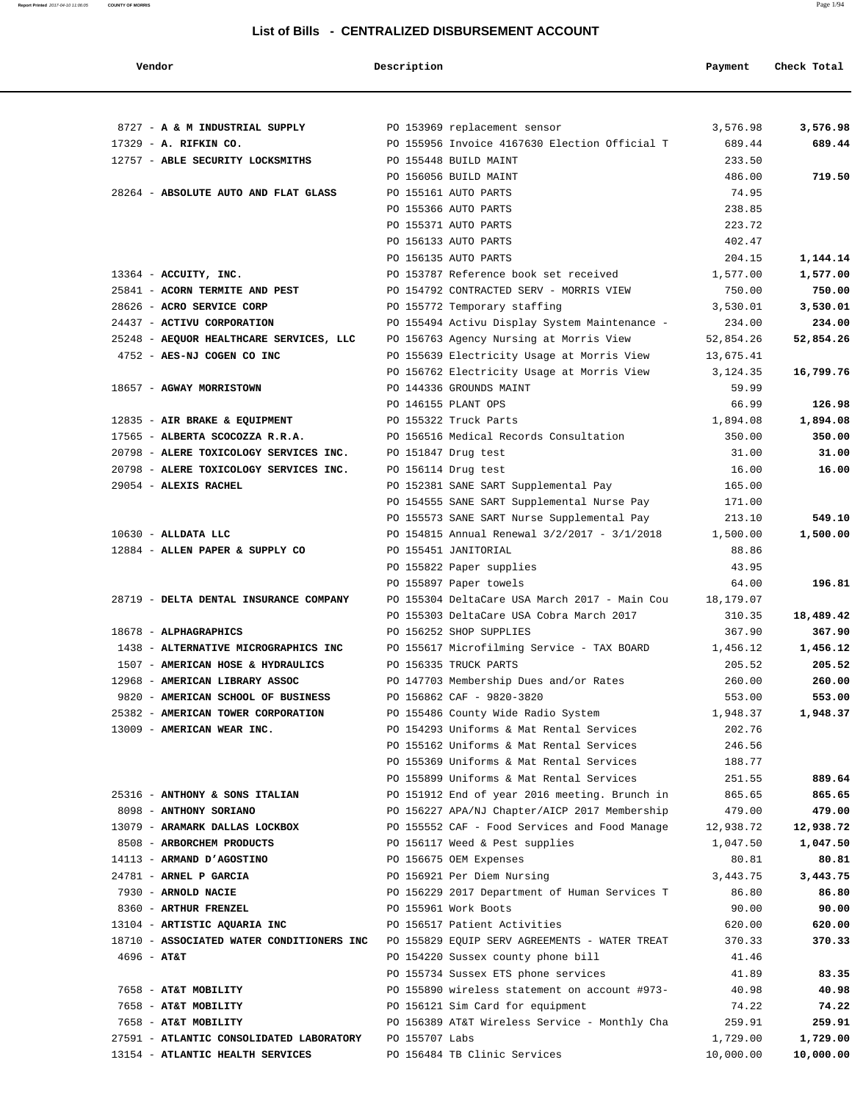| Vendor                                                                    | Description    |                                                                                   | Payment           | Check Total        |
|---------------------------------------------------------------------------|----------------|-----------------------------------------------------------------------------------|-------------------|--------------------|
|                                                                           |                |                                                                                   |                   |                    |
| 8727 - A & M INDUSTRIAL SUPPLY                                            |                | PO 153969 replacement sensor                                                      | 3,576.98          | 3,576.98           |
| 17329 - A. RIFKIN CO.                                                     |                | PO 155956 Invoice 4167630 Election Official T                                     | 689.44            | 689.44             |
| 12757 - ABLE SECURITY LOCKSMITHS                                          |                | PO 155448 BUILD MAINT                                                             | 233.50            |                    |
|                                                                           |                | PO 156056 BUILD MAINT                                                             | 486.00            | 719.50             |
| 28264 - ABSOLUTE AUTO AND FLAT GLASS                                      |                | PO 155161 AUTO PARTS                                                              | 74.95             |                    |
|                                                                           |                | PO 155366 AUTO PARTS                                                              | 238.85            |                    |
|                                                                           |                | PO 155371 AUTO PARTS                                                              | 223.72            |                    |
|                                                                           |                | PO 156133 AUTO PARTS                                                              | 402.47            |                    |
|                                                                           |                | PO 156135 AUTO PARTS                                                              | 204.15            | 1,144.14           |
| 13364 - ACCUITY, INC.                                                     |                | PO 153787 Reference book set received                                             | 1,577.00          | 1,577.00           |
| 25841 - ACORN TERMITE AND PEST                                            |                | PO 154792 CONTRACTED SERV - MORRIS VIEW                                           | 750.00            | 750.00             |
| 28626 - ACRO SERVICE CORP                                                 |                | PO 155772 Temporary staffing                                                      | 3,530.01          | 3,530.01           |
| 24437 - ACTIVU CORPORATION                                                |                | PO 155494 Activu Display System Maintenance -                                     | 234.00            | 234.00             |
| 25248 - AEQUOR HEALTHCARE SERVICES, LLC                                   |                | PO 156763 Agency Nursing at Morris View                                           | 52,854.26         | 52,854.26          |
| 4752 - AES-NJ COGEN CO INC                                                |                | PO 155639 Electricity Usage at Morris View                                        | 13,675.41         |                    |
|                                                                           |                | PO 156762 Electricity Usage at Morris View                                        | 3,124.35          | 16,799.76          |
| 18657 - AGWAY MORRISTOWN                                                  |                | PO 144336 GROUNDS MAINT                                                           | 59.99             |                    |
| 12835 - AIR BRAKE & EQUIPMENT                                             |                | PO 146155 PLANT OPS<br>PO 155322 Truck Parts                                      | 66.99<br>1,894.08 | 126.98<br>1,894.08 |
|                                                                           |                | PO 156516 Medical Records Consultation                                            |                   | 350.00             |
| 17565 - ALBERTA SCOCOZZA R.R.A.<br>20798 - ALERE TOXICOLOGY SERVICES INC. |                | PO 151847 Drug test                                                               | 350.00<br>31.00   | 31.00              |
| 20798 - ALERE TOXICOLOGY SERVICES INC.                                    |                | PO 156114 Drug test                                                               | 16.00             | 16.00              |
| 29054 - ALEXIS RACHEL                                                     |                | PO 152381 SANE SART Supplemental Pay                                              | 165.00            |                    |
|                                                                           |                | PO 154555 SANE SART Supplemental Nurse Pay                                        | 171.00            |                    |
|                                                                           |                | PO 155573 SANE SART Nurse Supplemental Pay                                        | 213.10            | 549.10             |
| $10630$ - ALLDATA LLC                                                     |                | PO 154815 Annual Renewal 3/2/2017 - 3/1/2018                                      | 1,500.00          | 1,500.00           |
| 12884 - ALLEN PAPER & SUPPLY CO                                           |                | PO 155451 JANITORIAL                                                              | 88.86             |                    |
|                                                                           |                | PO 155822 Paper supplies                                                          | 43.95             |                    |
|                                                                           |                | PO 155897 Paper towels                                                            | 64.00             | 196.81             |
| 28719 - DELTA DENTAL INSURANCE COMPANY                                    |                | PO 155304 DeltaCare USA March 2017 - Main Cou                                     | 18,179.07         |                    |
|                                                                           |                | PO 155303 DeltaCare USA Cobra March 2017                                          | 310.35            | 18,489.42          |
| 18678 - ALPHAGRAPHICS                                                     |                | PO 156252 SHOP SUPPLIES                                                           | 367.90            | 367.90             |
| 1438 - ALTERNATIVE MICROGRAPHICS INC                                      |                | PO 155617 Microfilming Service - TAX BOARD                                        | 1,456.12          | 1,456.12           |
| 1507 - AMERICAN HOSE & HYDRAULICS                                         |                | PO 156335 TRUCK PARTS                                                             | 205.52            | 205.52             |
| 12968 - AMERICAN LIBRARY ASSOC                                            |                | PO 147703 Membership Dues and/or Rates                                            | 260.00            | 260.00             |
| 9820 - AMERICAN SCHOOL OF BUSINESS                                        |                | PO 156862 CAF - 9820-3820                                                         | 553.00            | 553.00             |
| 25382 - AMERICAN TOWER CORPORATION                                        |                | PO 155486 County Wide Radio System                                                | 1,948.37          | 1,948.37           |
| 13009 - AMERICAN WEAR INC.                                                |                | PO 154293 Uniforms & Mat Rental Services                                          | 202.76            |                    |
|                                                                           |                | PO 155162 Uniforms & Mat Rental Services                                          | 246.56            |                    |
|                                                                           |                | PO 155369 Uniforms & Mat Rental Services                                          | 188.77            |                    |
|                                                                           |                | PO 155899 Uniforms & Mat Rental Services                                          | 251.55            | 889.64             |
| 25316 - ANTHONY & SONS ITALIAN                                            |                | PO 151912 End of year 2016 meeting. Brunch in                                     | 865.65            | 865.65             |
| 8098 - ANTHONY SORIANO                                                    |                | PO 156227 APA/NJ Chapter/AICP 2017 Membership                                     | 479.00            | 479.00             |
| 13079 - ARAMARK DALLAS LOCKBOX                                            |                | PO 155552 CAF - Food Services and Food Manage                                     | 12,938.72         | 12,938.72          |
| 8508 - ARBORCHEM PRODUCTS                                                 |                | PO 156117 Weed & Pest supplies                                                    | 1,047.50          | 1,047.50           |
| 14113 - ARMAND D'AGOSTINO                                                 |                | PO 156675 OEM Expenses                                                            | 80.81             | 80.81              |
| 24781 - ARNEL P GARCIA                                                    |                | PO 156921 Per Diem Nursing                                                        | 3,443.75          | 3,443.75           |
| 7930 - ARNOLD NACIE                                                       |                | PO 156229 2017 Department of Human Services T                                     | 86.80             | 86.80              |
| 8360 - ARTHUR FRENZEL                                                     |                | PO 155961 Work Boots                                                              | 90.00             | 90.00              |
| 13104 - ARTISTIC AQUARIA INC                                              |                | PO 156517 Patient Activities                                                      | 620.00            | 620.00             |
| 18710 - ASSOCIATED WATER CONDITIONERS INC                                 |                | PO 155829 EQUIP SERV AGREEMENTS - WATER TREAT                                     | 370.33            | 370.33             |
| $4696 - AT&T$                                                             |                | PO 154220 Sussex county phone bill                                                | 41.46             |                    |
|                                                                           |                | PO 155734 Sussex ETS phone services                                               | 41.89             | 83.35              |
| 7658 - AT&T MOBILITY                                                      |                | PO 155890 wireless statement on account #973-                                     | 40.98             | 40.98              |
| 7658 - AT&T MOBILITY<br>7658 - AT&T MOBILITY                              |                | PO 156121 Sim Card for equipment<br>PO 156389 AT&T Wireless Service - Monthly Cha | 74.22<br>259.91   | 74.22<br>259.91    |
| 27591 - ATLANTIC CONSOLIDATED LABORATORY                                  | PO 155707 Labs |                                                                                   | 1,729.00          | 1,729.00           |
| 13154 - ATLANTIC HEALTH SERVICES                                          |                | PO 156484 TB Clinic Services                                                      | 10,000.00         | 10,000.00          |
|                                                                           |                |                                                                                   |                   |                    |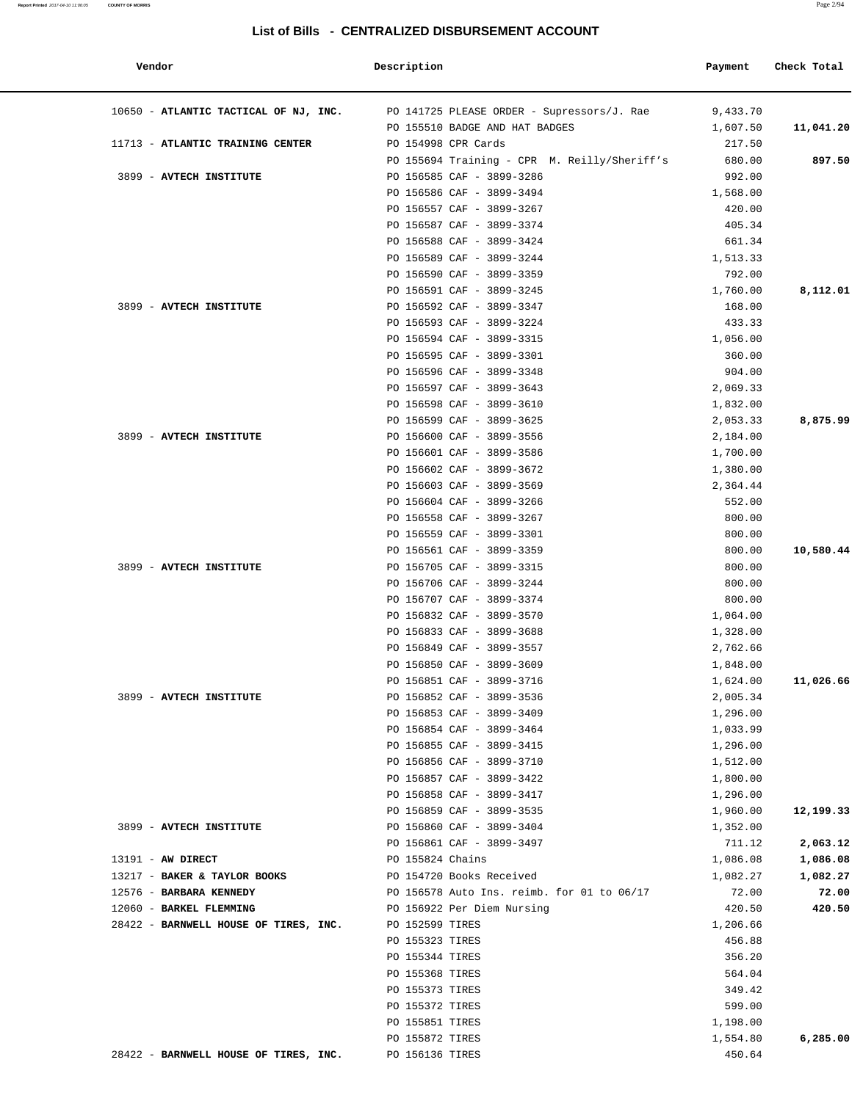#### **Report Printed** 2017-04-10 11:06:05 **COUNTY OF MORRIS** Page 2/94

#### **List of Bills - CENTRALIZED DISBURSEMENT ACCOUNT**

| Vendor                                              | Description                                            | Payment            | Check Total       |
|-----------------------------------------------------|--------------------------------------------------------|--------------------|-------------------|
| 10650 - ATLANTIC TACTICAL OF NJ, INC.               | PO 141725 PLEASE ORDER - Supressors/J. Rae             | 9,433.70           |                   |
|                                                     | PO 155510 BADGE AND HAT BADGES                         | 1,607.50           | 11,041.20         |
| 11713 - ATLANTIC TRAINING CENTER                    | PO 154998 CPR Cards                                    | 217.50             |                   |
|                                                     | PO 155694 Training - CPR M. Reilly/Sheriff's           | 680.00             | 897.50            |
| 3899 - AVTECH INSTITUTE                             | PO 156585 CAF - 3899-3286                              | 992.00             |                   |
|                                                     | PO 156586 CAF - 3899-3494                              | 1,568.00           |                   |
|                                                     | PO 156557 CAF - 3899-3267                              | 420.00             |                   |
|                                                     | PO 156587 CAF - 3899-3374                              | 405.34             |                   |
|                                                     | PO 156588 CAF - 3899-3424                              | 661.34             |                   |
|                                                     | PO 156589 CAF - 3899-3244                              | 1,513.33           |                   |
|                                                     | PO 156590 CAF - 3899-3359                              | 792.00             |                   |
| 3899 - AVTECH INSTITUTE                             | PO 156591 CAF - 3899-3245<br>PO 156592 CAF - 3899-3347 | 1,760.00<br>168.00 | 8,112.01          |
|                                                     | PO 156593 CAF - 3899-3224                              | 433.33             |                   |
|                                                     | PO 156594 CAF - 3899-3315                              | 1,056.00           |                   |
|                                                     | PO 156595 CAF - 3899-3301                              | 360.00             |                   |
|                                                     | PO 156596 CAF - 3899-3348                              | 904.00             |                   |
|                                                     | PO 156597 CAF - 3899-3643                              | 2,069.33           |                   |
|                                                     | PO 156598 CAF - 3899-3610                              | 1,832.00           |                   |
|                                                     | PO 156599 CAF - 3899-3625                              | 2,053.33           | 8,875.99          |
| 3899 - AVTECH INSTITUTE                             | PO 156600 CAF - 3899-3556                              | 2,184.00           |                   |
|                                                     | PO 156601 CAF - 3899-3586                              | 1,700.00           |                   |
|                                                     | PO 156602 CAF - 3899-3672                              | 1,380.00           |                   |
|                                                     | PO 156603 CAF - 3899-3569                              | 2,364.44           |                   |
|                                                     | PO 156604 CAF - 3899-3266                              | 552.00             |                   |
|                                                     | PO 156558 CAF - 3899-3267                              | 800.00             |                   |
|                                                     | PO 156559 CAF - 3899-3301                              | 800.00             |                   |
|                                                     | PO 156561 CAF - 3899-3359                              | 800.00             | 10,580.44         |
| 3899 - AVTECH INSTITUTE                             | PO 156705 CAF - 3899-3315                              | 800.00             |                   |
|                                                     | PO 156706 CAF - 3899-3244                              | 800.00             |                   |
|                                                     | PO 156707 CAF - 3899-3374                              | 800.00             |                   |
|                                                     | PO 156832 CAF - 3899-3570                              | 1,064.00           |                   |
|                                                     | PO 156833 CAF - 3899-3688                              | 1,328.00           |                   |
|                                                     | PO 156849 CAF - 3899-3557                              | 2,762.66           |                   |
|                                                     | PO 156850 CAF - 3899-3609                              | 1,848.00           |                   |
|                                                     | PO 156851 CAF - 3899-3716                              | 1,624.00           | 11,026.66         |
| 3899 - AVTECH INSTITUTE                             | PO 156852 CAF - 3899-3536                              | 2,005.34           |                   |
|                                                     | PO 156853 CAF - 3899-3409                              | 1,296.00           |                   |
|                                                     | PO 156854 CAF - 3899-3464                              | 1,033.99           |                   |
|                                                     | PO 156855 CAF - 3899-3415                              | 1,296.00           |                   |
|                                                     | PO 156856 CAF - 3899-3710                              | 1,512.00           |                   |
|                                                     | PO 156857 CAF - 3899-3422                              | 1,800.00           |                   |
|                                                     | PO 156858 CAF - 3899-3417                              | 1,296.00           |                   |
|                                                     | PO 156859 CAF - 3899-3535                              | 1,960.00           | 12,199.33         |
| 3899 - AVTECH INSTITUTE                             | PO 156860 CAF - 3899-3404                              | 1,352.00           |                   |
|                                                     | PO 156861 CAF - 3899-3497                              | 711.12             | 2,063.12          |
| $13191$ - AW DIRECT<br>13217 - BAKER & TAYLOR BOOKS | PO 155824 Chains<br>PO 154720 Books Received           | 1,086.08           | 1,086.08          |
| 12576 - BARBARA KENNEDY                             | PO 156578 Auto Ins. reimb. for 01 to 06/17             | 1,082.27<br>72.00  | 1,082.27<br>72.00 |
| 12060 - BARKEL FLEMMING                             | PO 156922 Per Diem Nursing                             | 420.50             | 420.50            |
| 28422 - BARNWELL HOUSE OF TIRES, INC.               | PO 152599 TIRES                                        | 1,206.66           |                   |
|                                                     | PO 155323 TIRES                                        | 456.88             |                   |
|                                                     | PO 155344 TIRES                                        | 356.20             |                   |
|                                                     | PO 155368 TIRES                                        | 564.04             |                   |
|                                                     | PO 155373 TIRES                                        | 349.42             |                   |
|                                                     | PO 155372 TIRES                                        | 599.00             |                   |
|                                                     | PO 155851 TIRES                                        | 1,198.00           |                   |
|                                                     | PO 155872 TIRES                                        | 1,554.80           | 6,285.00          |
| 28422 - BARNWELL HOUSE OF TIRES, INC.               | PO 156136 TIRES                                        | 450.64             |                   |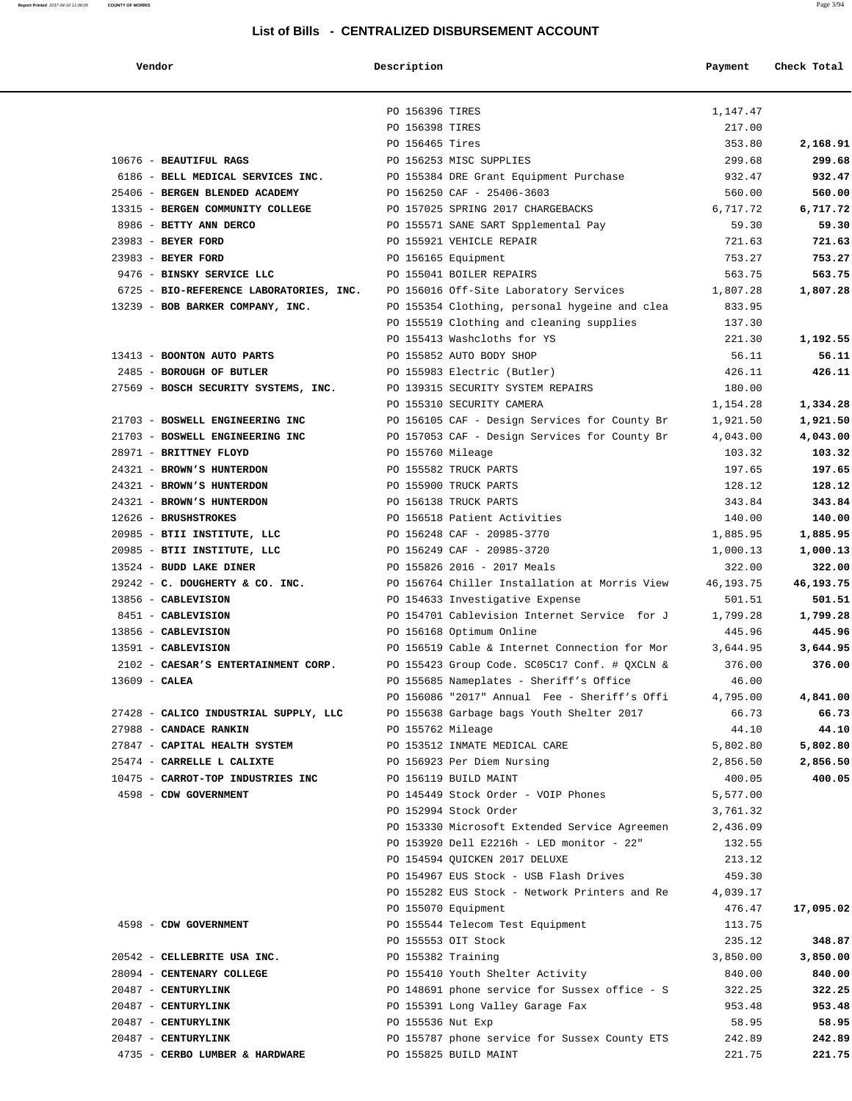#### **Report Printed** 2017-04-10 11:06:05 **COUNTY OF MORRIS** Page 3/94

#### **List of Bills - CENTRALIZED DISBURSEMENT ACCOUNT**

| Vendor                                  | Description                                                        | Payment                                                   | Check Total          |
|-----------------------------------------|--------------------------------------------------------------------|-----------------------------------------------------------|----------------------|
|                                         | PO 156396 TIRES                                                    | 1,147.47                                                  |                      |
|                                         | PO 156398 TIRES                                                    | 217.00                                                    |                      |
|                                         | PO 156465 Tires                                                    | 353.80                                                    | 2,168.91             |
| 10676 - BEAUTIFUL RAGS                  | PO 156253 MISC SUPPLIES                                            | 299.68                                                    | 299.68               |
| 6186 - BELL MEDICAL SERVICES INC.       | PO 155384 DRE Grant Equipment Purchase                             | 932.47                                                    | 932.47               |
| 25406 - BERGEN BLENDED ACADEMY          | PO 156250 CAF - 25406-3603                                         | 560.00                                                    | 560.00               |
| 13315 - BERGEN COMMUNITY COLLEGE        | PO 157025 SPRING 2017 CHARGEBACKS                                  | 6,717.72                                                  | 6,717.72             |
| 8986 - BETTY ANN DERCO                  | PO 155571 SANE SART Spplemental Pay                                | 59.30                                                     | 59.30                |
| 23983 - BEYER FORD                      | PO 155921 VEHICLE REPAIR                                           | 721.63                                                    | 721.63               |
| 23983 - BEYER FORD                      | PO 156165 Equipment                                                | 753.27                                                    | 753.27               |
| 9476 - BINSKY SERVICE LLC               | PO 155041 BOILER REPAIRS                                           | 563.75                                                    | 563.75               |
| 6725 - BIO-REFERENCE LABORATORIES, INC. | PO 156016 Off-Site Laboratory Services                             | 1,807.28                                                  | 1,807.28             |
| 13239 - BOB BARKER COMPANY, INC.        | PO 155354 Clothing, personal hygeine and clea                      | 833.95                                                    |                      |
|                                         | PO 155519 Clothing and cleaning supplies                           | 137.30                                                    |                      |
|                                         | PO 155413 Washcloths for YS                                        | 221.30                                                    | 1,192.55             |
| 13413 - BOONTON AUTO PARTS              | PO 155852 AUTO BODY SHOP                                           | 56.11                                                     | 56.11                |
| 2485 - BOROUGH OF BUTLER                | PO 155983 Electric (Butler)                                        | 426.11                                                    | 426.11               |
| 27569 - BOSCH SECURITY SYSTEMS, INC.    | PO 139315 SECURITY SYSTEM REPAIRS                                  | 180.00                                                    |                      |
| 21703 - BOSWELL ENGINEERING INC         | PO 155310 SECURITY CAMERA                                          | 1,154.28                                                  | 1,334.28<br>1,921.50 |
| 21703 - BOSWELL ENGINEERING INC         | PO 156105 CAF - Design Services for County Br                      | 1,921.50                                                  |                      |
| 28971 - BRITTNEY FLOYD                  | PO 157053 CAF - Design Services for County Br<br>PO 155760 Mileage | 4,043.00<br>103.32                                        | 4,043.00<br>103.32   |
| 24321 - BROWN'S HUNTERDON               | PO 155582 TRUCK PARTS                                              | 197.65                                                    | 197.65               |
| 24321 - BROWN'S HUNTERDON               | PO 155900 TRUCK PARTS                                              | 128.12                                                    | 128.12               |
| 24321 - BROWN'S HUNTERDON               | PO 156138 TRUCK PARTS                                              | 343.84                                                    | 343.84               |
| 12626 - BRUSHSTROKES                    | PO 156518 Patient Activities                                       | 140.00                                                    | 140.00               |
| 20985 - BTII INSTITUTE, LLC             | PO 156248 CAF - 20985-3770                                         | 1,885.95                                                  | 1,885.95             |
| 20985 - BTII INSTITUTE, LLC             | PO 156249 CAF - 20985-3720                                         | 1,000.13                                                  | 1,000.13             |
| 13524 - BUDD LAKE DINER                 | PO 155826 2016 - 2017 Meals                                        | 322.00                                                    | 322.00               |
| 29242 - C. DOUGHERTY & CO. INC.         | PO 156764 Chiller Installation at Morris View                      | 46,193.75                                                 | 46,193.75            |
| 13856 - CABLEVISION                     | PO 154633 Investigative Expense                                    | 501.51                                                    | 501.51               |
| 8451 - CABLEVISION                      | PO 154701 Cablevision Internet Service for J                       | 1,799.28                                                  | 1,799.28             |
| 13856 - CABLEVISION                     | PO 156168 Optimum Online                                           | 445.96                                                    | 445.96               |
| 13591 - CABLEVISION                     | PO 156519 Cable & Internet Connection for Mor                      | 3,644.95                                                  | 3,644.95             |
| 2102 - CAESAR'S ENTERTAINMENT CORP.     | PO 155423 Group Code. SC05C17 Conf. # OXCLN &                      | 376.00                                                    | 376.00               |
| $13609$ - CALEA                         | PO 155685 Nameplates - Sheriff's Office                            | 46.00                                                     |                      |
|                                         | PO 156086 "2017" Annual Fee - Sheriff's Offi                       | 4,795.00                                                  | 4,841.00             |
| 27428 - CALICO INDUSTRIAL SUPPLY, LLC   | PO 155638 Garbage bags Youth Shelter 2017                          | 66.73                                                     | 66.73                |
| 27988 - CANDACE RANKIN                  | PO 155762 Mileage                                                  | 44.10                                                     | 44.10                |
| 27847 - CAPITAL HEALTH SYSTEM           | PO 153512 INMATE MEDICAL CARE                                      | 5,802.80                                                  | 5,802.80             |
| 25474 - CARRELLE L CALIXTE              | PO 156923 Per Diem Nursing                                         | 2,856.50                                                  | 2,856.50             |
| 10475 - CARROT-TOP INDUSTRIES INC       | PO 156119 BUILD MAINT                                              | 400.05                                                    | 400.05               |
| 4598 - CDW GOVERNMENT                   | PO 145449 Stock Order - VOIP Phones                                | 5,577.00                                                  |                      |
|                                         | PO 152994 Stock Order                                              | 3,761.32                                                  |                      |
|                                         | PO 153330 Microsoft Extended Service Agreemen                      | 2,436.09                                                  |                      |
|                                         | PO 153920 Dell E2216h - LED monitor - 22"                          | 132.55                                                    |                      |
|                                         | PO 154594 OUICKEN 2017 DELUXE                                      | 213.12                                                    |                      |
|                                         | PO 154967 EUS Stock - USB Flash Drives                             | 459.30                                                    |                      |
|                                         |                                                                    | PO 155282 EUS Stock - Network Printers and Re<br>4,039.17 |                      |
|                                         | PO 155070 Equipment                                                | 476.47                                                    | 17,095.02            |
| 4598 - CDW GOVERNMENT                   | PO 155544 Telecom Test Equipment<br>PO 155553 OIT Stock            | 113.75<br>235.12                                          | 348.87               |
| 20542 - CELLEBRITE USA INC.             | PO 155382 Training                                                 | 3,850.00                                                  | 3,850.00             |
| 28094 - CENTENARY COLLEGE               | PO 155410 Youth Shelter Activity                                   | 840.00                                                    | 840.00               |
| 20487 - CENTURYLINK                     |                                                                    | PO 148691 phone service for Sussex office - S<br>322.25   | 322.25               |
| 20487 - CENTURYLINK                     | PO 155391 Long Valley Garage Fax                                   | 953.48                                                    | 953.48               |
| 20487 - CENTURYLINK                     | PO 155536 Nut Exp                                                  | 58.95                                                     | 58.95                |
| 20487 - CENTURYLINK                     | PO 155787 phone service for Sussex County ETS                      | 242.89                                                    | 242.89               |
| 4735 - CERBO LUMBER & HARDWARE          | PO 155825 BUILD MAINT                                              | 221.75                                                    | 221.75               |
|                                         |                                                                    |                                                           |                      |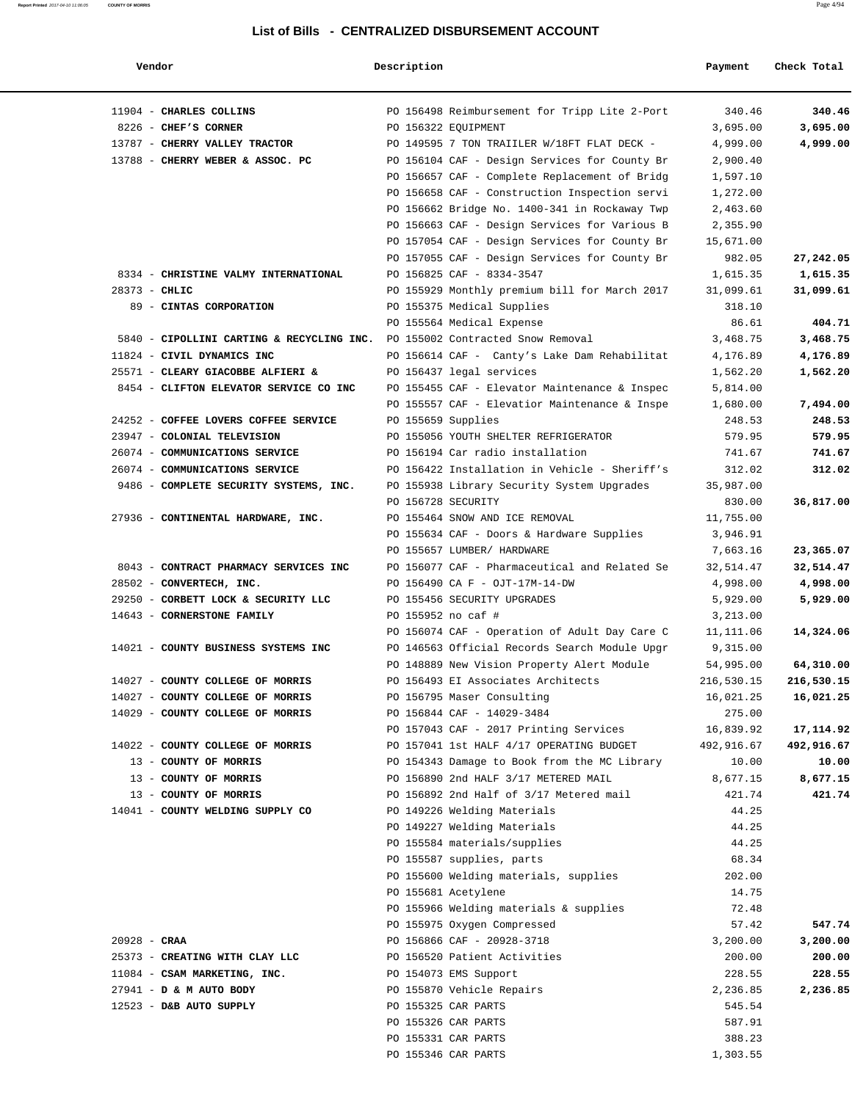| Vendor                                                                      | Description        |                                               | Payment    | Check Total |
|-----------------------------------------------------------------------------|--------------------|-----------------------------------------------|------------|-------------|
| 11904 - CHARLES COLLINS                                                     |                    | PO 156498 Reimbursement for Tripp Lite 2-Port | 340.46     | 340.46      |
| 8226 - CHEF'S CORNER                                                        |                    | PO 156322 EQUIPMENT                           | 3,695.00   | 3,695.00    |
| 13787 - CHERRY VALLEY TRACTOR                                               |                    | PO 149595 7 TON TRAIILER W/18FT FLAT DECK -   | 4,999.00   | 4,999.00    |
| 13788 - CHERRY WEBER & ASSOC. PC                                            |                    | PO 156104 CAF - Design Services for County Br | 2,900.40   |             |
|                                                                             |                    | PO 156657 CAF - Complete Replacement of Bridg | 1,597.10   |             |
|                                                                             |                    | PO 156658 CAF - Construction Inspection servi | 1,272.00   |             |
|                                                                             |                    | PO 156662 Bridge No. 1400-341 in Rockaway Twp | 2,463.60   |             |
|                                                                             |                    | PO 156663 CAF - Design Services for Various B | 2,355.90   |             |
|                                                                             |                    | PO 157054 CAF - Design Services for County Br | 15,671.00  |             |
|                                                                             |                    | PO 157055 CAF - Design Services for County Br | 982.05     | 27,242.05   |
| 8334 - CHRISTINE VALMY INTERNATIONAL                                        |                    | PO 156825 CAF - 8334-3547                     | 1,615.35   | 1,615.35    |
| 28373 - CHLIC                                                               |                    | PO 155929 Monthly premium bill for March 2017 | 31,099.61  | 31,099.61   |
| 89 - CINTAS CORPORATION                                                     |                    | PO 155375 Medical Supplies                    | 318.10     |             |
|                                                                             |                    | PO 155564 Medical Expense                     | 86.61      | 404.71      |
| 5840 - CIPOLLINI CARTING & RECYCLING INC. PO 155002 Contracted Snow Removal |                    |                                               | 3,468.75   | 3,468.75    |
| 11824 - CIVIL DYNAMICS INC                                                  |                    | PO 156614 CAF - Canty's Lake Dam Rehabilitat  | 4,176.89   | 4,176.89    |
| 25571 - CLEARY GIACOBBE ALFIERI &                                           |                    | PO 156437 legal services                      | 1,562.20   | 1,562.20    |
| 8454 - CLIFTON ELEVATOR SERVICE CO INC                                      |                    | PO 155455 CAF - Elevator Maintenance & Inspec | 5,814.00   |             |
|                                                                             |                    | PO 155557 CAF - Elevatior Maintenance & Inspe | 1,680.00   | 7,494.00    |
| 24252 - COFFEE LOVERS COFFEE SERVICE                                        | PO 155659 Supplies |                                               | 248.53     | 248.53      |
| 23947 - COLONIAL TELEVISION                                                 |                    | PO 155056 YOUTH SHELTER REFRIGERATOR          | 579.95     | 579.95      |
| 26074 - COMMUNICATIONS SERVICE                                              |                    | PO 156194 Car radio installation              | 741.67     | 741.67      |
| 26074 - COMMUNICATIONS SERVICE                                              |                    | PO 156422 Installation in Vehicle - Sheriff's | 312.02     | 312.02      |
| 9486 - COMPLETE SECURITY SYSTEMS, INC.                                      |                    | PO 155938 Library Security System Upgrades    | 35,987.00  |             |
|                                                                             | PO 156728 SECURITY |                                               | 830.00     | 36,817.00   |
| 27936 - CONTINENTAL HARDWARE, INC.                                          |                    | PO 155464 SNOW AND ICE REMOVAL                | 11,755.00  |             |
|                                                                             |                    | PO 155634 CAF - Doors & Hardware Supplies     | 3,946.91   |             |
|                                                                             |                    | PO 155657 LUMBER/ HARDWARE                    | 7,663.16   | 23,365.07   |
| 8043 - CONTRACT PHARMACY SERVICES INC                                       |                    | PO 156077 CAF - Pharmaceutical and Related Se | 32,514.47  | 32,514.47   |
| 28502 - CONVERTECH, INC.                                                    |                    | PO 156490 CA F - OJT-17M-14-DW                | 4,998.00   | 4,998.00    |
| 29250 - CORBETT LOCK & SECURITY LLC                                         |                    | PO 155456 SECURITY UPGRADES                   | 5,929.00   | 5,929.00    |
| 14643 - CORNERSTONE FAMILY                                                  | PO 155952 no caf # |                                               | 3,213.00   |             |
|                                                                             |                    | PO 156074 CAF - Operation of Adult Day Care C | 11,111.06  | 14,324.06   |
| 14021 - COUNTY BUSINESS SYSTEMS INC                                         |                    | PO 146563 Official Records Search Module Upgr | 9,315.00   |             |
|                                                                             |                    | PO 148889 New Vision Property Alert Module    | 54,995.00  | 64,310.00   |
| 14027 - COUNTY COLLEGE OF MORRIS                                            |                    | PO 156493 EI Associates Architects            | 216,530.15 | 216,530.15  |
| 14027 - COUNTY COLLEGE OF MORRIS                                            |                    | PO 156795 Maser Consulting                    | 16,021.25  | 16,021.25   |
| 14029 - COUNTY COLLEGE OF MORRIS                                            |                    | PO 156844 CAF - 14029-3484                    | 275.00     |             |
|                                                                             |                    | PO 157043 CAF - 2017 Printing Services        | 16,839.92  | 17,114.92   |
| 14022 - COUNTY COLLEGE OF MORRIS                                            |                    | PO 157041 1st HALF 4/17 OPERATING BUDGET      | 492,916.67 | 492,916.67  |
| 13 - COUNTY OF MORRIS                                                       |                    | PO 154343 Damage to Book from the MC Library  | 10.00      | 10.00       |
| 13 - COUNTY OF MORRIS                                                       |                    | PO 156890 2nd HALF 3/17 METERED MAIL          | 8,677.15   | 8,677.15    |
| 13 - COUNTY OF MORRIS                                                       |                    | PO 156892 2nd Half of 3/17 Metered mail       | 421.74     | 421.74      |
| 14041 - COUNTY WELDING SUPPLY CO                                            |                    | PO 149226 Welding Materials                   | 44.25      |             |
|                                                                             |                    | PO 149227 Welding Materials                   | 44.25      |             |
|                                                                             |                    | PO 155584 materials/supplies                  | 44.25      |             |
|                                                                             |                    | PO 155587 supplies, parts                     | 68.34      |             |
|                                                                             |                    | PO 155600 Welding materials, supplies         | 202.00     |             |
|                                                                             |                    | PO 155681 Acetylene                           | 14.75      |             |
|                                                                             |                    | PO 155966 Welding materials & supplies        | 72.48      |             |
|                                                                             |                    | PO 155975 Oxygen Compressed                   | 57.42      | 547.74      |
| $20928 - CRAA$                                                              |                    | PO 156866 CAF - 20928-3718                    | 3,200.00   | 3,200.00    |
| 25373 - CREATING WITH CLAY LLC                                              |                    | PO 156520 Patient Activities                  | 200.00     | 200.00      |
| 11084 - CSAM MARKETING, INC.                                                |                    | PO 154073 EMS Support                         | 228.55     | 228.55      |
| 27941 - D & M AUTO BODY                                                     |                    | PO 155870 Vehicle Repairs                     | 2,236.85   | 2,236.85    |
| 12523 - D&B AUTO SUPPLY                                                     |                    | PO 155325 CAR PARTS                           | 545.54     |             |
|                                                                             |                    | PO 155326 CAR PARTS                           | 587.91     |             |
|                                                                             |                    | PO 155331 CAR PARTS                           | 388.23     |             |
|                                                                             |                    | PO 155346 CAR PARTS                           | 1,303.55   |             |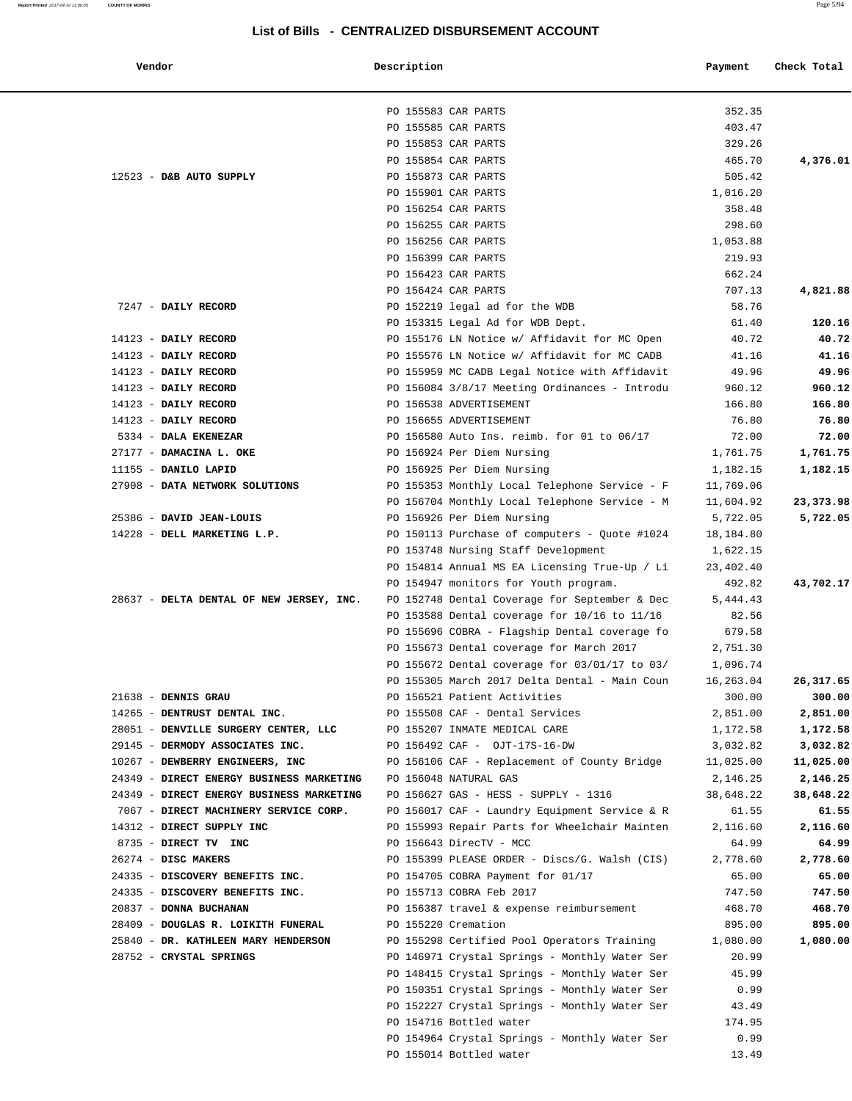**Report Printed** 2017-04-10 11:06:05 **COUNTY OF MORRIS** Page 5/94

#### **List of Bills - CENTRALIZED DISBURSEMENT ACCOUNT**

| Vendor                                   | Description         |                                                                                               | Payment            | Check Total |
|------------------------------------------|---------------------|-----------------------------------------------------------------------------------------------|--------------------|-------------|
|                                          | PO 155583 CAR PARTS |                                                                                               | 352.35             |             |
|                                          | PO 155585 CAR PARTS |                                                                                               | 403.47             |             |
|                                          | PO 155853 CAR PARTS |                                                                                               | 329.26             |             |
|                                          | PO 155854 CAR PARTS |                                                                                               | 465.70             | 4,376.01    |
| 12523 - D&B AUTO SUPPLY                  | PO 155873 CAR PARTS |                                                                                               | 505.42             |             |
|                                          | PO 155901 CAR PARTS |                                                                                               | 1,016.20           |             |
|                                          | PO 156254 CAR PARTS |                                                                                               | 358.48             |             |
|                                          | PO 156255 CAR PARTS |                                                                                               | 298.60             |             |
|                                          | PO 156256 CAR PARTS |                                                                                               | 1,053.88           |             |
|                                          | PO 156399 CAR PARTS |                                                                                               | 219.93             |             |
|                                          | PO 156423 CAR PARTS |                                                                                               | 662.24             |             |
|                                          | PO 156424 CAR PARTS |                                                                                               | 707.13             | 4,821.88    |
| 7247 - DAILY RECORD                      |                     | PO 152219 legal ad for the WDB                                                                | 58.76              |             |
|                                          |                     | PO 153315 Legal Ad for WDB Dept.                                                              | 61.40              | 120.16      |
| 14123 - DAILY RECORD                     |                     | PO 155176 LN Notice w/ Affidavit for MC Open                                                  | 40.72              | 40.72       |
| 14123 - DAILY RECORD                     |                     | PO 155576 LN Notice w/ Affidavit for MC CADB                                                  | 41.16              | 41.16       |
| 14123 - DAILY RECORD                     |                     | PO 155959 MC CADB Legal Notice with Affidavit                                                 | 49.96              | 49.96       |
| 14123 - DAILY RECORD                     |                     | PO 156084 3/8/17 Meeting Ordinances - Introdu                                                 | 960.12             | 960.12      |
| 14123 - DAILY RECORD                     |                     | PO 156538 ADVERTISEMENT                                                                       | 166.80             | 166.80      |
| 14123 - DAILY RECORD                     |                     | PO 156655 ADVERTISEMENT                                                                       | 76.80              | 76.80       |
| 5334 - DALA EKENEZAR                     |                     | PO 156580 Auto Ins. reimb. for 01 to 06/17                                                    | 72.00              | 72.00       |
| 27177 - DAMACINA L. OKE                  |                     | PO 156924 Per Diem Nursing                                                                    | 1,761.75           | 1,761.75    |
| 11155 - DANILO LAPID                     |                     | PO 156925 Per Diem Nursing                                                                    | 1,182.15           | 1,182.15    |
| 27908 - DATA NETWORK SOLUTIONS           |                     | PO 155353 Monthly Local Telephone Service - F                                                 | 11,769.06          |             |
|                                          |                     | PO 156704 Monthly Local Telephone Service - M                                                 | 11,604.92          | 23,373.98   |
| 25386 - DAVID JEAN-LOUIS                 |                     | PO 156926 Per Diem Nursing                                                                    | 5,722.05           | 5,722.05    |
| 14228 - DELL MARKETING L.P.              |                     | PO 150113 Purchase of computers - Quote #1024                                                 | 18,184.80          |             |
|                                          |                     | PO 153748 Nursing Staff Development                                                           | 1,622.15           |             |
|                                          |                     | PO 154814 Annual MS EA Licensing True-Up / Li                                                 | 23,402.40          |             |
| 28637 - DELTA DENTAL OF NEW JERSEY, INC. |                     | PO 154947 monitors for Youth program.<br>PO 152748 Dental Coverage for September & Dec        | 492.82<br>5,444.43 | 43,702.17   |
|                                          |                     |                                                                                               | 82.56              |             |
|                                          |                     | PO 153588 Dental coverage for 10/16 to 11/16<br>PO 155696 COBRA - Flagship Dental coverage fo | 679.58             |             |
|                                          |                     | PO 155673 Dental coverage for March 2017                                                      | 2,751.30           |             |
|                                          |                     | PO 155672 Dental coverage for 03/01/17 to 03/                                                 | 1,096.74           |             |
|                                          |                     | PO 155305 March 2017 Delta Dental - Main Coun                                                 | 16,263.04          | 26,317.65   |
| 21638 - DENNIS GRAU                      |                     | PO 156521 Patient Activities                                                                  | 300.00             | 300.00      |
| 14265 - DENTRUST DENTAL INC.             |                     | PO 155508 CAF - Dental Services                                                               | 2,851.00           | 2,851.00    |
| 28051 - DENVILLE SURGERY CENTER, LLC     |                     | PO 155207 INMATE MEDICAL CARE                                                                 | 1,172.58           | 1,172.58    |
| 29145 - DERMODY ASSOCIATES INC.          |                     | PO 156492 CAF - OJT-17S-16-DW                                                                 | 3,032.82           | 3,032.82    |
| 10267 - DEWBERRY ENGINEERS, INC          |                     | PO 156106 CAF - Replacement of County Bridge                                                  | 11,025.00          | 11,025.00   |
| 24349 - DIRECT ENERGY BUSINESS MARKETING |                     | PO 156048 NATURAL GAS                                                                         | 2,146.25           | 2,146.25    |
| 24349 - DIRECT ENERGY BUSINESS MARKETING |                     | PO 156627 GAS - HESS - SUPPLY - 1316                                                          | 38,648.22          | 38,648.22   |
| 7067 - DIRECT MACHINERY SERVICE CORP.    |                     | PO 156017 CAF - Laundry Equipment Service & R                                                 | 61.55              | 61.55       |
| 14312 - DIRECT SUPPLY INC                |                     | PO 155993 Repair Parts for Wheelchair Mainten                                                 | 2,116.60           | 2,116.60    |
| 8735 - DIRECT TV INC                     |                     | PO 156643 DirecTV - MCC                                                                       | 64.99              | 64.99       |
| 26274 - DISC MAKERS                      |                     | PO 155399 PLEASE ORDER - Discs/G. Walsh (CIS)                                                 | 2,778.60           | 2,778.60    |
| 24335 - DISCOVERY BENEFITS INC.          |                     | PO 154705 COBRA Payment for 01/17                                                             | 65.00              | 65.00       |
| 24335 - DISCOVERY BENEFITS INC.          |                     | PO 155713 COBRA Feb 2017                                                                      | 747.50             | 747.50      |
| 20837 - DONNA BUCHANAN                   |                     | PO 156387 travel & expense reimbursement                                                      | 468.70             | 468.70      |
| 28409 - DOUGLAS R. LOIKITH FUNERAL       | PO 155220 Cremation |                                                                                               | 895.00             | 895.00      |
| 25840 - DR. KATHLEEN MARY HENDERSON      |                     | PO 155298 Certified Pool Operators Training                                                   | 1,080.00           | 1,080.00    |
| 28752 - CRYSTAL SPRINGS                  |                     | PO 146971 Crystal Springs - Monthly Water Ser                                                 | 20.99              |             |
|                                          |                     | PO 148415 Crystal Springs - Monthly Water Ser                                                 | 45.99              |             |
|                                          |                     | PO 150351 Crystal Springs - Monthly Water Ser                                                 | 0.99               |             |
|                                          |                     | PO 152227 Crystal Springs - Monthly Water Ser                                                 | 43.49              |             |
|                                          |                     | PO 154716 Bottled water                                                                       | 174.95             |             |
|                                          |                     | PO 154964 Crystal Springs - Monthly Water Ser                                                 | 0.99               |             |
|                                          |                     | PO 155014 Bottled water                                                                       | 13.49              |             |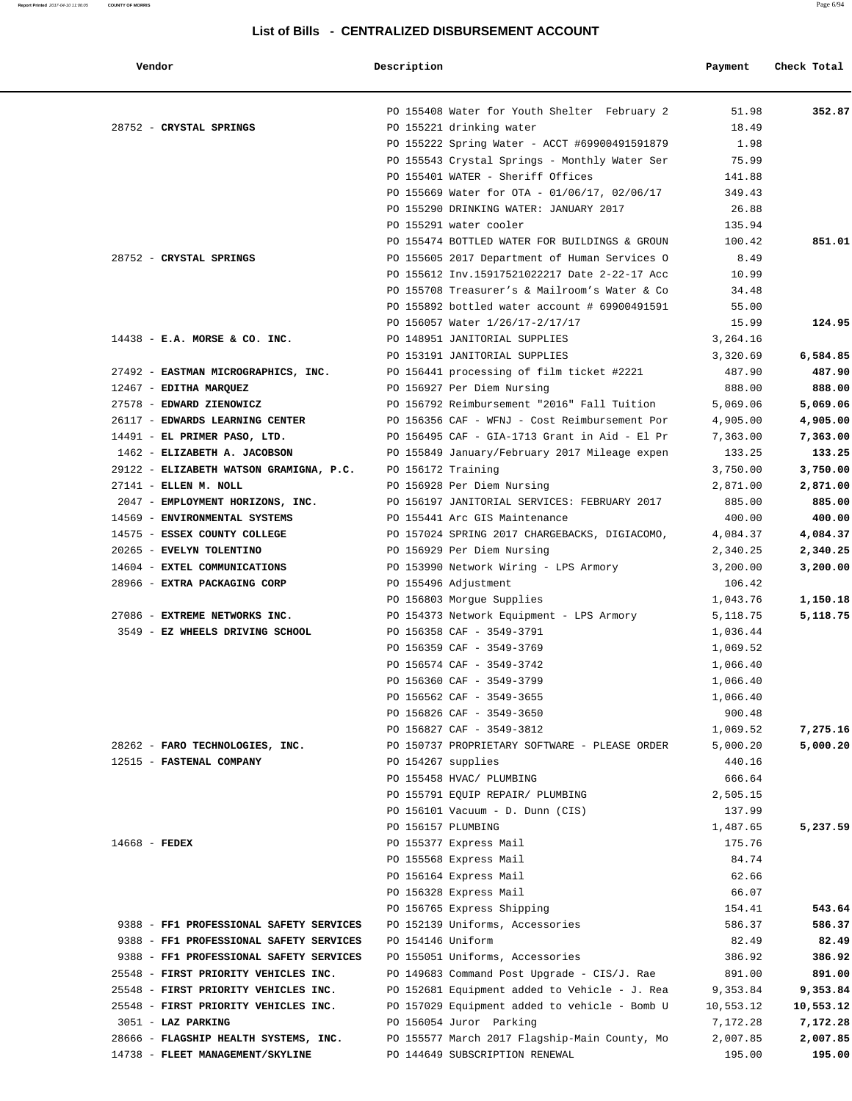| Vendor                                  | Description        |                                               | Payment   | Check Total |
|-----------------------------------------|--------------------|-----------------------------------------------|-----------|-------------|
|                                         |                    | PO 155408 Water for Youth Shelter February 2  | 51.98     | 352.87      |
| 28752 - CRYSTAL SPRINGS                 |                    | PO 155221 drinking water                      | 18.49     |             |
|                                         |                    | PO 155222 Spring Water - ACCT #69900491591879 | 1.98      |             |
|                                         |                    | PO 155543 Crystal Springs - Monthly Water Ser | 75.99     |             |
|                                         |                    | PO 155401 WATER - Sheriff Offices             | 141.88    |             |
|                                         |                    | PO 155669 Water for OTA - 01/06/17, 02/06/17  | 349.43    |             |
|                                         |                    | PO 155290 DRINKING WATER: JANUARY 2017        | 26.88     |             |
|                                         |                    | PO 155291 water cooler                        | 135.94    |             |
|                                         |                    | PO 155474 BOTTLED WATER FOR BUILDINGS & GROUN | 100.42    | 851.01      |
| 28752 - CRYSTAL SPRINGS                 |                    | PO 155605 2017 Department of Human Services O | 8.49      |             |
|                                         |                    | PO 155612 Inv.15917521022217 Date 2-22-17 Acc | 10.99     |             |
|                                         |                    | PO 155708 Treasurer's & Mailroom's Water & Co | 34.48     |             |
|                                         |                    | PO 155892 bottled water account # 69900491591 | 55.00     |             |
|                                         |                    | PO 156057 Water 1/26/17-2/17/17               | 15.99     | 124.95      |
| $14438$ - E.A. MORSE & CO. INC.         |                    | PO 148951 JANITORIAL SUPPLIES                 | 3,264.16  |             |
|                                         |                    | PO 153191 JANITORIAL SUPPLIES                 | 3,320.69  | 6,584.85    |
| 27492 - EASTMAN MICROGRAPHICS, INC.     |                    | PO 156441 processing of film ticket #2221     | 487.90    | 487.90      |
| 12467 - EDITHA MARQUEZ                  |                    | PO 156927 Per Diem Nursing                    | 888.00    | 888.00      |
| 27578 - EDWARD ZIENOWICZ                |                    | PO 156792 Reimbursement "2016" Fall Tuition   | 5,069.06  | 5,069.06    |
| 26117 - EDWARDS LEARNING CENTER         |                    | PO 156356 CAF - WFNJ - Cost Reimbursement Por | 4,905.00  | 4,905.00    |
| 14491 - EL PRIMER PASO, LTD.            |                    | PO 156495 CAF - GIA-1713 Grant in Aid - El Pr | 7,363.00  | 7,363.00    |
| 1462 - ELIZABETH A. JACOBSON            |                    | PO 155849 January/February 2017 Mileage expen | 133.25    | 133.25      |
| 29122 - ELIZABETH WATSON GRAMIGNA, P.C. | PO 156172 Training |                                               | 3,750.00  | 3,750.00    |
| 27141 - ELLEN M. NOLL                   |                    | PO 156928 Per Diem Nursing                    | 2,871.00  | 2,871.00    |
| 2047 - EMPLOYMENT HORIZONS, INC.        |                    | PO 156197 JANITORIAL SERVICES: FEBRUARY 2017  | 885.00    | 885.00      |
| 14569 - ENVIRONMENTAL SYSTEMS           |                    | PO 155441 Arc GIS Maintenance                 | 400.00    | 400.00      |
| 14575 - ESSEX COUNTY COLLEGE            |                    | PO 157024 SPRING 2017 CHARGEBACKS, DIGIACOMO, | 4,084.37  | 4,084.37    |
| 20265 - EVELYN TOLENTINO                |                    | PO 156929 Per Diem Nursing                    | 2,340.25  | 2,340.25    |
| 14604 - EXTEL COMMUNICATIONS            |                    | PO 153990 Network Wiring - LPS Armory         | 3,200.00  | 3,200.00    |
| 28966 - EXTRA PACKAGING CORP            |                    | PO 155496 Adjustment                          | 106.42    |             |
|                                         |                    | PO 156803 Morgue Supplies                     | 1,043.76  | 1,150.18    |
| 27086 - EXTREME NETWORKS INC.           |                    | PO 154373 Network Equipment - LPS Armory      | 5,118.75  | 5,118.75    |
| 3549 - EZ WHEELS DRIVING SCHOOL         |                    | PO 156358 CAF - 3549-3791                     | 1,036.44  |             |
|                                         |                    | PO 156359 CAF - 3549-3769                     | 1,069.52  |             |
|                                         |                    | PO 156574 CAF - 3549-3742                     | 1,066.40  |             |
|                                         |                    | PO 156360 CAF - 3549-3799                     | 1,066.40  |             |
|                                         |                    | PO 156562 CAF - 3549-3655                     | 1,066.40  |             |
|                                         |                    | PO 156826 CAF - 3549-3650                     | 900.48    |             |
|                                         |                    | PO 156827 CAF - 3549-3812                     | 1,069.52  | 7,275.16    |
| 28262 - FARO TECHNOLOGIES, INC.         |                    | PO 150737 PROPRIETARY SOFTWARE - PLEASE ORDER | 5,000.20  | 5,000.20    |
| 12515 - FASTENAL COMPANY                |                    | PO 154267 supplies                            | 440.16    |             |
|                                         |                    | PO 155458 HVAC/ PLUMBING                      | 666.64    |             |
|                                         |                    | PO 155791 EQUIP REPAIR/ PLUMBING              | 2,505.15  |             |
|                                         |                    | PO 156101 Vacuum - D. Dunn (CIS)              | 137.99    |             |
|                                         |                    | PO 156157 PLUMBING                            | 1,487.65  | 5,237.59    |
| 14668 - FEDEX                           |                    | PO 155377 Express Mail                        | 175.76    |             |
|                                         |                    | PO 155568 Express Mail                        | 84.74     |             |
|                                         |                    | PO 156164 Express Mail                        | 62.66     |             |
|                                         |                    | PO 156328 Express Mail                        | 66.07     |             |
|                                         |                    | PO 156765 Express Shipping                    | 154.41    | 543.64      |
| 9388 - FF1 PROFESSIONAL SAFETY SERVICES |                    | PO 152139 Uniforms, Accessories               | 586.37    | 586.37      |
| 9388 - FF1 PROFESSIONAL SAFETY SERVICES | PO 154146 Uniform  |                                               | 82.49     | 82.49       |
| 9388 - FF1 PROFESSIONAL SAFETY SERVICES |                    | PO 155051 Uniforms, Accessories               | 386.92    | 386.92      |
| 25548 - FIRST PRIORITY VEHICLES INC.    |                    | PO 149683 Command Post Upgrade - CIS/J. Rae   | 891.00    | 891.00      |
| 25548 - FIRST PRIORITY VEHICLES INC.    |                    | PO 152681 Equipment added to Vehicle - J. Rea | 9,353.84  | 9,353.84    |
| 25548 - FIRST PRIORITY VEHICLES INC.    |                    | PO 157029 Equipment added to vehicle - Bomb U | 10,553.12 | 10,553.12   |
| 3051 - LAZ PARKING                      |                    | PO 156054 Juror Parking                       | 7,172.28  | 7,172.28    |
| 28666 - FLAGSHIP HEALTH SYSTEMS, INC.   |                    | PO 155577 March 2017 Flagship-Main County, Mo | 2,007.85  | 2,007.85    |
| 14738 - FLEET MANAGEMENT/SKYLINE        |                    | PO 144649 SUBSCRIPTION RENEWAL                | 195.00    | 195.00      |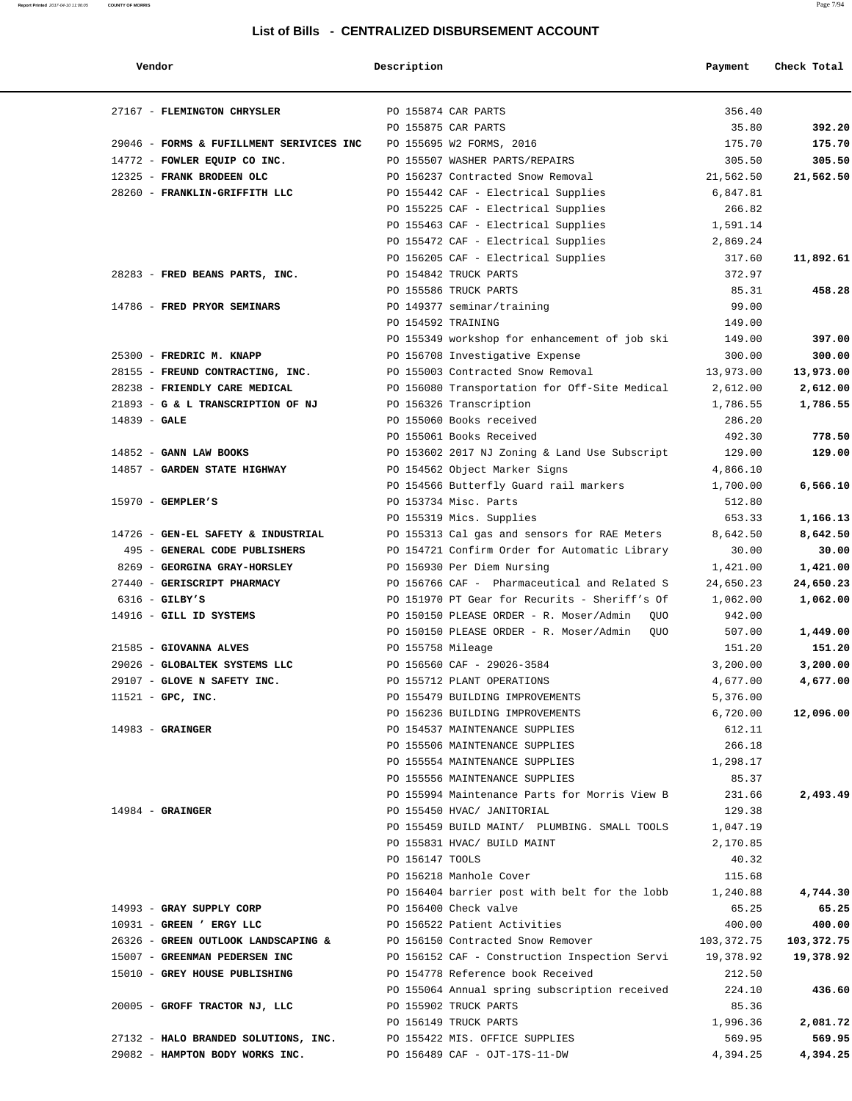| Vendor                                   | Description           |                                                       | Payment    | Check Total |
|------------------------------------------|-----------------------|-------------------------------------------------------|------------|-------------|
| 27167 - FLEMINGTON CHRYSLER              | PO 155874 CAR PARTS   |                                                       | 356.40     |             |
|                                          | PO 155875 CAR PARTS   |                                                       | 35.80      | 392.20      |
| 29046 - FORMS & FUFILLMENT SERIVICES INC |                       | PO 155695 W2 FORMS, 2016                              | 175.70     | 175.70      |
| 14772 - FOWLER EQUIP CO INC.             |                       | PO 155507 WASHER PARTS/REPAIRS                        | 305.50     | 305.50      |
| 12325 - FRANK BRODEEN OLC                |                       | PO 156237 Contracted Snow Removal                     | 21,562.50  | 21,562.50   |
| 28260 - FRANKLIN-GRIFFITH LLC            |                       | PO 155442 CAF - Electrical Supplies                   | 6,847.81   |             |
|                                          |                       | PO 155225 CAF - Electrical Supplies                   | 266.82     |             |
|                                          |                       | PO 155463 CAF - Electrical Supplies                   | 1,591.14   |             |
|                                          |                       | PO 155472 CAF - Electrical Supplies                   | 2,869.24   |             |
|                                          |                       | PO 156205 CAF - Electrical Supplies                   | 317.60     | 11,892.61   |
| 28283 - FRED BEANS PARTS, INC.           |                       | PO 154842 TRUCK PARTS                                 | 372.97     |             |
|                                          |                       | PO 155586 TRUCK PARTS                                 | 85.31      | 458.28      |
| 14786 - FRED PRYOR SEMINARS              |                       | PO 149377 seminar/training                            | 99.00      |             |
|                                          | PO 154592 TRAINING    |                                                       | 149.00     |             |
|                                          |                       | PO 155349 workshop for enhancement of job ski         | 149.00     | 397.00      |
| 25300 - FREDRIC M. KNAPP                 |                       | PO 156708 Investigative Expense                       | 300.00     | 300.00      |
| 28155 - FREUND CONTRACTING, INC.         |                       | PO 155003 Contracted Snow Removal                     | 13,973.00  | 13,973.00   |
| 28238 - FRIENDLY CARE MEDICAL            |                       | PO 156080 Transportation for Off-Site Medical         | 2,612.00   | 2,612.00    |
| 21893 - G & L TRANSCRIPTION OF NJ        |                       | PO 156326 Transcription                               | 1,786.55   | 1,786.55    |
| $14839 - GALE$                           |                       | PO 155060 Books received                              | 286.20     |             |
|                                          |                       | PO 155061 Books Received                              | 492.30     | 778.50      |
| 14852 - GANN LAW BOOKS                   |                       | PO 153602 2017 NJ Zoning & Land Use Subscript         | 129.00     | 129.00      |
| 14857 - GARDEN STATE HIGHWAY             |                       | PO 154562 Object Marker Signs                         | 4,866.10   |             |
|                                          |                       | PO 154566 Butterfly Guard rail markers                | 1,700.00   | 6,566.10    |
| $15970$ - GEMPLER'S                      |                       | PO 153734 Misc. Parts                                 | 512.80     |             |
|                                          |                       | PO 155319 Mics. Supplies                              | 653.33     | 1,166.13    |
| 14726 - GEN-EL SAFETY & INDUSTRIAL       |                       | PO 155313 Cal gas and sensors for RAE Meters          | 8,642.50   | 8,642.50    |
| 495 - GENERAL CODE PUBLISHERS            |                       | PO 154721 Confirm Order for Automatic Library         | 30.00      | 30.00       |
| 8269 - GEORGINA GRAY-HORSLEY             |                       | PO 156930 Per Diem Nursing                            | 1,421.00   | 1,421.00    |
| 27440 - GERISCRIPT PHARMACY              |                       | PO 156766 CAF - Pharmaceutical and Related S          | 24,650.23  | 24,650.23   |
| $6316$ - GILBY'S                         |                       | PO 151970 PT Gear for Recurits - Sheriff's Of         | 1,062.00   | 1,062.00    |
| 14916 - GILL ID SYSTEMS                  |                       | PO 150150 PLEASE ORDER - R. Moser/Admin<br>QUO        | 942.00     |             |
|                                          |                       | PO 150150 PLEASE ORDER - R. Moser/Admin<br><b>OUO</b> | 507.00     | 1,449.00    |
| 21585 - GIOVANNA ALVES                   | PO 155758 Mileage     |                                                       | 151.20     | 151.20      |
| 29026 - GLOBALTEK SYSTEMS LLC            |                       | PO 156560 CAF - 29026-3584                            | 3,200.00   | 3,200.00    |
| 29107 - GLOVE N SAFETY INC.              |                       | PO 155712 PLANT OPERATIONS                            | 4,677.00   | 4,677.00    |
| $11521 - GPC$ , INC.                     |                       | PO 155479 BUILDING IMPROVEMENTS                       | 5,376.00   |             |
|                                          |                       | PO 156236 BUILDING IMPROVEMENTS                       | 6,720.00   | 12,096.00   |
| $14983$ - GRAINGER                       |                       | PO 154537 MAINTENANCE SUPPLIES                        | 612.11     |             |
|                                          |                       | PO 155506 MAINTENANCE SUPPLIES                        | 266.18     |             |
|                                          |                       | PO 155554 MAINTENANCE SUPPLIES                        | 1,298.17   |             |
|                                          |                       | PO 155556 MAINTENANCE SUPPLIES                        | 85.37      |             |
|                                          |                       | PO 155994 Maintenance Parts for Morris View B         | 231.66     | 2,493.49    |
| $14984$ - GRAINGER                       |                       | PO 155450 HVAC/ JANITORIAL                            | 129.38     |             |
|                                          |                       | PO 155459 BUILD MAINT/ PLUMBING. SMALL TOOLS          | 1,047.19   |             |
|                                          |                       | PO 155831 HVAC/ BUILD MAINT                           | 2,170.85   |             |
|                                          | PO 156147 TOOLS       |                                                       | 40.32      |             |
|                                          |                       | PO 156218 Manhole Cover                               | 115.68     |             |
|                                          |                       | PO 156404 barrier post with belt for the lobb         | 1,240.88   | 4,744.30    |
| 14993 - GRAY SUPPLY CORP                 | PO 156400 Check valve |                                                       | 65.25      | 65.25       |
| 10931 - GREEN ' ERGY LLC                 |                       | PO 156522 Patient Activities                          | 400.00     | 400.00      |
| 26326 - GREEN OUTLOOK LANDSCAPING &      |                       | PO 156150 Contracted Snow Remover                     | 103,372.75 | 103,372.75  |
| 15007 - GREENMAN PEDERSEN INC            |                       | PO 156152 CAF - Construction Inspection Servi         | 19,378.92  | 19,378.92   |
| 15010 - GREY HOUSE PUBLISHING            |                       | PO 154778 Reference book Received                     | 212.50     |             |
|                                          |                       | PO 155064 Annual spring subscription received         | 224.10     | 436.60      |
| 20005 - GROFF TRACTOR NJ, LLC            | PO 155902 TRUCK PARTS |                                                       | 85.36      |             |
|                                          | PO 156149 TRUCK PARTS |                                                       | 1,996.36   | 2,081.72    |
| 27132 - HALO BRANDED SOLUTIONS, INC.     |                       | PO 155422 MIS. OFFICE SUPPLIES                        | 569.95     | 569.95      |
| 29082 - HAMPTON BODY WORKS INC.          |                       | PO 156489 CAF - OJT-17S-11-DW                         | 4,394.25   | 4,394.25    |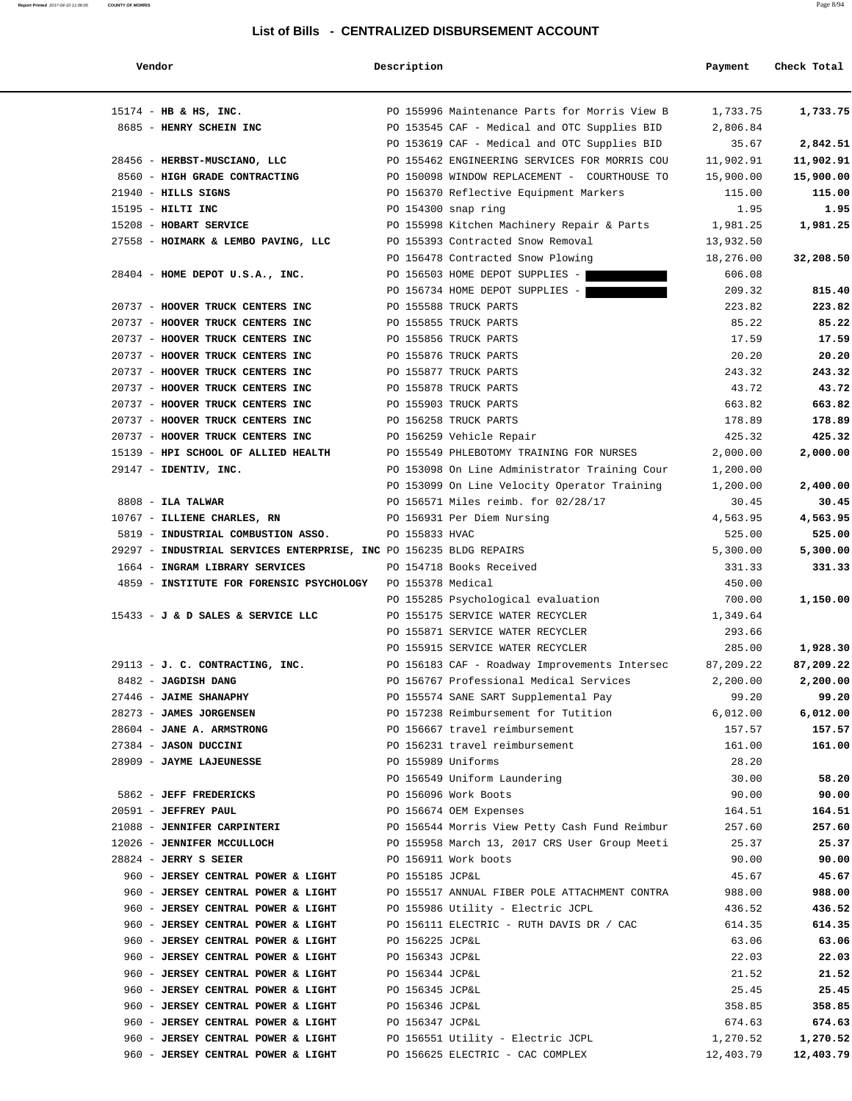#### **Report Printed** 2017-04-10 11:06:05 **COUNTY OF MORRIS** Page 8/94

#### **List of Bills - CENTRALIZED DISBURSEMENT ACCOUNT**

| Vendor                                                                         | Description         |                                               | Payment        | Check Total |
|--------------------------------------------------------------------------------|---------------------|-----------------------------------------------|----------------|-------------|
| $15174$ - HB & HS, INC.                                                        |                     | PO 155996 Maintenance Parts for Morris View B | 1,733.75       | 1,733.75    |
| 8685 - HENRY SCHEIN INC                                                        |                     | PO 153545 CAF - Medical and OTC Supplies BID  | 2,806.84       |             |
|                                                                                |                     | PO 153619 CAF - Medical and OTC Supplies BID  | 35.67          | 2,842.51    |
| 28456 - HERBST-MUSCIANO, LLC                                                   |                     | PO 155462 ENGINEERING SERVICES FOR MORRIS COU | 11,902.91      | 11,902.91   |
| 8560 - HIGH GRADE CONTRACTING 600 PO 150098 WINDOW REPLACEMENT - COURTHOUSE TO |                     |                                               | 15,900.00      | 15,900.00   |
| $21940$ - HILLS SIGNS                                                          |                     | PO 156370 Reflective Equipment Markers        | 115.00         | 115.00      |
| $15195$ - HILTI INC                                                            | PO 154300 snap ring |                                               | 1.95           | 1.95        |
| 15208 - HOBART SERVICE                                                         |                     | PO 155998 Kitchen Machinery Repair & Parts    | 1,981.25       | 1,981.25    |
| 27558 - HOIMARK & LEMBO PAVING, LLC PO 155393 Contracted Snow Removal          |                     |                                               | 13,932.50      |             |
|                                                                                |                     | PO 156478 Contracted Snow Plowing             | 18,276.00      | 32,208.50   |
| 28404 - HOME DEPOT U.S.A., INC.                                                |                     | PO 156503 HOME DEPOT SUPPLIES -               | 606.08         |             |
|                                                                                |                     | PO 156734 HOME DEPOT SUPPLIES -               | 209.32         | 815.40      |
| 20737 - HOOVER TRUCK CENTERS INC                                               |                     | PO 155588 TRUCK PARTS                         | 223.82         | 223.82      |
| 20737 - HOOVER TRUCK CENTERS INC                                               |                     | PO 155855 TRUCK PARTS                         | 85.22          | 85.22       |
| 20737 - HOOVER TRUCK CENTERS INC                                               |                     | PO 155856 TRUCK PARTS                         | 17.59          | 17.59       |
| 20737 - HOOVER TRUCK CENTERS INC                                               |                     | PO 155876 TRUCK PARTS                         | 20.20          | 20.20       |
| 20737 - HOOVER TRUCK CENTERS INC                                               |                     | PO 155877 TRUCK PARTS                         | 243.32         | 243.32      |
| 20737 - HOOVER TRUCK CENTERS INC                                               |                     | PO 155878 TRUCK PARTS                         | 43.72          | 43.72       |
| 20737 - HOOVER TRUCK CENTERS INC                                               |                     | PO 155903 TRUCK PARTS                         | 663.82         | 663.82      |
| 20737 - HOOVER TRUCK CENTERS INC                                               |                     | PO 156258 TRUCK PARTS                         | 178.89         | 178.89      |
| 20737 - HOOVER TRUCK CENTERS INC                                               |                     | PO 156259 Vehicle Repair                      | 425.32         | 425.32      |
| 15139 - HPI SCHOOL OF ALLIED HEALTH                                            |                     | PO 155549 PHLEBOTOMY TRAINING FOR NURSES      | 2,000.00       | 2,000.00    |
| $29147$ - IDENTIV, INC.                                                        |                     | PO 153098 On Line Administrator Training Cour | 1,200.00       |             |
|                                                                                |                     | PO 153099 On Line Velocity Operator Training  | 1,200.00       | 2,400.00    |
| $8808$ - ILA TALWAR                                                            |                     | PO 156571 Miles reimb. for 02/28/17           | 30.45          | 30.45       |
| 10767 - ILLIENE CHARLES, RN                                                    |                     | PO 156931 Per Diem Nursing                    | 4,563.95       | 4,563.95    |
| 5819 - INDUSTRIAL COMBUSTION ASSO.                                             | PO 155833 HVAC      |                                               | 525.00         | 525.00      |
| 29297 - INDUSTRIAL SERVICES ENTERPRISE, INC PO 156235 BLDG REPAIRS             |                     |                                               | 5,300.00       | 5,300.00    |
| 1664 - INGRAM LIBRARY SERVICES                                                 |                     | PO 154718 Books Received                      | 331.33         | 331.33      |
| 4859 - INSTITUTE FOR FORENSIC PSYCHOLOGY PO 155378 Medical                     |                     |                                               | 450.00         |             |
|                                                                                |                     | PO 155285 Psychological evaluation            | 700.00         | 1,150.00    |
| 15433 - J & D SALES & SERVICE LLC                                              |                     | PO 155175 SERVICE WATER RECYCLER              | 1,349.64       |             |
|                                                                                |                     | PO 155871 SERVICE WATER RECYCLER              | 293.66         |             |
|                                                                                |                     | PO 155915 SERVICE WATER RECYCLER              | 285.00         | 1,928.30    |
| 29113 - J. C. CONTRACTING, INC.                                                |                     | PO 156183 CAF - Roadway Improvements Intersec | 87,209.22      | 87,209.22   |
| 8482 - JAGDISH DANG                                                            |                     | PO 156767 Professional Medical Services       | 2,200.00       | 2,200.00    |
| 27446 - JAIME SHANAPHY                                                         |                     | PO 155574 SANE SART Supplemental Pay          | 99.20          | 99.20       |
| 28273 - JAMES JORGENSEN                                                        |                     | PO 157238 Reimbursement for Tutition          | 6,012.00       | 6,012.00    |
| 28604 - JANE A. ARMSTRONG                                                      |                     | PO 156667 travel reimbursement                | 157.57         | 157.57      |
| 27384 - JASON DUCCINI                                                          |                     | PO 156231 travel reimbursement                | 161.00         | 161.00      |
| 28909 - JAYME LAJEUNESSE                                                       | PO 155989 Uniforms  | PO 156549 Uniform Laundering                  | 28.20<br>30.00 | 58.20       |
| 5862 - JEFF FREDERICKS                                                         |                     | PO 156096 Work Boots                          | 90.00          | 90.00       |
| 20591 - JEFFREY PAUL                                                           |                     | PO 156674 OEM Expenses                        | 164.51         | 164.51      |
| 21088 - JENNIFER CARPINTERI                                                    |                     | PO 156544 Morris View Petty Cash Fund Reimbur | 257.60         | 257.60      |
| 12026 - JENNIFER MCCULLOCH                                                     |                     | PO 155958 March 13, 2017 CRS User Group Meeti | 25.37          | 25.37       |
| $28824$ - JERRY S SEIER                                                        |                     | PO 156911 Work boots                          | 90.00          | 90.00       |
| 960 - JERSEY CENTRAL POWER & LIGHT                                             | PO 155185 JCP&L     |                                               | 45.67          | 45.67       |
| 960 - JERSEY CENTRAL POWER & LIGHT                                             |                     | PO 155517 ANNUAL FIBER POLE ATTACHMENT CONTRA | 988.00         | 988.00      |
| 960 - JERSEY CENTRAL POWER & LIGHT                                             |                     | PO 155986 Utility - Electric JCPL             | 436.52         | 436.52      |
| 960 - JERSEY CENTRAL POWER & LIGHT                                             |                     | PO 156111 ELECTRIC - RUTH DAVIS DR / CAC      | 614.35         | 614.35      |
| 960 - JERSEY CENTRAL POWER & LIGHT                                             | PO 156225 JCP&L     |                                               | 63.06          | 63.06       |
| 960 - JERSEY CENTRAL POWER & LIGHT                                             | PO 156343 JCP&L     |                                               | 22.03          | 22.03       |
| 960 - JERSEY CENTRAL POWER & LIGHT                                             | PO 156344 JCP&L     |                                               | 21.52          | 21.52       |
| 960 - JERSEY CENTRAL POWER & LIGHT                                             | PO 156345 JCP&L     |                                               | 25.45          | 25.45       |
| 960 - JERSEY CENTRAL POWER & LIGHT                                             | PO 156346 JCP&L     |                                               | 358.85         | 358.85      |
| 960 - JERSEY CENTRAL POWER & LIGHT                                             | PO 156347 JCP&L     |                                               | 674.63         | 674.63      |
| 960 - JERSEY CENTRAL POWER & LIGHT                                             |                     | PO 156551 Utility - Electric JCPL             | 1,270.52       | 1,270.52    |
| 960 - JERSEY CENTRAL POWER & LIGHT                                             |                     | PO 156625 ELECTRIC - CAC COMPLEX              | 12,403.79      | 12,403.79   |
|                                                                                |                     |                                               |                |             |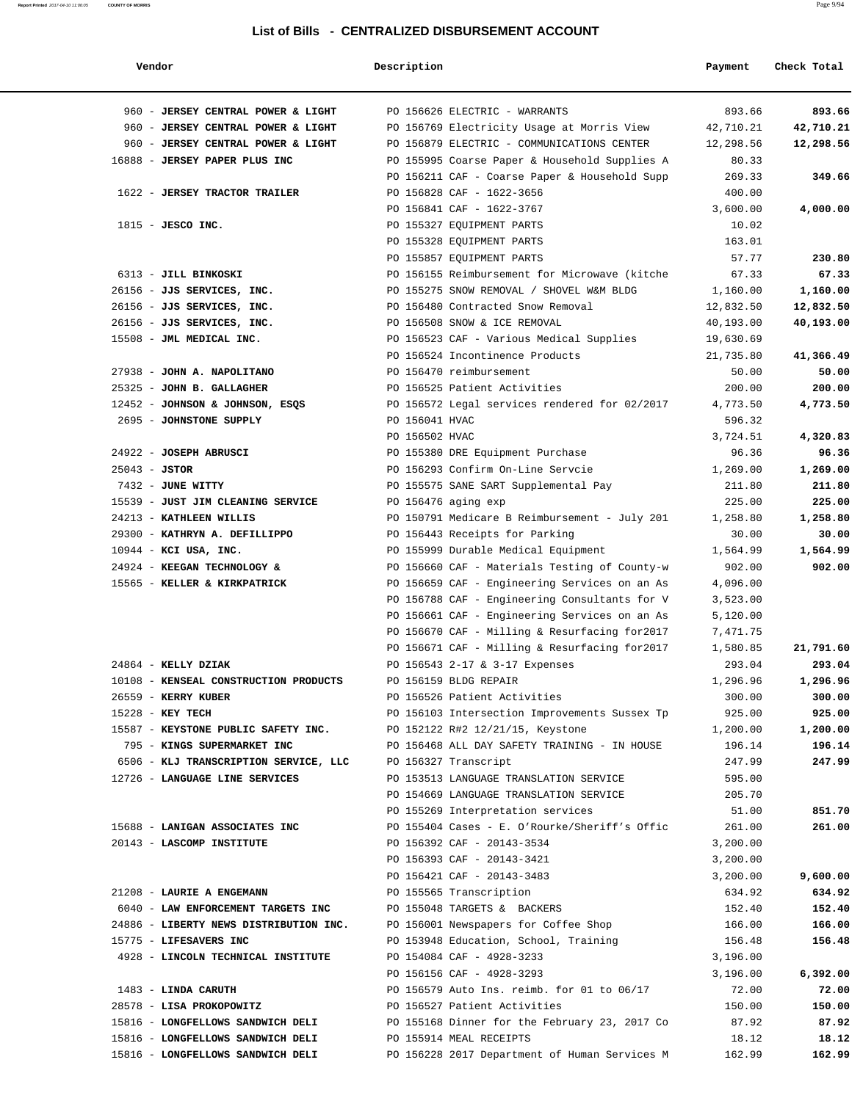#### **Report Printed** 2017-04-10 11:06:05 **COUNTY OF MORRIS** Page 9/94

#### **List of Bills - CENTRALIZED DISBURSEMENT ACCOUNT**

| Vendor                                                                 | Description    |                                                                          | Payment            | Check Total       |
|------------------------------------------------------------------------|----------------|--------------------------------------------------------------------------|--------------------|-------------------|
| 960 - JERSEY CENTRAL POWER & LIGHT                                     |                | PO 156626 ELECTRIC - WARRANTS                                            | 893.66             | 893.66            |
| 960 - JERSEY CENTRAL POWER & LIGHT                                     |                | PO 156769 Electricity Usage at Morris View                               | 42,710.21          | 42,710.21         |
| 960 - JERSEY CENTRAL POWER & LIGHT                                     |                | PO 156879 ELECTRIC - COMMUNICATIONS CENTER                               | 12,298.56          | 12,298.56         |
| 16888 - JERSEY PAPER PLUS INC                                          |                | PO 155995 Coarse Paper & Household Supplies A                            | 80.33              |                   |
|                                                                        |                | PO 156211 CAF - Coarse Paper & Household Supp                            | 269.33             | 349.66            |
| 1622 - JERSEY TRACTOR TRAILER                                          |                | PO 156828 CAF - 1622-3656                                                | 400.00             |                   |
|                                                                        |                | PO 156841 CAF - 1622-3767                                                | 3,600.00           | 4,000.00          |
| $1815$ - JESCO INC.                                                    |                | PO 155327 EQUIPMENT PARTS                                                | 10.02              |                   |
|                                                                        |                | PO 155328 EQUIPMENT PARTS                                                | 163.01             |                   |
|                                                                        |                | PO 155857 EQUIPMENT PARTS                                                | 57.77              | 230.80            |
| 6313 - JILL BINKOSKI                                                   |                | PO 156155 Reimbursement for Microwave (kitche                            | 67.33              | 67.33             |
| 26156 - JJS SERVICES, INC.                                             |                | PO 155275 SNOW REMOVAL / SHOVEL W&M BLDG                                 | 1,160.00           | 1,160.00          |
| 26156 - JJS SERVICES, INC.                                             |                | PO 156480 Contracted Snow Removal                                        | 12,832.50          | 12,832.50         |
| 26156 - JJS SERVICES, INC.                                             |                | PO 156508 SNOW & ICE REMOVAL                                             | 40,193.00          | 40,193.00         |
| 15508 - JML MEDICAL INC.                                               |                | PO 156523 CAF - Various Medical Supplies                                 | 19,630.69          |                   |
|                                                                        |                | PO 156524 Incontinence Products                                          | 21,735.80          | 41,366.49         |
| 27938 - JOHN A. NAPOLITANO                                             |                | PO 156470 reimbursement                                                  | 50.00              | 50.00             |
| 25325 - JOHN B. GALLAGHER                                              |                | PO 156525 Patient Activities                                             | 200.00             | 200.00            |
| 12452 - JOHNSON & JOHNSON, ESOS                                        | PO 156041 HVAC | PO 156572 Legal services rendered for 02/2017                            | 4,773.50           | 4,773.50          |
| 2695 - JOHNSTONE SUPPLY                                                |                |                                                                          | 596.32<br>3,724.51 |                   |
| 24922 - JOSEPH ABRUSCI                                                 | PO 156502 HVAC | PO 155380 DRE Equipment Purchase                                         | 96.36              | 4,320.83<br>96.36 |
| $25043 - JSTOR$                                                        |                | PO 156293 Confirm On-Line Servcie                                        | 1,269.00           | 1,269.00          |
| 7432 - JUNE WITTY                                                      |                | PO 155575 SANE SART Supplemental Pay                                     | 211.80             | 211.80            |
| 15539 - JUST JIM CLEANING SERVICE                                      |                | PO 156476 aging exp                                                      | 225.00             | 225.00            |
| 24213 - KATHLEEN WILLIS                                                |                | PO 150791 Medicare B Reimbursement - July 201                            | 1,258.80           | 1,258.80          |
| 29300 - KATHRYN A. DEFILLIPPO                                          |                | PO 156443 Receipts for Parking                                           | 30.00              | 30.00             |
| $10944$ - KCI USA, INC.                                                |                | PO 155999 Durable Medical Equipment                                      | 1,564.99           | 1,564.99          |
| 24924 - KEEGAN TECHNOLOGY &                                            |                | PO 156660 CAF - Materials Testing of County-w                            | 902.00             | 902.00            |
| 15565 - KELLER & KIRKPATRICK                                           |                | PO 156659 CAF - Engineering Services on an As                            | 4,096.00           |                   |
|                                                                        |                | PO 156788 CAF - Engineering Consultants for V                            | 3,523.00           |                   |
|                                                                        |                | PO 156661 CAF - Engineering Services on an As                            | 5,120.00           |                   |
|                                                                        |                | PO 156670 CAF - Milling & Resurfacing for2017                            | 7,471.75           |                   |
|                                                                        |                | PO 156671 CAF - Milling & Resurfacing for2017                            | 1,580.85           | 21,791.60         |
| 24864 - KELLY DZIAK                                                    |                | PO 156543 2-17 & 3-17 Expenses                                           | 293.04             | 293.04            |
| 10108 - KENSEAL CONSTRUCTION PRODUCTS                                  |                | PO 156159 BLDG REPAIR                                                    | 1,296.96           | 1,296.96          |
| 26559 - KERRY KUBER                                                    |                | PO 156526 Patient Activities                                             | 300.00             | 300.00            |
| 15228 - KEY TECH                                                       |                | PO 156103 Intersection Improvements Sussex Tp                            | 925.00             | 925.00            |
| 15587 - KEYSTONE PUBLIC SAFETY INC.                                    |                | PO 152122 R#2 12/21/15, Keystone                                         | 1,200.00           | 1,200.00          |
| 795 - KINGS SUPERMARKET INC                                            |                | PO 156468 ALL DAY SAFETY TRAINING - IN HOUSE                             | 196.14             | 196.14            |
| 6506 - KLJ TRANSCRIPTION SERVICE, LLC                                  |                | PO 156327 Transcript                                                     | 247.99             | 247.99            |
| 12726 - LANGUAGE LINE SERVICES                                         |                | PO 153513 LANGUAGE TRANSLATION SERVICE                                   | 595.00             |                   |
|                                                                        |                | PO 154669 LANGUAGE TRANSLATION SERVICE                                   | 205.70             |                   |
|                                                                        |                | PO 155269 Interpretation services                                        | 51.00              | 851.70            |
| 15688 - LANIGAN ASSOCIATES INC                                         |                | PO 155404 Cases - E. O'Rourke/Sheriff's Offic                            | 261.00             | 261.00            |
| 20143 - LASCOMP INSTITUTE                                              |                | PO 156392 CAF - 20143-3534                                               | 3,200.00           |                   |
|                                                                        |                | PO 156393 CAF - 20143-3421                                               | 3,200.00           |                   |
|                                                                        |                | PO 156421 CAF - 20143-3483                                               | 3,200.00           | 9,600.00          |
| 21208 - LAURIE A ENGEMANN                                              |                | PO 155565 Transcription                                                  | 634.92             | 634.92            |
| 6040 - LAW ENFORCEMENT TARGETS INC                                     |                | PO 155048 TARGETS & BACKERS                                              | 152.40             | 152.40            |
| 24886 - LIBERTY NEWS DISTRIBUTION INC.                                 |                | PO 156001 Newspapers for Coffee Shop                                     | 166.00             | 166.00            |
| 15775 - LIFESAVERS INC                                                 |                | PO 153948 Education, School, Training                                    | 156.48             | 156.48            |
| 4928 - LINCOLN TECHNICAL INSTITUTE                                     |                | PO 154084 CAF - 4928-3233                                                | 3,196.00           |                   |
|                                                                        |                | PO 156156 CAF - 4928-3293                                                | 3,196.00           | 6,392.00          |
| 1483 - LINDA CARUTH                                                    |                | PO 156579 Auto Ins. reimb. for 01 to 06/17                               | 72.00              | 72.00             |
| 28578 - LISA PROKOPOWITZ                                               |                | PO 156527 Patient Activities                                             | 150.00             | 150.00            |
| 15816 - LONGFELLOWS SANDWICH DELI                                      |                | PO 155168 Dinner for the February 23, 2017 Co                            | 87.92              | 87.92             |
| 15816 - LONGFELLOWS SANDWICH DELI<br>15816 - LONGFELLOWS SANDWICH DELI |                | PO 155914 MEAL RECEIPTS<br>PO 156228 2017 Department of Human Services M | 18.12<br>162.99    | 18.12<br>162.99   |
|                                                                        |                |                                                                          |                    |                   |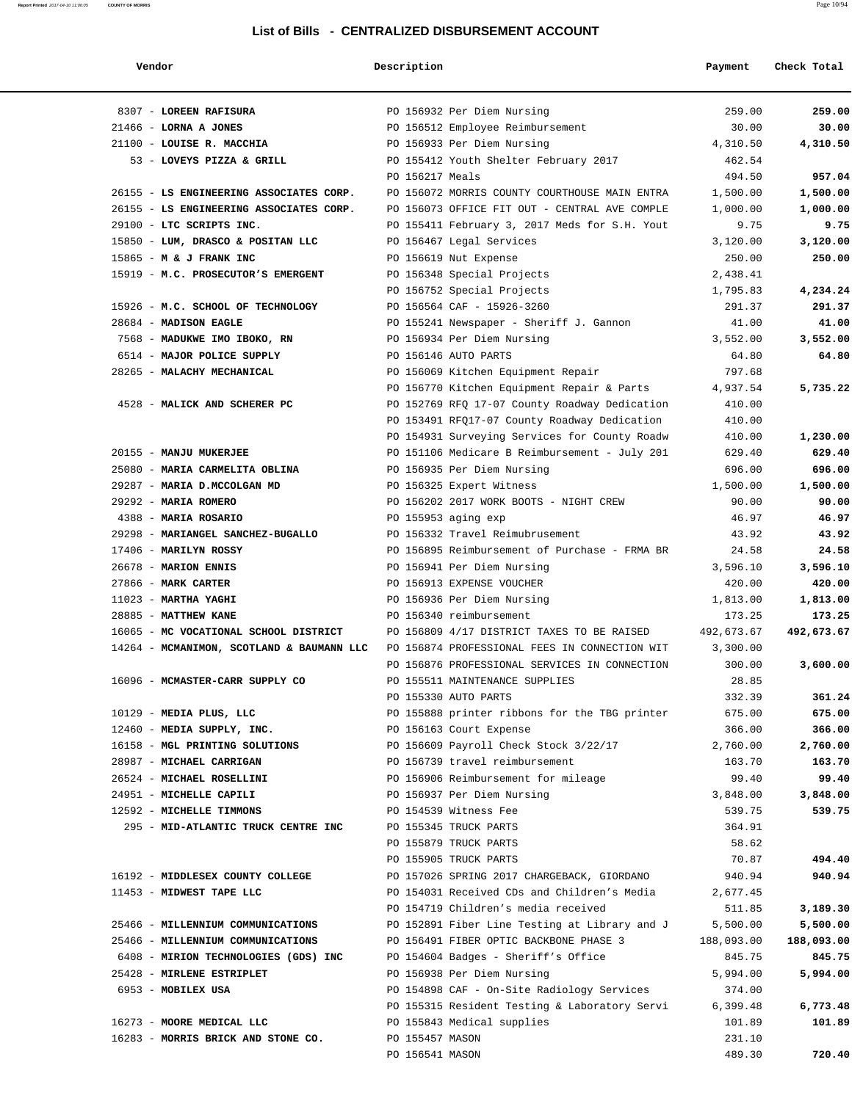#### **Report Printed** 2017-04-10 11:06:05 **COUNTY OF MORRIS** Page 10/94

#### **List of Bills - CENTRALIZED DISBURSEMENT ACCOUNT**

| Vendor                                    | Description         |                                               | Payment    | Check Total |
|-------------------------------------------|---------------------|-----------------------------------------------|------------|-------------|
| 8307 - LOREEN RAFISURA                    |                     | PO 156932 Per Diem Nursing                    | 259.00     | 259.00      |
| $21466$ - LORNA A JONES                   |                     | PO 156512 Employee Reimbursement              | 30.00      | 30.00       |
| 21100 - LOUISE R. MACCHIA                 |                     | PO 156933 Per Diem Nursing                    | 4,310.50   | 4,310.50    |
| 53 - LOVEYS PIZZA & GRILL                 |                     | PO 155412 Youth Shelter February 2017         | 462.54     |             |
|                                           | PO 156217 Meals     |                                               | 494.50     | 957.04      |
| 26155 - LS ENGINEERING ASSOCIATES CORP.   |                     | PO 156072 MORRIS COUNTY COURTHOUSE MAIN ENTRA | 1,500.00   | 1,500.00    |
| 26155 - LS ENGINEERING ASSOCIATES CORP.   |                     | PO 156073 OFFICE FIT OUT - CENTRAL AVE COMPLE | 1,000.00   | 1,000.00    |
| 29100 - LTC SCRIPTS INC.                  |                     | PO 155411 February 3, 2017 Meds for S.H. Yout | 9.75       | 9.75        |
| 15850 - LUM, DRASCO & POSITAN LLC         |                     | PO 156467 Legal Services                      | 3,120.00   | 3,120.00    |
| 15865 - M & J FRANK INC                   |                     | PO 156619 Nut Expense                         | 250.00     | 250.00      |
| 15919 - M.C. PROSECUTOR'S EMERGENT        |                     | PO 156348 Special Projects                    | 2,438.41   |             |
|                                           |                     | PO 156752 Special Projects                    | 1,795.83   | 4,234.24    |
| 15926 - M.C. SCHOOL OF TECHNOLOGY         |                     | PO 156564 CAF - 15926-3260                    | 291.37     | 291.37      |
| 28684 - MADISON EAGLE                     |                     | PO 155241 Newspaper - Sheriff J. Gannon       | 41.00      | 41.00       |
| 7568 - MADUKWE IMO IBOKO, RN              |                     | PO 156934 Per Diem Nursing                    | 3,552.00   | 3,552.00    |
| 6514 - MAJOR POLICE SUPPLY                |                     | PO 156146 AUTO PARTS                          | 64.80      | 64.80       |
| 28265 - MALACHY MECHANICAL                |                     | PO 156069 Kitchen Equipment Repair            | 797.68     |             |
|                                           |                     | PO 156770 Kitchen Equipment Repair & Parts    | 4,937.54   | 5,735.22    |
| 4528 - MALICK AND SCHERER PC              |                     | PO 152769 RFQ 17-07 County Roadway Dedication | 410.00     |             |
|                                           |                     | PO 153491 RFQ17-07 County Roadway Dedication  | 410.00     |             |
|                                           |                     | PO 154931 Surveying Services for County Roadw | 410.00     | 1,230.00    |
| 20155 - MANJU MUKERJEE                    |                     | PO 151106 Medicare B Reimbursement - July 201 | 629.40     | 629.40      |
| 25080 - MARIA CARMELITA OBLINA            |                     | PO 156935 Per Diem Nursing                    | 696.00     | 696.00      |
| 29287 - MARIA D.MCCOLGAN MD               |                     | PO 156325 Expert Witness                      | 1,500.00   | 1,500.00    |
| 29292 - MARIA ROMERO                      |                     | PO 156202 2017 WORK BOOTS - NIGHT CREW        | 90.00      | 90.00       |
| 4388 - MARIA ROSARIO                      | PO 155953 aging exp |                                               | 46.97      | 46.97       |
| 29298 - MARIANGEL SANCHEZ-BUGALLO         |                     | PO 156332 Travel Reimubrusement               | 43.92      | 43.92       |
| 17406 - MARILYN ROSSY                     |                     | PO 156895 Reimbursement of Purchase - FRMA BR | 24.58      | 24.58       |
| 26678 - MARION ENNIS                      |                     | PO 156941 Per Diem Nursing                    | 3,596.10   | 3,596.10    |
| 27866 - MARK CARTER                       |                     | PO 156913 EXPENSE VOUCHER                     | 420.00     | 420.00      |
| $11023$ - MARTHA YAGHI                    |                     | PO 156936 Per Diem Nursing                    | 1,813.00   | 1,813.00    |
| 28885 - MATTHEW KANE                      |                     | PO 156340 reimbursement                       | 173.25     | 173.25      |
| 16065 - MC VOCATIONAL SCHOOL DISTRICT     |                     | PO 156809 4/17 DISTRICT TAXES TO BE RAISED    | 492,673.67 | 492,673.67  |
| 14264 - MCMANIMON, SCOTLAND & BAUMANN LLC |                     | PO 156874 PROFESSIONAL FEES IN CONNECTION WIT | 3,300.00   |             |
|                                           |                     | PO 156876 PROFESSIONAL SERVICES IN CONNECTION | 300.00     | 3,600.00    |
| 16096 - MCMASTER-CARR SUPPLY CO           |                     | PO 155511 MAINTENANCE SUPPLIES                | 28.85      |             |
|                                           |                     | PO 155330 AUTO PARTS                          | 332.39     | 361.24      |
| 10129 - MEDIA PLUS, LLC                   |                     | PO 155888 printer ribbons for the TBG printer | 675.00     | 675.00      |
| 12460 - MEDIA SUPPLY, INC.                |                     | PO 156163 Court Expense                       | 366.00     | 366.00      |
| 16158 - MGL PRINTING SOLUTIONS            |                     | PO 156609 Payroll Check Stock 3/22/17         | 2,760.00   | 2,760.00    |
| 28987 - MICHAEL CARRIGAN                  |                     | PO 156739 travel reimbursement                | 163.70     | 163.70      |
| 26524 - MICHAEL ROSELLINI                 |                     | PO 156906 Reimbursement for mileage           | 99.40      | 99.40       |
| 24951 - MICHELLE CAPILI                   |                     | PO 156937 Per Diem Nursing                    | 3,848.00   | 3,848.00    |
| 12592 - MICHELLE TIMMONS                  |                     | PO 154539 Witness Fee                         | 539.75     | 539.75      |
| 295 - MID-ATLANTIC TRUCK CENTRE INC       |                     | PO 155345 TRUCK PARTS                         | 364.91     |             |
|                                           |                     | PO 155879 TRUCK PARTS                         | 58.62      |             |
|                                           |                     | PO 155905 TRUCK PARTS                         | 70.87      | 494.40      |
| 16192 - MIDDLESEX COUNTY COLLEGE          |                     | PO 157026 SPRING 2017 CHARGEBACK, GIORDANO    | 940.94     | 940.94      |
| 11453 - MIDWEST TAPE LLC                  |                     | PO 154031 Received CDs and Children's Media   | 2,677.45   |             |
|                                           |                     | PO 154719 Children's media received           | 511.85     | 3,189.30    |
| 25466 - MILLENNIUM COMMUNICATIONS         |                     | PO 152891 Fiber Line Testing at Library and J | 5,500.00   | 5,500.00    |
| 25466 - MILLENNIUM COMMUNICATIONS         |                     | PO 156491 FIBER OPTIC BACKBONE PHASE 3        | 188,093.00 | 188,093.00  |
| 6408 - MIRION TECHNOLOGIES (GDS) INC      |                     | PO 154604 Badges - Sheriff's Office           | 845.75     | 845.75      |
| 25428 - MIRLENE ESTRIPLET                 |                     | PO 156938 Per Diem Nursing                    | 5,994.00   | 5,994.00    |
| 6953 - MOBILEX USA                        |                     | PO 154898 CAF - On-Site Radiology Services    | 374.00     |             |
|                                           |                     | PO 155315 Resident Testing & Laboratory Servi | 6,399.48   | 6,773.48    |
| 16273 - MOORE MEDICAL LLC                 |                     | PO 155843 Medical supplies                    | 101.89     | 101.89      |
| 16283 - MORRIS BRICK AND STONE CO.        | PO 155457 MASON     |                                               | 231.10     |             |
|                                           | PO 156541 MASON     |                                               | 489.30     | 720.40      |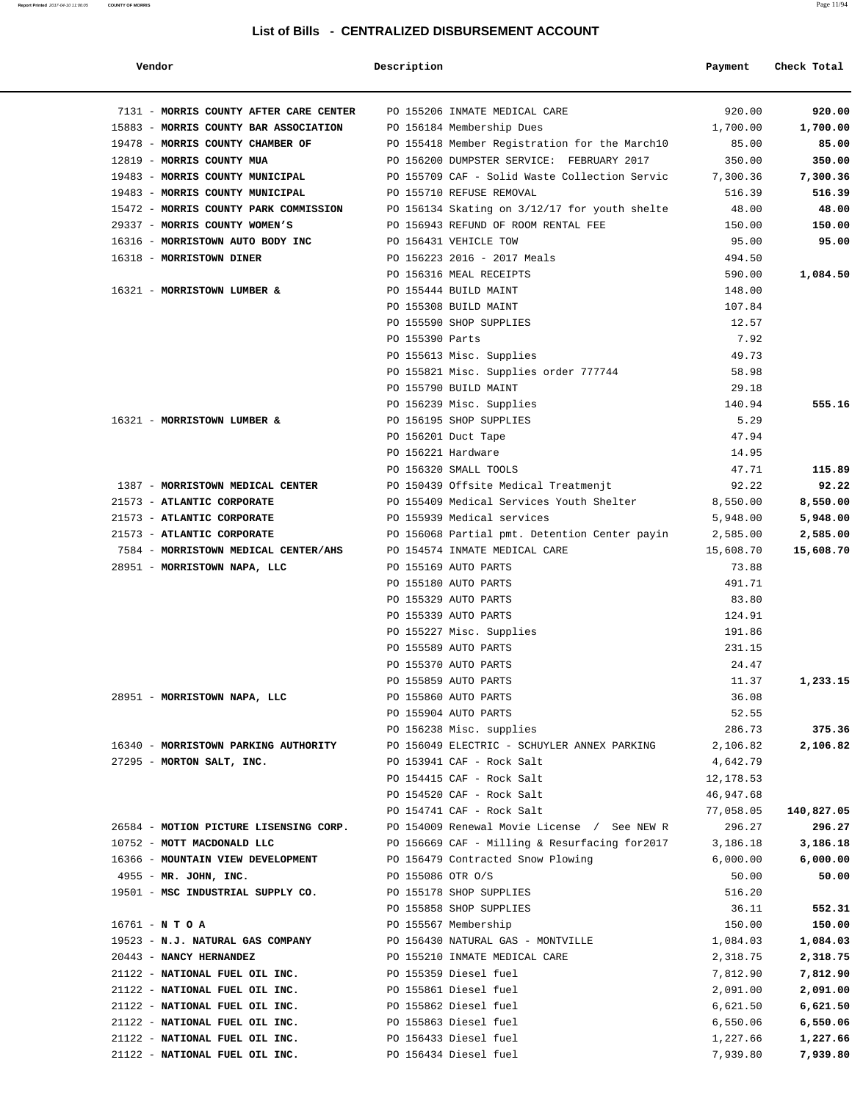#### **Report Printed** 2017-04-10 11:06:05 **COUNTY OF MORRIS** Page 11/94

#### **List of Bills - CENTRALIZED DISBURSEMENT ACCOUNT**

| Vendor                                                               | Description       |                                                                          | Payment         | Check Total |
|----------------------------------------------------------------------|-------------------|--------------------------------------------------------------------------|-----------------|-------------|
| 7131 - MORRIS COUNTY AFTER CARE CENTER PO 155206 INMATE MEDICAL CARE |                   |                                                                          | 920.00          | 920.00      |
| 15883 - MORRIS COUNTY BAR ASSOCIATION PO 156184 Membership Dues      |                   |                                                                          | 1,700.00        | 1,700.00    |
| 19478 - MORRIS COUNTY CHAMBER OF                                     |                   | PO 155418 Member Registration for the March10                            | 85.00           | 85.00       |
| 12819 - MORRIS COUNTY MUA                                            |                   | PO 156200 DUMPSTER SERVICE: FEBRUARY 2017                                | 350.00          | 350.00      |
| 19483 - MORRIS COUNTY MUNICIPAL                                      |                   | PO 155709 CAF - Solid Waste Collection Servic                            | 7,300.36        | 7,300.36    |
| 19483 - MORRIS COUNTY MUNICIPAL                                      |                   | PO 155710 REFUSE REMOVAL                                                 | 516.39          | 516.39      |
| 15472 - MORRIS COUNTY PARK COMMISSION                                |                   | PO 156134 Skating on 3/12/17 for youth shelte                            | 48.00           | 48.00       |
| 29337 - MORRIS COUNTY WOMEN'S                                        |                   | PO 156943 REFUND OF ROOM RENTAL FEE                                      | 150.00          | 150.00      |
| 16316 - MORRISTOWN AUTO BODY INC                                     |                   | PO 156431 VEHICLE TOW                                                    | 95.00           | 95.00       |
| 16318 - MORRISTOWN DINER                                             |                   | PO 156223 2016 - 2017 Meals                                              | 494.50          |             |
|                                                                      |                   | PO 156316 MEAL RECEIPTS                                                  | 590.00          | 1,084.50    |
| 16321 - MORRISTOWN LUMBER &                                          |                   | PO 155444 BUILD MAINT                                                    | 148.00          |             |
|                                                                      |                   | PO 155308 BUILD MAINT                                                    | 107.84          |             |
|                                                                      |                   | PO 155590 SHOP SUPPLIES                                                  | 12.57           |             |
|                                                                      | PO 155390 Parts   |                                                                          | 7.92            |             |
|                                                                      |                   | PO 155613 Misc. Supplies                                                 | 49.73           |             |
|                                                                      |                   | PO 155821 Misc. Supplies order 777744                                    | 58.98           |             |
|                                                                      |                   | PO 155790 BUILD MAINT                                                    | 29.18           |             |
|                                                                      |                   | PO 156239 Misc. Supplies                                                 | 140.94          | 555.16      |
| 16321 - MORRISTOWN LUMBER &                                          |                   | PO 156195 SHOP SUPPLIES                                                  | 5.29            |             |
|                                                                      |                   | PO 156201 Duct Tape                                                      | 47.94           |             |
|                                                                      |                   | PO 156221 Hardware                                                       | 14.95           |             |
|                                                                      |                   | PO 156320 SMALL TOOLS                                                    | 47.71           | 115.89      |
| 1387 - MORRISTOWN MEDICAL CENTER                                     |                   | PO 150439 Offsite Medical Treatmenjt                                     | 92.22           | 92.22       |
| 21573 - ATLANTIC CORPORATE                                           |                   | PO 155409 Medical Services Youth Shelter                                 | 8,550.00        | 8,550.00    |
| 21573 - ATLANTIC CORPORATE                                           |                   | PO 155939 Medical services                                               | 5,948.00        | 5,948.00    |
| 21573 - ATLANTIC CORPORATE                                           |                   | PO 156068 Partial pmt. Detention Center payin                            | 2,585.00        | 2,585.00    |
| 7584 - MORRISTOWN MEDICAL CENTER/AHS                                 |                   | PO 154574 INMATE MEDICAL CARE                                            | 15,608.70       | 15,608.70   |
| 28951 - MORRISTOWN NAPA, LLC                                         |                   | PO 155169 AUTO PARTS                                                     | 73.88           |             |
|                                                                      |                   | PO 155180 AUTO PARTS                                                     | 491.71          |             |
|                                                                      |                   | PO 155329 AUTO PARTS                                                     | 83.80           |             |
|                                                                      |                   | PO 155339 AUTO PARTS                                                     | 124.91          |             |
|                                                                      |                   | PO 155227 Misc. Supplies                                                 | 191.86          |             |
|                                                                      |                   | PO 155589 AUTO PARTS                                                     | 231.15          |             |
|                                                                      |                   | PO 155370 AUTO PARTS                                                     | 24.47           |             |
|                                                                      |                   | PO 155859 AUTO PARTS                                                     | 11.37           | 1,233.15    |
| 28951 - MORRISTOWN NAPA, LLC                                         |                   | PO 155860 AUTO PARTS                                                     | 36.08           |             |
|                                                                      |                   | PO 155904 AUTO PARTS                                                     | 52.55           |             |
|                                                                      |                   | PO 156238 Misc. supplies                                                 | 286.73          | 375.36      |
| 16340 - MORRISTOWN PARKING AUTHORITY                                 |                   | PO 156049 ELECTRIC - SCHUYLER ANNEX PARKING                              | 2,106.82        | 2,106.82    |
| 27295 - MORTON SALT, INC.                                            |                   | PO 153941 CAF - Rock Salt                                                | 4,642.79        |             |
|                                                                      |                   | PO 154415 CAF - Rock Salt                                                | 12,178.53       |             |
|                                                                      |                   | PO 154520 CAF - Rock Salt                                                | 46,947.68       |             |
| 26584 - MOTION PICTURE LISENSING CORP.                               |                   | PO 154741 CAF - Rock Salt<br>PO 154009 Renewal Movie License / See NEW R | 77,058.05       | 140,827.05  |
|                                                                      |                   |                                                                          | 296.27          | 296.27      |
| 10752 - MOTT MACDONALD LLC<br>16366 - MOUNTAIN VIEW DEVELOPMENT      |                   | PO 156669 CAF - Milling & Resurfacing for2017                            | 3,186.18        | 3,186.18    |
|                                                                      |                   | PO 156479 Contracted Snow Plowing                                        | 6,000.00        | 6,000.00    |
| 4955 - MR. JOHN, INC.<br>19501 - MSC INDUSTRIAL SUPPLY CO.           | PO 155086 OTR O/S | PO 155178 SHOP SUPPLIES                                                  | 50.00<br>516.20 | 50.00       |
|                                                                      |                   | PO 155858 SHOP SUPPLIES                                                  | 36.11           | 552.31      |
| $16761 - N T O A$                                                    |                   | PO 155567 Membership                                                     | 150.00          | 150.00      |
| 19523 - N.J. NATURAL GAS COMPANY                                     |                   | PO 156430 NATURAL GAS - MONTVILLE                                        | 1,084.03        | 1,084.03    |
| 20443 - NANCY HERNANDEZ                                              |                   | PO 155210 INMATE MEDICAL CARE                                            | 2,318.75        | 2,318.75    |
| 21122 - NATIONAL FUEL OIL INC.                                       |                   | PO 155359 Diesel fuel                                                    | 7,812.90        | 7,812.90    |
| 21122 - NATIONAL FUEL OIL INC.                                       |                   | PO 155861 Diesel fuel                                                    | 2,091.00        | 2,091.00    |
| 21122 - NATIONAL FUEL OIL INC.                                       |                   | PO 155862 Diesel fuel                                                    | 6,621.50        | 6,621.50    |
| 21122 - NATIONAL FUEL OIL INC.                                       |                   | PO 155863 Diesel fuel                                                    | 6,550.06        | 6,550.06    |
| 21122 - NATIONAL FUEL OIL INC.                                       |                   | PO 156433 Diesel fuel                                                    | 1,227.66        | 1,227.66    |
| 21122 - NATIONAL FUEL OIL INC.                                       |                   | PO 156434 Diesel fuel                                                    | 7,939.80        | 7,939.80    |
|                                                                      |                   |                                                                          |                 |             |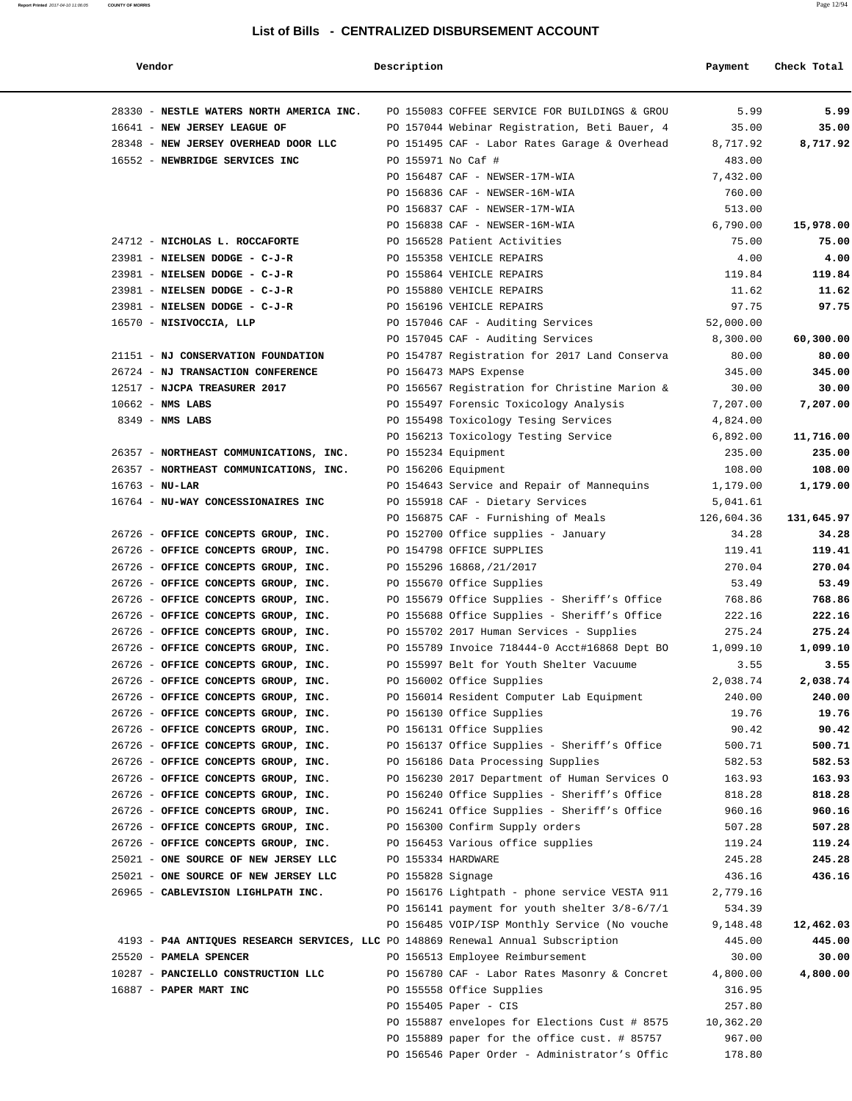#### **Report Printed** 2017-04-10 11:06:05 **COUNTY OF MORRIS** Page 12/94

#### **List of Bills - CENTRALIZED DISBURSEMENT ACCOUNT**

| Vendor                                                                           | Description        |                                               | Payment    | Check Total |
|----------------------------------------------------------------------------------|--------------------|-----------------------------------------------|------------|-------------|
| 28330 - NESTLE WATERS NORTH AMERICA INC.                                         |                    | PO 155083 COFFEE SERVICE FOR BUILDINGS & GROU | 5.99       | 5.99        |
| 16641 - NEW JERSEY LEAGUE OF                                                     |                    | PO 157044 Webinar Registration, Beti Bauer, 4 | 35.00      | 35.00       |
| 28348 - NEW JERSEY OVERHEAD DOOR LLC                                             |                    | PO 151495 CAF - Labor Rates Garage & Overhead | 8,717.92   | 8,717.92    |
| 16552 - NEWBRIDGE SERVICES INC                                                   | PO 155971 No Caf # |                                               | 483.00     |             |
|                                                                                  |                    | PO 156487 CAF - NEWSER-17M-WIA                | 7,432.00   |             |
|                                                                                  |                    | PO 156836 CAF - NEWSER-16M-WIA                | 760.00     |             |
|                                                                                  |                    | PO 156837 CAF - NEWSER-17M-WIA                | 513.00     |             |
|                                                                                  |                    | PO 156838 CAF - NEWSER-16M-WIA                | 6,790.00   | 15,978.00   |
| 24712 - NICHOLAS L. ROCCAFORTE                                                   |                    | PO 156528 Patient Activities                  | 75.00      | 75.00       |
| 23981 - NIELSEN DODGE - C-J-R                                                    |                    | PO 155358 VEHICLE REPAIRS                     | 4.00       | 4.00        |
| 23981 - NIELSEN DODGE - C-J-R                                                    |                    | PO 155864 VEHICLE REPAIRS                     | 119.84     | 119.84      |
| 23981 - NIELSEN DODGE - C-J-R                                                    |                    | PO 155880 VEHICLE REPAIRS                     | 11.62      | 11.62       |
| 23981 - NIELSEN DODGE - C-J-R                                                    |                    | PO 156196 VEHICLE REPAIRS                     | 97.75      | 97.75       |
| 16570 - NISIVOCCIA, LLP                                                          |                    | PO 157046 CAF - Auditing Services             | 52,000.00  |             |
|                                                                                  |                    | PO 157045 CAF - Auditing Services             | 8,300.00   | 60,300.00   |
| 21151 - NJ CONSERVATION FOUNDATION                                               |                    | PO 154787 Registration for 2017 Land Conserva | 80.00      | 80.00       |
| 26724 - NJ TRANSACTION CONFERENCE                                                |                    | PO 156473 MAPS Expense                        | 345.00     | 345.00      |
| 12517 - NJCPA TREASURER 2017                                                     |                    | PO 156567 Registration for Christine Marion & | 30.00      | 30.00       |
| $10662$ - NMS LABS                                                               |                    | PO 155497 Forensic Toxicology Analysis        | 7,207.00   | 7,207.00    |
| $8349$ - NMS LABS                                                                |                    | PO 155498 Toxicology Tesing Services          | 4,824.00   |             |
|                                                                                  |                    | PO 156213 Toxicology Testing Service          | 6,892.00   | 11,716.00   |
| 26357 - NORTHEAST COMMUNICATIONS, INC.                                           |                    | PO 155234 Equipment                           | 235.00     | 235.00      |
| 26357 - NORTHEAST COMMUNICATIONS, INC.                                           |                    | PO 156206 Equipment                           | 108.00     | 108.00      |
| $16763 - NU-LAR$                                                                 |                    | PO 154643 Service and Repair of Mannequins    | 1,179.00   | 1,179.00    |
| 16764 - NU-WAY CONCESSIONAIRES INC                                               |                    | PO 155918 CAF - Dietary Services              | 5,041.61   |             |
|                                                                                  |                    | PO 156875 CAF - Furnishing of Meals           | 126,604.36 | 131,645.97  |
| 26726 - OFFICE CONCEPTS GROUP, INC.                                              |                    | PO 152700 Office supplies - January           | 34.28      | 34.28       |
| 26726 - OFFICE CONCEPTS GROUP, INC.                                              |                    | PO 154798 OFFICE SUPPLIES                     | 119.41     | 119.41      |
| 26726 - OFFICE CONCEPTS GROUP, INC.                                              |                    | PO 155296 16868,/21/2017                      | 270.04     | 270.04      |
| 26726 - OFFICE CONCEPTS GROUP, INC.                                              |                    | PO 155670 Office Supplies                     | 53.49      | 53.49       |
| 26726 - OFFICE CONCEPTS GROUP, INC.                                              |                    | PO 155679 Office Supplies - Sheriff's Office  | 768.86     | 768.86      |
| 26726 - OFFICE CONCEPTS GROUP, INC.                                              |                    | PO 155688 Office Supplies - Sheriff's Office  | 222.16     | 222.16      |
| 26726 - OFFICE CONCEPTS GROUP, INC.                                              |                    | PO 155702 2017 Human Services - Supplies      | 275.24     | 275.24      |
| 26726 - OFFICE CONCEPTS GROUP, INC.                                              |                    | PO 155789 Invoice 718444-0 Acct#16868 Dept BO | 1,099.10   | 1,099.10    |
| 26726 - OFFICE CONCEPTS GROUP, INC.                                              |                    | PO 155997 Belt for Youth Shelter Vacuume      | 3.55       | 3.55        |
| 26726 - OFFICE CONCEPTS GROUP, INC.                                              |                    | PO 156002 Office Supplies                     | 2,038.74   | 2,038.74    |
| 26726 - OFFICE CONCEPTS GROUP, INC.                                              |                    | PO 156014 Resident Computer Lab Equipment     | 240.00     | 240.00      |
| 26726 - OFFICE CONCEPTS GROUP, INC.                                              |                    | PO 156130 Office Supplies                     | 19.76      | 19.76       |
| 26726 - OFFICE CONCEPTS GROUP, INC.                                              |                    | PO 156131 Office Supplies                     | 90.42      | 90.42       |
| 26726 - OFFICE CONCEPTS GROUP, INC.                                              |                    | PO 156137 Office Supplies - Sheriff's Office  | 500.71     | 500.71      |
| 26726 - OFFICE CONCEPTS GROUP, INC.                                              |                    | PO 156186 Data Processing Supplies            | 582.53     | 582.53      |
| 26726 - OFFICE CONCEPTS GROUP, INC.                                              |                    | PO 156230 2017 Department of Human Services O | 163.93     | 163.93      |
| 26726 - OFFICE CONCEPTS GROUP, INC.                                              |                    | PO 156240 Office Supplies - Sheriff's Office  | 818.28     | 818.28      |
| 26726 - OFFICE CONCEPTS GROUP, INC.                                              |                    | PO 156241 Office Supplies - Sheriff's Office  | 960.16     | 960.16      |
| 26726 - OFFICE CONCEPTS GROUP, INC.                                              |                    | PO 156300 Confirm Supply orders               | 507.28     | 507.28      |
| 26726 - OFFICE CONCEPTS GROUP, INC.                                              |                    | PO 156453 Various office supplies             | 119.24     | 119.24      |
| 25021 - ONE SOURCE OF NEW JERSEY LLC                                             | PO 155334 HARDWARE |                                               | 245.28     | 245.28      |
| 25021 - ONE SOURCE OF NEW JERSEY LLC                                             | PO 155828 Signage  |                                               | 436.16     | 436.16      |
| 26965 - CABLEVISION LIGHLPATH INC.                                               |                    | PO 156176 Lightpath - phone service VESTA 911 | 2,779.16   |             |
|                                                                                  |                    | PO 156141 payment for youth shelter 3/8-6/7/1 | 534.39     |             |
|                                                                                  |                    | PO 156485 VOIP/ISP Monthly Service (No vouche | 9,148.48   | 12,462.03   |
| 4193 - P4A ANTIQUES RESEARCH SERVICES, LLC PO 148869 Renewal Annual Subscription |                    |                                               | 445.00     | 445.00      |
| 25520 - PAMELA SPENCER                                                           |                    | PO 156513 Employee Reimbursement              | 30.00      | 30.00       |
| 10287 - PANCIELLO CONSTRUCTION LLC                                               |                    | PO 156780 CAF - Labor Rates Masonry & Concret | 4,800.00   | 4,800.00    |
| 16887 - PAPER MART INC                                                           |                    | PO 155558 Office Supplies                     | 316.95     |             |
|                                                                                  |                    | PO 155405 Paper - CIS                         | 257.80     |             |
|                                                                                  |                    | PO 155887 envelopes for Elections Cust # 8575 | 10,362.20  |             |
|                                                                                  |                    | PO 155889 paper for the office cust. # 85757  | 967.00     |             |
|                                                                                  |                    | PO 156546 Paper Order - Administrator's Offic | 178.80     |             |
|                                                                                  |                    |                                               |            |             |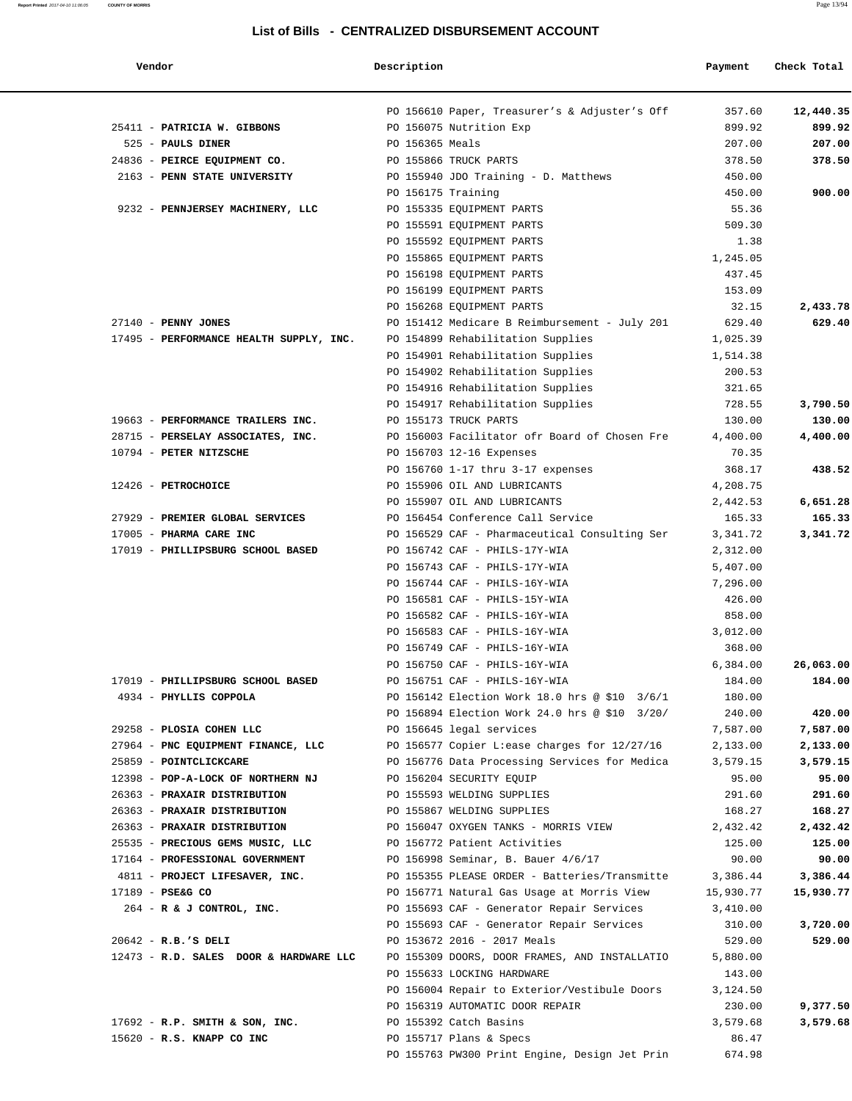| Vendor                                  | Description        |                                               | Payment   | Check Total |
|-----------------------------------------|--------------------|-----------------------------------------------|-----------|-------------|
|                                         |                    | PO 156610 Paper, Treasurer's & Adjuster's Off | 357.60    | 12,440.35   |
| 25411 - PATRICIA W. GIBBONS             |                    | PO 156075 Nutrition Exp                       | 899.92    | 899.92      |
| 525 - PAULS DINER                       | PO 156365 Meals    |                                               | 207.00    | 207.00      |
| 24836 - PEIRCE EQUIPMENT CO.            |                    | PO 155866 TRUCK PARTS                         | 378.50    | 378.50      |
| 2163 - PENN STATE UNIVERSITY            |                    | PO 155940 JDO Training - D. Matthews          | 450.00    |             |
|                                         | PO 156175 Training |                                               | 450.00    | 900.00      |
| 9232 - PENNJERSEY MACHINERY, LLC        |                    | PO 155335 EOUIPMENT PARTS                     | 55.36     |             |
|                                         |                    | PO 155591 EQUIPMENT PARTS                     | 509.30    |             |
|                                         |                    | PO 155592 EQUIPMENT PARTS                     | 1.38      |             |
|                                         |                    | PO 155865 EQUIPMENT PARTS                     | 1,245.05  |             |
|                                         |                    | PO 156198 EQUIPMENT PARTS                     | 437.45    |             |
|                                         |                    | PO 156199 EQUIPMENT PARTS                     | 153.09    |             |
|                                         |                    | PO 156268 EQUIPMENT PARTS                     | 32.15     | 2,433.78    |
| $27140$ - PENNY JONES                   |                    | PO 151412 Medicare B Reimbursement - July 201 | 629.40    | 629.40      |
| 17495 - PERFORMANCE HEALTH SUPPLY, INC. |                    | PO 154899 Rehabilitation Supplies             | 1,025.39  |             |
|                                         |                    | PO 154901 Rehabilitation Supplies             | 1,514.38  |             |
|                                         |                    | PO 154902 Rehabilitation Supplies             | 200.53    |             |
|                                         |                    | PO 154916 Rehabilitation Supplies             | 321.65    |             |
|                                         |                    | PO 154917 Rehabilitation Supplies             | 728.55    | 3,790.50    |
| 19663 - PERFORMANCE TRAILERS INC.       |                    | PO 155173 TRUCK PARTS                         | 130.00    | 130.00      |
| 28715 - PERSELAY ASSOCIATES, INC.       |                    | PO 156003 Facilitator ofr Board of Chosen Fre | 4,400.00  | 4,400.00    |
| 10794 - PETER NITZSCHE                  |                    | PO 156703 12-16 Expenses                      | 70.35     |             |
|                                         |                    | PO 156760 1-17 thru 3-17 expenses             | 368.17    | 438.52      |
| 12426 - PETROCHOICE                     |                    | PO 155906 OIL AND LUBRICANTS                  | 4,208.75  |             |
|                                         |                    | PO 155907 OIL AND LUBRICANTS                  | 2,442.53  | 6,651.28    |
| 27929 - PREMIER GLOBAL SERVICES         |                    | PO 156454 Conference Call Service             | 165.33    | 165.33      |
| 17005 - PHARMA CARE INC                 |                    | PO 156529 CAF - Pharmaceutical Consulting Ser | 3,341.72  | 3,341.72    |
| 17019 - PHILLIPSBURG SCHOOL BASED       |                    | PO 156742 CAF - PHILS-17Y-WIA                 | 2,312.00  |             |
|                                         |                    | PO 156743 CAF - PHILS-17Y-WIA                 | 5,407.00  |             |
|                                         |                    | PO 156744 CAF - PHILS-16Y-WIA                 | 7,296.00  |             |
|                                         |                    | PO 156581 CAF - PHILS-15Y-WIA                 | 426.00    |             |
|                                         |                    | PO 156582 CAF - PHILS-16Y-WIA                 | 858.00    |             |
|                                         |                    | PO 156583 CAF - PHILS-16Y-WIA                 | 3,012.00  |             |
|                                         |                    | PO 156749 CAF - PHILS-16Y-WIA                 | 368.00    |             |
|                                         |                    | PO 156750 CAF - PHILS-16Y-WIA                 | 6,384.00  | 26,063.00   |
| 17019 - PHILLIPSBURG SCHOOL BASED       |                    | PO 156751 CAF - PHILS-16Y-WIA                 | 184.00    | 184.00      |
| 4934 - PHYLLIS COPPOLA                  |                    | PO 156142 Election Work 18.0 hrs @ \$10 3/6/1 | 180.00    |             |
|                                         |                    | PO 156894 Election Work 24.0 hrs @ \$10 3/20/ | 240.00    | 420.00      |
| 29258 - PLOSIA COHEN LLC                |                    | PO 156645 legal services                      | 7,587.00  | 7,587.00    |
| 27964 - PNC EQUIPMENT FINANCE, LLC      |                    | PO 156577 Copier L:ease charges for 12/27/16  | 2,133.00  | 2,133.00    |
| 25859 - POINTCLICKCARE                  |                    | PO 156776 Data Processing Services for Medica | 3,579.15  | 3,579.15    |
| 12398 - POP-A-LOCK OF NORTHERN NJ       |                    | PO 156204 SECURITY EQUIP                      | 95.00     | 95.00       |
| 26363 - PRAXAIR DISTRIBUTION            |                    | PO 155593 WELDING SUPPLIES                    | 291.60    | 291.60      |
| 26363 - PRAXAIR DISTRIBUTION            |                    | PO 155867 WELDING SUPPLIES                    | 168.27    | 168.27      |
| 26363 - PRAXAIR DISTRIBUTION            |                    | PO 156047 OXYGEN TANKS - MORRIS VIEW          | 2,432.42  | 2,432.42    |
| 25535 - PRECIOUS GEMS MUSIC, LLC        |                    | PO 156772 Patient Activities                  | 125.00    | 125.00      |
| 17164 - PROFESSIONAL GOVERNMENT         |                    | PO 156998 Seminar, B. Bauer 4/6/17            | 90.00     | 90.00       |
| 4811 - PROJECT LIFESAVER, INC.          |                    | PO 155355 PLEASE ORDER - Batteries/Transmitte | 3,386.44  | 3,386.44    |
| 17189 - PSE&G CO                        |                    | PO 156771 Natural Gas Usage at Morris View    | 15,930.77 | 15,930.77   |
| 264 - R & J CONTROL, INC.               |                    | PO 155693 CAF - Generator Repair Services     | 3,410.00  |             |
|                                         |                    | PO 155693 CAF - Generator Repair Services     | 310.00    | 3,720.00    |
| $20642 - R.B.'S DELI$                   |                    | PO 153672 2016 - 2017 Meals                   | 529.00    | 529.00      |
| 12473 - R.D. SALES DOOR & HARDWARE LLC  |                    | PO 155309 DOORS, DOOR FRAMES, AND INSTALLATIO | 5,880.00  |             |
|                                         |                    | PO 155633 LOCKING HARDWARE                    | 143.00    |             |
|                                         |                    | PO 156004 Repair to Exterior/Vestibule Doors  | 3,124.50  |             |
|                                         |                    | PO 156319 AUTOMATIC DOOR REPAIR               | 230.00    | 9,377.50    |
| $17692$ - R.P. SMITH & SON, INC.        |                    | PO 155392 Catch Basins                        | 3,579.68  | 3,579.68    |
| 15620 - R.S. KNAPP CO INC               |                    | PO 155717 Plans & Specs                       | 86.47     |             |
|                                         |                    | PO 155763 PW300 Print Engine, Design Jet Prin | 674.98    |             |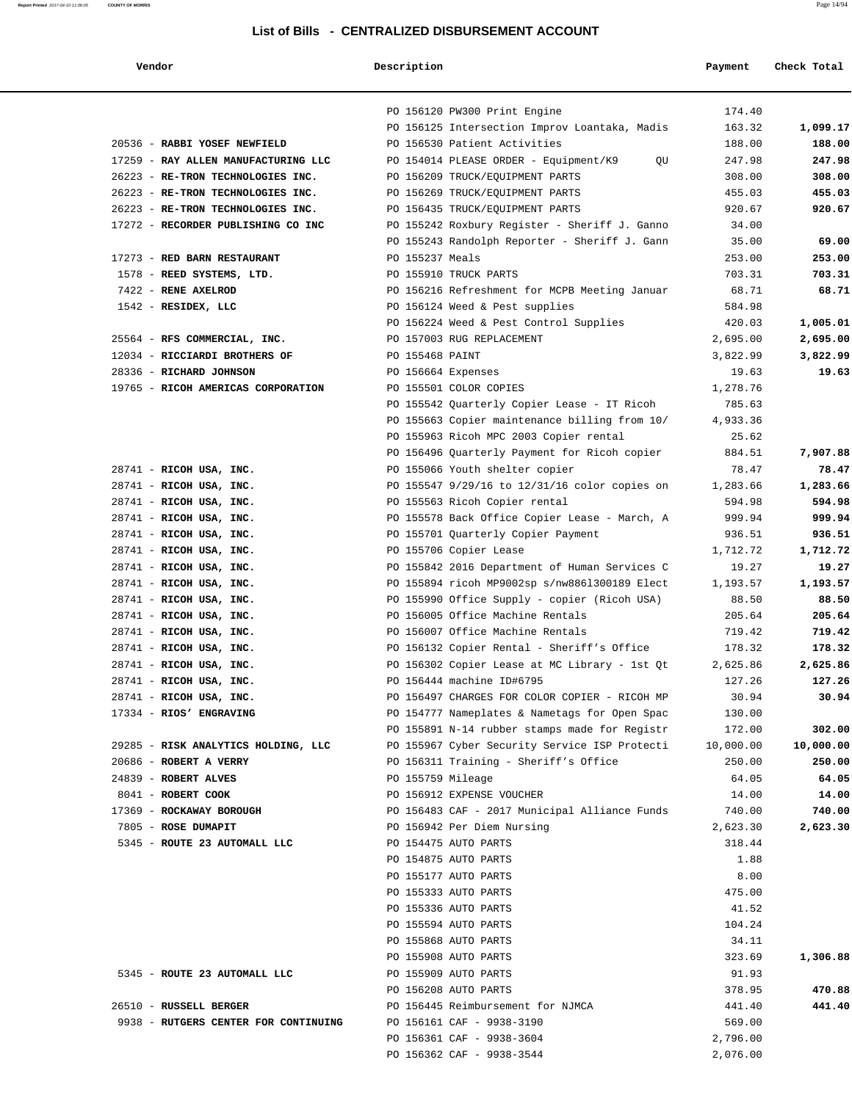#### **Report Printed** 2017-04-10 11:06:05 **COUNTY OF MORRIS** Page 14/94

#### **List of Bills - CENTRALIZED DISBURSEMENT ACCOUNT**

 **Vendor Description Payment Check Total**

|                                                    | PO 156120 PW300 Print Engine<br>174.40                                                   |                   |
|----------------------------------------------------|------------------------------------------------------------------------------------------|-------------------|
|                                                    | PO 156125 Intersection Improv Loantaka, Madis<br>163.32                                  | 1,099.17          |
| 20536 - RABBI YOSEF NEWFIELD                       | 188.00<br>PO 156530 Patient Activities                                                   | 188.00            |
| 17259 - RAY ALLEN MANUFACTURING LLC                | 247.98<br>PO 154014 PLEASE ORDER - Equipment/K9<br>OU                                    | 247.98            |
| 26223 - RE-TRON TECHNOLOGIES INC.                  | PO 156209 TRUCK/EQUIPMENT PARTS<br>308.00                                                | 308.00            |
| 26223 - RE-TRON TECHNOLOGIES INC.                  | 455.03<br>PO 156269 TRUCK/EQUIPMENT PARTS                                                | 455.03            |
| 26223 - RE-TRON TECHNOLOGIES INC.                  | PO 156435 TRUCK/EQUIPMENT PARTS<br>920.67                                                | 920.67            |
| 17272 - RECORDER PUBLISHING CO INC                 | PO 155242 Roxbury Register - Sheriff J. Ganno<br>34.00                                   |                   |
|                                                    | 35.00<br>PO 155243 Randolph Reporter - Sheriff J. Gann                                   | 69.00             |
| 17273 - RED BARN RESTAURANT                        | PO 155237 Meals<br>253.00                                                                | 253.00            |
| 1578 - REED SYSTEMS, LTD.                          | PO 155910 TRUCK PARTS<br>703.31                                                          | 703.31            |
| 7422 - RENE AXELROD                                | PO 156216 Refreshment for MCPB Meeting Januar<br>68.71                                   | 68.71             |
| 1542 - RESIDEX, LLC                                | PO 156124 Weed & Pest supplies<br>584.98                                                 |                   |
|                                                    | PO 156224 Weed & Pest Control Supplies<br>420.03                                         | 1,005.01          |
| 25564 - RFS COMMERCIAL, INC.                       | PO 157003 RUG REPLACEMENT<br>2,695.00                                                    | 2,695.00          |
| 12034 - RICCIARDI BROTHERS OF                      | PO 155468 PAINT<br>3,822.99                                                              | 3,822.99          |
| 28336 - RICHARD JOHNSON                            | PO 156664 Expenses<br>19.63                                                              | 19.63             |
| 19765 - RICOH AMERICAS CORPORATION                 | PO 155501 COLOR COPIES<br>1,278.76                                                       |                   |
|                                                    | 785.63<br>PO 155542 Quarterly Copier Lease - IT Ricoh                                    |                   |
|                                                    | PO 155663 Copier maintenance billing from 10/<br>4,933.36                                |                   |
|                                                    | PO 155963 Ricoh MPC 2003 Copier rental<br>25.62                                          |                   |
|                                                    | PO 156496 Quarterly Payment for Ricoh copier<br>884.51                                   | 7,907.88          |
| $28741$ - RICOH USA, INC.                          | 78.47<br>PO 155066 Youth shelter copier<br>1,283.66                                      | 78.47<br>1,283.66 |
| 28741 - RICOH USA, INC.<br>28741 - RICOH USA, INC. | PO 155547 9/29/16 to 12/31/16 color copies on<br>PO 155563 Ricoh Copier rental<br>594.98 | 594.98            |
| 28741 - RICOH USA, INC.                            | PO 155578 Back Office Copier Lease - March, A<br>999.94                                  | 999.94            |
| $28741$ - RICOH USA, INC.                          | PO 155701 Quarterly Copier Payment<br>936.51                                             | 936.51            |
| $28741$ - RICOH USA, INC.                          | PO 155706 Copier Lease<br>1,712.72                                                       | 1,712.72          |
| $28741$ - RICOH USA, INC.                          | PO 155842 2016 Department of Human Services C<br>19.27                                   | 19.27             |
| 28741 - RICOH USA, INC.                            | PO 155894 ricoh MP9002sp s/nw8861300189 Elect<br>1,193.57                                | 1,193.57          |
| 28741 - RICOH USA, INC.                            | PO 155990 Office Supply - copier (Ricoh USA)<br>88.50                                    | 88.50             |
| $28741$ - RICOH USA, INC.                          | PO 156005 Office Machine Rentals<br>205.64                                               | 205.64            |
| 28741 - RICOH USA, INC.                            | PO 156007 Office Machine Rentals<br>719.42                                               | 719.42            |
| $28741$ - RICOH USA, INC.                          | PO 156132 Copier Rental - Sheriff's Office<br>178.32                                     | 178.32            |
| 28741 - RICOH USA, INC.                            | PO 156302 Copier Lease at MC Library - 1st Qt<br>2,625.86                                | 2,625.86          |
| 28741 - RICOH USA, INC.                            | PO 156444 machine ID#6795<br>127.26                                                      | 127.26            |
| 28741 - RICOH USA, INC.                            | PO 156497 CHARGES FOR COLOR COPIER - RICOH MP<br>30.94                                   | 30.94             |
| 17334 - RIOS' ENGRAVING                            | PO 154777 Nameplates & Nametags for Open Spac<br>130.00                                  |                   |
|                                                    | PO 155891 N-14 rubber stamps made for Registr<br>172.00                                  | 302.00            |
| 29285 - RISK ANALYTICS HOLDING, LLC                | PO 155967 Cyber Security Service ISP Protecti<br>10,000.00                               | 10,000.00         |
| 20686 - ROBERT A VERRY                             | PO 156311 Training - Sheriff's Office<br>250.00                                          | 250.00            |
| 24839 - ROBERT ALVES                               | PO 155759 Mileage<br>64.05                                                               | 64.05             |
| 8041 - ROBERT COOK                                 | PO 156912 EXPENSE VOUCHER<br>14.00                                                       | 14.00             |
| 17369 - ROCKAWAY BOROUGH                           | PO 156483 CAF - 2017 Municipal Alliance Funds<br>740.00                                  | 740.00            |
| 7805 - ROSE DUMAPIT                                | PO 156942 Per Diem Nursing<br>2,623.30                                                   | 2,623.30          |
| 5345 - ROUTE 23 AUTOMALL LLC                       | PO 154475 AUTO PARTS<br>318.44                                                           |                   |
|                                                    | PO 154875 AUTO PARTS<br>1.88                                                             |                   |
|                                                    | PO 155177 AUTO PARTS<br>8.00                                                             |                   |
|                                                    | PO 155333 AUTO PARTS<br>475.00                                                           |                   |
|                                                    | PO 155336 AUTO PARTS<br>41.52                                                            |                   |
|                                                    | 104.24<br>PO 155594 AUTO PARTS                                                           |                   |
|                                                    | PO 155868 AUTO PARTS<br>34.11                                                            |                   |
|                                                    | PO 155908 AUTO PARTS<br>323.69                                                           | 1,306.88          |
| 5345 - ROUTE 23 AUTOMALL LLC                       | 91.93<br>PO 155909 AUTO PARTS                                                            |                   |
|                                                    | 378.95<br>PO 156208 AUTO PARTS                                                           | 470.88            |
| 26510 - RUSSELL BERGER                             | PO 156445 Reimbursement for NJMCA<br>441.40                                              | 441.40            |
| 9938 - RUTGERS CENTER FOR CONTINUING               | PO 156161 CAF - 9938-3190<br>569.00                                                      |                   |
|                                                    | 2,796.00<br>PO 156361 CAF - 9938-3604                                                    |                   |
|                                                    | PO 156362 CAF - 9938-3544<br>2,076.00                                                    |                   |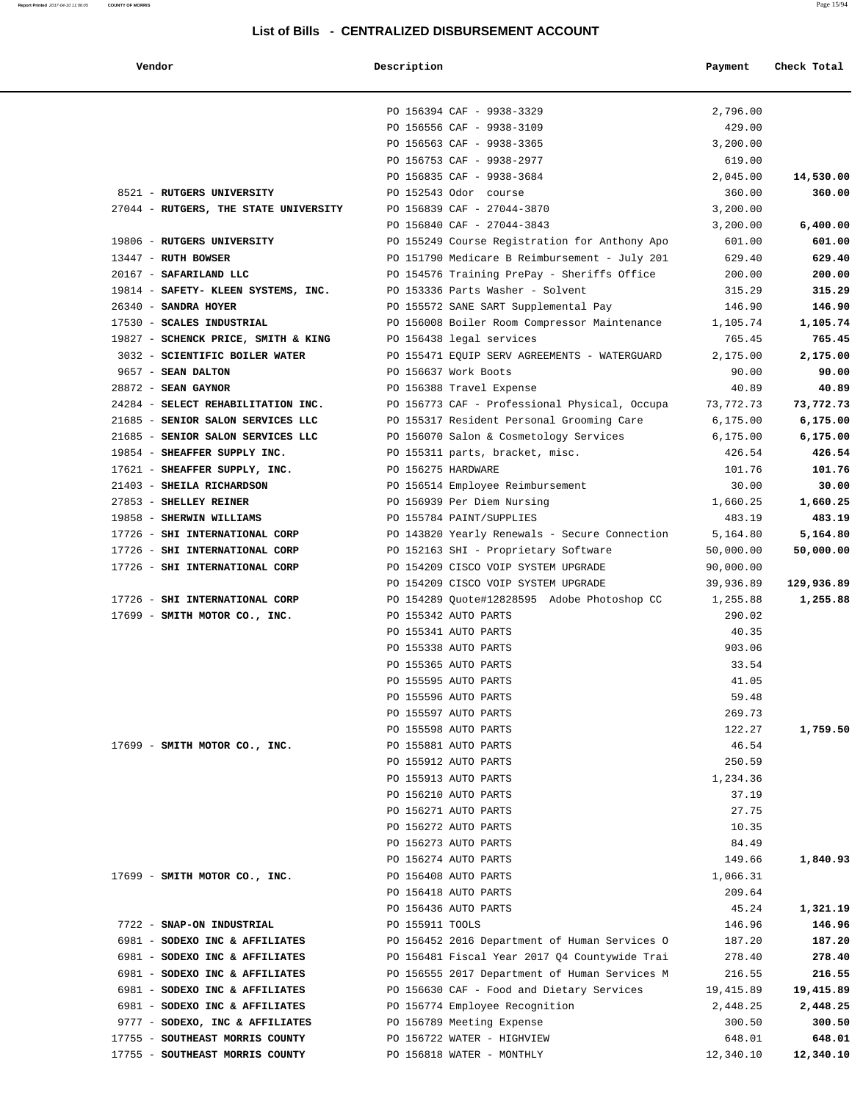# **Vendor Description Payment Check Total**

|                                                              |                 | PO 156394 CAF - 9938-3329                                                            | 2,796.00  |            |
|--------------------------------------------------------------|-----------------|--------------------------------------------------------------------------------------|-----------|------------|
|                                                              |                 |                                                                                      |           |            |
|                                                              |                 | PO 156556 CAF - 9938-3109                                                            | 429.00    |            |
|                                                              |                 | PO 156563 CAF - 9938-3365                                                            | 3,200.00  |            |
|                                                              |                 | PO 156753 CAF - 9938-2977                                                            | 619.00    |            |
|                                                              |                 | PO 156835 CAF - 9938-3684                                                            | 2,045.00  | 14,530.00  |
| 8521 - RUTGERS UNIVERSITY                                    |                 | PO 152543 Odor course                                                                | 360.00    | 360.00     |
| 27044 - RUTGERS, THE STATE UNIVERSITY                        |                 | PO 156839 CAF - 27044-3870                                                           | 3,200.00  |            |
|                                                              |                 | PO 156840 CAF - 27044-3843                                                           | 3,200.00  | 6,400.00   |
| 19806 - RUTGERS UNIVERSITY                                   |                 | PO 155249 Course Registration for Anthony Apo                                        | 601.00    | 601.00     |
| $13447$ - RUTH BOWSER                                        |                 | PO 151790 Medicare B Reimbursement - July 201                                        | 629.40    | 629.40     |
| 20167 - SAFARILAND LLC                                       |                 | PO 154576 Training PrePay - Sheriffs Office                                          | 200.00    | 200.00     |
| 19814 - SAFETY- KLEEN SYSTEMS, INC.                          |                 | PO 153336 Parts Washer - Solvent                                                     | 315.29    | 315.29     |
| 26340 - SANDRA HOYER                                         |                 | PO 155572 SANE SART Supplemental Pay                                                 | 146.90    | 146.90     |
| 17530 - SCALES INDUSTRIAL                                    |                 | PO 156008 Boiler Room Compressor Maintenance                                         | 1,105.74  | 1,105.74   |
| 19827 - SCHENCK PRICE, SMITH & KING PO 156438 legal services |                 |                                                                                      |           |            |
|                                                              |                 |                                                                                      | 765.45    | 765.45     |
|                                                              |                 | 3032 - SCIENTIFIC BOILER WATER THE PO 155471 EQUIP SERV AGREEMENTS - WATERGUARD      | 2,175.00  | 2,175.00   |
| 9657 - SEAN DALTON                                           |                 | PO 156637 Work Boots                                                                 | 90.00     | 90.00      |
| $28872$ - SEAN GAYNOR                                        |                 | PO 156388 Travel Expense                                                             | 40.89     | 40.89      |
|                                                              |                 | 24284 - SELECT REHABILITATION INC. PO 156773 CAF - Professional Physical, Occupa     | 73,772.73 | 73,772.73  |
|                                                              |                 | 21685 - SENIOR SALON SERVICES LLC PO 155317 Resident Personal Grooming Care 6,175.00 |           | 6,175.00   |
|                                                              |                 | 21685 - SENIOR SALON SERVICES LLC PO 156070 Salon & Cosmetology Services 6,175.00    |           | 6,175.00   |
| 19854 - SHEAFFER SUPPLY INC.                                 |                 | PO 155311 parts, bracket, misc.                                                      | 426.54    | 426.54     |
| 17621 - SHEAFFER SUPPLY, INC. PO 156275 HARDWARE             |                 |                                                                                      | 101.76    | 101.76     |
| 21403 - SHEILA RICHARDSON                                    |                 | PO 156514 Employee Reimbursement                                                     | 30.00     | 30.00      |
| 27853 - SHELLEY REINER                                       |                 | PO 156939 Per Diem Nursing                                                           | 1,660.25  | 1,660.25   |
| 19858 - SHERWIN WILLIAMS                                     |                 | PO 155784 PAINT/SUPPLIES                                                             | 483.19    | 483.19     |
| 17726 - SHI INTERNATIONAL CORP                               |                 |                                                                                      |           | 5,164.80   |
|                                                              |                 | PO 143820 Yearly Renewals - Secure Connection 5,164.80                               |           |            |
| 17726 - SHI INTERNATIONAL CORP                               |                 | PO 152163 SHI - Proprietary Software                                                 | 50,000.00 | 50,000.00  |
| 17726 - SHI INTERNATIONAL CORP                               |                 | PO 154209 CISCO VOIP SYSTEM UPGRADE                                                  | 90,000.00 |            |
|                                                              |                 | PO 154209 CISCO VOIP SYSTEM UPGRADE                                                  | 39,936.89 | 129,936.89 |
| 17726 - SHI INTERNATIONAL CORP                               |                 | PO 154289 Quote#12828595 Adobe Photoshop CC                                          | 1,255.88  | 1,255.88   |
| 17699 - SMITH MOTOR CO., INC.                                |                 | PO 155342 AUTO PARTS                                                                 | 290.02    |            |
|                                                              |                 | PO 155341 AUTO PARTS                                                                 | 40.35     |            |
|                                                              |                 | PO 155338 AUTO PARTS                                                                 | 903.06    |            |
|                                                              |                 | PO 155365 AUTO PARTS                                                                 | 33.54     |            |
|                                                              |                 | PO 155595 AUTO PARTS                                                                 | 41.05     |            |
|                                                              |                 | PO 155596 AUTO PARTS                                                                 | 59.48     |            |
|                                                              |                 | PO 155597 AUTO PARTS                                                                 | 269.73    |            |
|                                                              |                 | PO 155598 AUTO PARTS                                                                 | 122.27    | 1,759.50   |
| 17699 - SMITH MOTOR CO., INC.                                |                 | PO 155881 AUTO PARTS                                                                 | 46.54     |            |
|                                                              |                 |                                                                                      |           |            |
|                                                              |                 | PO 155912 AUTO PARTS                                                                 | 250.59    |            |
|                                                              |                 | PO 155913 AUTO PARTS                                                                 | 1,234.36  |            |
|                                                              |                 | PO 156210 AUTO PARTS                                                                 | 37.19     |            |
|                                                              |                 | PO 156271 AUTO PARTS                                                                 | 27.75     |            |
|                                                              |                 | PO 156272 AUTO PARTS                                                                 | 10.35     |            |
|                                                              |                 | PO 156273 AUTO PARTS                                                                 | 84.49     |            |
|                                                              |                 | PO 156274 AUTO PARTS                                                                 | 149.66    | 1,840.93   |
| 17699 - SMITH MOTOR CO., INC.                                |                 | PO 156408 AUTO PARTS                                                                 | 1,066.31  |            |
|                                                              |                 | PO 156418 AUTO PARTS                                                                 | 209.64    |            |
|                                                              |                 | PO 156436 AUTO PARTS                                                                 | 45.24     | 1,321.19   |
| 7722 - SNAP-ON INDUSTRIAL                                    | PO 155911 TOOLS |                                                                                      | 146.96    | 146.96     |
| 6981 - SODEXO INC & AFFILIATES                               |                 | PO 156452 2016 Department of Human Services O                                        | 187.20    | 187.20     |
|                                                              |                 |                                                                                      |           |            |
| 6981 - SODEXO INC & AFFILIATES                               |                 | PO 156481 Fiscal Year 2017 Q4 Countywide Trai                                        | 278.40    | 278.40     |
| 6981 - SODEXO INC & AFFILIATES                               |                 | PO 156555 2017 Department of Human Services M                                        | 216.55    | 216.55     |
| 6981 - SODEXO INC & AFFILIATES                               |                 | PO 156630 CAF - Food and Dietary Services                                            | 19,415.89 | 19,415.89  |
| 6981 - SODEXO INC & AFFILIATES                               |                 | PO 156774 Employee Recognition                                                       | 2,448.25  | 2,448.25   |
| 9777 - SODEXO, INC & AFFILIATES                              |                 | PO 156789 Meeting Expense                                                            | 300.50    | 300.50     |
| 17755 - SOUTHEAST MORRIS COUNTY                              |                 | PO 156722 WATER - HIGHVIEW                                                           | 648.01    | 648.01     |
| 17755 - SOUTHEAST MORRIS COUNTY                              |                 | PO 156818 WATER - MONTHLY                                                            | 12,340.10 | 12,340.10  |
|                                                              |                 |                                                                                      |           |            |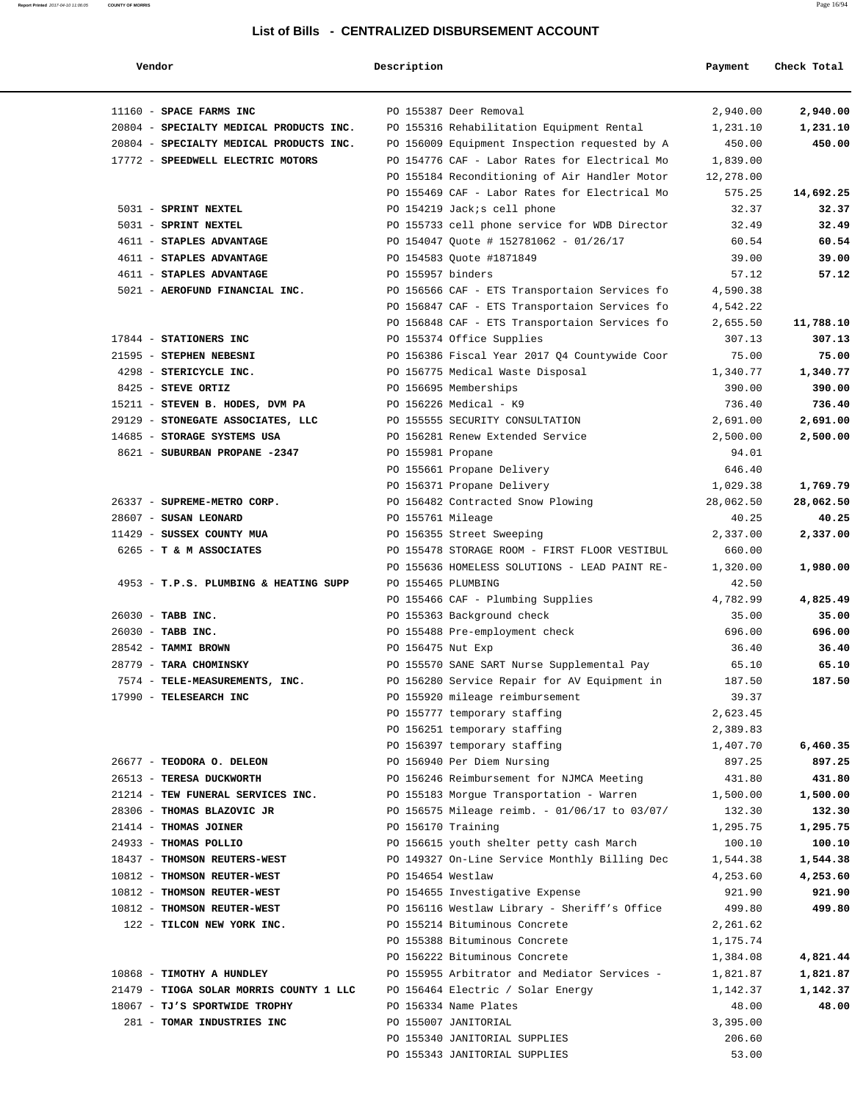#### **Report Printed** 2017-04-10 11:06:05 **COUNTY OF MORRIS** Page 16/94

#### **List of Bills - CENTRALIZED DISBURSEMENT ACCOUNT**

| Vendor                                                     | Description                                                         | Payment            | Check Total        |
|------------------------------------------------------------|---------------------------------------------------------------------|--------------------|--------------------|
| 11160 - SPACE FARMS INC                                    | PO 155387 Deer Removal                                              | 2,940.00           | 2,940.00           |
| 20804 - SPECIALTY MEDICAL PRODUCTS INC.                    | PO 155316 Rehabilitation Equipment Rental                           | 1,231.10           | 1,231.10           |
| 20804 - SPECIALTY MEDICAL PRODUCTS INC.                    | PO 156009 Equipment Inspection requested by A                       | 450.00             | 450.00             |
| 17772 - SPEEDWELL ELECTRIC MOTORS                          | PO 154776 CAF - Labor Rates for Electrical Mo                       | 1,839.00           |                    |
|                                                            | PO 155184 Reconditioning of Air Handler Motor                       | 12,278.00          |                    |
|                                                            | PO 155469 CAF - Labor Rates for Electrical Mo                       | 575.25             | 14,692.25          |
| 5031 - SPRINT NEXTEL                                       | PO 154219 Jack; s cell phone                                        | 32.37              | 32.37              |
| 5031 - SPRINT NEXTEL                                       | PO 155733 cell phone service for WDB Director                       | 32.49              | 32.49              |
| 4611 - STAPLES ADVANTAGE                                   | PO 154047 Quote # 152781062 - 01/26/17                              | 60.54              | 60.54              |
| 4611 - STAPLES ADVANTAGE                                   | PO 154583 Quote #1871849                                            | 39.00              | 39.00              |
| 4611 - STAPLES ADVANTAGE                                   | PO 155957 binders                                                   | 57.12              | 57.12              |
| 5021 - AEROFUND FINANCIAL INC.                             | PO 156566 CAF - ETS Transportaion Services fo                       | 4,590.38           |                    |
|                                                            | PO 156847 CAF - ETS Transportaion Services fo                       | 4,542.22           |                    |
|                                                            | PO 156848 CAF - ETS Transportaion Services fo                       | 2,655.50           | 11,788.10          |
| 17844 - STATIONERS INC                                     | PO 155374 Office Supplies                                           | 307.13             | 307.13             |
| 21595 - STEPHEN NEBESNI                                    | PO 156386 Fiscal Year 2017 Q4 Countywide Coor                       | 75.00              | 75.00              |
| 4298 - STERICYCLE INC.                                     | PO 156775 Medical Waste Disposal                                    | 1,340.77           | 1,340.77           |
| 8425 - STEVE ORTIZ                                         | PO 156695 Memberships                                               | 390.00             | 390.00             |
| 15211 - STEVEN B. HODES, DVM PA                            | PO 156226 Medical - K9                                              | 736.40             | 736.40             |
| 29129 - STONEGATE ASSOCIATES, LLC                          | PO 155555 SECURITY CONSULTATION                                     | 2,691.00           | 2,691.00           |
| 14685 - STORAGE SYSTEMS USA                                | PO 156281 Renew Extended Service                                    | 2,500.00           | 2,500.00           |
| 8621 - SUBURBAN PROPANE -2347                              | PO 155981 Propane                                                   | 94.01              |                    |
|                                                            | PO 155661 Propane Delivery                                          | 646.40             |                    |
|                                                            | PO 156371 Propane Delivery                                          | 1,029.38           | 1,769.79           |
| 26337 - SUPREME-METRO CORP.                                | PO 156482 Contracted Snow Plowing                                   | 28,062.50          | 28,062.50          |
| 28607 - SUSAN LEONARD                                      | PO 155761 Mileage                                                   | 40.25              | 40.25              |
| 11429 - SUSSEX COUNTY MUA                                  | PO 156355 Street Sweeping                                           | 2,337.00           | 2,337.00           |
| 6265 - T & M ASSOCIATES                                    | PO 155478 STORAGE ROOM - FIRST FLOOR VESTIBUL                       | 660.00             |                    |
|                                                            | PO 155636 HOMELESS SOLUTIONS - LEAD PAINT RE-                       | 1,320.00           | 1,980.00           |
| 4953 - T.P.S. PLUMBING & HEATING SUPP                      | PO 155465 PLUMBING                                                  | 42.50              |                    |
|                                                            | PO 155466 CAF - Plumbing Supplies                                   | 4,782.99           | 4,825.49           |
| 26030 - TABB INC.                                          | PO 155363 Background check                                          | 35.00              | 35.00              |
| 26030 - TABB INC.                                          | PO 155488 Pre-employment check                                      | 696.00             | 696.00             |
| 28542 - TAMMI BROWN                                        | PO 156475 Nut Exp                                                   | 36.40              | 36.40              |
| 28779 - TARA CHOMINSKY                                     | PO 155570 SANE SART Nurse Supplemental Pay                          | 65.10              | 65.10              |
| 7574 - TELE-MEASUREMENTS, INC.                             | PO 156280 Service Repair for AV Equipment in                        | 187.50             | 187.50             |
| 17990 - TELESEARCH INC                                     | PO 155920 mileage reimbursement                                     | 39.37              |                    |
|                                                            | PO 155777 temporary staffing                                        | 2,623.45           |                    |
|                                                            | PO 156251 temporary staffing                                        | 2,389.83           |                    |
|                                                            | PO 156397 temporary staffing                                        | 1,407.70           | 6,460.35           |
| 26677 - TEODORA O. DELEON                                  | PO 156940 Per Diem Nursing                                          | 897.25             | 897.25             |
| 26513 - TERESA DUCKWORTH                                   | PO 156246 Reimbursement for NJMCA Meeting                           | 431.80             | 431.80             |
| 21214 - TEW FUNERAL SERVICES INC.                          | PO 155183 Morgue Transportation - Warren                            | 1,500.00           | 1,500.00           |
| 28306 - THOMAS BLAZOVIC JR                                 |                                                                     | 132.30             |                    |
| 21414 - THOMAS JOINER                                      | PO 156575 Mileage reimb. - 01/06/17 to 03/07/<br>PO 156170 Training | 1,295.75           | 132.30<br>1,295.75 |
| 24933 - THOMAS POLLIO                                      | PO 156615 youth shelter petty cash March                            | 100.10             | 100.10             |
| 18437 - THOMSON REUTERS-WEST                               | PO 149327 On-Line Service Monthly Billing Dec                       | 1,544.38           |                    |
|                                                            |                                                                     |                    | 1,544.38           |
| 10812 - THOMSON REUTER-WEST<br>10812 - THOMSON REUTER-WEST | PO 154654 Westlaw<br>PO 154655 Investigative Expense                | 4,253.60<br>921.90 | 4,253.60<br>921.90 |
|                                                            |                                                                     |                    |                    |
| 10812 - THOMSON REUTER-WEST                                | PO 156116 Westlaw Library - Sheriff's Office                        | 499.80             | 499.80             |
| 122 - TILCON NEW YORK INC.                                 | PO 155214 Bituminous Concrete                                       | 2,261.62           |                    |
|                                                            | PO 155388 Bituminous Concrete                                       | 1,175.74           |                    |
|                                                            | PO 156222 Bituminous Concrete                                       | 1,384.08           | 4,821.44           |
| 10868 - TIMOTHY A HUNDLEY                                  | PO 155955 Arbitrator and Mediator Services -                        | 1,821.87           | 1,821.87           |
| 21479 - TIOGA SOLAR MORRIS COUNTY 1 LLC                    | PO 156464 Electric / Solar Energy                                   | 1,142.37           | 1,142.37           |
| 18067 - TJ'S SPORTWIDE TROPHY                              | PO 156334 Name Plates                                               | 48.00              | 48.00              |
| 281 - TOMAR INDUSTRIES INC                                 | PO 155007 JANITORIAL                                                | 3,395.00           |                    |
|                                                            | PO 155340 JANITORIAL SUPPLIES                                       | 206.60             |                    |
|                                                            | PO 155343 JANITORIAL SUPPLIES                                       | 53.00              |                    |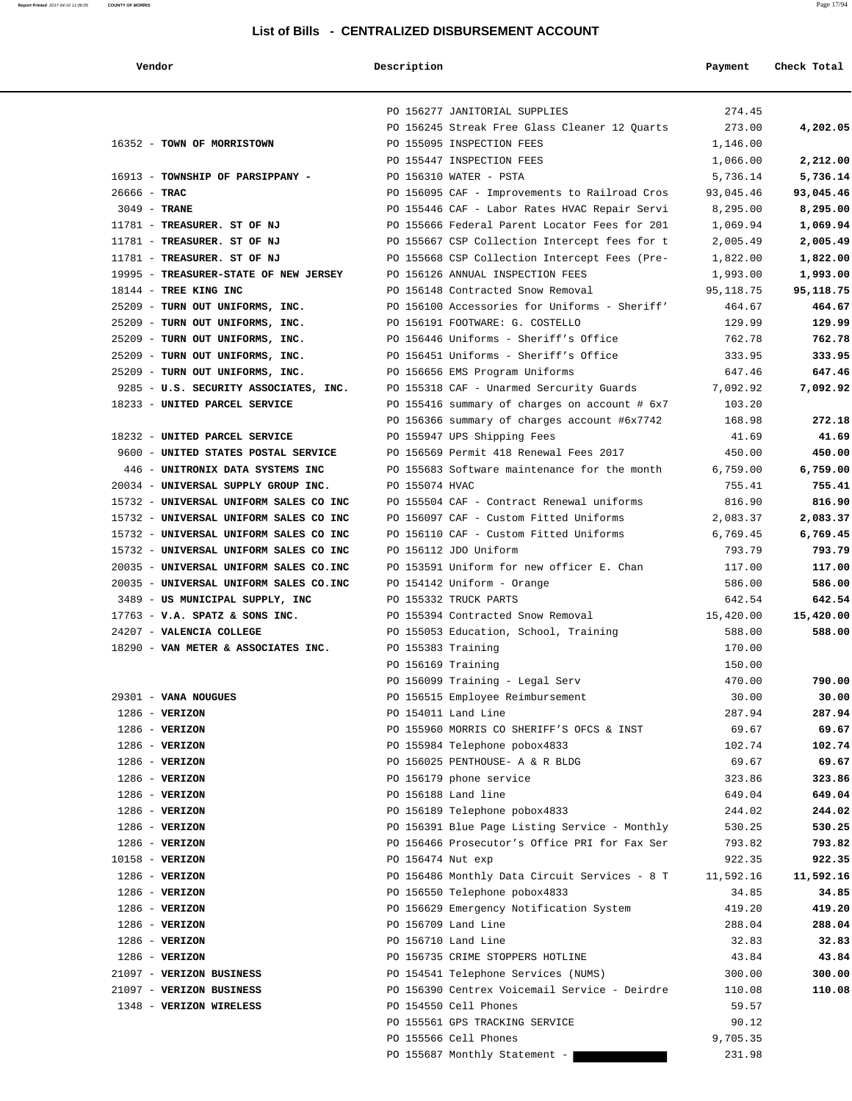#### **Report Printed** 2017-04-10 11:06:05 **COUNTY OF MORRIS** Page 17/94

#### **List of Bills - CENTRALIZED DISBURSEMENT ACCOUNT**

| Vendor | Description | Pavment | Check Total |  |
|--------|-------------|---------|-------------|--|
|--------|-------------|---------|-------------|--|

|                                                                    |                       | PO 156277 JANITORIAL SUPPLIES                                                    | 274.45           |                    |
|--------------------------------------------------------------------|-----------------------|----------------------------------------------------------------------------------|------------------|--------------------|
|                                                                    |                       | PO 156245 Streak Free Glass Cleaner 12 Quarts                                    | 273.00           | 4,202.05           |
| 16352 - TOWN OF MORRISTOWN                                         |                       | PO 155095 INSPECTION FEES                                                        | 1,146.00         |                    |
|                                                                    |                       | PO 155447 INSPECTION FEES                                                        | 1,066.00         | 2,212.00           |
| 16913 - TOWNSHIP OF PARSIPPANY -                                   |                       | PO 156310 WATER - PSTA                                                           | 5,736.14         | 5,736.14           |
| $26666 - TRAC$                                                     |                       | PO 156095 CAF - Improvements to Railroad Cros                                    | 93,045.46        | 93,045.46          |
| $3049$ - TRANE                                                     |                       | PO 155446 CAF - Labor Rates HVAC Repair Servi                                    | 8,295.00         | 8,295.00           |
| 11781 - TREASURER. ST OF NJ                                        |                       | PO 155666 Federal Parent Locator Fees for 201                                    | 1,069.94         | 1,069.94           |
| 11781 - TREASURER. ST OF NJ                                        |                       | PO 155667 CSP Collection Intercept fees for t                                    | 2,005.49         | 2,005.49           |
| 11781 - TREASURER. ST OF NJ                                        |                       | PO 155668 CSP Collection Intercept Fees (Pre-                                    | 1,822.00         | 1,822.00           |
| 19995 - TREASURER-STATE OF NEW JERSEY                              |                       | PO 156126 ANNUAL INSPECTION FEES                                                 | 1,993.00         | 1,993.00           |
| 18144 - TREE KING INC                                              |                       | PO 156148 Contracted Snow Removal                                                | 95,118.75        | 95,118.75          |
| 25209 - TURN OUT UNIFORMS, INC.<br>25209 - TURN OUT UNIFORMS, INC. |                       | PO 156100 Accessories for Uniforms - Sheriff'<br>PO 156191 FOOTWARE: G. COSTELLO | 464.67<br>129.99 | 464.67             |
| 25209 - TURN OUT UNIFORMS, INC.                                    |                       | PO 156446 Uniforms - Sheriff's Office                                            | 762.78           | 129.99<br>762.78   |
|                                                                    |                       | PO 156451 Uniforms - Sheriff's Office                                            | 333.95           |                    |
| 25209 - TURN OUT UNIFORMS, INC.<br>25209 - TURN OUT UNIFORMS, INC. |                       |                                                                                  | 647.46           | 333.95             |
| 9285 - U.S. SECURITY ASSOCIATES, INC.                              |                       | PO 156656 EMS Program Uniforms<br>PO 155318 CAF - Unarmed Sercurity Guards       | 7,092.92         | 647.46<br>7,092.92 |
| 18233 - UNITED PARCEL SERVICE                                      |                       | PO 155416 summary of charges on account # 6x7                                    | 103.20           |                    |
|                                                                    |                       | PO 156366 summary of charges account #6x7742                                     | 168.98           | 272.18             |
| 18232 - UNITED PARCEL SERVICE                                      |                       | PO 155947 UPS Shipping Fees                                                      | 41.69            | 41.69              |
| 9600 - UNITED STATES POSTAL SERVICE                                |                       | PO 156569 Permit 418 Renewal Fees 2017                                           | 450.00           | 450.00             |
| 446 - UNITRONIX DATA SYSTEMS INC                                   |                       | PO 155683 Software maintenance for the month                                     | 6,759.00         | 6,759.00           |
| 20034 - UNIVERSAL SUPPLY GROUP INC.                                | PO 155074 HVAC        |                                                                                  | 755.41           | 755.41             |
| 15732 - UNIVERSAL UNIFORM SALES CO INC                             |                       | PO 155504 CAF - Contract Renewal uniforms                                        | 816.90           | 816.90             |
| 15732 - UNIVERSAL UNIFORM SALES CO INC                             |                       | PO 156097 CAF - Custom Fitted Uniforms                                           | 2,083.37         | 2,083.37           |
| 15732 - UNIVERSAL UNIFORM SALES CO INC                             |                       | PO 156110 CAF - Custom Fitted Uniforms                                           | 6,769.45         | 6,769.45           |
| 15732 - UNIVERSAL UNIFORM SALES CO INC                             | PO 156112 JDO Uniform |                                                                                  | 793.79           | 793.79             |
| 20035 - UNIVERSAL UNIFORM SALES CO.INC                             |                       | PO 153591 Uniform for new officer E. Chan                                        | 117.00           | 117.00             |
| 20035 - UNIVERSAL UNIFORM SALES CO.INC                             |                       | PO 154142 Uniform - Orange                                                       | 586.00           | 586.00             |
| 3489 - US MUNICIPAL SUPPLY, INC                                    | PO 155332 TRUCK PARTS |                                                                                  | 642.54           | 642.54             |
| $17763$ - V.A. SPATZ & SONS INC.                                   |                       | PO 155394 Contracted Snow Removal                                                | 15,420.00        | 15,420.00          |
| 24207 - VALENCIA COLLEGE                                           |                       | PO 155053 Education, School, Training                                            | 588.00           | 588.00             |
| 18290 - VAN METER & ASSOCIATES INC.                                | PO 155383 Training    |                                                                                  | 170.00           |                    |
|                                                                    | PO 156169 Training    |                                                                                  | 150.00           |                    |
|                                                                    |                       | PO 156099 Training - Legal Serv                                                  | 470.00           | 790.00             |
| 29301 - VANA NOUGUES                                               |                       | PO 156515 Employee Reimbursement                                                 | 30.00            | 30.00              |
| $1286$ - VERIZON                                                   | PO 154011 Land Line   |                                                                                  | 287.94           | 287.94             |
| $1286$ - VERIZON                                                   |                       | PO 155960 MORRIS CO SHERIFF'S OFCS & INST                                        | 69.67            | 69.67              |
| $1286$ - VERIZON                                                   |                       | PO 155984 Telephone pobox4833                                                    | 102.74           | 102.74             |
| $1286$ - VERIZON                                                   |                       | PO 156025 PENTHOUSE- A & R BLDG                                                  | 69.67            | 69.67              |
| $1286$ - VERIZON                                                   |                       | PO 156179 phone service                                                          | 323.86           | 323.86             |
| $1286$ - VERIZON                                                   | PO 156188 Land line   |                                                                                  | 649.04           | 649.04             |
| $1286$ - VERIZON                                                   |                       | PO 156189 Telephone pobox4833                                                    | 244.02           | 244.02             |
| $1286$ - VERIZON                                                   |                       | PO 156391 Blue Page Listing Service - Monthly                                    | 530.25           | 530.25             |
| $1286$ - VERIZON                                                   |                       | PO 156466 Prosecutor's Office PRI for Fax Ser                                    | 793.82           | 793.82             |
| 10158 - VERIZON                                                    | PO 156474 Nut exp     |                                                                                  | 922.35           | 922.35             |
| $1286$ - VERIZON                                                   |                       | PO 156486 Monthly Data Circuit Services - 8 T                                    | 11,592.16        | 11,592.16          |
| $1286$ - VERIZON                                                   |                       | PO 156550 Telephone pobox4833                                                    | 34.85            | 34.85              |
| $1286$ - VERIZON                                                   |                       | PO 156629 Emergency Notification System                                          | 419.20           | 419.20             |
| $1286$ - VERIZON                                                   | PO 156709 Land Line   |                                                                                  | 288.04           | 288.04             |
| $1286$ - VERIZON                                                   | PO 156710 Land Line   |                                                                                  | 32.83            | 32.83              |
| $1286$ - VERIZON                                                   |                       | PO 156735 CRIME STOPPERS HOTLINE                                                 | 43.84            | 43.84              |
| 21097 - VERIZON BUSINESS                                           |                       | PO 154541 Telephone Services (NUMS)                                              | 300.00           | 300.00             |
| 21097 - VERIZON BUSINESS                                           |                       | PO 156390 Centrex Voicemail Service - Deirdre                                    | 110.08           | 110.08             |
| 1348 - VERIZON WIRELESS                                            | PO 154550 Cell Phones |                                                                                  | 59.57            |                    |
|                                                                    |                       | PO 155561 GPS TRACKING SERVICE                                                   | 90.12            |                    |
|                                                                    | PO 155566 Cell Phones |                                                                                  | 9,705.35         |                    |
|                                                                    |                       | PO 155687 Monthly Statement -                                                    | 231.98           |                    |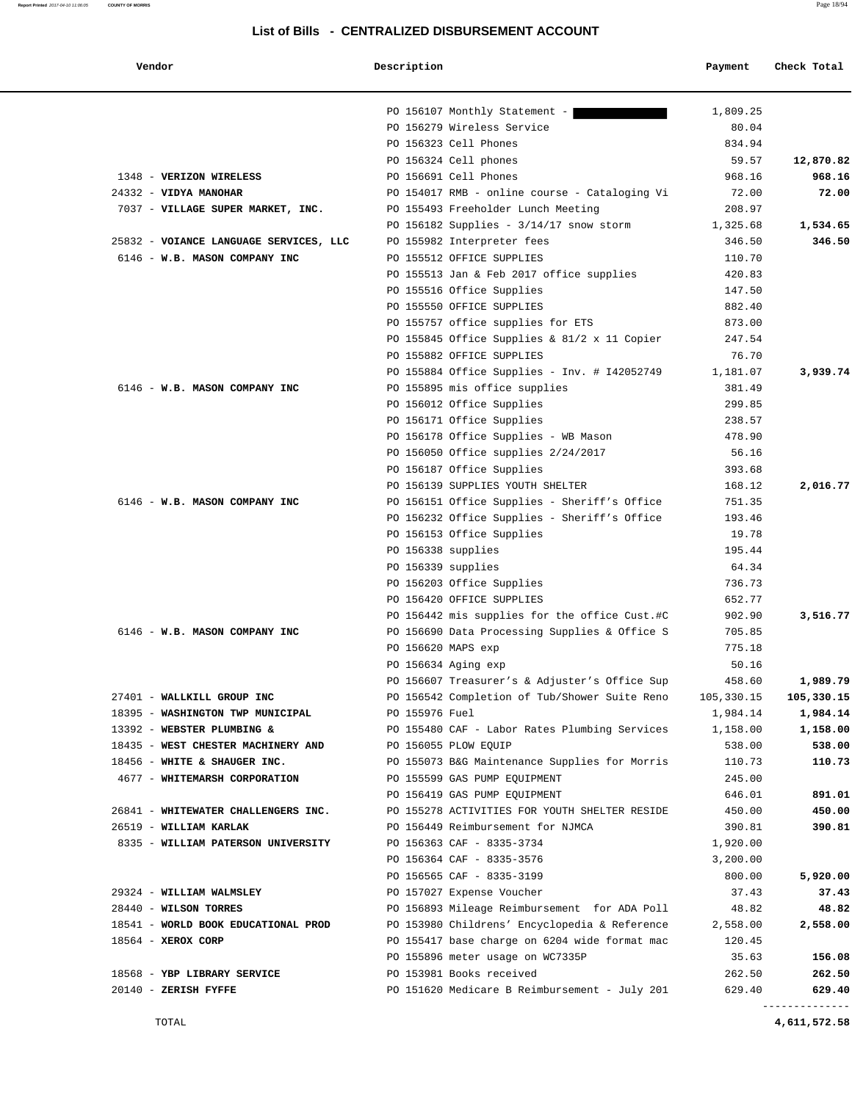| Vendor                                 | Description                                                   | Payment    | Check Total |
|----------------------------------------|---------------------------------------------------------------|------------|-------------|
|                                        | PO 156107 Monthly Statement -                                 | 1,809.25   |             |
|                                        | PO 156279 Wireless Service                                    | 80.04      |             |
|                                        | PO 156323 Cell Phones                                         | 834.94     |             |
|                                        | PO 156324 Cell phones                                         | 59.57      | 12,870.82   |
| 1348 - VERIZON WIRELESS                | PO 156691 Cell Phones                                         | 968.16     | 968.16      |
| 24332 - VIDYA MANOHAR                  | PO 154017 RMB - online course - Cataloging Vi                 | 72.00      | 72.00       |
| 7037 - VILLAGE SUPER MARKET, INC.      | PO 155493 Freeholder Lunch Meeting                            | 208.97     |             |
|                                        | PO 156182 Supplies - $3/14/17$ snow storm                     | 1,325.68   | 1,534.65    |
| 25832 - VOIANCE LANGUAGE SERVICES, LLC | PO 155982 Interpreter fees                                    | 346.50     | 346.50      |
| 6146 - W.B. MASON COMPANY INC          | PO 155512 OFFICE SUPPLIES                                     | 110.70     |             |
|                                        | PO 155513 Jan & Feb 2017 office supplies                      | 420.83     |             |
|                                        | PO 155516 Office Supplies                                     | 147.50     |             |
|                                        | PO 155550 OFFICE SUPPLIES                                     | 882.40     |             |
|                                        | PO 155757 office supplies for ETS                             | 873.00     |             |
|                                        | PO 155845 Office Supplies & 81/2 x 11 Copier                  | 247.54     |             |
|                                        | PO 155882 OFFICE SUPPLIES                                     | 76.70      |             |
|                                        | PO 155884 Office Supplies - Inv. # I42052749                  | 1,181.07   | 3,939.74    |
| 6146 - W.B. MASON COMPANY INC          | PO 155895 mis office supplies                                 | 381.49     |             |
|                                        | PO 156012 Office Supplies                                     | 299.85     |             |
|                                        | PO 156171 Office Supplies                                     | 238.57     |             |
|                                        | PO 156178 Office Supplies - WB Mason                          | 478.90     |             |
|                                        |                                                               | 56.16      |             |
|                                        | PO 156050 Office supplies 2/24/2017                           | 393.68     |             |
|                                        | PO 156187 Office Supplies<br>PO 156139 SUPPLIES YOUTH SHELTER |            |             |
|                                        |                                                               | 168.12     | 2,016.77    |
| 6146 - W.B. MASON COMPANY INC          | PO 156151 Office Supplies - Sheriff's Office                  | 751.35     |             |
|                                        | PO 156232 Office Supplies - Sheriff's Office                  | 193.46     |             |
|                                        | PO 156153 Office Supplies                                     | 19.78      |             |
|                                        | PO 156338 supplies                                            | 195.44     |             |
|                                        | PO 156339 supplies                                            | 64.34      |             |
|                                        | PO 156203 Office Supplies                                     | 736.73     |             |
|                                        | PO 156420 OFFICE SUPPLIES                                     | 652.77     |             |
|                                        | PO 156442 mis supplies for the office Cust.#C                 | 902.90     | 3,516.77    |
| 6146 - W.B. MASON COMPANY INC          | PO 156690 Data Processing Supplies & Office S                 | 705.85     |             |
|                                        | PO 156620 MAPS exp                                            | 775.18     |             |
|                                        | PO 156634 Aging exp                                           | 50.16      |             |
|                                        | PO 156607 Treasurer's & Adjuster's Office Sup                 | 458.60     | 1,989.79    |
| 27401 - WALLKILL GROUP INC             | PO 156542 Completion of Tub/Shower Suite Reno                 | 105,330.15 | 105,330.15  |
| 18395 - WASHINGTON TWP MUNICIPAL       | PO 155976 Fuel                                                | 1,984.14   | 1,984.14    |
| 13392 - WEBSTER PLUMBING &             | PO 155480 CAF - Labor Rates Plumbing Services                 | 1,158.00   | 1,158.00    |
| 18435 - WEST CHESTER MACHINERY AND     | PO 156055 PLOW EQUIP                                          | 538.00     | 538.00      |
| 18456 - WHITE & SHAUGER INC.           | PO 155073 B&G Maintenance Supplies for Morris                 | 110.73     | 110.73      |
| 4677 - WHITEMARSH CORPORATION          | PO 155599 GAS PUMP EQUIPMENT                                  | 245.00     |             |
|                                        | PO 156419 GAS PUMP EQUIPMENT                                  | 646.01     | 891.01      |
| 26841 - WHITEWATER CHALLENGERS INC.    | PO 155278 ACTIVITIES FOR YOUTH SHELTER RESIDE                 | 450.00     | 450.00      |
| 26519 - WILLIAM KARLAK                 | PO 156449 Reimbursement for NJMCA                             | 390.81     | 390.81      |
| 8335 - WILLIAM PATERSON UNIVERSITY     | PO 156363 CAF - 8335-3734                                     | 1,920.00   |             |
|                                        | PO 156364 CAF - 8335-3576                                     | 3,200.00   |             |
|                                        | PO 156565 CAF - 8335-3199                                     | 800.00     | 5,920.00    |
| 29324 - WILLIAM WALMSLEY               | PO 157027 Expense Voucher                                     | 37.43      | 37.43       |
| 28440 - WILSON TORRES                  | PO 156893 Mileage Reimbursement for ADA Poll                  | 48.82      | 48.82       |
| 18541 - WORLD BOOK EDUCATIONAL PROD    | PO 153980 Childrens' Encyclopedia & Reference                 | 2,558.00   | 2,558.00    |
| $18564$ - XEROX CORP                   | PO 155417 base charge on 6204 wide format mac                 | 120.45     |             |
|                                        | PO 155896 meter usage on WC7335P                              | 35.63      | 156.08      |
| 18568 - YBP LIBRARY SERVICE            | PO 153981 Books received                                      | 262.50     | 262.50      |
|                                        |                                                               |            |             |

TOTAL **4,611,572.58**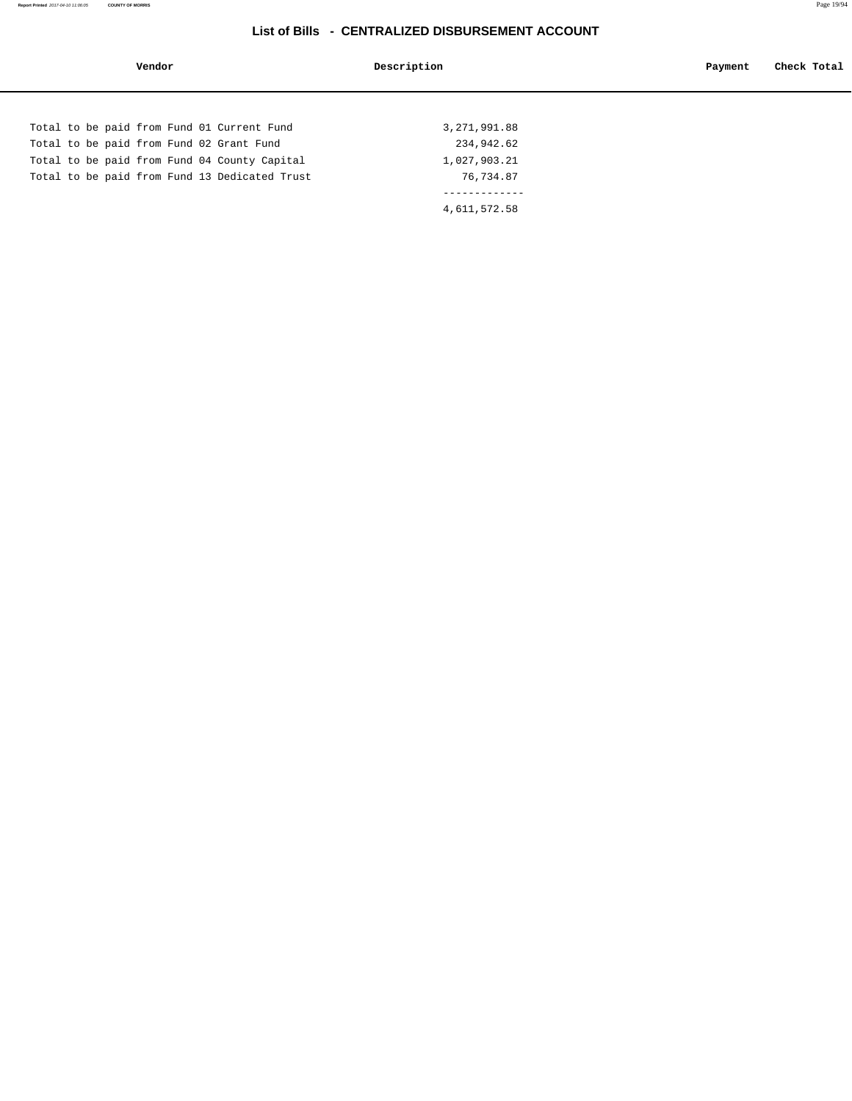| Vendor                                        | Description    | Check Total<br>Payment |
|-----------------------------------------------|----------------|------------------------|
|                                               |                |                        |
| Total to be paid from Fund 01 Current Fund    | 3, 271, 991.88 |                        |
| Total to be paid from Fund 02 Grant Fund      | 234,942.62     |                        |
| Total to be paid from Fund 04 County Capital  | 1,027,903.21   |                        |
| Total to be paid from Fund 13 Dedicated Trust | 76,734.87      |                        |
|                                               |                |                        |
|                                               | 4,611,572.58   |                        |
|                                               |                |                        |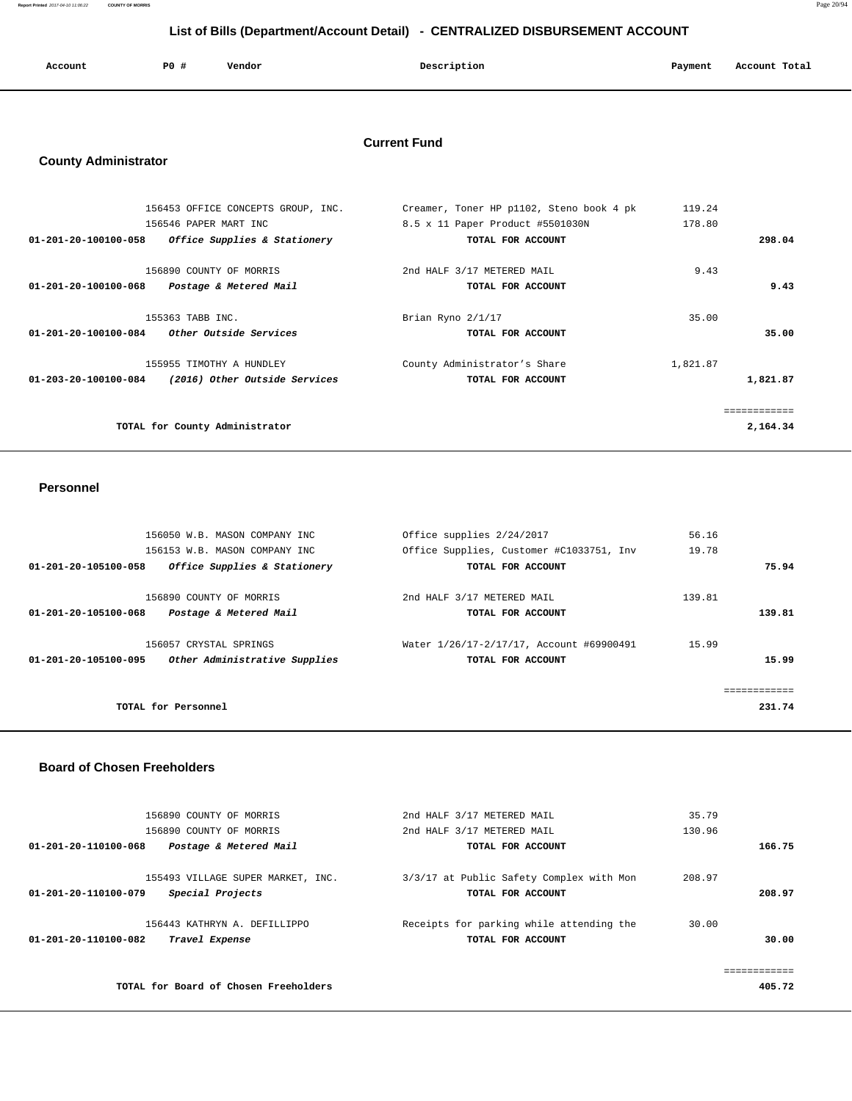**Report Printed** 2017-04-10 11:06:22 **COUNTY OF MORRIS** Page 20/94

# **List of Bills (Department/Account Detail) - CENTRALIZED DISBURSEMENT ACCOUNT**

| Account | PO # | Vendor | Description | Payment<br>. | Account Total |
|---------|------|--------|-------------|--------------|---------------|
|         |      |        |             |              |               |

## **Current Fund**

# **County Administrator**

|                                | 156453 OFFICE CONCEPTS GROUP, INC. | Creamer, Toner HP p1102, Steno book 4 pk | 119.24   |             |
|--------------------------------|------------------------------------|------------------------------------------|----------|-------------|
|                                | 156546 PAPER MART INC              | 8.5 x 11 Paper Product #5501030N         | 178.80   |             |
| 01-201-20-100100-058           | Office Supplies & Stationery       | TOTAL FOR ACCOUNT                        |          | 298.04      |
|                                | 156890 COUNTY OF MORRIS            | 2nd HALF 3/17 METERED MAIL               | 9.43     |             |
| $01 - 201 - 20 - 100100 - 068$ | Postage & Metered Mail             | TOTAL FOR ACCOUNT                        |          | 9.43        |
|                                |                                    |                                          |          |             |
|                                | 155363 TABB INC.                   | Brian Ryno 2/1/17                        | 35.00    |             |
| 01-201-20-100100-084           | <i>Other Outside Services</i>      | TOTAL FOR ACCOUNT                        |          | 35.00       |
|                                | 155955 TIMOTHY A HUNDLEY           | County Administrator's Share             | 1,821.87 |             |
| 01-203-20-100100-084           | (2016) Other Outside Services      | TOTAL FOR ACCOUNT                        |          | 1,821.87    |
|                                |                                    |                                          |          |             |
|                                |                                    |                                          |          | =========== |
|                                | TOTAL for County Administrator     |                                          |          | 2,164.34    |
|                                |                                    |                                          |          |             |

#### **Personnel**

|                      | 156050 W.B. MASON COMPANY INC                     | Office supplies 2/24/2017                       | 56.16  |             |
|----------------------|---------------------------------------------------|-------------------------------------------------|--------|-------------|
|                      | 156153 W.B. MASON COMPANY INC                     | Office Supplies, Customer #C1033751, Inv        | 19.78  |             |
| 01-201-20-105100-058 | Office Supplies & Stationery                      | TOTAL FOR ACCOUNT                               |        | 75.94       |
| 01-201-20-105100-068 | 156890 COUNTY OF MORRIS<br>Postage & Metered Mail | 2nd HALF 3/17 METERED MAIL<br>TOTAL FOR ACCOUNT | 139.81 | 139.81      |
|                      |                                                   |                                                 |        |             |
|                      | 156057 CRYSTAL SPRINGS                            | Water 1/26/17-2/17/17, Account #69900491        | 15.99  |             |
| 01-201-20-105100-095 | Other Administrative Supplies                     | TOTAL FOR ACCOUNT                               |        | 15.99       |
|                      |                                                   |                                                 |        | :========== |
|                      | TOTAL for Personnel                               |                                                 |        | 231.74      |
|                      |                                                   |                                                 |        |             |

#### **Board of Chosen Freeholders**

|        | 35.79  | 2nd HALF 3/17 METERED MAIL               | 156890 COUNTY OF MORRIS               |                      |
|--------|--------|------------------------------------------|---------------------------------------|----------------------|
|        | 130.96 | 2nd HALF 3/17 METERED MAIL               | 156890 COUNTY OF MORRIS               |                      |
| 166.75 |        | TOTAL FOR ACCOUNT                        | Postage & Metered Mail                | 01-201-20-110100-068 |
|        | 208.97 | 3/3/17 at Public Safety Complex with Mon | 155493 VILLAGE SUPER MARKET, INC.     |                      |
| 208.97 |        | TOTAL FOR ACCOUNT                        | Special Projects                      | 01-201-20-110100-079 |
|        | 30.00  | Receipts for parking while attending the | 156443 KATHRYN A. DEFILLIPPO          |                      |
| 30.00  |        | TOTAL FOR ACCOUNT                        | Travel Expense                        | 01-201-20-110100-082 |
|        |        |                                          |                                       |                      |
| 405.72 |        |                                          | TOTAL for Board of Chosen Freeholders |                      |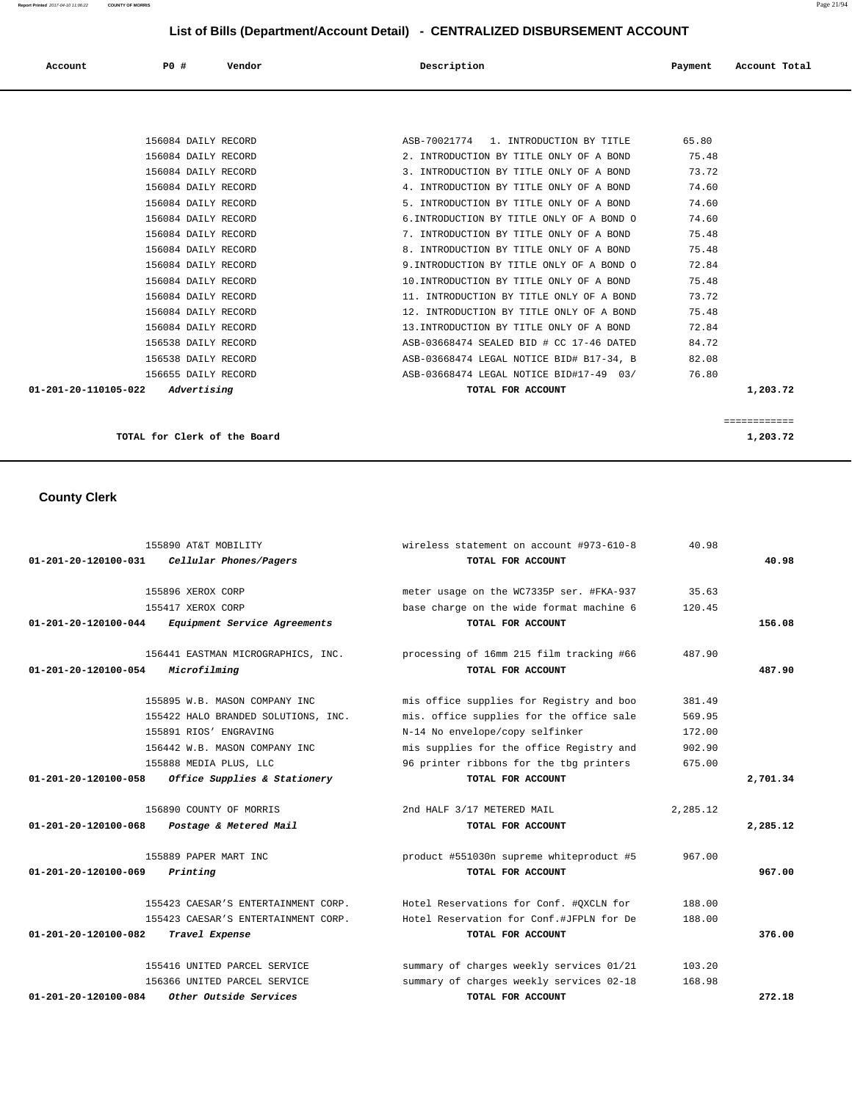# **List of Bills (Department/Account Detail) - CENTRALIZED DISBURSEMENT ACCOUNT**

| Account              | <b>PO #</b>         | Vendor | Description                               | Payment | Account Total |
|----------------------|---------------------|--------|-------------------------------------------|---------|---------------|
|                      |                     |        |                                           |         |               |
|                      | 156084 DAILY RECORD |        | ASB-70021774 1. INTRODUCTION BY TITLE     | 65.80   |               |
|                      | 156084 DAILY RECORD |        | 2. INTRODUCTION BY TITLE ONLY OF A BOND   | 75.48   |               |
|                      | 156084 DAILY RECORD |        | 3. INTRODUCTION BY TITLE ONLY OF A BOND   | 73.72   |               |
|                      | 156084 DAILY RECORD |        | 4. INTRODUCTION BY TITLE ONLY OF A BOND   | 74.60   |               |
|                      | 156084 DAILY RECORD |        | 5. INTRODUCTION BY TITLE ONLY OF A BOND   | 74.60   |               |
|                      | 156084 DAILY RECORD |        | 6. INTRODUCTION BY TITLE ONLY OF A BOND O | 74.60   |               |
|                      | 156084 DAILY RECORD |        | 7. INTRODUCTION BY TITLE ONLY OF A BOND   | 75.48   |               |
|                      | 156084 DAILY RECORD |        | 8. INTRODUCTION BY TITLE ONLY OF A BOND   | 75.48   |               |
|                      | 156084 DAILY RECORD |        | 9. INTRODUCTION BY TITLE ONLY OF A BOND O | 72.84   |               |
|                      | 156084 DAILY RECORD |        | 10. INTRODUCTION BY TITLE ONLY OF A BOND  | 75.48   |               |
|                      | 156084 DAILY RECORD |        | 11. INTRODUCTION BY TITLE ONLY OF A BOND  | 73.72   |               |
|                      | 156084 DAILY RECORD |        | 12. INTRODUCTION BY TITLE ONLY OF A BOND  | 75.48   |               |
|                      | 156084 DAILY RECORD |        | 13. INTRODUCTION BY TITLE ONLY OF A BOND  | 72.84   |               |
|                      | 156538 DAILY RECORD |        | ASB-03668474 SEALED BID # CC 17-46 DATED  | 84.72   |               |
|                      | 156538 DAILY RECORD |        | ASB-03668474 LEGAL NOTICE BID# B17-34, B  | 82.08   |               |
|                      | 156655 DAILY RECORD |        | ASB-03668474 LEGAL NOTICE BID#17-49 03/   | 76.80   |               |
| 01-201-20-110105-022 | Advertising         |        | TOTAL FOR ACCOUNT                         |         | 1,203.72      |
|                      |                     |        |                                           |         |               |
|                      |                     |        |                                           |         | ============  |

**TOTAL for Clerk of the Board 1,203.72**

 **County Clerk** 

|                                | 155890 AT&T MOBILITY                | wireless statement on account #973-610-8 | 40.98    |          |
|--------------------------------|-------------------------------------|------------------------------------------|----------|----------|
| 01-201-20-120100-031           | Cellular Phones/Pagers              | TOTAL FOR ACCOUNT                        |          | 40.98    |
|                                | 155896 XEROX CORP                   | meter usage on the WC7335P ser. #FKA-937 | 35.63    |          |
|                                | 155417 XEROX CORP                   | base charge on the wide format machine 6 | 120.45   |          |
| 01-201-20-120100-044           | Equipment Service Agreements        | TOTAL FOR ACCOUNT                        |          | 156.08   |
|                                |                                     |                                          |          |          |
|                                | 156441 EASTMAN MICROGRAPHICS, INC.  | processing of 16mm 215 film tracking #66 | 487.90   |          |
| 01-201-20-120100-054           | Microfilming                        | TOTAL FOR ACCOUNT                        |          | 487.90   |
|                                | 155895 W.B. MASON COMPANY INC       | mis office supplies for Registry and boo | 381.49   |          |
|                                | 155422 HALO BRANDED SOLUTIONS, INC. | mis. office supplies for the office sale | 569.95   |          |
|                                | 155891 RIOS' ENGRAVING              | N-14 No envelope/copy selfinker          | 172.00   |          |
|                                | 156442 W.B. MASON COMPANY INC       | mis supplies for the office Registry and | 902.90   |          |
|                                | 155888 MEDIA PLUS, LLC              | 96 printer ribbons for the tbg printers  | 675.00   |          |
| $01 - 201 - 20 - 120100 - 058$ | Office Supplies & Stationery        | TOTAL FOR ACCOUNT                        |          | 2,701.34 |
|                                | 156890 COUNTY OF MORRIS             | 2nd HALF 3/17 METERED MAIL               | 2,285.12 |          |
| 01-201-20-120100-068           | Postage & Metered Mail              | TOTAL FOR ACCOUNT                        |          | 2,285.12 |
|                                | 155889 PAPER MART INC               | product #551030n supreme whiteproduct #5 | 967.00   |          |
| $01 - 201 - 20 - 120100 - 069$ | Printing                            | TOTAL FOR ACCOUNT                        |          | 967.00   |
|                                | 155423 CAESAR'S ENTERTAINMENT CORP. | Hotel Reservations for Conf. #OXCLN for  | 188.00   |          |
|                                | 155423 CAESAR'S ENTERTAINMENT CORP. | Hotel Reservation for Conf.#JFPLN for De | 188.00   |          |
| 01-201-20-120100-082           | Travel Expense                      | TOTAL FOR ACCOUNT                        |          | 376.00   |
|                                | 155416 UNITED PARCEL SERVICE        | summary of charges weekly services 01/21 | 103.20   |          |
|                                | 156366 UNITED PARCEL SERVICE        | summary of charges weekly services 02-18 | 168.98   |          |
| 01-201-20-120100-084           | Other Outside Services              | TOTAL FOR ACCOUNT                        |          | 272.18   |
|                                |                                     |                                          |          |          |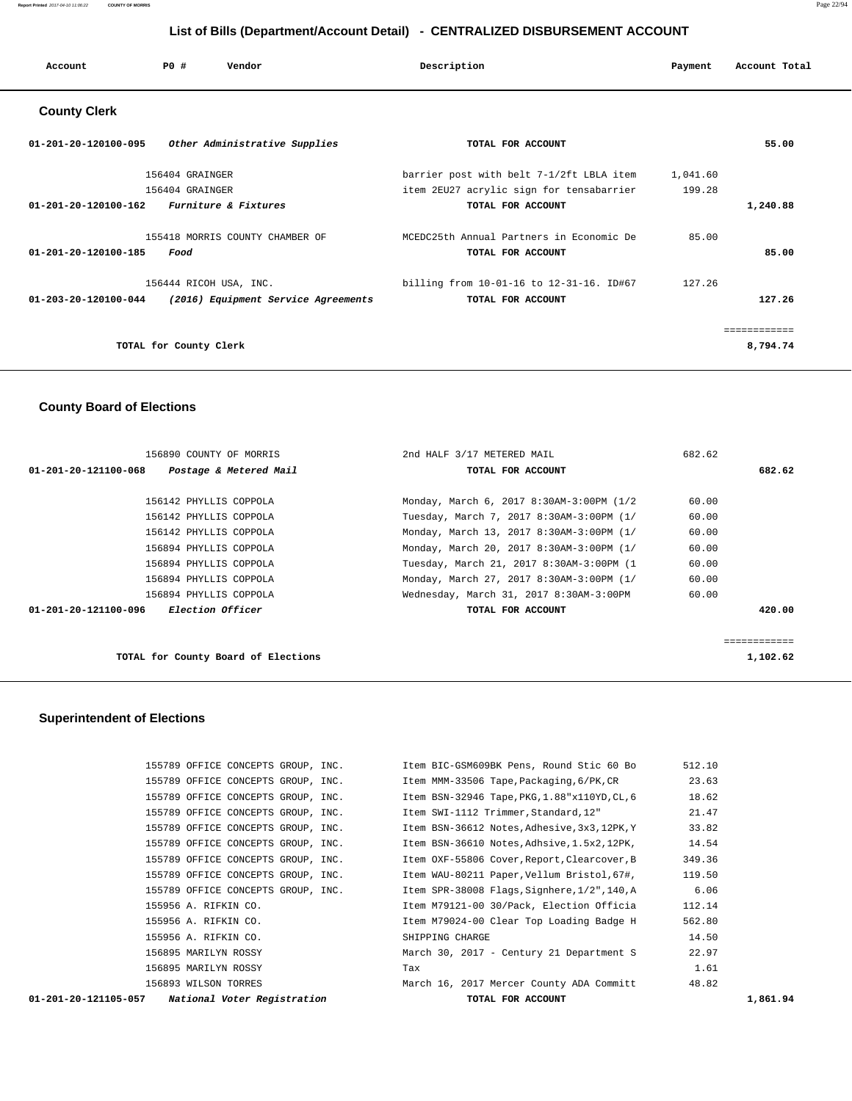#### **List of Bills (Department/Account Detail) - CENTRALIZED DISBURSEMENT ACCOUNT**

|                                           |                        |                                     | __________                               |          |               |
|-------------------------------------------|------------------------|-------------------------------------|------------------------------------------|----------|---------------|
| Account                                   | PO#                    | Vendor                              | Description                              | Payment  | Account Total |
| <b>County Clerk</b>                       |                        |                                     |                                          |          |               |
| 01-201-20-120100-095                      |                        | Other Administrative Supplies       | TOTAL FOR ACCOUNT                        |          | 55.00         |
|                                           | 156404 GRAINGER        |                                     | barrier post with belt 7-1/2ft LBLA item | 1,041.60 |               |
|                                           | 156404 GRAINGER        |                                     | item 2EU27 acrylic sign for tensabarrier | 199.28   |               |
| 01-201-20-120100-162 Furniture & Fixtures |                        |                                     | TOTAL FOR ACCOUNT                        |          | 1,240.88      |
|                                           |                        | 155418 MORRIS COUNTY CHAMBER OF     | MCEDC25th Annual Partners in Economic De | 85.00    |               |
| 01-201-20-120100-185                      | Food                   |                                     | TOTAL FOR ACCOUNT                        |          | 85.00         |
|                                           |                        | 156444 RICOH USA, INC.              | billing from 10-01-16 to 12-31-16. ID#67 | 127.26   |               |
| $01 - 203 - 20 - 120100 - 044$            |                        | (2016) Equipment Service Agreements | TOTAL FOR ACCOUNT                        |          | 127.26        |
|                                           |                        |                                     |                                          |          | ============  |
|                                           | TOTAL for County Clerk |                                     |                                          |          | 8,794.74      |

# **County Board of Elections**

| 156890 COUNTY OF MORRIS                         | 2nd HALF 3/17 METERED MAIL               | 682.62 |              |
|-------------------------------------------------|------------------------------------------|--------|--------------|
| 01-201-20-121100-068<br>Postage & Metered Mail  | TOTAL FOR ACCOUNT                        |        | 682.62       |
|                                                 |                                          |        |              |
| 156142 PHYLLIS COPPOLA                          | Monday, March 6, 2017 8:30AM-3:00PM (1/2 | 60.00  |              |
| 156142 PHYLLIS COPPOLA                          | Tuesday, March 7, 2017 8:30AM-3:00PM (1/ | 60.00  |              |
| 156142 PHYLLIS COPPOLA                          | Monday, March 13, 2017 8:30AM-3:00PM (1/ | 60.00  |              |
| 156894 PHYLLIS COPPOLA                          | Monday, March 20, 2017 8:30AM-3:00PM (1/ | 60.00  |              |
| 156894 PHYLLIS COPPOLA                          | Tuesday, March 21, 2017 8:30AM-3:00PM (1 | 60.00  |              |
| 156894 PHYLLIS COPPOLA                          | Monday, March 27, 2017 8:30AM-3:00PM (1/ | 60.00  |              |
| 156894 PHYLLIS COPPOLA                          | Wednesday, March 31, 2017 8:30AM-3:00PM  | 60.00  |              |
| <i>Election Officer</i><br>01-201-20-121100-096 | TOTAL FOR ACCOUNT                        |        | 420.00       |
|                                                 |                                          |        |              |
|                                                 |                                          |        | ============ |
| TOTAL for County Board of Elections             |                                          |        | 1,102.62     |

 **Superintendent of Elections**

|                                    | TOTAL FOR ACCOUNT                                   | 1,861.94                                                                                                                                                                                                                                                                  |
|------------------------------------|-----------------------------------------------------|---------------------------------------------------------------------------------------------------------------------------------------------------------------------------------------------------------------------------------------------------------------------------|
| 156893 WILSON TORRES               |                                                     | 48.82                                                                                                                                                                                                                                                                     |
| 156895 MARILYN ROSSY               | Tax                                                 | 1.61                                                                                                                                                                                                                                                                      |
| 156895 MARILYN ROSSY               | March 30, 2017 - Century 21 Department S            | 22.97                                                                                                                                                                                                                                                                     |
| 155956 A. RIFKIN CO.               | SHIPPING CHARGE                                     | 14.50                                                                                                                                                                                                                                                                     |
| 155956 A. RIFKIN CO.               | Item M79024-00 Clear Top Loading Badge H            | 562.80                                                                                                                                                                                                                                                                    |
| 155956 A. RIFKIN CO.               | Item M79121-00 30/Pack, Election Officia            | 112.14                                                                                                                                                                                                                                                                    |
| 155789 OFFICE CONCEPTS GROUP, INC. | 140,A Item SPR-38008 Flags, Signhere, 1/2", 140,    | 6.06                                                                                                                                                                                                                                                                      |
| 155789 OFFICE CONCEPTS GROUP, INC. | Item WAU-80211 Paper, Vellum Bristol, 67#,          | 119.50                                                                                                                                                                                                                                                                    |
| 155789 OFFICE CONCEPTS GROUP, INC. |                                                     | 349.36                                                                                                                                                                                                                                                                    |
| 155789 OFFICE CONCEPTS GROUP, INC. |                                                     | 14.54                                                                                                                                                                                                                                                                     |
| 155789 OFFICE CONCEPTS GROUP, INC. |                                                     | 33.82                                                                                                                                                                                                                                                                     |
| 155789 OFFICE CONCEPTS GROUP, INC. | Item SWI-1112 Trimmer, Standard, 12"                | 21.47                                                                                                                                                                                                                                                                     |
| 155789 OFFICE CONCEPTS GROUP, INC. |                                                     | 18.62                                                                                                                                                                                                                                                                     |
|                                    | Item MMM-33506 Tape,Packaging,6/PK,CR               | 23.63                                                                                                                                                                                                                                                                     |
| 155789 OFFICE CONCEPTS GROUP, INC. | Item BIC-GSM609BK Pens, Round Stic 60 Bo            | 512.10                                                                                                                                                                                                                                                                    |
|                                    | National Voter Registration<br>01-201-20-121105-057 | 155789 OFFICE CONCEPTS GROUP, INC.<br>Item BSN-32946 Tape, PKG, 1.88"x110YD, CL, 6<br>Item BSN-36612 Notes, Adhesive, 3x3, 12PK, Y<br>Item BSN-36610 Notes,Adhsive,1.5x2,12PK,<br>Item OXF-55806 Cover, Report, Clearcover, B<br>March 16, 2017 Mercer County ADA Committ |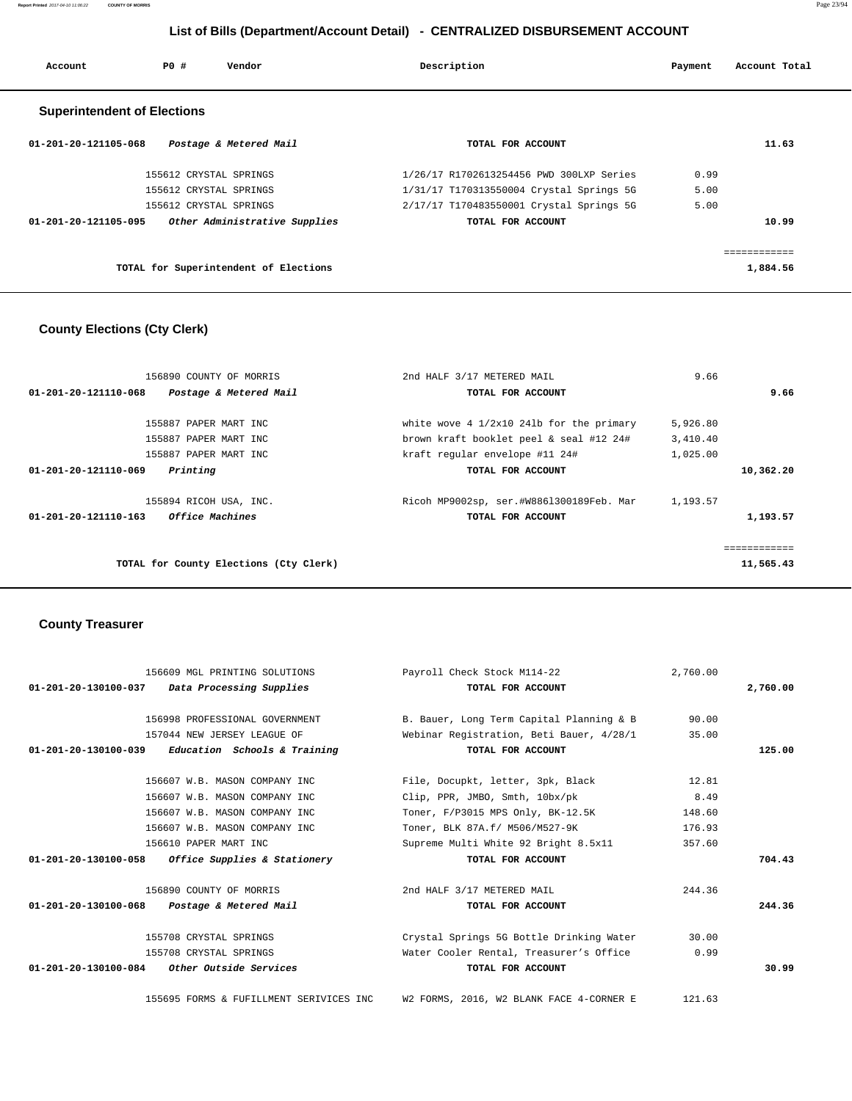**Report Printed** 2017-04-10 11:06:22 **COUNTY OF MORRIS** Page 23/94

# **List of Bills (Department/Account Detail) - CENTRALIZED DISBURSEMENT ACCOUNT**

| Account                            | PO#                    | Vendor                                | Description                              | Payment | Account Total |  |
|------------------------------------|------------------------|---------------------------------------|------------------------------------------|---------|---------------|--|
| <b>Superintendent of Elections</b> |                        |                                       |                                          |         |               |  |
| 01-201-20-121105-068               |                        | Postage & Metered Mail                | TOTAL FOR ACCOUNT                        |         | 11.63         |  |
|                                    | 155612 CRYSTAL SPRINGS |                                       | 1/26/17 R1702613254456 PWD 300LXP Series | 0.99    |               |  |
|                                    | 155612 CRYSTAL SPRINGS |                                       | 1/31/17 T170313550004 Crystal Springs 5G | 5.00    |               |  |
|                                    | 155612 CRYSTAL SPRINGS |                                       | 2/17/17 T170483550001 Crystal Springs 5G | 5.00    |               |  |
| 01-201-20-121105-095               |                        | Other Administrative Supplies         | TOTAL FOR ACCOUNT                        |         | 10.99         |  |
|                                    |                        |                                       |                                          |         | ============  |  |
|                                    |                        | TOTAL for Superintendent of Elections |                                          |         | 1,884.56      |  |

# **County Elections (Cty Clerk)**

| 9.66        |
|-------------|
|             |
|             |
|             |
|             |
|             |
| 10,362.20   |
|             |
| 1,193.57    |
| ----------- |
| 11,565.43   |
|             |

# **County Treasurer**

| 156609 MGL PRINTING SOLUTIONS                       | Payroll Check Stock M114-22              | 2,760.00 |          |
|-----------------------------------------------------|------------------------------------------|----------|----------|
| $01-201-20-130100-037$ Data Processing Supplies     | TOTAL FOR ACCOUNT                        |          | 2,760.00 |
| 156998 PROFESSIONAL GOVERNMENT                      | B. Bauer, Long Term Capital Planning & B | 90.00    |          |
| 157044 NEW JERSEY LEAGUE OF                         | Webinar Registration, Beti Bauer, 4/28/1 | 35.00    |          |
| $01-201-20-130100-039$ Education Schools & Training | TOTAL FOR ACCOUNT                        |          | 125.00   |
| 156607 W.B. MASON COMPANY INC                       | File, Docupkt, letter, 3pk, Black        | 12.81    |          |
| 156607 W.B. MASON COMPANY INC                       | Clip, PPR, JMBO, Smth, 10bx/pk           | 8.49     |          |
| 156607 W.B. MASON COMPANY INC                       | Toner, F/P3015 MPS Only, BK-12.5K        | 148.60   |          |
| 156607 W.B. MASON COMPANY INC                       | Toner, BLK 87A.f/ M506/M527-9K           | 176.93   |          |
| 156610 PAPER MART INC                               | Supreme Multi White 92 Bright 8.5x11     | 357.60   |          |
| 01-201-20-130100-058 Office Supplies & Stationery   | TOTAL FOR ACCOUNT                        |          | 704.43   |
| 156890 COUNTY OF MORRIS                             | 2nd HALF 3/17 METERED MAIL               | 244.36   |          |
| 01-201-20-130100-068 Postage & Metered Mail         | TOTAL FOR ACCOUNT                        |          | 244.36   |
| 155708 CRYSTAL SPRINGS                              | Crystal Springs 5G Bottle Drinking Water | 30.00    |          |
| 155708 CRYSTAL SPRINGS                              | Water Cooler Rental, Treasurer's Office  | 0.99     |          |
| $01-201-20-130100-084$ Other Outside Services       | TOTAL FOR ACCOUNT                        |          | 30.99    |
| 155695 FORMS & FUFILLMENT SERIVICES INC             | W2 FORMS, 2016, W2 BLANK FACE 4-CORNER E | 121.63   |          |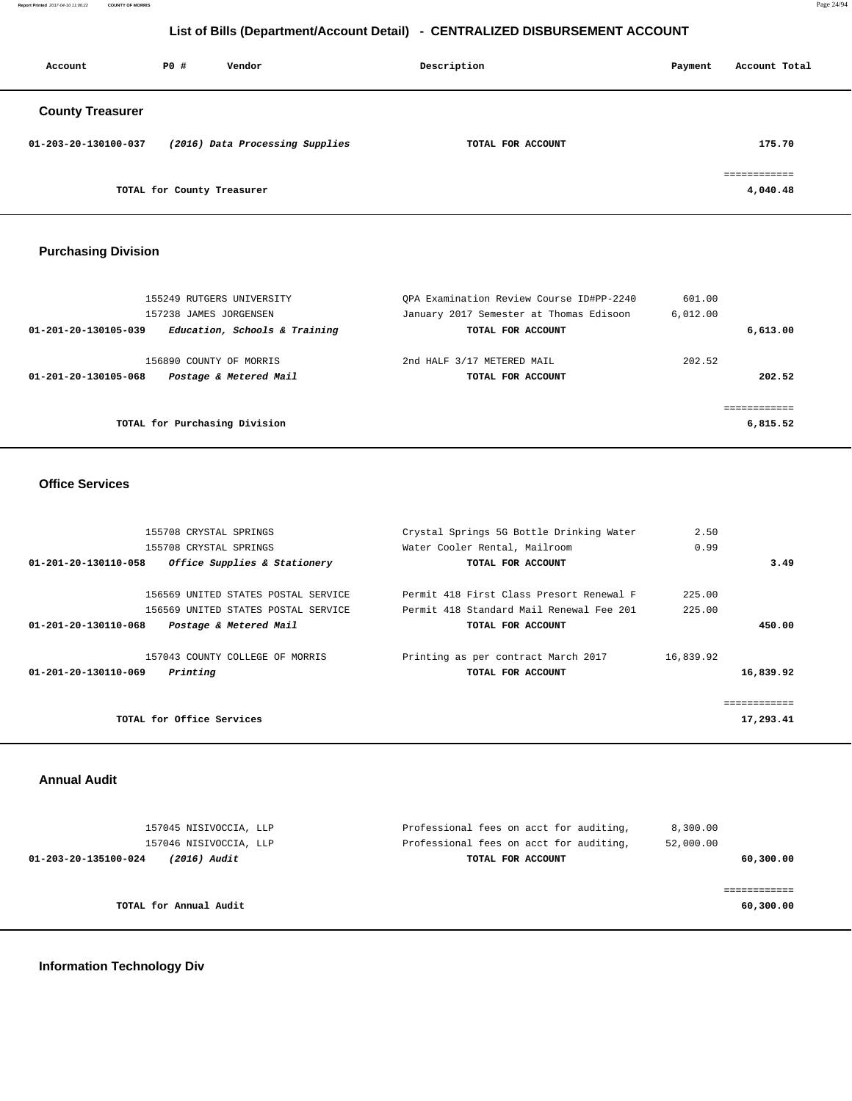**Report Printed** 2017-04-10 11:06:22 **COUNTY OF MORRIS** Page 24/94

# **List of Bills (Department/Account Detail) - CENTRALIZED DISBURSEMENT ACCOUNT**

| Account                 | P0#                        | Vendor                          | Description       | Payment | Account Total            |
|-------------------------|----------------------------|---------------------------------|-------------------|---------|--------------------------|
| <b>County Treasurer</b> |                            |                                 |                   |         |                          |
| 01-203-20-130100-037    |                            | (2016) Data Processing Supplies | TOTAL FOR ACCOUNT |         | 175.70                   |
|                         | TOTAL for County Treasurer |                                 |                   |         | ============<br>4,040.48 |

# **Purchasing Division**

| 155249 RUTGERS UNIVERSITY                             | OPA Examination Review Course ID#PP-2240 | 601.00   |        |
|-------------------------------------------------------|------------------------------------------|----------|--------|
| 157238 JAMES JORGENSEN                                | January 2017 Semester at Thomas Edisoon  | 6,012,00 |        |
| Education, Schools & Training<br>01-201-20-130105-039 | TOTAL FOR ACCOUNT                        | 6.613.00 |        |
| 156890 COUNTY OF MORRIS                               | 2nd HALF 3/17 METERED MAIL               | 202.52   |        |
| Postage & Metered Mail<br>01-201-20-130105-068        | TOTAL FOR ACCOUNT                        |          | 202.52 |
|                                                       |                                          |          |        |
|                                                       |                                          |          |        |
| TOTAL for Purchasing Division                         |                                          | 6,815.52 |        |
|                                                       |                                          |          |        |

#### **Office Services**

| 155708 CRYSTAL SPRINGS                               | Crystal Springs 5G Bottle Drinking Water | 2.50      |             |
|------------------------------------------------------|------------------------------------------|-----------|-------------|
| 155708 CRYSTAL SPRINGS                               | Water Cooler Rental, Mailroom            | 0.99      |             |
| Office Supplies & Stationery<br>01-201-20-130110-058 | TOTAL FOR ACCOUNT                        |           | 3.49        |
| 156569 UNITED STATES POSTAL SERVICE                  | Permit 418 First Class Presort Renewal F | 225.00    |             |
| 156569 UNITED STATES POSTAL SERVICE                  | Permit 418 Standard Mail Renewal Fee 201 | 225.00    |             |
| 01-201-20-130110-068<br>Postage & Metered Mail       | TOTAL FOR ACCOUNT                        |           | 450.00      |
| 157043 COUNTY COLLEGE OF MORRIS                      | Printing as per contract March 2017      | 16,839.92 |             |
| Printing<br>01-201-20-130110-069                     | TOTAL FOR ACCOUNT                        |           | 16,839.92   |
|                                                      |                                          |           | =========== |
| TOTAL for Office Services                            |                                          |           | 17,293.41   |
|                                                      |                                          |           |             |

#### **Annual Audit**

| 157045 NISIVOCCIA, LLP               | Professional fees on acct for auditing, | 8,300.00  |
|--------------------------------------|-----------------------------------------|-----------|
| 157046 NISIVOCCIA, LLP               | Professional fees on acct for auditing, | 52,000.00 |
| 01-203-20-135100-024<br>(2016) Audit | TOTAL FOR ACCOUNT                       | 60,300.00 |
|                                      |                                         |           |
|                                      |                                         |           |
| TOTAL for Annual Audit               |                                         | 60,300.00 |
|                                      |                                         |           |

# **Information Technology Div**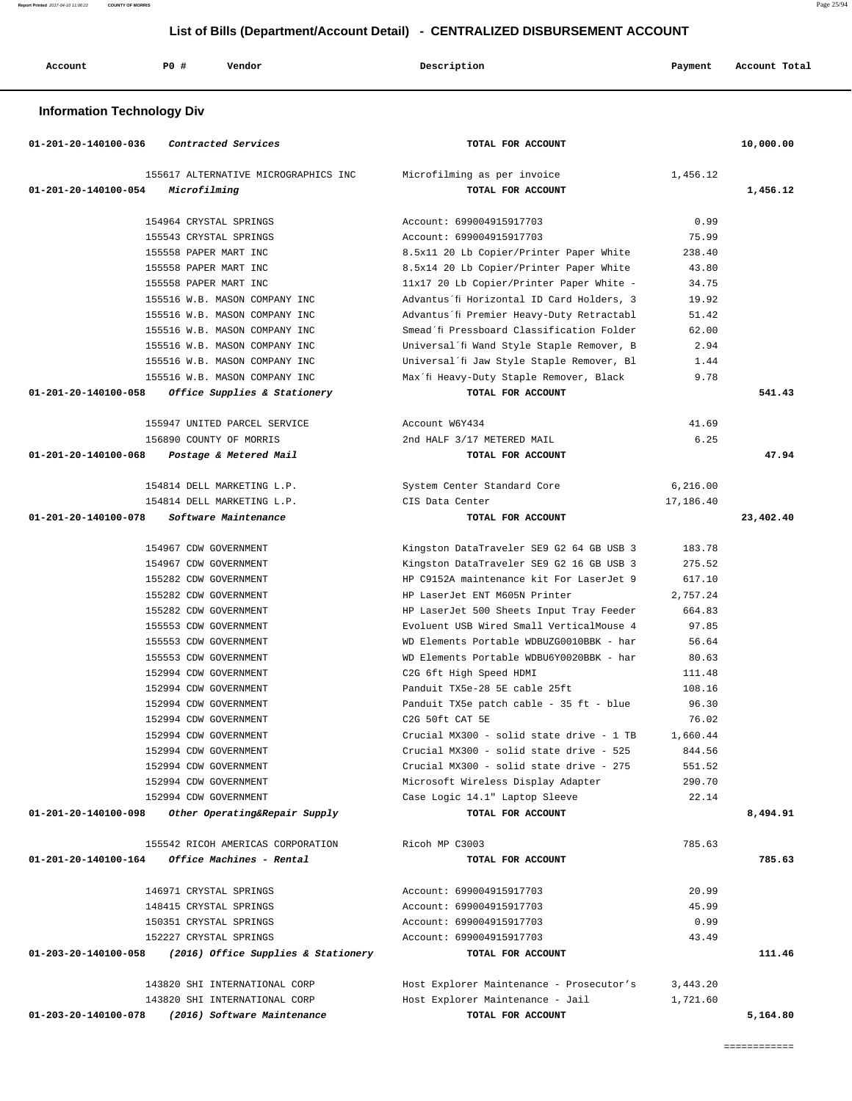# **List of Bills (Department/Account Detail) - CENTRALIZED DISBURSEMENT ACCOUNT**

| Account<br>. | P0 # | Vendor | Description | Payment | Account Total |
|--------------|------|--------|-------------|---------|---------------|
|              |      |        |             |         |               |

# **Information Technology Div**

| 01-201-20-140100-036<br>Contracted Services |                                      | TOTAL FOR ACCOUNT                         |           | 10,000.00 |
|---------------------------------------------|--------------------------------------|-------------------------------------------|-----------|-----------|
|                                             | 155617 ALTERNATIVE MICROGRAPHICS INC | Microfilming as per invoice               | 1,456.12  |           |
| 01-201-20-140100-054<br>Microfilming        |                                      | TOTAL FOR ACCOUNT                         |           | 1,456.12  |
|                                             |                                      |                                           |           |           |
| 154964 CRYSTAL SPRINGS                      |                                      | Account: 699004915917703                  | 0.99      |           |
| 155543 CRYSTAL SPRINGS                      |                                      | Account: 699004915917703                  | 75.99     |           |
| 155558 PAPER MART INC                       |                                      | 8.5x11 20 Lb Copier/Printer Paper White   | 238.40    |           |
| 155558 PAPER MART INC                       |                                      | 8.5x14 20 Lb Copier/Printer Paper White   | 43.80     |           |
| 155558 PAPER MART INC                       |                                      | 11x17 20 Lb Copier/Printer Paper White -  | 34.75     |           |
|                                             | 155516 W.B. MASON COMPANY INC        | Advantus'fi Horizontal ID Card Holders, 3 | 19.92     |           |
|                                             | 155516 W.B. MASON COMPANY INC        | Advantus'fi Premier Heavy-Duty Retractabl | 51.42     |           |
|                                             | 155516 W.B. MASON COMPANY INC        | Smead'fi Pressboard Classification Folder | 62.00     |           |
|                                             | 155516 W.B. MASON COMPANY INC        | Universal'fi Wand Style Staple Remover, B | 2.94      |           |
|                                             | 155516 W.B. MASON COMPANY INC        | Universal'fi Jaw Style Staple Remover, Bl | 1.44      |           |
|                                             | 155516 W.B. MASON COMPANY INC        | Max'fi Heavy-Duty Staple Remover, Black   | 9.78      |           |
| 01-201-20-140100-058                        | Office Supplies & Stationery         | TOTAL FOR ACCOUNT                         |           | 541.43    |
|                                             | 155947 UNITED PARCEL SERVICE         | Account W6Y434                            | 41.69     |           |
| 156890 COUNTY OF MORRIS                     |                                      | 2nd HALF 3/17 METERED MAIL                | 6.25      |           |
| 01-201-20-140100-068                        | Postage & Metered Mail               | TOTAL FOR ACCOUNT                         |           | 47.94     |
|                                             |                                      |                                           |           |           |
| 154814 DELL MARKETING L.P.                  |                                      | System Center Standard Core               | 6,216.00  |           |
| 154814 DELL MARKETING L.P.                  |                                      | CIS Data Center                           | 17,186.40 |           |
| 01-201-20-140100-078                        | Software Maintenance                 | TOTAL FOR ACCOUNT                         |           | 23,402.40 |
|                                             |                                      |                                           |           |           |
| 154967 CDW GOVERNMENT                       |                                      | Kingston DataTraveler SE9 G2 64 GB USB 3  | 183.78    |           |
| 154967 CDW GOVERNMENT                       |                                      | Kingston DataTraveler SE9 G2 16 GB USB 3  | 275.52    |           |
| 155282 CDW GOVERNMENT                       |                                      | HP C9152A maintenance kit For LaserJet 9  | 617.10    |           |
| 155282 CDW GOVERNMENT                       |                                      | HP LaserJet ENT M605N Printer             | 2,757.24  |           |
| 155282 CDW GOVERNMENT                       |                                      | HP LaserJet 500 Sheets Input Tray Feeder  | 664.83    |           |
| 155553 CDW GOVERNMENT                       |                                      | Evoluent USB Wired Small VerticalMouse 4  | 97.85     |           |
| 155553 CDW GOVERNMENT                       |                                      | WD Elements Portable WDBUZG0010BBK - har  | 56.64     |           |
| 155553 CDW GOVERNMENT                       |                                      | WD Elements Portable WDBU6Y0020BBK - har  | 80.63     |           |
| 152994 CDW GOVERNMENT                       |                                      | C2G 6ft High Speed HDMI                   | 111.48    |           |
| 152994 CDW GOVERNMENT                       |                                      | Panduit TX5e-28 5E cable 25ft             | 108.16    |           |
| 152994 CDW GOVERNMENT                       |                                      | Panduit TX5e patch cable - 35 ft - blue   | 96.30     |           |
| 152994 CDW GOVERNMENT                       |                                      | C2G 50ft CAT 5E                           | 76.02     |           |
| 152994 CDW GOVERNMENT                       |                                      | Crucial MX300 - solid state drive - 1 TB  | 1,660.44  |           |
| 152994 CDW GOVERNMENT                       |                                      | Crucial MX300 - solid state drive - 525   | 844.56    |           |
| 152994 CDW GOVERNMENT                       |                                      | Crucial MX300 - solid state drive - 275   | 551.52    |           |
| 152994 CDW GOVERNMENT                       |                                      | Microsoft Wireless Display Adapter        | 290.70    |           |
| 152994 CDW GOVERNMENT                       |                                      | Case Logic 14.1" Laptop Sleeve            | 22.14     |           |
| 01-201-20-140100-098                        | Other Operating&Repair Supply        | TOTAL FOR ACCOUNT                         |           | 8,494.91  |
|                                             | 155542 RICOH AMERICAS CORPORATION    | Ricoh MP C3003                            | 785.63    |           |
| 01-201-20-140100-164                        | Office Machines - Rental             | TOTAL FOR ACCOUNT                         |           | 785.63    |
|                                             |                                      |                                           |           |           |
| 146971 CRYSTAL SPRINGS                      |                                      | Account: 699004915917703                  | 20.99     |           |
| 148415 CRYSTAL SPRINGS                      |                                      | Account: 699004915917703                  | 45.99     |           |
| 150351 CRYSTAL SPRINGS                      |                                      | Account: 699004915917703                  | 0.99      |           |
| 152227 CRYSTAL SPRINGS                      |                                      | Account: 699004915917703                  | 43.49     |           |
| 01-203-20-140100-058                        | (2016) Office Supplies & Stationery  | TOTAL FOR ACCOUNT                         |           | 111.46    |
|                                             | 143820 SHI INTERNATIONAL CORP        | Host Explorer Maintenance - Prosecutor's  | 3,443.20  |           |
|                                             | 143820 SHI INTERNATIONAL CORP        | Host Explorer Maintenance - Jail          | 1,721.60  |           |
| 01-203-20-140100-078                        | (2016) Software Maintenance          | TOTAL FOR ACCOUNT                         |           | 5,164.80  |
|                                             |                                      |                                           |           |           |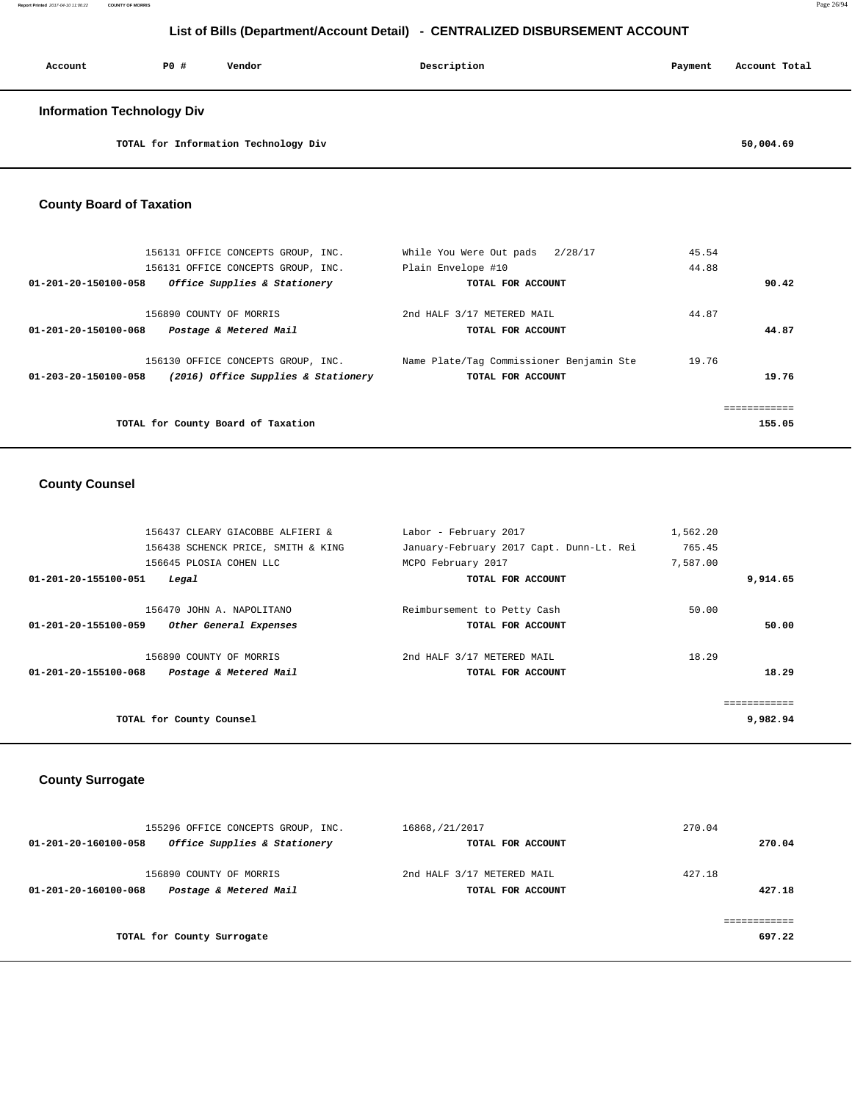**Report Printed** 2017-04-10 11:06:22 **COUNTY OF MORRIS** Page 26/94

# **List of Bills (Department/Account Detail) - CENTRALIZED DISBURSEMENT ACCOUNT**

| Account                           | PO# | Vendor | Description | Payment | Account Total |
|-----------------------------------|-----|--------|-------------|---------|---------------|
| <b>Information Technology Div</b> |     |        |             |         |               |

**TOTAL for Information Technology Div 50,004.69**

## **County Board of Taxation**

| 156131 OFFICE CONCEPTS GROUP, INC.                          | While You Were Out pads 2/28/17          | 45.54  |
|-------------------------------------------------------------|------------------------------------------|--------|
| 156131 OFFICE CONCEPTS GROUP, INC.                          | Plain Envelope #10                       | 44.88  |
| Office Supplies & Stationery<br>01-201-20-150100-058        | TOTAL FOR ACCOUNT                        | 90.42  |
| 156890 COUNTY OF MORRIS                                     | 2nd HALF 3/17 METERED MAIL               | 44.87  |
| 01-201-20-150100-068<br>Postage & Metered Mail              | TOTAL FOR ACCOUNT                        | 44.87  |
| 156130 OFFICE CONCEPTS GROUP, INC.                          | Name Plate/Tag Commissioner Benjamin Ste | 19.76  |
| (2016) Office Supplies & Stationery<br>01-203-20-150100-058 | TOTAL FOR ACCOUNT                        | 19.76  |
|                                                             |                                          |        |
|                                                             |                                          |        |
| TOTAL for County Board of Taxation                          |                                          | 155.05 |

## **County Counsel**

|                      | 156437 CLEARY GIACOBBE ALFIERI &   | Labor - February 2017                    | 1,562.20 |          |
|----------------------|------------------------------------|------------------------------------------|----------|----------|
|                      | 156438 SCHENCK PRICE, SMITH & KING | January-February 2017 Capt. Dunn-Lt. Rei | 765.45   |          |
|                      | 156645 PLOSIA COHEN LLC            | MCPO February 2017                       | 7,587.00 |          |
| 01-201-20-155100-051 | Legal                              | TOTAL FOR ACCOUNT                        |          | 9,914.65 |
|                      |                                    |                                          |          |          |
|                      | 156470 JOHN A. NAPOLITANO          | Reimbursement to Petty Cash              | 50.00    |          |
| 01-201-20-155100-059 | Other General Expenses             | TOTAL FOR ACCOUNT                        |          | 50.00    |
|                      |                                    |                                          |          |          |
|                      | 156890 COUNTY OF MORRIS            | 2nd HALF 3/17 METERED MAIL               | 18.29    |          |
| 01-201-20-155100-068 | Postage & Metered Mail             | TOTAL FOR ACCOUNT                        |          | 18.29    |
|                      |                                    |                                          |          |          |
|                      |                                    |                                          |          |          |
|                      | TOTAL for County Counsel           |                                          |          | 9,982.94 |
|                      |                                    |                                          |          |          |

## **County Surrogate**

| 155296 OFFICE CONCEPTS GROUP, INC.                                        | 16868, / 21/ 2017                               | 270.04           |
|---------------------------------------------------------------------------|-------------------------------------------------|------------------|
| Office Supplies & Stationery<br>01-201-20-160100-058                      | TOTAL FOR ACCOUNT                               | 270.04           |
| 156890 COUNTY OF MORRIS<br>Postage & Metered Mail<br>01-201-20-160100-068 | 2nd HALF 3/17 METERED MAIL<br>TOTAL FOR ACCOUNT | 427.18<br>427.18 |
| TOTAL for County Surrogate                                                |                                                 | 697.22           |
|                                                                           |                                                 |                  |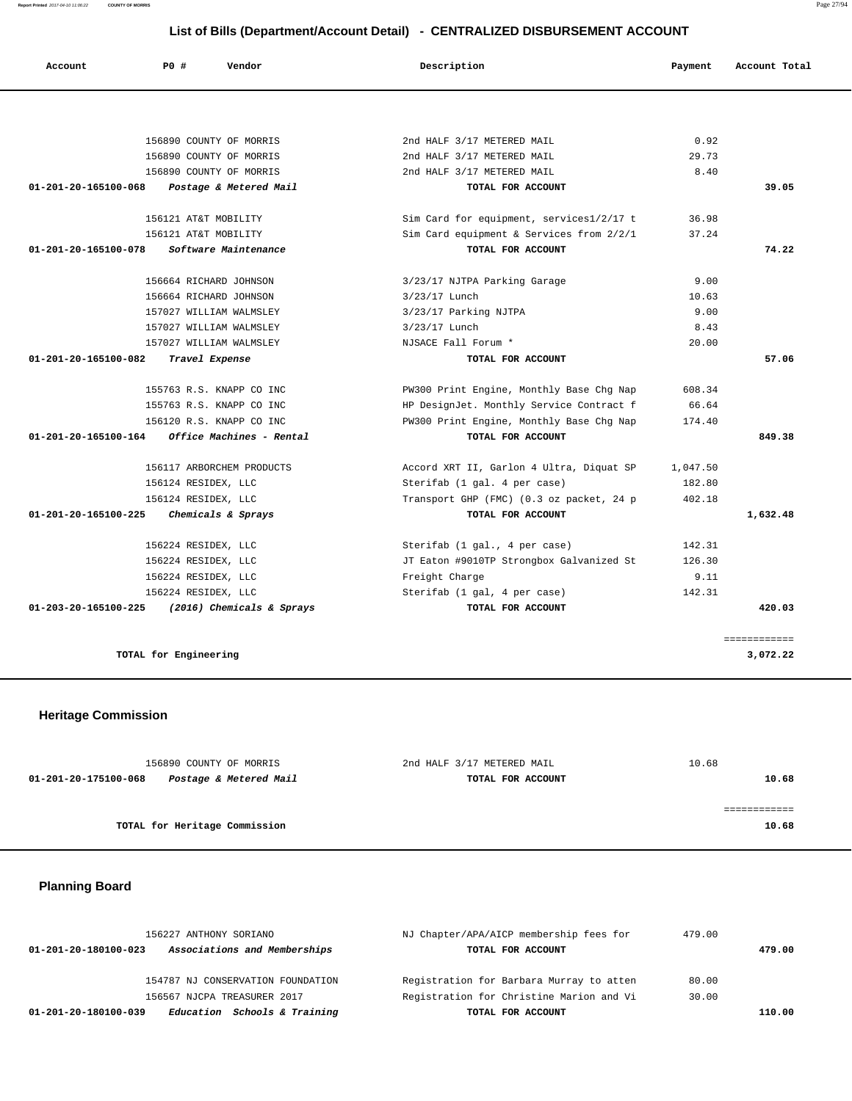**Report Printed** 2017-04-10 11:06:22 **COUNTY OF MORRIS** Page 27/94

# **List of Bills (Department/Account Detail) - CENTRALIZED DISBURSEMENT ACCOUNT**

| Account              | PO#                      | Vendor                    | Description                              | Payment  | Account Total |
|----------------------|--------------------------|---------------------------|------------------------------------------|----------|---------------|
|                      |                          |                           |                                          |          |               |
|                      | 156890 COUNTY OF MORRIS  |                           | 2nd HALF 3/17 METERED MAIL               | 0.92     |               |
|                      | 156890 COUNTY OF MORRIS  |                           | 2nd HALF 3/17 METERED MAIL               | 29.73    |               |
|                      | 156890 COUNTY OF MORRIS  |                           | 2nd HALF 3/17 METERED MAIL               | 8.40     |               |
| 01-201-20-165100-068 |                          | Postage & Metered Mail    | TOTAL FOR ACCOUNT                        |          | 39.05         |
|                      | 156121 AT&T MOBILITY     |                           | Sim Card for equipment, services1/2/17 t | 36.98    |               |
|                      | 156121 AT&T MOBILITY     |                           | Sim Card equipment & Services from 2/2/1 | 37.24    |               |
| 01-201-20-165100-078 |                          | Software Maintenance      | TOTAL FOR ACCOUNT                        |          | 74.22         |
|                      | 156664 RICHARD JOHNSON   |                           | 3/23/17 NJTPA Parking Garage             | 9.00     |               |
|                      | 156664 RICHARD JOHNSON   |                           | 3/23/17 Lunch                            | 10.63    |               |
|                      | 157027 WILLIAM WALMSLEY  |                           | 3/23/17 Parking NJTPA                    | 9.00     |               |
|                      | 157027 WILLIAM WALMSLEY  |                           | 3/23/17 Lunch                            | 8.43     |               |
|                      | 157027 WILLIAM WALMSLEY  |                           | NJSACE Fall Forum *                      | 20.00    |               |
| 01-201-20-165100-082 | Travel Expense           |                           | TOTAL FOR ACCOUNT                        |          | 57.06         |
|                      | 155763 R.S. KNAPP CO INC |                           | PW300 Print Engine, Monthly Base Chg Nap | 608.34   |               |
|                      | 155763 R.S. KNAPP CO INC |                           | HP DesignJet. Monthly Service Contract f | 66.64    |               |
|                      | 156120 R.S. KNAPP CO INC |                           | PW300 Print Engine, Monthly Base Chg Nap | 174.40   |               |
| 01-201-20-165100-164 |                          | Office Machines - Rental  | TOTAL FOR ACCOUNT                        |          | 849.38        |
|                      |                          | 156117 ARBORCHEM PRODUCTS | Accord XRT II, Garlon 4 Ultra, Diquat SP | 1,047.50 |               |
|                      | 156124 RESIDEX, LLC      |                           | Sterifab (1 gal. 4 per case)             | 182.80   |               |
|                      | 156124 RESIDEX, LLC      |                           | Transport GHP (FMC) (0.3 oz packet, 24 p | 402.18   |               |
| 01-201-20-165100-225 |                          | Chemicals & Sprays        | TOTAL FOR ACCOUNT                        |          | 1,632.48      |
|                      | 156224 RESIDEX, LLC      |                           | Sterifab (1 gal., 4 per case)            | 142.31   |               |
|                      | 156224 RESIDEX, LLC      |                           | JT Eaton #9010TP Strongbox Galvanized St | 126.30   |               |
|                      | 156224 RESIDEX, LLC      |                           | Freight Charge                           | 9.11     |               |
|                      | 156224 RESIDEX, LLC      |                           | Sterifab (1 gal, 4 per case)             | 142.31   |               |
| 01-203-20-165100-225 |                          | (2016) Chemicals & Sprays | TOTAL FOR ACCOUNT                        |          | 420.03        |
|                      |                          |                           |                                          |          | ============  |
|                      | TOTAL for Engineering    |                           |                                          |          | 3,072.22      |

# **Heritage Commission**

| 156890 COUNTY OF MORRIS                        | 2nd HALF 3/17 METERED MAIL | 10.68 |
|------------------------------------------------|----------------------------|-------|
| Postage & Metered Mail<br>01-201-20-175100-068 | TOTAL FOR ACCOUNT          | 10.68 |
|                                                |                            |       |
|                                                |                            |       |
| TOTAL for Heritage Commission                  |                            | 10.68 |
|                                                |                            |       |

# **Planning Board**

| 156227 ANTHONY SORIANO                               | NJ Chapter/APA/AICP membership fees for  | 479.00 |        |
|------------------------------------------------------|------------------------------------------|--------|--------|
| Associations and Memberships<br>01-201-20-180100-023 | TOTAL FOR ACCOUNT                        |        | 479.00 |
| 154787 NJ CONSERVATION FOUNDATION                    | Registration for Barbara Murray to atten | 80.00  |        |
| 156567 NJCPA TREASURER 2017                          | Registration for Christine Marion and Vi | 30.00  |        |
| Education Schools & Training<br>01-201-20-180100-039 | TOTAL FOR ACCOUNT                        |        | 110.00 |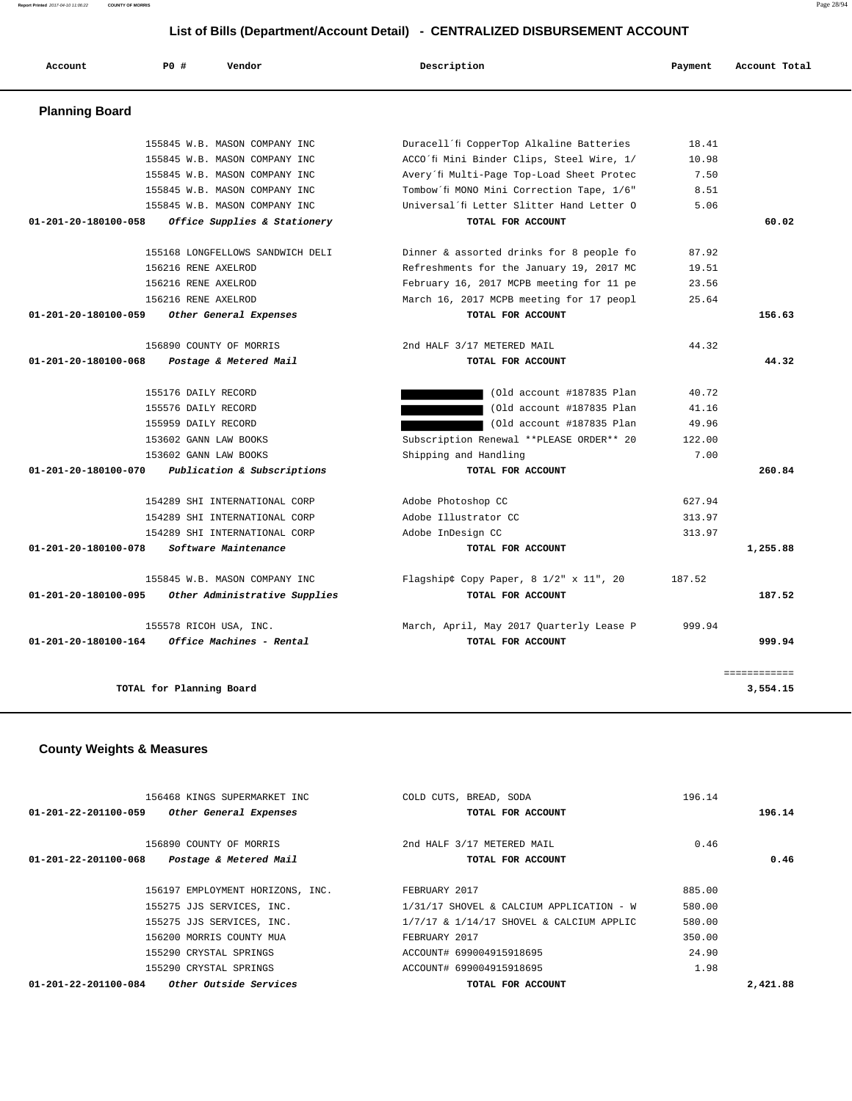# **List of Bills (Department/Account Detail) - CENTRALIZED DISBURSEMENT ACCOUNT**

| Account               | PO#                      | Vendor                           | Description                               | Payment | Account Total |
|-----------------------|--------------------------|----------------------------------|-------------------------------------------|---------|---------------|
| <b>Planning Board</b> |                          |                                  |                                           |         |               |
|                       |                          | 155845 W.B. MASON COMPANY INC    | Duracell'fi CopperTop Alkaline Batteries  | 18.41   |               |
|                       |                          | 155845 W.B. MASON COMPANY INC    | ACCO'fi Mini Binder Clips, Steel Wire, 1/ | 10.98   |               |
|                       |                          | 155845 W.B. MASON COMPANY INC    | Avery'fi Multi-Page Top-Load Sheet Protec | 7.50    |               |
|                       |                          | 155845 W.B. MASON COMPANY INC    | Tombow'fi MONO Mini Correction Tape, 1/6" | 8.51    |               |
|                       |                          | 155845 W.B. MASON COMPANY INC    | Universal'fi Letter Slitter Hand Letter O | 5.06    |               |
| 01-201-20-180100-058  |                          | Office Supplies & Stationery     | TOTAL FOR ACCOUNT                         |         | 60.02         |
|                       |                          | 155168 LONGFELLOWS SANDWICH DELI | Dinner & assorted drinks for 8 people fo  | 87.92   |               |
|                       | 156216 RENE AXELROD      |                                  | Refreshments for the January 19, 2017 MC  | 19.51   |               |
|                       | 156216 RENE AXELROD      |                                  | February 16, 2017 MCPB meeting for 11 pe  | 23.56   |               |
|                       | 156216 RENE AXELROD      |                                  | March 16, 2017 MCPB meeting for 17 peopl  | 25.64   |               |
| 01-201-20-180100-059  |                          | Other General Expenses           | TOTAL FOR ACCOUNT                         |         | 156.63        |
|                       |                          | 156890 COUNTY OF MORRIS          | 2nd HALF 3/17 METERED MAIL                | 44.32   |               |
| 01-201-20-180100-068  |                          | Postage & Metered Mail           | TOTAL FOR ACCOUNT                         |         | 44.32         |
|                       | 155176 DAILY RECORD      |                                  | (Old account #187835 Plan                 | 40.72   |               |
|                       | 155576 DAILY RECORD      |                                  | (Old account #187835 Plan                 | 41.16   |               |
|                       | 155959 DAILY RECORD      |                                  | (Old account #187835 Plan                 | 49.96   |               |
|                       | 153602 GANN LAW BOOKS    |                                  | Subscription Renewal ** PLEASE ORDER** 20 | 122.00  |               |
|                       | 153602 GANN LAW BOOKS    |                                  | Shipping and Handling                     | 7.00    |               |
| 01-201-20-180100-070  |                          | Publication & Subscriptions      | TOTAL FOR ACCOUNT                         |         | 260.84        |
|                       |                          | 154289 SHI INTERNATIONAL CORP    | Adobe Photoshop CC                        | 627.94  |               |
|                       |                          | 154289 SHI INTERNATIONAL CORP    | Adobe Illustrator CC                      | 313.97  |               |
|                       |                          | 154289 SHI INTERNATIONAL CORP    | Adobe InDesign CC                         | 313.97  |               |
| 01-201-20-180100-078  |                          | Software Maintenance             | TOTAL FOR ACCOUNT                         |         | 1,255.88      |
|                       |                          | 155845 W.B. MASON COMPANY INC    | Flagshipâ ¢ Copy Paper, 8 1/2" x 11", 20  | 187.52  |               |
| 01-201-20-180100-095  |                          | Other Administrative Supplies    | TOTAL FOR ACCOUNT                         |         | 187.52        |
|                       |                          | 155578 RICOH USA, INC.           | March, April, May 2017 Quarterly Lease P  | 999.94  |               |
| 01-201-20-180100-164  |                          | Office Machines - Rental         | TOTAL FOR ACCOUNT                         |         | 999.94        |
|                       |                          |                                  |                                           |         | ============  |
|                       | TOTAL for Planning Board |                                  |                                           |         | 3,554.15      |

# **County Weights & Measures**

|                                | 156468 KINGS SUPERMARKET INC         | COLD CUTS, BREAD, SODA                       | 196.14 |          |
|--------------------------------|--------------------------------------|----------------------------------------------|--------|----------|
| 01-201-22-201100-059           | Other General Expenses               | TOTAL FOR ACCOUNT                            |        | 196.14   |
|                                |                                      |                                              |        |          |
|                                | 156890 COUNTY OF MORRIS              | 2nd HALF 3/17 METERED MAIL                   | 0.46   |          |
| $01 - 201 - 22 - 201100 - 068$ | Postage & Metered Mail               | TOTAL FOR ACCOUNT                            |        | 0.46     |
|                                |                                      |                                              |        |          |
|                                | 156197 EMPLOYMENT HORIZONS, INC.     | FEBRUARY 2017                                | 885.00 |          |
|                                | 155275 JJS SERVICES, INC.            | 1/31/17 SHOVEL & CALCIUM APPLICATION - W     | 580.00 |          |
|                                | 155275 JJS SERVICES, INC.            | $1/7/17$ & $1/14/17$ SHOVEL & CALCIUM APPLIC | 580.00 |          |
|                                | 156200 MORRIS COUNTY MUA             | FEBRUARY 2017                                | 350.00 |          |
|                                | 155290 CRYSTAL SPRINGS               | ACCOUNT# 699004915918695                     | 24.90  |          |
|                                | 155290 CRYSTAL SPRINGS               | ACCOUNT# 699004915918695                     | 1.98   |          |
| $01 - 201 - 22 - 201100 - 084$ | <i><b>Other Outside Services</b></i> | TOTAL FOR ACCOUNT                            |        | 2,421.88 |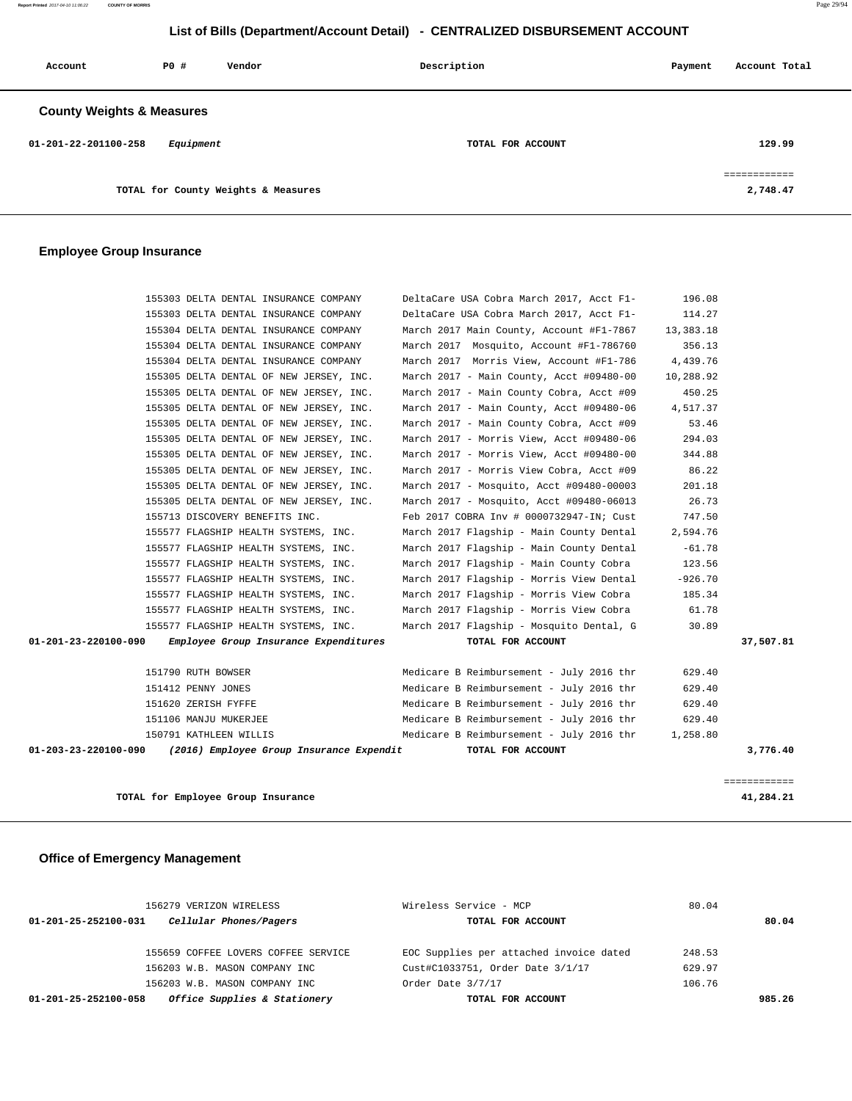# **List of Bills (Department/Account Detail) - CENTRALIZED DISBURSEMENT ACCOUNT**

| Account                              | PO#       | Vendor                              | Description       | Payment | Account Total           |  |  |
|--------------------------------------|-----------|-------------------------------------|-------------------|---------|-------------------------|--|--|
| <b>County Weights &amp; Measures</b> |           |                                     |                   |         |                         |  |  |
| 01-201-22-201100-258                 | Equipment |                                     | TOTAL FOR ACCOUNT |         | 129.99                  |  |  |
|                                      |           | TOTAL for County Weights & Measures |                   |         | ===========<br>2,748.47 |  |  |

## **Employee Group Insurance**

| 01-203-23-220100-090 | (2016) Employee Group Insurance Expendit                                           | TOTAL FOR ACCOUNT                                                                    |                    | 3,776.40  |
|----------------------|------------------------------------------------------------------------------------|--------------------------------------------------------------------------------------|--------------------|-----------|
|                      | 150791 KATHLEEN WILLIS                                                             | Medicare B Reimbursement - July 2016 thr                                             | 1,258.80           |           |
|                      | 151106 MANJU MUKERJEE                                                              | Medicare B Reimbursement - July 2016 thr                                             | 629.40             |           |
|                      | 151620 ZERISH FYFFE                                                                | Medicare B Reimbursement - July 2016 thr                                             | 629.40             |           |
|                      | 151412 PENNY JONES                                                                 | Medicare B Reimbursement - July 2016 thr                                             | 629.40             |           |
|                      | 151790 RUTH BOWSER                                                                 | Medicare B Reimbursement - July 2016 thr                                             | 629.40             |           |
| 01-201-23-220100-090 | Employee Group Insurance Expenditures                                              | TOTAL FOR ACCOUNT                                                                    |                    | 37,507.81 |
|                      | 155577 FLAGSHIP HEALTH SYSTEMS, INC.                                               | March 2017 Flagship - Mosquito Dental, G                                             | 30.89              |           |
|                      | 155577 FLAGSHIP HEALTH SYSTEMS, INC.                                               | March 2017 Flagship - Morris View Cobra                                              | 61.78              |           |
|                      | 155577 FLAGSHIP HEALTH SYSTEMS, INC.                                               | March 2017 Flagship - Morris View Cobra                                              | 185.34             |           |
|                      | 155577 FLAGSHIP HEALTH SYSTEMS, INC.                                               | March 2017 Flagship - Morris View Dental                                             | $-926.70$          |           |
|                      | 155577 FLAGSHIP HEALTH SYSTEMS, INC.                                               | March 2017 Flagship - Main County Cobra                                              | 123.56             |           |
|                      | 155577 FLAGSHIP HEALTH SYSTEMS, INC.                                               | March 2017 Flagship - Main County Dental                                             | $-61.78$           |           |
|                      | 155577 FLAGSHIP HEALTH SYSTEMS, INC.                                               | March 2017 Flagship - Main County Dental                                             | 2,594.76           |           |
|                      | 155713 DISCOVERY BENEFITS INC.                                                     | Feb 2017 COBRA Inv # 0000732947-IN; Cust                                             | 747.50             |           |
|                      | 155305 DELTA DENTAL OF NEW JERSEY, INC.                                            | March 2017 - Mosquito, Acct #09480-06013                                             | 26.73              |           |
|                      | 155305 DELTA DENTAL OF NEW JERSEY, INC.                                            | March 2017 - Mosquito, Acct #09480-00003                                             | 201.18             |           |
|                      | 155305 DELTA DENTAL OF NEW JERSEY, INC.                                            | March 2017 - Morris View Cobra, Acct #09                                             | 86.22              |           |
|                      | 155305 DELTA DENTAL OF NEW JERSEY, INC.                                            | March 2017 - Morris View, Acct #09480-00                                             | 344.88             |           |
|                      | 155305 DELTA DENTAL OF NEW JERSEY, INC.                                            | March 2017 - Morris View, Acct #09480-06                                             | 294.03             |           |
|                      | 155305 DELTA DENTAL OF NEW JERSEY, INC.                                            | March 2017 - Main County Cobra, Acct #09                                             | 53.46              |           |
|                      | 155305 DELTA DENTAL OF NEW JERSEY, INC.<br>155305 DELTA DENTAL OF NEW JERSEY, INC. | March 2017 - Main County Cobra, Acct #09<br>March 2017 - Main County, Acct #09480-06 | 450.25<br>4,517.37 |           |
|                      | 155305 DELTA DENTAL OF NEW JERSEY, INC.                                            | March 2017 - Main County, Acct #09480-00                                             | 10,288.92          |           |
|                      | 155304 DELTA DENTAL INSURANCE COMPANY                                              | March 2017 Morris View, Account #F1-786                                              | 4,439.76           |           |
|                      | 155304 DELTA DENTAL INSURANCE COMPANY                                              | March 2017 Mosquito, Account #F1-786760                                              | 356.13             |           |
|                      | 155304 DELTA DENTAL INSURANCE COMPANY                                              | March 2017 Main County, Account #F1-7867                                             | 13,383.18          |           |
|                      | 155303 DELTA DENTAL INSURANCE COMPANY                                              | DeltaCare USA Cobra March 2017, Acct F1-                                             | 114.27             |           |
|                      | 155303 DELTA DENTAL INSURANCE COMPANY                                              | DeltaCare USA Cobra March 2017, Acct F1-                                             | 196.08             |           |
|                      |                                                                                    |                                                                                      |                    |           |

**TOTAL for Employee Group Insurance 41,284.21**

# **Office of Emergency Management**

| 156279 VERIZON WIRELESS                              | Wireless Service - MCP                  | 80.04  |       |  |
|------------------------------------------------------|-----------------------------------------|--------|-------|--|
| Cellular Phones/Pagers<br>01-201-25-252100-031       | TOTAL FOR ACCOUNT                       |        | 80.04 |  |
|                                                      |                                         |        |       |  |
| 155659 COFFEE LOVERS COFFEE SERVICE                  | EOC Supplies per attached invoice dated | 248.53 |       |  |
| 156203 W.B. MASON COMPANY INC                        | Cust#C1033751, Order Date 3/1/17        | 629.97 |       |  |
| 156203 W.B. MASON COMPANY INC                        | Order Date 3/7/17                       | 106.76 |       |  |
| Office Supplies & Stationery<br>01-201-25-252100-058 | TOTAL FOR ACCOUNT                       | 985.26 |       |  |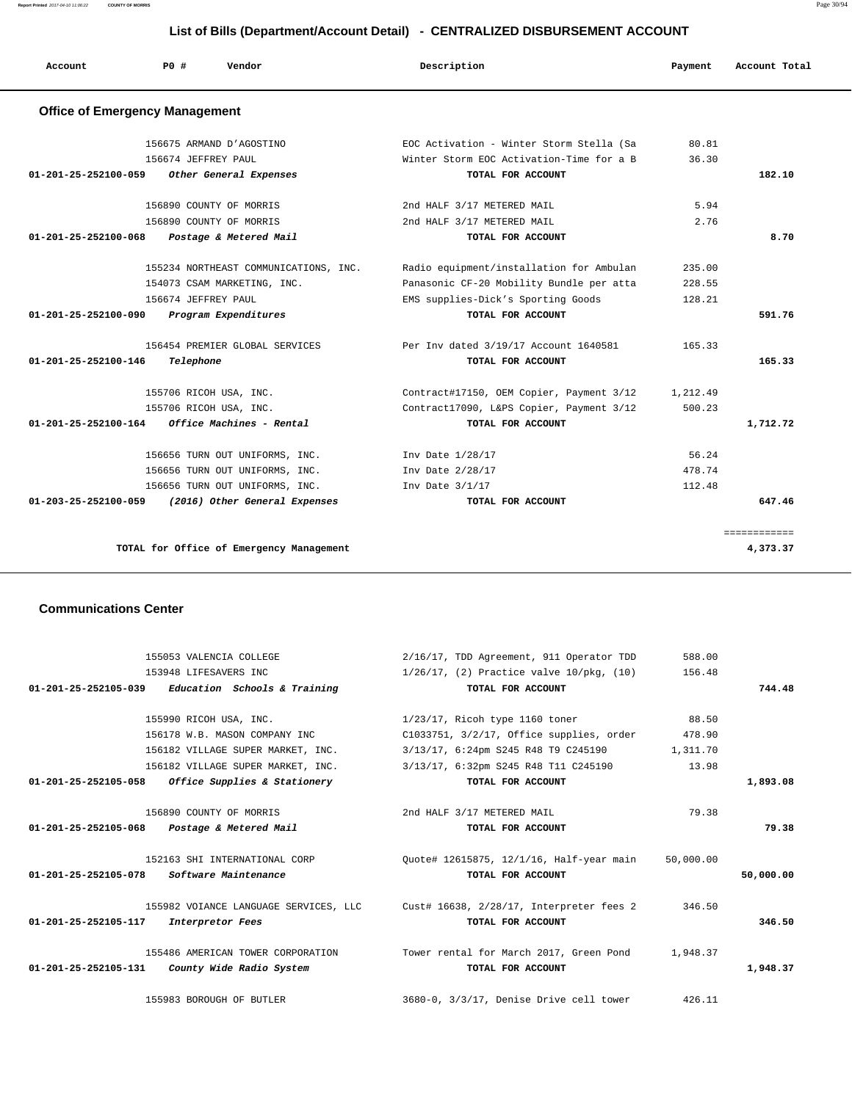**Report Printed** 2017-04-10 11:06:22 **COUNTY OF MORRIS** Page 30/94

# **List of Bills (Department/Account Detail) - CENTRALIZED DISBURSEMENT ACCOUNT**

| Account                               | PO#                         | Vendor                                   | Description                              | Payment  | Account Total |
|---------------------------------------|-----------------------------|------------------------------------------|------------------------------------------|----------|---------------|
| <b>Office of Emergency Management</b> |                             |                                          |                                          |          |               |
|                                       | 156675 ARMAND D'AGOSTINO    |                                          | EOC Activation - Winter Storm Stella (Sa | 80.81    |               |
|                                       | 156674 JEFFREY PAUL         |                                          | Winter Storm EOC Activation-Time for a B | 36.30    |               |
| 01-201-25-252100-059                  |                             | Other General Expenses                   | TOTAL FOR ACCOUNT                        |          | 182.10        |
|                                       | 156890 COUNTY OF MORRIS     |                                          | 2nd HALF 3/17 METERED MAIL               | 5.94     |               |
|                                       | 156890 COUNTY OF MORRIS     |                                          | 2nd HALF 3/17 METERED MAIL               | 2.76     |               |
| 01-201-25-252100-068                  |                             | Postage & Metered Mail                   | TOTAL FOR ACCOUNT                        |          | 8.70          |
|                                       |                             | 155234 NORTHEAST COMMUNICATIONS, INC.    | Radio equipment/installation for Ambulan | 235.00   |               |
|                                       | 154073 CSAM MARKETING, INC. |                                          | Panasonic CF-20 Mobility Bundle per atta | 228.55   |               |
|                                       | 156674 JEFFREY PAUL         |                                          | EMS supplies-Dick's Sporting Goods       | 128.21   |               |
| 01-201-25-252100-090                  | Program Expenditures        |                                          | TOTAL FOR ACCOUNT                        |          | 591.76        |
|                                       |                             | 156454 PREMIER GLOBAL SERVICES           | Per Inv dated 3/19/17 Account 1640581    | 165.33   |               |
| $01 - 201 - 25 - 252100 - 146$        | Telephone                   |                                          | TOTAL FOR ACCOUNT                        |          | 165.33        |
|                                       | 155706 RICOH USA, INC.      |                                          | Contract#17150, OEM Copier, Payment 3/12 | 1,212.49 |               |
|                                       | 155706 RICOH USA, INC.      |                                          | Contract17090, L&PS Copier, Payment 3/12 | 500.23   |               |
| 01-201-25-252100-164                  |                             | Office Machines - Rental                 | TOTAL FOR ACCOUNT                        |          | 1,712.72      |
|                                       |                             | 156656 TURN OUT UNIFORMS, INC.           | Inv Date 1/28/17                         | 56.24    |               |
|                                       |                             | 156656 TURN OUT UNIFORMS, INC.           | Inv Date 2/28/17                         | 478.74   |               |
|                                       |                             | 156656 TURN OUT UNIFORMS, INC.           | Inv Date $3/1/17$                        | 112.48   |               |
| 01-203-25-252100-059                  |                             | (2016) Other General Expenses            | TOTAL FOR ACCOUNT                        |          | 647.46        |
|                                       |                             |                                          |                                          |          | ============  |
|                                       |                             | TOTAL for Office of Emergency Management |                                          |          | 4,373.37      |

#### **Communications Center**

|           | 588.00    | 2/16/17, TDD Agreement, 911 Operator TDD                                       | 155053 VALENCIA COLLEGE                             |
|-----------|-----------|--------------------------------------------------------------------------------|-----------------------------------------------------|
|           | 156.48    | $1/26/17$ , (2) Practice valve $10/\text{pkq}$ , (10)                          | 153948 LIFESAVERS INC                               |
| 744.48    |           | TOTAL FOR ACCOUNT                                                              | $01-201-25-252105-039$ Education Schools & Training |
|           |           |                                                                                |                                                     |
|           | 88.50     | $1/23/17$ , Ricoh type 1160 toner                                              | 155990 RICOH USA, INC.                              |
|           |           | $C1033751, 3/2/17,$ Office supplies, order 478.90                              | 156178 W.B. MASON COMPANY INC                       |
|           |           | 3/13/17, 6:24pm S245 R48 T9 C245190 1,311.70                                   | 156182 VILLAGE SUPER MARKET, INC.                   |
|           | 13.98     | 3/13/17, 6:32pm S245 R48 T11 C245190                                           | 156182 VILLAGE SUPER MARKET, INC.                   |
| 1,893.08  |           | TOTAL FOR ACCOUNT                                                              | $01-201-25-252105-058$ Office Supplies & Stationery |
|           | 79.38     | 2nd HALF 3/17 METERED MAIL                                                     | 156890 COUNTY OF MORRIS                             |
| 79.38     |           | TOTAL FOR ACCOUNT                                                              | 01-201-25-252105-068 Postage & Metered Mail         |
|           |           |                                                                                |                                                     |
|           | 50,000.00 | Ouote# 12615875, 12/1/16, Half-year main                                       | 152163 SHI INTERNATIONAL CORP                       |
| 50,000.00 |           | TOTAL FOR ACCOUNT                                                              | 01-201-25-252105-078 Software Maintenance           |
|           | 346.50    | 155982 VOIANCE LANGUAGE SERVICES, LLC Cust# 16638, 2/28/17, Interpreter fees 2 |                                                     |
| 346.50    |           | TOTAL FOR ACCOUNT                                                              | 01-201-25-252105-117<br>Interpretor Fees            |
|           |           | Tower rental for March 2017, Green Pond 1,948.37                               | 155486 AMERICAN TOWER CORPORATION                   |
| 1,948.37  |           | TOTAL FOR ACCOUNT                                                              | $01-201-25-252105-131$ County Wide Radio System     |
|           |           |                                                                                |                                                     |
|           | 426.11    | 3680-0, 3/3/17, Denise Drive cell tower                                        | 155983 BOROUGH OF BUTLER                            |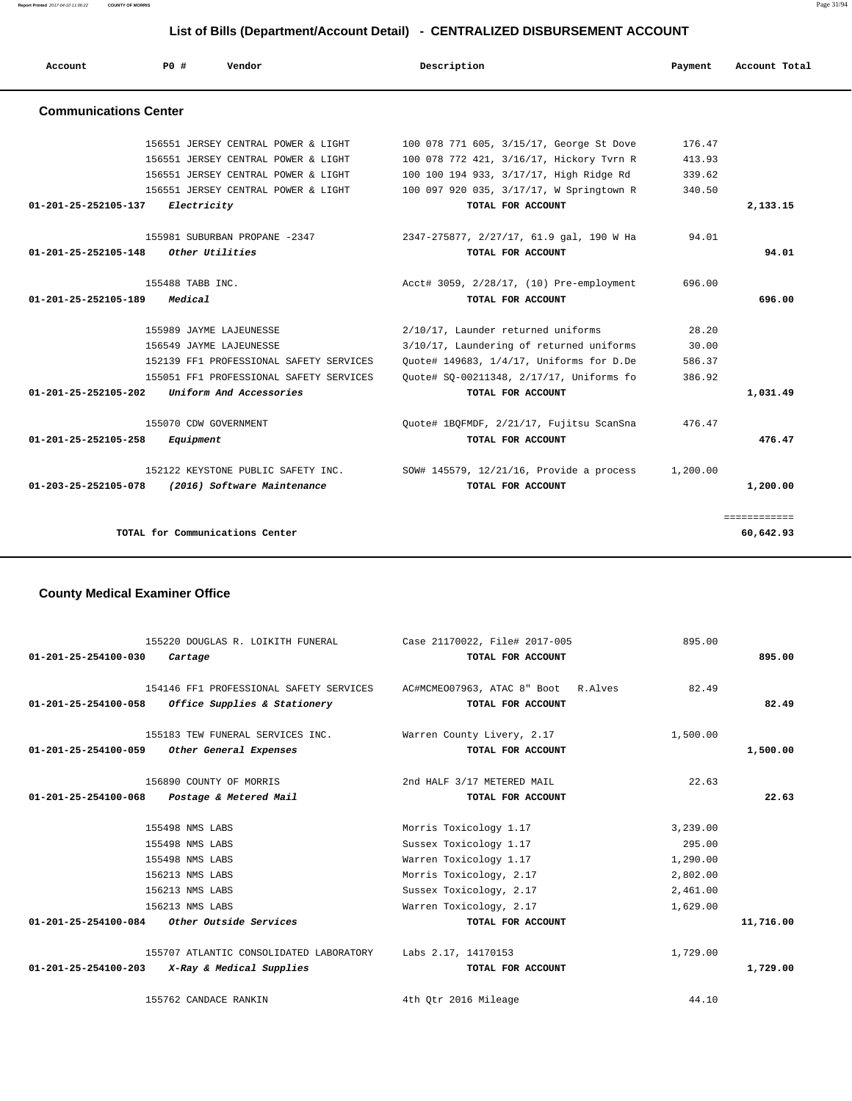**Report Printed** 2017-04-10 11:06:22 **COUNTY OF MORRIS** Page 31/94

## **List of Bills (Department/Account Detail) - CENTRALIZED DISBURSEMENT ACCOUNT**

| Account                      | P0#              | Vendor                                  | Description                              | Payment  | Account Total |
|------------------------------|------------------|-----------------------------------------|------------------------------------------|----------|---------------|
| <b>Communications Center</b> |                  |                                         |                                          |          |               |
|                              |                  | 156551 JERSEY CENTRAL POWER & LIGHT     | 100 078 771 605, 3/15/17, George St Dove | 176.47   |               |
|                              |                  | 156551 JERSEY CENTRAL POWER & LIGHT     | 100 078 772 421, 3/16/17, Hickory Tvrn R | 413.93   |               |
|                              |                  | 156551 JERSEY CENTRAL POWER & LIGHT     | 100 100 194 933, 3/17/17, High Ridge Rd  | 339.62   |               |
|                              |                  | 156551 JERSEY CENTRAL POWER & LIGHT     | 100 097 920 035, 3/17/17, W Springtown R | 340.50   |               |
| 01-201-25-252105-137         | Electricity      |                                         | TOTAL FOR ACCOUNT                        |          | 2,133.15      |
|                              |                  | 155981 SUBURBAN PROPANE -2347           | 2347-275877, 2/27/17, 61.9 gal, 190 W Ha | 94.01    |               |
| 01-201-25-252105-148         |                  | Other Utilities                         | TOTAL FOR ACCOUNT                        |          | 94.01         |
|                              | 155488 TABB INC. |                                         | Acct# 3059, 2/28/17, (10) Pre-employment | 696.00   |               |
| 01-201-25-252105-189         | Medical          |                                         | TOTAL FOR ACCOUNT                        |          | 696.00        |
|                              |                  | 155989 JAYME LAJEUNESSE                 | 2/10/17, Launder returned uniforms       | 28.20    |               |
|                              |                  | 156549 JAYME LAJEUNESSE                 | 3/10/17, Laundering of returned uniforms | 30.00    |               |
|                              |                  | 152139 FF1 PROFESSIONAL SAFETY SERVICES | Ouote# 149683, 1/4/17, Uniforms for D.De | 586.37   |               |
|                              |                  | 155051 FF1 PROFESSIONAL SAFETY SERVICES | Quote# SQ-00211348, 2/17/17, Uniforms fo | 386.92   |               |
| 01-201-25-252105-202         |                  | Uniform And Accessories                 | TOTAL FOR ACCOUNT                        |          | 1,031.49      |
|                              |                  | 155070 CDW GOVERNMENT                   | Quote# 1BQFMDF, 2/21/17, Fujitsu ScanSna | 476.47   |               |
| 01-201-25-252105-258         | Equipment        |                                         | TOTAL FOR ACCOUNT                        |          | 476.47        |
|                              |                  | 152122 KEYSTONE PUBLIC SAFETY INC.      | SOW# 145579, 12/21/16, Provide a process | 1,200.00 |               |
| 01-203-25-252105-078         |                  | (2016) Software Maintenance             | TOTAL FOR ACCOUNT                        |          | 1,200.00      |
|                              |                  |                                         |                                          |          | ============  |
|                              |                  | TOTAL for Communications Center         |                                          |          | 60,642.93     |

# **County Medical Examiner Office**

| 155220 DOUGLAS R. LOIKITH FUNERAL<br>01-201-25-254100-030<br>Cartage                           | Case 21170022, File# 2017-005<br>TOTAL FOR ACCOUNT       | 895.00             | 895.00    |
|------------------------------------------------------------------------------------------------|----------------------------------------------------------|--------------------|-----------|
| 154146 FF1 PROFESSIONAL SAFETY SERVICES<br>$01-201-25-254100-058$ Office Supplies & Stationery | AC#MCMEO07963, ATAC 8" Boot R.Alves<br>TOTAL FOR ACCOUNT | 82.49              | 82.49     |
| 155183 TEW FUNERAL SERVICES INC.<br>01-201-25-254100-059<br>Other General Expenses             | Warren County Livery, 2.17<br>TOTAL FOR ACCOUNT          | 1,500.00           | 1,500.00  |
| 156890 COUNTY OF MORRIS<br>01-201-25-254100-068<br>Postage & Metered Mail                      | 2nd HALF 3/17 METERED MAIL<br>TOTAL FOR ACCOUNT          | 22.63              | 22.63     |
| 155498 NMS LABS                                                                                | Morris Toxicology 1.17                                   | 3,239.00           |           |
| 155498 NMS LABS<br>155498 NMS LABS                                                             | Sussex Toxicology 1.17<br>Warren Toxicology 1.17         | 295.00<br>1,290.00 |           |
| 156213 NMS LABS                                                                                | Morris Toxicology, 2.17                                  | 2,802.00           |           |
| 156213 NMS LABS                                                                                | Sussex Toxicology, 2.17                                  | 2,461.00           |           |
| 156213 NMS LABS                                                                                | Warren Toxicology, 2.17                                  | 1,629.00           |           |
| $01-201-25-254100-084$ Other Outside Services                                                  | TOTAL FOR ACCOUNT                                        |                    | 11,716.00 |
| 155707 ATLANTIC CONSOLIDATED LABORATORY                                                        | Labs 2.17, 14170153                                      | 1,729.00           |           |
| 01-201-25-254100-203 X-Ray & Medical Supplies                                                  | TOTAL FOR ACCOUNT                                        |                    | 1,729.00  |
| 155762 CANDACE RANKIN                                                                          | 4th Otr 2016 Mileage                                     | 44.10              |           |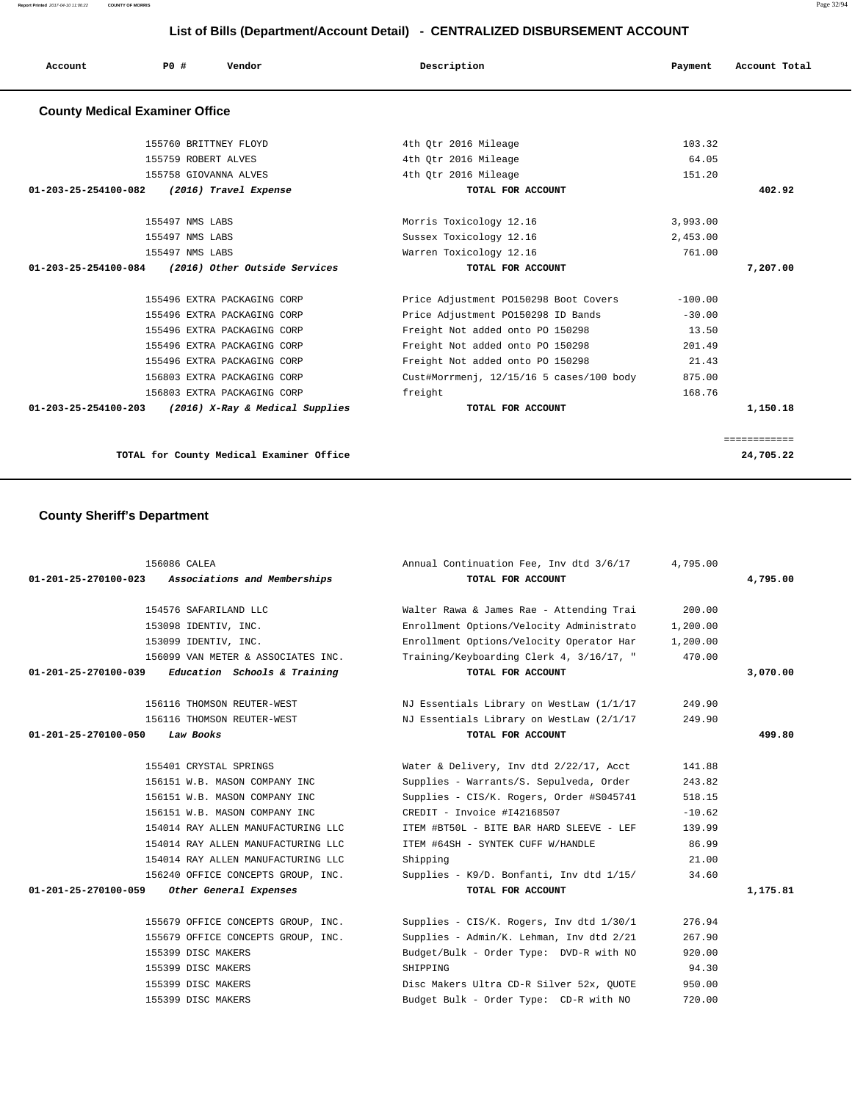# **List of Bills (Department/Account Detail) - CENTRALIZED DISBURSEMENT ACCOUNT**

| Account | <b>PO #</b> | Vendor | Description | Payment | Account Total |
|---------|-------------|--------|-------------|---------|---------------|
|         |             |        |             |         |               |

# **County Medical Examiner Office**

|          | 103.32    | 4th Otr 2016 Mileage                     | 155760 BRITTNEY FLOYD                                 |
|----------|-----------|------------------------------------------|-------------------------------------------------------|
|          | 64.05     | 4th Qtr 2016 Mileage                     | 155759 ROBERT ALVES                                   |
|          | 151.20    | 4th Otr 2016 Mileage                     | 155758 GIOVANNA ALVES                                 |
| 402.92   |           | TOTAL FOR ACCOUNT                        | 01-203-25-254100-082<br>(2016) Travel Expense         |
|          | 3,993.00  | Morris Toxicology 12.16                  | 155497 NMS LABS                                       |
|          | 2,453.00  | Sussex Toxicology 12.16                  | 155497 NMS LABS                                       |
|          | 761.00    | Warren Toxicology 12.16                  | 155497 NMS LABS                                       |
| 7,207,00 |           | TOTAL FOR ACCOUNT                        | 01-203-25-254100-084<br>(2016) Other Outside Services |
|          | $-100.00$ | Price Adjustment P0150298 Boot Covers    | 155496 EXTRA PACKAGING CORP                           |
|          | $-30.00$  | Price Adjustment P0150298 ID Bands       | 155496 EXTRA PACKAGING CORP                           |
|          | 13.50     | Freight Not added onto PO 150298         | 155496 EXTRA PACKAGING CORP                           |
|          | 201.49    | Freight Not added onto PO 150298         | 155496 EXTRA PACKAGING CORP                           |
|          | 21.43     | Freight Not added onto PO 150298         | 155496 EXTRA PACKAGING CORP                           |
|          | 875.00    | Cust#Morrmenj, 12/15/16 5 cases/100 body | 156803 EXTRA PACKAGING CORP                           |
|          |           | freight                                  | 156803 EXTRA PACKAGING CORP                           |
|          | 168.76    |                                          |                                                       |

## **County Sheriff's Department**

|                      | 156086 CALEA                       | Annual Continuation Fee, Inv dtd 3/6/17  | 4,795.00 |          |
|----------------------|------------------------------------|------------------------------------------|----------|----------|
| 01-201-25-270100-023 | Associations and Memberships       | TOTAL FOR ACCOUNT                        |          | 4,795.00 |
|                      |                                    |                                          |          |          |
|                      | 154576 SAFARILAND LLC              | Walter Rawa & James Rae - Attending Trai | 200.00   |          |
|                      | 153098 IDENTIV, INC.               | Enrollment Options/Velocity Administrato | 1,200.00 |          |
|                      | 153099 IDENTIV, INC.               | Enrollment Options/Velocity Operator Har | 1,200.00 |          |
|                      | 156099 VAN METER & ASSOCIATES INC. | Training/Keyboarding Clerk 4, 3/16/17, " | 470.00   |          |
| 01-201-25-270100-039 | Education Schools & Training       | TOTAL FOR ACCOUNT                        |          | 3,070.00 |
|                      | 156116 THOMSON REUTER-WEST         | NJ Essentials Library on WestLaw (1/1/17 | 249.90   |          |
|                      | 156116 THOMSON REUTER-WEST         | NJ Essentials Library on WestLaw (2/1/17 | 249.90   |          |
| 01-201-25-270100-050 | Law Books                          | TOTAL FOR ACCOUNT                        |          | 499.80   |
|                      | 155401 CRYSTAL SPRINGS             | Water & Delivery, Inv dtd 2/22/17, Acct  | 141.88   |          |
|                      | 156151 W.B. MASON COMPANY INC      | Supplies - Warrants/S. Sepulveda, Order  | 243.82   |          |
|                      | 156151 W.B. MASON COMPANY INC      | Supplies - CIS/K. Rogers, Order #S045741 | 518.15   |          |
|                      | 156151 W.B. MASON COMPANY INC      | CREDIT - Invoice #142168507              | $-10.62$ |          |
|                      | 154014 RAY ALLEN MANUFACTURING LLC | ITEM #BT50L - BITE BAR HARD SLEEVE - LEF | 139.99   |          |
|                      | 154014 RAY ALLEN MANUFACTURING LLC | ITEM #64SH - SYNTEK CUFF W/HANDLE        | 86.99    |          |
|                      | 154014 RAY ALLEN MANUFACTURING LLC | Shipping                                 | 21.00    |          |
|                      | 156240 OFFICE CONCEPTS GROUP, INC. | Supplies - K9/D. Bonfanti, Inv dtd 1/15/ | 34.60    |          |
| 01-201-25-270100-059 | Other General Expenses             | TOTAL FOR ACCOUNT                        |          | 1,175.81 |
|                      |                                    |                                          |          |          |
|                      | 155679 OFFICE CONCEPTS GROUP, INC. | Supplies - CIS/K. Rogers, Inv dtd 1/30/1 | 276.94   |          |
|                      | 155679 OFFICE CONCEPTS GROUP, INC. | Supplies - Admin/K. Lehman, Inv dtd 2/21 | 267.90   |          |
|                      | 155399 DISC MAKERS                 | Budget/Bulk - Order Type: DVD-R with NO  | 920.00   |          |
|                      | 155399 DISC MAKERS                 | SHIPPING                                 | 94.30    |          |
|                      | 155399 DISC MAKERS                 | Disc Makers Ultra CD-R Silver 52x, OUOTE | 950.00   |          |
|                      | 155399 DISC MAKERS                 | Budget Bulk - Order Type: CD-R with NO   | 720.00   |          |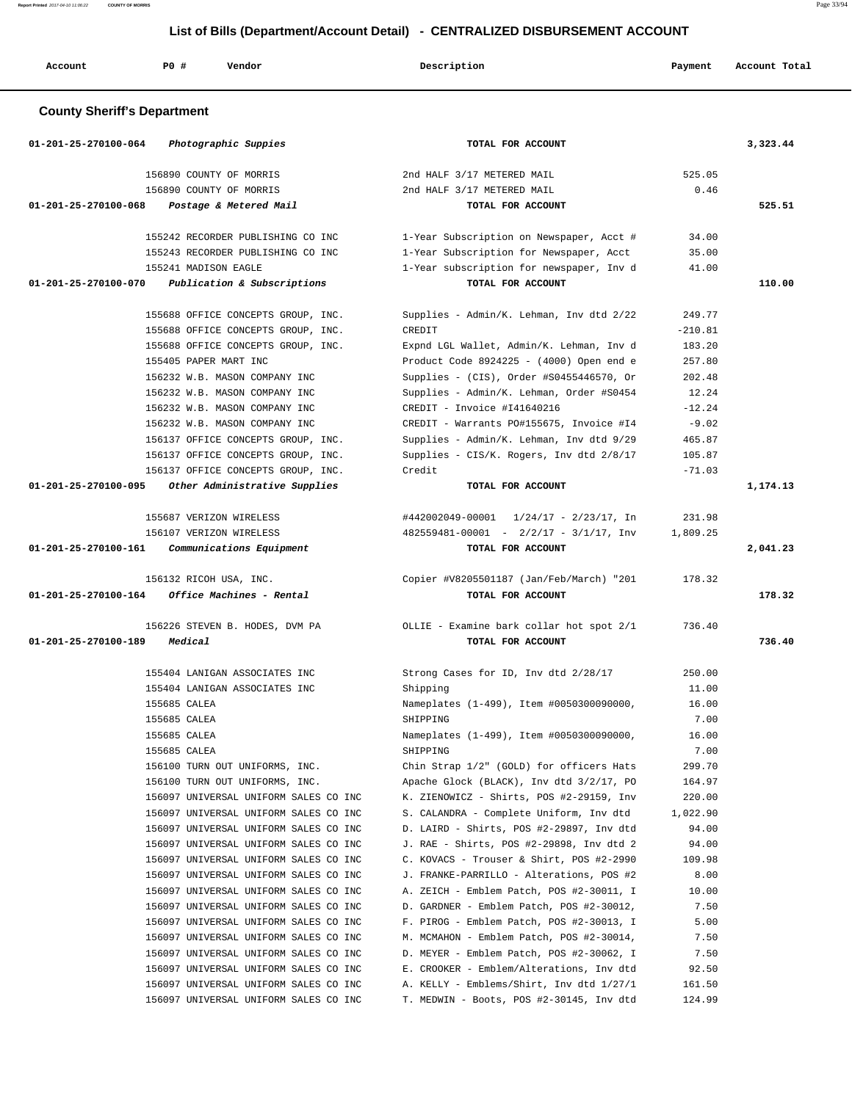**Report Printed** 2017-04-10 11:06:22 **COUNTY OF MORRIS** Page 33/94

# **List of Bills (Department/Account Detail) - CENTRALIZED DISBURSEMENT ACCOUNT**

| Account                            | PO#<br>Vendor                                                                  | Description                                                                          | Payment         | Account Total |
|------------------------------------|--------------------------------------------------------------------------------|--------------------------------------------------------------------------------------|-----------------|---------------|
| <b>County Sheriff's Department</b> |                                                                                |                                                                                      |                 |               |
| 01-201-25-270100-064               | Photographic Suppies                                                           | TOTAL FOR ACCOUNT                                                                    |                 | 3,323.44      |
|                                    | 156890 COUNTY OF MORRIS                                                        | 2nd HALF 3/17 METERED MAIL                                                           | 525.05          |               |
|                                    | 156890 COUNTY OF MORRIS                                                        | 2nd HALF 3/17 METERED MAIL                                                           | 0.46            |               |
| $01 - 201 - 25 - 270100 - 068$     | Postage & Metered Mail                                                         | TOTAL FOR ACCOUNT                                                                    |                 | 525.51        |
|                                    | 155242 RECORDER PUBLISHING CO INC                                              | 1-Year Subscription on Newspaper, Acct #                                             | 34.00           |               |
|                                    | 155243 RECORDER PUBLISHING CO INC                                              | 1-Year Subscription for Newspaper, Acct                                              | 35.00           |               |
|                                    | 155241 MADISON EAGLE                                                           | 1-Year subscription for newspaper, Inv d                                             | 41.00           |               |
| 01-201-25-270100-070               | Publication & Subscriptions                                                    | TOTAL FOR ACCOUNT                                                                    |                 | 110.00        |
|                                    | 155688 OFFICE CONCEPTS GROUP, INC.                                             | Supplies - Admin/K. Lehman, Inv dtd 2/22                                             | 249.77          |               |
|                                    | 155688 OFFICE CONCEPTS GROUP, INC.                                             | CREDIT                                                                               | $-210.81$       |               |
|                                    | 155688 OFFICE CONCEPTS GROUP, INC.                                             | Expnd LGL Wallet, Admin/K. Lehman, Inv d                                             | 183.20          |               |
|                                    | 155405 PAPER MART INC                                                          | Product Code 8924225 - (4000) Open end e                                             | 257.80          |               |
|                                    | 156232 W.B. MASON COMPANY INC                                                  | Supplies - (CIS), Order #S0455446570, Or                                             | 202.48          |               |
|                                    | 156232 W.B. MASON COMPANY INC                                                  | Supplies - Admin/K. Lehman, Order #S0454                                             | 12.24           |               |
|                                    | 156232 W.B. MASON COMPANY INC                                                  | CREDIT - Invoice #141640216                                                          | $-12.24$        |               |
|                                    | 156232 W.B. MASON COMPANY INC                                                  | CREDIT - Warrants PO#155675, Invoice #I4                                             | $-9.02$         |               |
|                                    | 156137 OFFICE CONCEPTS GROUP, INC.                                             | Supplies - Admin/K. Lehman, Inv dtd 9/29                                             | 465.87          |               |
|                                    | 156137 OFFICE CONCEPTS GROUP, INC.                                             | Supplies - CIS/K. Rogers, Inv dtd 2/8/17                                             | 105.87          |               |
|                                    | 156137 OFFICE CONCEPTS GROUP, INC.                                             | Credit                                                                               | $-71.03$        |               |
| 01-201-25-270100-095               | Other Administrative Supplies                                                  | TOTAL FOR ACCOUNT                                                                    |                 | 1,174.13      |
|                                    | 155687 VERIZON WIRELESS                                                        | #442002049-00001 1/24/17 - 2/23/17, In                                               | 231.98          |               |
|                                    | 156107 VERIZON WIRELESS                                                        | $482559481 - 00001$ - $2/2/17$ - $3/1/17$ , Inv                                      | 1,809.25        |               |
| 01-201-25-270100-161               | Communications Equipment                                                       | TOTAL FOR ACCOUNT                                                                    |                 | 2,041.23      |
|                                    | 156132 RICOH USA, INC.                                                         | Copier #V8205501187 (Jan/Feb/March) "201                                             | 178.32          |               |
| 01-201-25-270100-164               | Office Machines - Rental                                                       | TOTAL FOR ACCOUNT                                                                    |                 | 178.32        |
|                                    |                                                                                |                                                                                      |                 |               |
| 01-201-25-270100-189               | 156226 STEVEN B. HODES, DVM PA<br>Medical                                      | OLLIE - Examine bark collar hot spot 2/1<br>TOTAL FOR ACCOUNT                        | 736.40          | 736.40        |
|                                    |                                                                                |                                                                                      |                 |               |
|                                    | 155404 LANIGAN ASSOCIATES INC                                                  | Strong Cases for ID, Inv dtd 2/28/17                                                 | 250.00          |               |
|                                    | 155404 LANIGAN ASSOCIATES INC                                                  | Shipping                                                                             | 11.00           |               |
|                                    | 155685 CALEA                                                                   | Nameplates (1-499), Item #0050300090000,                                             | 16.00<br>7.00   |               |
|                                    | 155685 CALEA<br>155685 CALEA                                                   | SHIPPING<br>Nameplates (1-499), Item #0050300090000,                                 | 16.00           |               |
|                                    | 155685 CALEA                                                                   | SHIPPING                                                                             | 7.00            |               |
|                                    | 156100 TURN OUT UNIFORMS, INC.                                                 | Chin Strap 1/2" (GOLD) for officers Hats                                             | 299.70          |               |
|                                    | 156100 TURN OUT UNIFORMS, INC.                                                 | Apache Glock (BLACK), Inv dtd 3/2/17, PO                                             | 164.97          |               |
|                                    | 156097 UNIVERSAL UNIFORM SALES CO INC                                          | K. ZIENOWICZ - Shirts, POS #2-29159, Inv                                             | 220.00          |               |
|                                    | 156097 UNIVERSAL UNIFORM SALES CO INC                                          | S. CALANDRA - Complete Uniform, Inv dtd                                              | 1,022.90        |               |
|                                    | 156097 UNIVERSAL UNIFORM SALES CO INC                                          | D. LAIRD - Shirts, POS #2-29897, Inv dtd                                             | 94.00           |               |
|                                    | 156097 UNIVERSAL UNIFORM SALES CO INC                                          | J. RAE - Shirts, POS #2-29898, Inv dtd 2                                             | 94.00           |               |
|                                    | 156097 UNIVERSAL UNIFORM SALES CO INC                                          | C. KOVACS - Trouser & Shirt, POS #2-2990                                             | 109.98          |               |
|                                    | 156097 UNIVERSAL UNIFORM SALES CO INC                                          | J. FRANKE-PARRILLO - Alterations, POS #2                                             | 8.00            |               |
|                                    | 156097 UNIVERSAL UNIFORM SALES CO INC                                          | A. ZEICH - Emblem Patch, POS #2-30011, I                                             | 10.00           |               |
|                                    | 156097 UNIVERSAL UNIFORM SALES CO INC                                          | D. GARDNER - Emblem Patch, POS #2-30012,                                             | 7.50            |               |
|                                    | 156097 UNIVERSAL UNIFORM SALES CO INC                                          | F. PIROG - Emblem Patch, POS #2-30013, I                                             | 5.00            |               |
|                                    | 156097 UNIVERSAL UNIFORM SALES CO INC                                          | M. MCMAHON - Emblem Patch, POS #2-30014,                                             | 7.50            |               |
|                                    | 156097 UNIVERSAL UNIFORM SALES CO INC                                          | D. MEYER - Emblem Patch, POS #2-30062, I                                             | 7.50            |               |
|                                    | 156097 UNIVERSAL UNIFORM SALES CO INC<br>156097 UNIVERSAL UNIFORM SALES CO INC | E. CROOKER - Emblem/Alterations, Inv dtd<br>A. KELLY - Emblems/Shirt, Inv dtd 1/27/1 | 92.50<br>161.50 |               |
|                                    | 156097 UNIVERSAL UNIFORM SALES CO INC                                          | T. MEDWIN - Boots, POS #2-30145, Inv dtd                                             | 124.99          |               |
|                                    |                                                                                |                                                                                      |                 |               |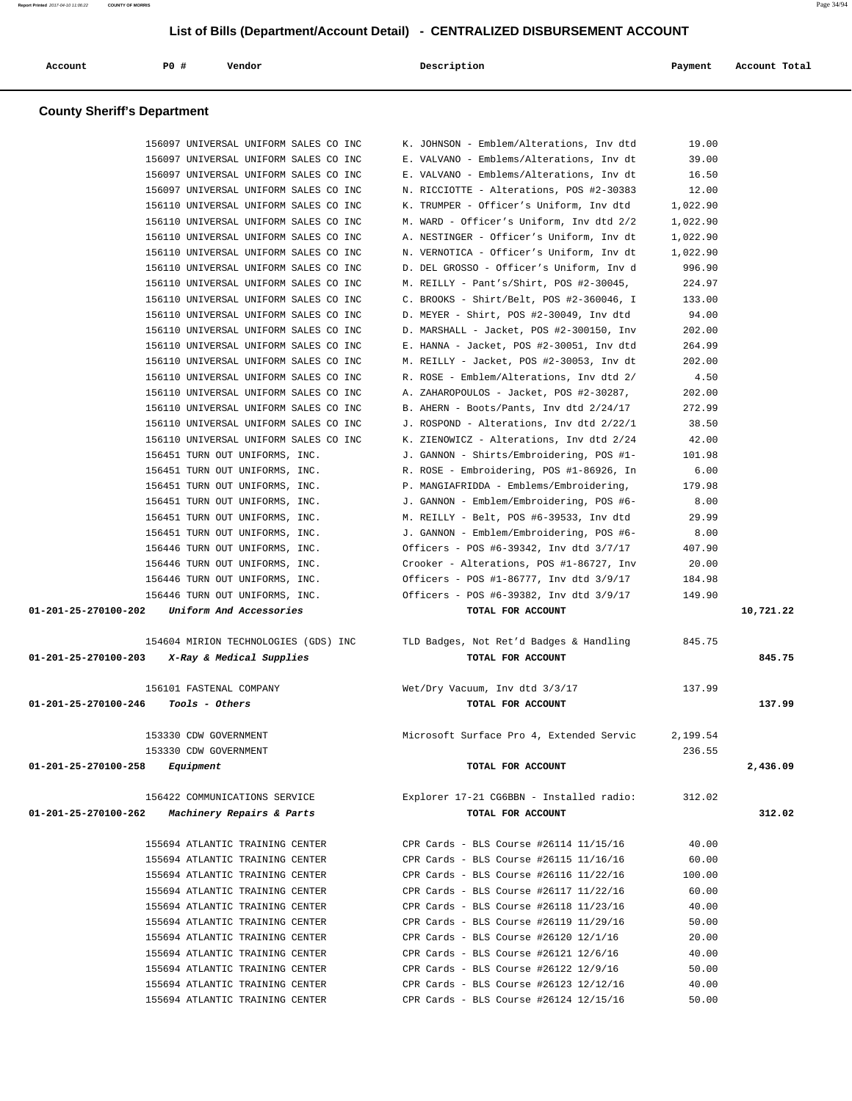| Account                            | P0 #<br>Vendor                                                                 |  | Description                                                                          | Payment        | Account Total |  |  |  |  |
|------------------------------------|--------------------------------------------------------------------------------|--|--------------------------------------------------------------------------------------|----------------|---------------|--|--|--|--|
| <b>County Sheriff's Department</b> |                                                                                |  |                                                                                      |                |               |  |  |  |  |
|                                    |                                                                                |  |                                                                                      |                |               |  |  |  |  |
|                                    | 156097 UNIVERSAL UNIFORM SALES CO INC                                          |  | K. JOHNSON - Emblem/Alterations, Inv dtd                                             | 19.00<br>39.00 |               |  |  |  |  |
|                                    | 156097 UNIVERSAL UNIFORM SALES CO INC<br>156097 UNIVERSAL UNIFORM SALES CO INC |  | E. VALVANO - Emblems/Alterations, Inv dt<br>E. VALVANO - Emblems/Alterations, Inv dt | 16.50          |               |  |  |  |  |
|                                    | 156097 UNIVERSAL UNIFORM SALES CO INC                                          |  | N. RICCIOTTE - Alterations, POS #2-30383                                             | 12.00          |               |  |  |  |  |
|                                    | 156110 UNIVERSAL UNIFORM SALES CO INC                                          |  | K. TRUMPER - Officer's Uniform, Inv dtd                                              | 1,022.90       |               |  |  |  |  |
|                                    | 156110 UNIVERSAL UNIFORM SALES CO INC                                          |  | M. WARD - Officer's Uniform, Inv dtd 2/2                                             | 1,022.90       |               |  |  |  |  |
|                                    | 156110 UNIVERSAL UNIFORM SALES CO INC                                          |  | A. NESTINGER - Officer's Uniform, Inv dt                                             | 1,022.90       |               |  |  |  |  |
|                                    | 156110 UNIVERSAL UNIFORM SALES CO INC                                          |  | N. VERNOTICA - Officer's Uniform, Inv dt                                             | 1,022.90       |               |  |  |  |  |
|                                    | 156110 UNIVERSAL UNIFORM SALES CO INC                                          |  | D. DEL GROSSO - Officer's Uniform, Inv d                                             | 996.90         |               |  |  |  |  |
|                                    | 156110 UNIVERSAL UNIFORM SALES CO INC                                          |  | M. REILLY - Pant's/Shirt, POS #2-30045,                                              | 224.97         |               |  |  |  |  |
|                                    | 156110 UNIVERSAL UNIFORM SALES CO INC                                          |  | C. BROOKS - Shirt/Belt, POS #2-360046, I                                             | 133.00         |               |  |  |  |  |
|                                    | 156110 UNIVERSAL UNIFORM SALES CO INC                                          |  | D. MEYER - Shirt, POS #2-30049, Inv dtd                                              | 94.00          |               |  |  |  |  |
|                                    | 156110 UNIVERSAL UNIFORM SALES CO INC                                          |  | D. MARSHALL - Jacket, POS #2-300150, Inv                                             | 202.00         |               |  |  |  |  |
|                                    | 156110 UNIVERSAL UNIFORM SALES CO INC                                          |  | E. HANNA - Jacket, POS #2-30051, Inv dtd                                             | 264.99         |               |  |  |  |  |
|                                    | 156110 UNIVERSAL UNIFORM SALES CO INC                                          |  | M. REILLY - Jacket, POS #2-30053, Inv dt                                             | 202.00         |               |  |  |  |  |
|                                    | 156110 UNIVERSAL UNIFORM SALES CO INC                                          |  | R. ROSE - Emblem/Alterations, Inv dtd 2/                                             | 4.50           |               |  |  |  |  |
|                                    | 156110 UNIVERSAL UNIFORM SALES CO INC                                          |  | A. ZAHAROPOULOS - Jacket, POS #2-30287,                                              | 202.00         |               |  |  |  |  |
|                                    | 156110 UNIVERSAL UNIFORM SALES CO INC                                          |  | B. AHERN - Boots/Pants, Inv dtd 2/24/17                                              | 272.99         |               |  |  |  |  |
|                                    | 156110 UNIVERSAL UNIFORM SALES CO INC                                          |  | J. ROSPOND - Alterations, Inv dtd 2/22/1                                             | 38.50          |               |  |  |  |  |
|                                    | 156110 UNIVERSAL UNIFORM SALES CO INC                                          |  | K. ZIENOWICZ - Alterations, Inv dtd 2/24                                             | 42.00          |               |  |  |  |  |
|                                    | 156451 TURN OUT UNIFORMS, INC.<br>156451 TURN OUT UNIFORMS, INC.               |  | J. GANNON - Shirts/Embroidering, POS #1-<br>R. ROSE - Embroidering, POS #1-86926, In | 101.98<br>6.00 |               |  |  |  |  |
|                                    | 156451 TURN OUT UNIFORMS, INC.                                                 |  | P. MANGIAFRIDDA - Emblems/Embroidering,                                              | 179.98         |               |  |  |  |  |
|                                    | 156451 TURN OUT UNIFORMS, INC.                                                 |  | J. GANNON - Emblem/Embroidering, POS #6-                                             | 8.00           |               |  |  |  |  |
|                                    | 156451 TURN OUT UNIFORMS, INC.                                                 |  | M. REILLY - Belt, POS #6-39533, Inv dtd                                              | 29.99          |               |  |  |  |  |
|                                    | 156451 TURN OUT UNIFORMS, INC.                                                 |  | J. GANNON - Emblem/Embroidering, POS #6-                                             | 8.00           |               |  |  |  |  |
|                                    | 156446 TURN OUT UNIFORMS, INC.                                                 |  | Officers - POS #6-39342, Inv dtd 3/7/17                                              | 407.90         |               |  |  |  |  |
|                                    | 156446 TURN OUT UNIFORMS, INC.                                                 |  | Crooker - Alterations, POS #1-86727, Inv                                             | 20.00          |               |  |  |  |  |
|                                    | 156446 TURN OUT UNIFORMS, INC.                                                 |  | Officers - POS #1-86777, Inv dtd 3/9/17                                              | 184.98         |               |  |  |  |  |
|                                    | 156446 TURN OUT UNIFORMS, INC.                                                 |  | Officers - POS #6-39382, Inv dtd 3/9/17                                              | 149.90         |               |  |  |  |  |
| 01-201-25-270100-202               | Uniform And Accessories                                                        |  | TOTAL FOR ACCOUNT                                                                    |                | 10,721.22     |  |  |  |  |
| 01-201-25-270100-203               | 154604 MIRION TECHNOLOGIES (GDS) INC<br>X-Ray & Medical Supplies               |  | TLD Badges, Not Ret'd Badges & Handling<br>TOTAL FOR ACCOUNT                         | 845.75         | 845.75        |  |  |  |  |
|                                    | 156101 FASTENAL COMPANY                                                        |  | Wet/Dry Vacuum, Inv dtd 3/3/17                                                       | 137.99         |               |  |  |  |  |
| 01-201-25-270100-246               | Tools - Others                                                                 |  | TOTAL FOR ACCOUNT                                                                    |                | 137.99        |  |  |  |  |
|                                    | 153330 CDW GOVERNMENT                                                          |  | Microsoft Surface Pro 4, Extended Servic                                             | 2,199.54       |               |  |  |  |  |
|                                    | 153330 CDW GOVERNMENT                                                          |  |                                                                                      | 236.55         |               |  |  |  |  |
| 01-201-25-270100-258               | Equipment                                                                      |  | TOTAL FOR ACCOUNT                                                                    |                | 2,436.09      |  |  |  |  |
|                                    | 156422 COMMUNICATIONS SERVICE                                                  |  | Explorer 17-21 CG6BBN - Installed radio:                                             | 312.02         |               |  |  |  |  |
| 01-201-25-270100-262               | Machinery Repairs & Parts                                                      |  | TOTAL FOR ACCOUNT                                                                    |                | 312.02        |  |  |  |  |
|                                    | 155694 ATLANTIC TRAINING CENTER                                                |  | CPR Cards - BLS Course #26114 11/15/16                                               | 40.00          |               |  |  |  |  |
|                                    | 155694 ATLANTIC TRAINING CENTER                                                |  | CPR Cards - BLS Course #26115 11/16/16                                               | 60.00          |               |  |  |  |  |
|                                    | 155694 ATLANTIC TRAINING CENTER                                                |  | CPR Cards - BLS Course #26116 11/22/16                                               | 100.00         |               |  |  |  |  |
|                                    | 155694 ATLANTIC TRAINING CENTER                                                |  | CPR Cards - BLS Course #26117 11/22/16                                               | 60.00          |               |  |  |  |  |
|                                    | 155694 ATLANTIC TRAINING CENTER                                                |  | CPR Cards - BLS Course #26118 11/23/16                                               | 40.00          |               |  |  |  |  |
|                                    | 155694 ATLANTIC TRAINING CENTER                                                |  | CPR Cards - BLS Course #26119 11/29/16                                               | 50.00          |               |  |  |  |  |
|                                    | 155694 ATLANTIC TRAINING CENTER                                                |  | CPR Cards - BLS Course #26120 12/1/16                                                | 20.00          |               |  |  |  |  |
|                                    | 155694 ATLANTIC TRAINING CENTER                                                |  | CPR Cards - BLS Course #26121 12/6/16                                                | 40.00          |               |  |  |  |  |
|                                    | 155694 ATLANTIC TRAINING CENTER                                                |  | CPR Cards - BLS Course #26122 12/9/16                                                | 50.00          |               |  |  |  |  |

 155694 ATLANTIC TRAINING CENTER CPR Cards - BLS Course #26123 12/12/16 40.00 155694 ATLANTIC TRAINING CENTER CPR Cards - BLS Course #26124 12/15/16 50.00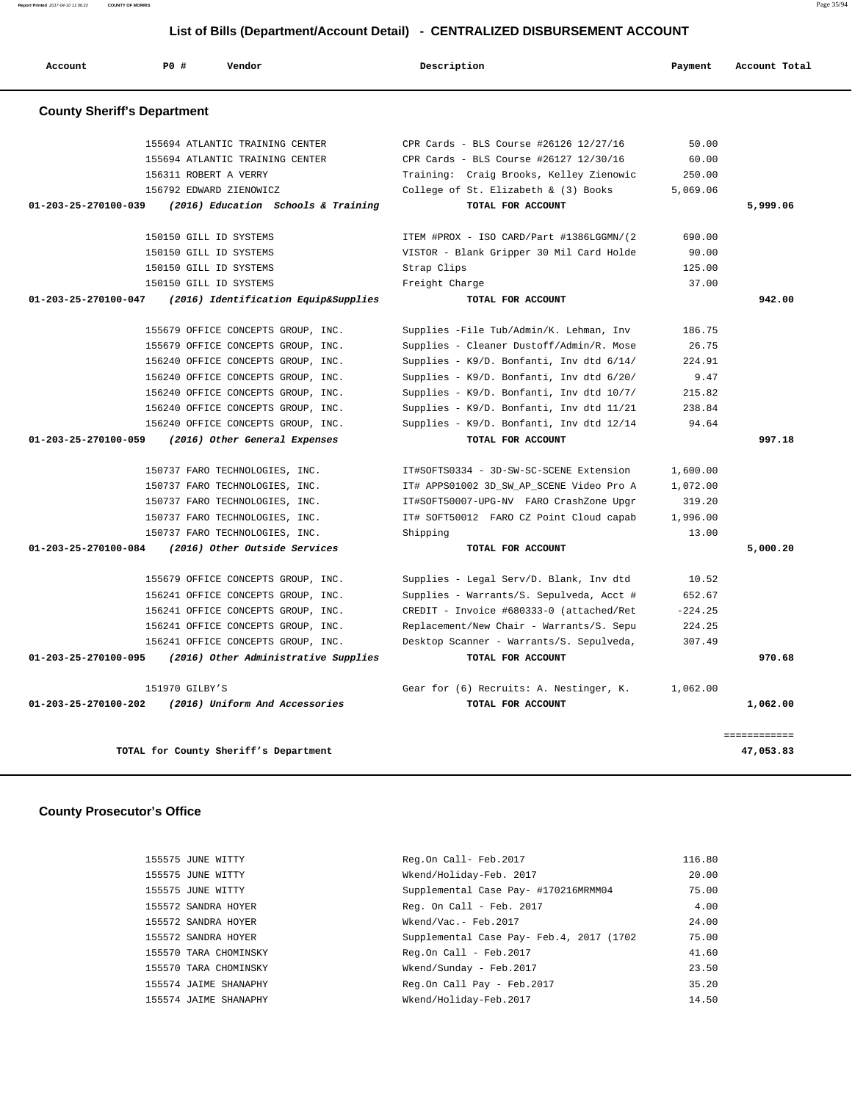**Report Printed** 2017-04-10 11:06:22 **COUNTY OF MORRIS** Page 35/94

# **List of Bills (Department/Account Detail) - CENTRALIZED DISBURSEMENT ACCOUNT**

| Account                            | PO#                                 | Vendor                                | Description                              | Payment   | Account Total |
|------------------------------------|-------------------------------------|---------------------------------------|------------------------------------------|-----------|---------------|
| <b>County Sheriff's Department</b> |                                     |                                       |                                          |           |               |
|                                    |                                     | 155694 ATLANTIC TRAINING CENTER       | CPR Cards - BLS Course #26126 12/27/16   | 50.00     |               |
|                                    |                                     | 155694 ATLANTIC TRAINING CENTER       | CPR Cards - BLS Course #26127 12/30/16   | 60.00     |               |
|                                    | 156311 ROBERT A VERRY               |                                       | Training: Craig Brooks, Kelley Zienowic  | 250.00    |               |
|                                    |                                     | 156792 EDWARD ZIENOWICZ               | College of St. Elizabeth & (3) Books     | 5,069.06  |               |
| 01-203-25-270100-039               | (2016) Education Schools & Training |                                       | TOTAL FOR ACCOUNT                        |           | 5,999.06      |
|                                    | 150150 GILL ID SYSTEMS              |                                       | ITEM #PROX - ISO CARD/Part #1386LGGMN/(2 | 690.00    |               |
|                                    | 150150 GILL ID SYSTEMS              |                                       | VISTOR - Blank Gripper 30 Mil Card Holde | 90.00     |               |
|                                    | 150150 GILL ID SYSTEMS              |                                       | Strap Clips                              | 125.00    |               |
|                                    | 150150 GILL ID SYSTEMS              |                                       | Freight Charge                           | 37.00     |               |
| 01-203-25-270100-047               |                                     | (2016) Identification Equip&Supplies  | TOTAL FOR ACCOUNT                        |           | 942.00        |
|                                    |                                     | 155679 OFFICE CONCEPTS GROUP, INC.    | Supplies -File Tub/Admin/K. Lehman, Inv  | 186.75    |               |
|                                    |                                     | 155679 OFFICE CONCEPTS GROUP, INC.    | Supplies - Cleaner Dustoff/Admin/R. Mose | 26.75     |               |
|                                    |                                     | 156240 OFFICE CONCEPTS GROUP, INC.    | Supplies - K9/D. Bonfanti, Inv dtd 6/14/ | 224.91    |               |
|                                    |                                     | 156240 OFFICE CONCEPTS GROUP, INC.    | Supplies - K9/D. Bonfanti, Inv dtd 6/20/ | 9.47      |               |
|                                    |                                     | 156240 OFFICE CONCEPTS GROUP, INC.    | Supplies - K9/D. Bonfanti, Inv dtd 10/7/ | 215.82    |               |
|                                    |                                     | 156240 OFFICE CONCEPTS GROUP, INC.    | Supplies - K9/D. Bonfanti, Inv dtd 11/21 | 238.84    |               |
|                                    |                                     | 156240 OFFICE CONCEPTS GROUP, INC.    | Supplies - K9/D. Bonfanti, Inv dtd 12/14 | 94.64     |               |
| 01-203-25-270100-059               |                                     | (2016) Other General Expenses         | TOTAL FOR ACCOUNT                        |           | 997.18        |
|                                    |                                     | 150737 FARO TECHNOLOGIES, INC.        | IT#SOFTS0334 - 3D-SW-SC-SCENE Extension  | 1,600.00  |               |
|                                    |                                     | 150737 FARO TECHNOLOGIES, INC.        | IT# APPS01002 3D_SW_AP_SCENE Video Pro A | 1,072.00  |               |
|                                    |                                     | 150737 FARO TECHNOLOGIES, INC.        | IT#SOFT50007-UPG-NV FARO CrashZone Upgr  | 319.20    |               |
|                                    |                                     | 150737 FARO TECHNOLOGIES, INC.        | IT# SOFT50012 FARO CZ Point Cloud capab  | 1,996.00  |               |
|                                    |                                     | 150737 FARO TECHNOLOGIES, INC.        | Shipping                                 | 13.00     |               |
| 01-203-25-270100-084               |                                     | (2016) Other Outside Services         | TOTAL FOR ACCOUNT                        |           | 5,000.20      |
|                                    |                                     | 155679 OFFICE CONCEPTS GROUP, INC.    | Supplies - Legal Serv/D. Blank, Inv dtd  | 10.52     |               |
|                                    |                                     | 156241 OFFICE CONCEPTS GROUP, INC.    | Supplies - Warrants/S. Sepulveda, Acct # | 652.67    |               |
|                                    |                                     | 156241 OFFICE CONCEPTS GROUP, INC.    | CREDIT - Invoice #680333-0 (attached/Ret | $-224.25$ |               |
|                                    |                                     | 156241 OFFICE CONCEPTS GROUP, INC.    | Replacement/New Chair - Warrants/S. Sepu | 224.25    |               |
|                                    |                                     | 156241 OFFICE CONCEPTS GROUP, INC.    | Desktop Scanner - Warrants/S. Sepulveda, | 307.49    |               |
| 01-203-25-270100-095               |                                     | (2016) Other Administrative Supplies  | TOTAL FOR ACCOUNT                        |           | 970.68        |
|                                    | 151970 GILBY'S                      |                                       | Gear for (6) Recruits: A. Nestinger, K.  | 1,062.00  |               |
| $01 - 203 - 25 - 270100 - 202$     |                                     | (2016) Uniform And Accessories        | TOTAL FOR ACCOUNT                        |           | 1,062.00      |
|                                    |                                     |                                       |                                          |           | ============  |
|                                    |                                     | TOTAL for County Sheriff's Department |                                          |           | 47,053.83     |

# **County Prosecutor's Office**

| 155575 JUNE WITTY     | Reg.On Call- Feb.2017                      | 116.80 |
|-----------------------|--------------------------------------------|--------|
| 155575 JUNE WITTY     | Wkend/Holiday-Feb. 2017                    | 20.00  |
| 155575 JUNE WITTY     | Supplemental Case Pay- #170216MRMM04       | 75.00  |
| 155572 SANDRA HOYER   | Req. On Call - Feb. $2017$                 | 4.00   |
| 155572 SANDRA HOYER   | Wkend/Vac.- Feb.2017                       | 24.00  |
| 155572 SANDRA HOYER   | Supplemental Case Pay- Feb. 4, 2017 (1702) | 75.00  |
| 155570 TARA CHOMINSKY | $Req. On Call - Feb. 2017$                 | 41.60  |
| 155570 TARA CHOMINSKY | Wkend/Sunday - Feb. 2017                   | 23.50  |
| 155574 JAIME SHANAPHY | Reg.On Call Pay - Feb. 2017                | 35.20  |
| 155574 JAIME SHANAPHY | Wkend/Holiday-Feb.2017                     | 14.50  |
|                       |                                            |        |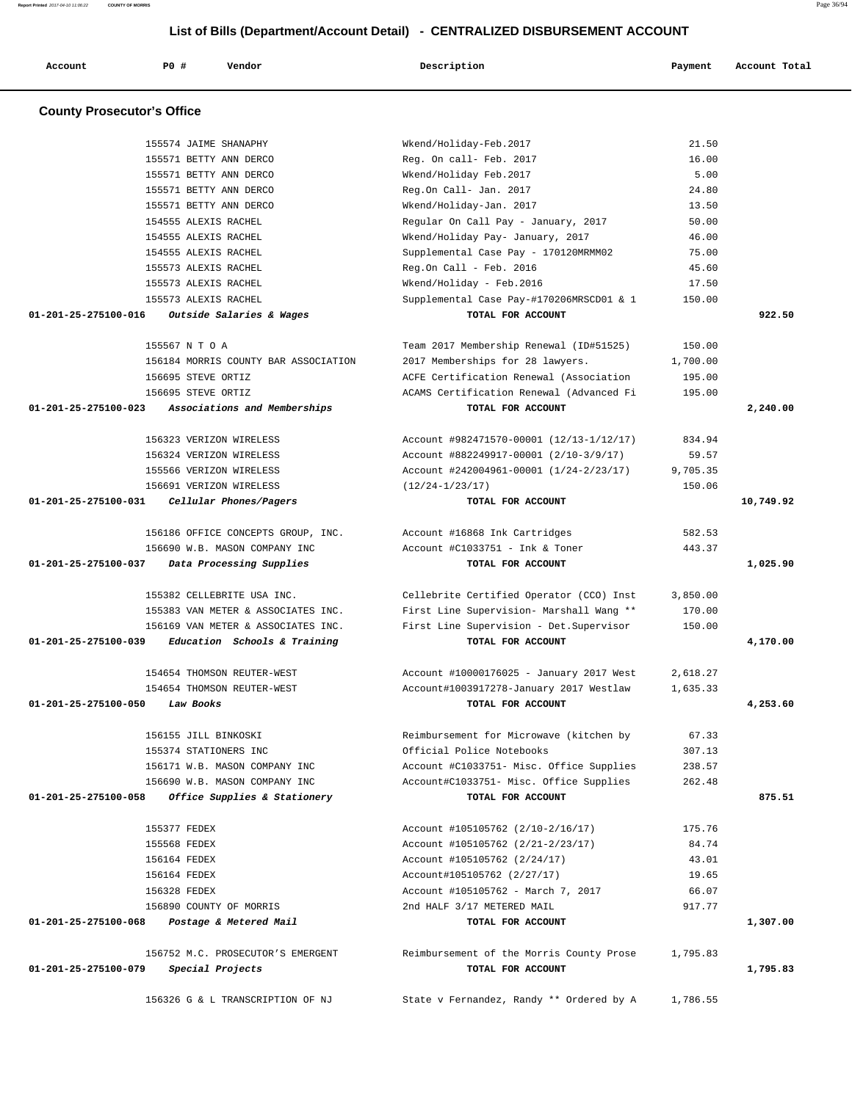**Account P0 # Vendor Description Payment Account Total County Prosecutor's Office** 155574 JAIME SHANAPHY Wkend/Holiday-Feb.2017 21.50 155571 BETTY ANN DERCO Reg. On call- Feb. 2017 16.00 155571 BETTY ANN DERCO Wkend/Holiday Feb.2017 5.00 155571 BETTY ANN DERCO Reg.On Call- Jan. 2017 24.80 155571 BETTY ANN DERCO Wkend/Holiday-Jan. 2017 13.50 154555 ALEXIS RACHEL Regular On Call Pay - January, 2017 50.00 154555 ALEXIS RACHEL Wkend/Holiday Pay- January, 2017 46.00 154555 ALEXIS RACHEL Supplemental Case Pay - 170120MRMM02 75.00 155573 ALEXIS RACHEL Reg.On Call - Feb. 2016 45.60 155573 ALEXIS RACHEL Wkend/Holiday - Feb.2016 17.50 155573 ALEXIS RACHEL Supplemental Case Pay-#170206MRSCD01 & 1 150.00  **01-201-25-275100-016 Outside Salaries & Wages TOTAL FOR ACCOUNT 922.50** 155567 N T O A Team 2017 Membership Renewal (ID#51525) 150.00 156184 MORRIS COUNTY BAR ASSOCIATION 2017 Memberships for 28 lawyers. 1,700.00 156695 STEVE ORTIZ ACFE Certification Renewal (Association 195.00 156695 STEVE ORTIZ ACAMS Certification Renewal (Advanced Fi 195.00  **01-201-25-275100-023 Associations and Memberships TOTAL FOR ACCOUNT 2,240.00** 156323 VERIZON WIRELESS Account #982471570-00001 (12/13-1/12/17) 834.94 156324 VERIZON WIRELESS Account #882249917-00001 (2/10-3/9/17) 59.57 155566 VERIZON WIRELESS Account #242004961-00001 (1/24-2/23/17) 9,705.35 156691 VERIZON WIRELESS (12/24-1/23/17) 150.06  **01-201-25-275100-031 Cellular Phones/Pagers TOTAL FOR ACCOUNT 10,749.92** 156186 OFFICE CONCEPTS GROUP, INC. Account #16868 Ink Cartridges 582.53 156690 W.B. MASON COMPANY INC Account #C1033751 - Ink & Toner 443.37  **01-201-25-275100-037 Data Processing Supplies TOTAL FOR ACCOUNT 1,025.90** 155382 CELLEBRITE USA INC. Cellebrite Certified Operator (CCO) Inst 3,850.00 155383 VAN METER & ASSOCIATES INC. First Line Supervision- Marshall Wang \*\* 170.00 156169 VAN METER & ASSOCIATES INC. First Line Supervision - Det.Supervisor 150.00  **01-201-25-275100-039 Education Schools & Training TOTAL FOR ACCOUNT 4,170.00** 154654 THOMSON REUTER-WEST Account #10000176025 - January 2017 West 2,618.27 154654 THOMSON REUTER-WEST Account#1003917278-January 2017 Westlaw 1,635.33  **01-201-25-275100-050 Law Books TOTAL FOR ACCOUNT 4,253.60** 156155 JILL BINKOSKI Reimbursement for Microwave (kitchen by 67.33 155374 STATIONERS INC Official Police Notebooks 307.13 156171 W.B. MASON COMPANY INC Account #C1033751- Misc. Office Supplies 238.57 156690 W.B. MASON COMPANY INC Account#C1033751- Misc. Office Supplies 262.48  **01-201-25-275100-058 Office Supplies & Stationery TOTAL FOR ACCOUNT 875.51** 155377 FEDEX Account #105105762 (2/10-2/16/17) 175.76 155568 FEDEX Account #105105762 (2/21-2/23/17) 84.74 156164 FEDEX Account #105105762 (2/24/17) 43.01 156164 FEDEX Account#105105762 (2/27/17) 19.65 156328 FEDEX Account #105105762 - March 7, 2017 66.07 156890 COUNTY OF MORRIS 2nd HALF 3/17 METERED MAIL 917.77  **01-201-25-275100-068 Postage & Metered Mail TOTAL FOR ACCOUNT 1,307.00**

 156752 M.C. PROSECUTOR'S EMERGENT Reimbursement of the Morris County Prose 1,795.83  **01-201-25-275100-079 Special Projects TOTAL FOR ACCOUNT 1,795.83**

156326 G & L TRANSCRIPTION OF NJ State v Fernandez, Randy \*\* Ordered by A 1,786.55

# **List of Bills (Department/Account Detail) - CENTRALIZED DISBURSEMENT ACCOUNT**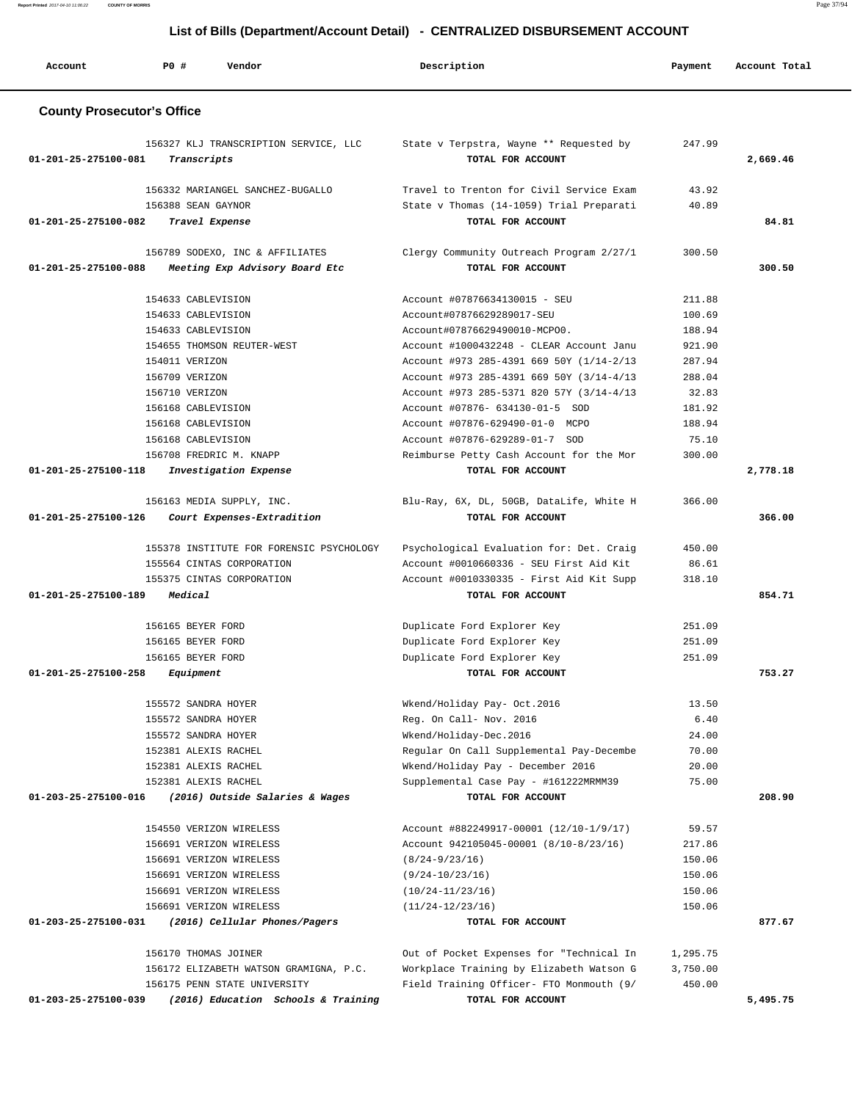**Report Printed** 2017-04-10 11:06:22 **COUNTY OF MORRIS** Page 37/94

# **List of Bills (Department/Account Detail) - CENTRALIZED DISBURSEMENT ACCOUNT**

| Account                           | P0 #<br>Vendor                                                    | Description                                                       | Payment         | Account Total |  |  |  |
|-----------------------------------|-------------------------------------------------------------------|-------------------------------------------------------------------|-----------------|---------------|--|--|--|
| <b>County Prosecutor's Office</b> |                                                                   |                                                                   |                 |               |  |  |  |
| 01-201-25-275100-081              | 156327 KLJ TRANSCRIPTION SERVICE, LLC<br>Transcripts              | State v Terpstra, Wayne ** Requested by<br>TOTAL FOR ACCOUNT      | 247.99          | 2,669.46      |  |  |  |
|                                   | 156332 MARIANGEL SANCHEZ-BUGALLO                                  | Travel to Trenton for Civil Service Exam                          | 43.92           |               |  |  |  |
|                                   | 156388 SEAN GAYNOR                                                | State v Thomas (14-1059) Trial Preparati                          | 40.89           |               |  |  |  |
| 01-201-25-275100-082              | Travel Expense                                                    | TOTAL FOR ACCOUNT                                                 |                 | 84.81         |  |  |  |
| 01-201-25-275100-088              | 156789 SODEXO, INC & AFFILIATES<br>Meeting Exp Advisory Board Etc | Clergy Community Outreach Program 2/27/1<br>TOTAL FOR ACCOUNT     | 300.50          | 300.50        |  |  |  |
|                                   | 154633 CABLEVISION                                                | Account #07876634130015 - SEU                                     | 211.88          |               |  |  |  |
|                                   | 154633 CABLEVISION                                                | Account#07876629289017-SEU                                        | 100.69          |               |  |  |  |
|                                   | 154633 CABLEVISION                                                | Account#07876629490010-MCPO0.                                     | 188.94          |               |  |  |  |
|                                   | 154655 THOMSON REUTER-WEST                                        | Account #1000432248 - CLEAR Account Janu                          | 921.90          |               |  |  |  |
|                                   | 154011 VERIZON                                                    | Account #973 285-4391 669 50Y (1/14-2/13                          | 287.94          |               |  |  |  |
|                                   | 156709 VERIZON                                                    | Account #973 285-4391 669 50Y (3/14-4/13                          | 288.04          |               |  |  |  |
|                                   | 156710 VERIZON                                                    | Account #973 285-5371 820 57Y (3/14-4/13                          | 32.83           |               |  |  |  |
|                                   | 156168 CABLEVISION                                                | Account #07876- 634130-01-5 SOD                                   | 181.92          |               |  |  |  |
|                                   | 156168 CABLEVISION<br>156168 CABLEVISION                          | Account #07876-629490-01-0 MCPO<br>Account #07876-629289-01-7 SOD | 188.94<br>75.10 |               |  |  |  |
|                                   | 156708 FREDRIC M. KNAPP                                           | Reimburse Petty Cash Account for the Mor                          | 300.00          |               |  |  |  |
| 01-201-25-275100-118              | Investigation Expense                                             | TOTAL FOR ACCOUNT                                                 |                 | 2,778.18      |  |  |  |
|                                   |                                                                   |                                                                   |                 |               |  |  |  |
| 01-201-25-275100-126              | 156163 MEDIA SUPPLY, INC.<br>Court Expenses-Extradition           | Blu-Ray, 6X, DL, 50GB, DataLife, White H<br>TOTAL FOR ACCOUNT     | 366.00          | 366.00        |  |  |  |
|                                   | 155378 INSTITUTE FOR FORENSIC PSYCHOLOGY                          | Psychological Evaluation for: Det. Craig                          | 450.00          |               |  |  |  |
|                                   | 155564 CINTAS CORPORATION                                         | Account #0010660336 - SEU First Aid Kit                           | 86.61           |               |  |  |  |
|                                   | 155375 CINTAS CORPORATION                                         | Account #0010330335 - First Aid Kit Supp                          | 318.10          |               |  |  |  |
| 01-201-25-275100-189              | Medical                                                           | TOTAL FOR ACCOUNT                                                 |                 | 854.71        |  |  |  |
|                                   | 156165 BEYER FORD                                                 | Duplicate Ford Explorer Key                                       | 251.09          |               |  |  |  |
|                                   | 156165 BEYER FORD                                                 | Duplicate Ford Explorer Key                                       | 251.09          |               |  |  |  |
|                                   | 156165 BEYER FORD                                                 | Duplicate Ford Explorer Key                                       | 251.09          |               |  |  |  |
| 01-201-25-275100-258              | Equipment                                                         | TOTAL FOR ACCOUNT                                                 |                 | 753.27        |  |  |  |
|                                   | 155572 SANDRA HOYER                                               | Wkend/Holiday Pay- Oct.2016                                       | 13.50           |               |  |  |  |
|                                   | 155572 SANDRA HOYER                                               | Req. On Call- Nov. 2016                                           | 6.40            |               |  |  |  |
|                                   | 155572 SANDRA HOYER                                               | Wkend/Holiday-Dec.2016                                            | 24.00           |               |  |  |  |
|                                   | 152381 ALEXIS RACHEL                                              | Reqular On Call Supplemental Pay-Decembe                          | 70.00           |               |  |  |  |
|                                   | 152381 ALEXIS RACHEL                                              | Wkend/Holiday Pay - December 2016                                 | 20.00           |               |  |  |  |
|                                   | 152381 ALEXIS RACHEL                                              | Supplemental Case Pay - #161222MRMM39                             | 75.00           |               |  |  |  |
| 01-203-25-275100-016              | (2016) Outside Salaries & Wages                                   | TOTAL FOR ACCOUNT                                                 |                 | 208.90        |  |  |  |
|                                   | 154550 VERIZON WIRELESS                                           | Account #882249917-00001 (12/10-1/9/17)                           | 59.57           |               |  |  |  |
|                                   | 156691 VERIZON WIRELESS                                           | Account 942105045-00001 (8/10-8/23/16)                            | 217.86          |               |  |  |  |
|                                   | 156691 VERIZON WIRELESS                                           | $(8/24 - 9/23/16)$                                                | 150.06          |               |  |  |  |
|                                   | 156691 VERIZON WIRELESS                                           | $(9/24-10/23/16)$                                                 | 150.06          |               |  |  |  |
|                                   | 156691 VERIZON WIRELESS                                           | $(10/24-11/23/16)$                                                | 150.06          |               |  |  |  |
|                                   | 156691 VERIZON WIRELESS                                           | $(11/24-12/23/16)$                                                | 150.06          |               |  |  |  |
| 01-203-25-275100-031              | (2016) Cellular Phones/Pagers                                     | TOTAL FOR ACCOUNT                                                 |                 | 877.67        |  |  |  |
|                                   | 156170 THOMAS JOINER                                              | Out of Pocket Expenses for "Technical In                          | 1,295.75        |               |  |  |  |
|                                   | 156172 ELIZABETH WATSON GRAMIGNA, P.C.                            | Workplace Training by Elizabeth Watson G                          | 3,750.00        |               |  |  |  |
|                                   | 156175 PENN STATE UNIVERSITY                                      | Field Training Officer- FTO Monmouth (9/                          | 450.00          |               |  |  |  |
| 01-203-25-275100-039              | (2016) Education Schools & Training                               | TOTAL FOR ACCOUNT                                                 |                 | 5,495.75      |  |  |  |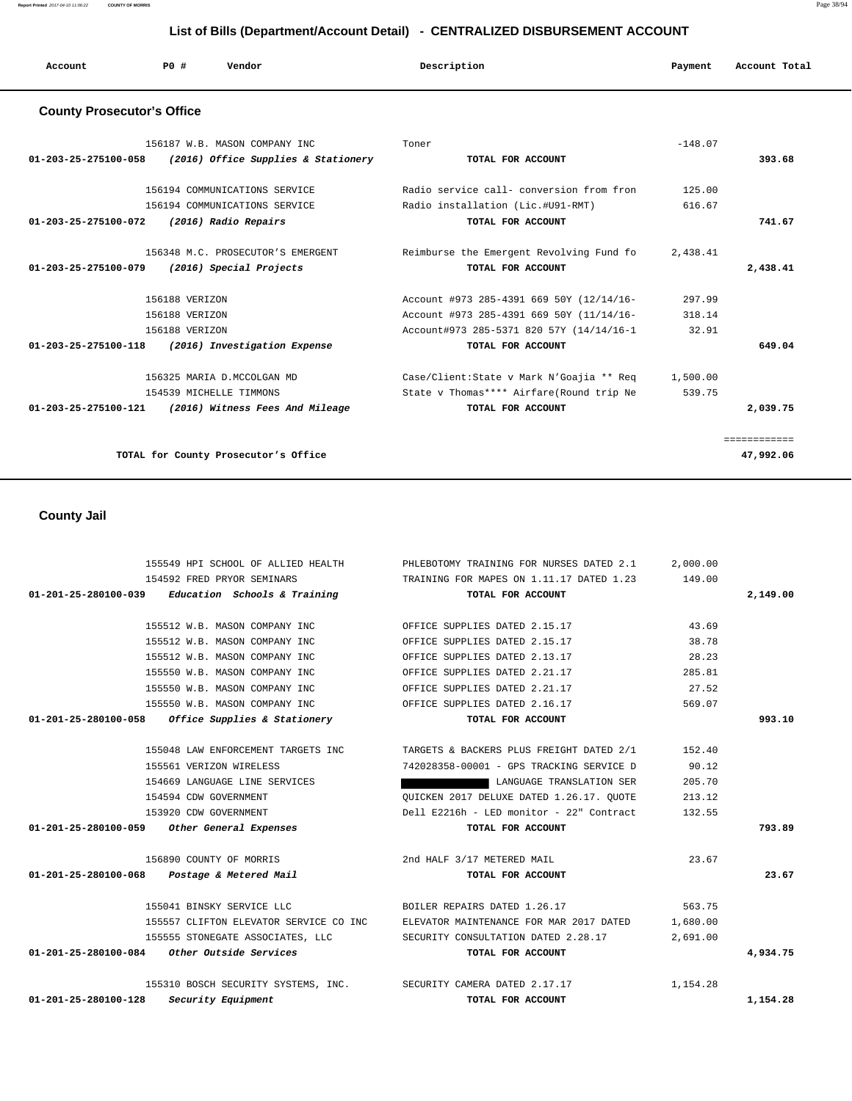**Report Printed** 2017-04-10 11:06:22 **COUNTY OF MORRIS** Page 38/94

# **List of Bills (Department/Account Detail) - CENTRALIZED DISBURSEMENT ACCOUNT**

| Account                           | PO# | Vendor                        | Description | Account Total<br>Payment |  |
|-----------------------------------|-----|-------------------------------|-------------|--------------------------|--|
| <b>County Prosecutor's Office</b> |     |                               |             |                          |  |
|                                   |     | 156187 W.B. MASON COMPANY INC | Toner       | $-148.07$                |  |

| 01-203-25-275100-058           | (2016) Office Supplies & Stationery  | TOTAL FOR ACCOUNT                        |          | 393.68    |
|--------------------------------|--------------------------------------|------------------------------------------|----------|-----------|
|                                | 156194 COMMUNICATIONS SERVICE        | Radio service call- conversion from fron | 125.00   |           |
|                                | 156194 COMMUNICATIONS SERVICE        | Radio installation (Lic.#U91-RMT)        | 616.67   |           |
| 01-203-25-275100-072           | (2016) Radio Repairs                 | TOTAL FOR ACCOUNT                        |          | 741.67    |
|                                | 156348 M.C. PROSECUTOR'S EMERGENT    | Reimburse the Emergent Revolving Fund fo | 2,438.41 |           |
| $01 - 203 - 25 - 275100 - 079$ | (2016) Special Projects              | TOTAL FOR ACCOUNT                        |          | 2,438.41  |
|                                | 156188 VERIZON                       | Account #973 285-4391 669 50Y (12/14/16- | 297.99   |           |
|                                | 156188 VERIZON                       | Account #973 285-4391 669 50Y (11/14/16- | 318.14   |           |
|                                | 156188 VERIZON                       | Account#973 285-5371 820 57Y (14/14/16-1 | 32.91    |           |
| 01-203-25-275100-118           | (2016) Investigation Expense         | TOTAL FOR ACCOUNT                        |          | 649.04    |
|                                | 156325 MARIA D.MCCOLGAN MD           | Case/Client:State v Mark N'Goajia ** Req | 1,500.00 |           |
|                                | 154539 MICHELLE TIMMONS              | State v Thomas**** Airfare(Round trip Ne | 539.75   |           |
| $01 - 203 - 25 - 275100 - 121$ | (2016) Witness Fees And Mileage      | TOTAL FOR ACCOUNT                        |          | 2,039.75  |
|                                |                                      |                                          |          |           |
|                                | TOTAL for County Prosecutor's Office |                                          |          | 47,992.06 |

# **County Jail**

|                                                      | 155549 HPI SCHOOL OF ALLIED HEALTH | PHLEBOTOMY TRAINING FOR NURSES DATED 2.1                                            | 2,000.00 |          |
|------------------------------------------------------|------------------------------------|-------------------------------------------------------------------------------------|----------|----------|
| 154592 FRED PRYOR SEMINARS                           |                                    | TRAINING FOR MAPES ON 1.11.17 DATED 1.23                                            | 149.00   |          |
| 01-201-25-280100-039                                 | Education Schools & Training       | TOTAL FOR ACCOUNT                                                                   |          | 2,149.00 |
|                                                      | 155512 W.B. MASON COMPANY INC.     | OFFICE SUPPLIES DATED 2.15.17                                                       | 43.69    |          |
|                                                      | 155512 W.B. MASON COMPANY INC      | OFFICE SUPPLIES DATED 2.15.17                                                       | 38.78    |          |
|                                                      | 155512 W.B. MASON COMPANY INC      | OFFICE SUPPLIES DATED 2.13.17                                                       | 28.23    |          |
|                                                      | 155550 W.B. MASON COMPANY INC      | OFFICE SUPPLIES DATED 2.21.17                                                       | 285.81   |          |
|                                                      | 155550 W.B. MASON COMPANY INC      | OFFICE SUPPLIES DATED 2.21.17                                                       | 27.52    |          |
|                                                      | 155550 W.B. MASON COMPANY INC      | OFFICE SUPPLIES DATED 2.16.17                                                       | 569.07   |          |
| $01-201-25-280100-058$ Office Supplies & Stationery  |                                    | TOTAL FOR ACCOUNT                                                                   |          | 993.10   |
|                                                      | 155048 LAW ENFORCEMENT TARGETS INC | TARGETS & BACKERS PLUS FREIGHT DATED 2/1                                            | 152.40   |          |
| 155561 VERIZON WIRELESS                              |                                    | 742028358-00001 - GPS TRACKING SERVICE D                                            | 90.12    |          |
|                                                      | 154669 LANGUAGE LINE SERVICES      | LANGUAGE TRANSLATION SER                                                            | 205.70   |          |
| 154594 CDW GOVERNMENT                                |                                    | OUICKEN 2017 DELUXE DATED 1.26.17. OUOTE                                            | 213.12   |          |
| 153920 CDW GOVERNMENT                                |                                    | Dell E2216h - LED monitor - 22" Contract                                            | 132.55   |          |
| 01-201-25-280100-059 Other General Expenses          |                                    | TOTAL FOR ACCOUNT                                                                   |          | 793.89   |
| 156890 COUNTY OF MORRIS                              |                                    | 2nd HALF 3/17 METERED MAIL                                                          | 23.67    |          |
| 01-201-25-280100-068 Postage & Metered Mail          |                                    | TOTAL FOR ACCOUNT                                                                   |          | 23.67    |
| 155041 BINSKY SERVICE LLC                            |                                    | BOILER REPAIRS DATED 1.26.17                                                        | 563.75   |          |
|                                                      |                                    | 155557 CLIFTON ELEVATOR SERVICE CO INC      ELEVATOR MAINTENANCE FOR MAR 2017 DATED | 1,680.00 |          |
|                                                      | 155555 STONEGATE ASSOCIATES, LLC   | SECURITY CONSULTATION DATED 2.28.17                                                 | 2,691.00 |          |
| 01-201-25-280100-084 Other Outside Services          |                                    | TOTAL FOR ACCOUNT                                                                   |          | 4,934.75 |
|                                                      |                                    | 155310 BOSCH SECURITY SYSTEMS, INC. SECURITY CAMERA DATED 2.17.17                   | 1,154.28 |          |
| $01 - 201 - 25 - 280100 - 128$<br>Security Equipment |                                    | TOTAL FOR ACCOUNT                                                                   |          | 1,154.28 |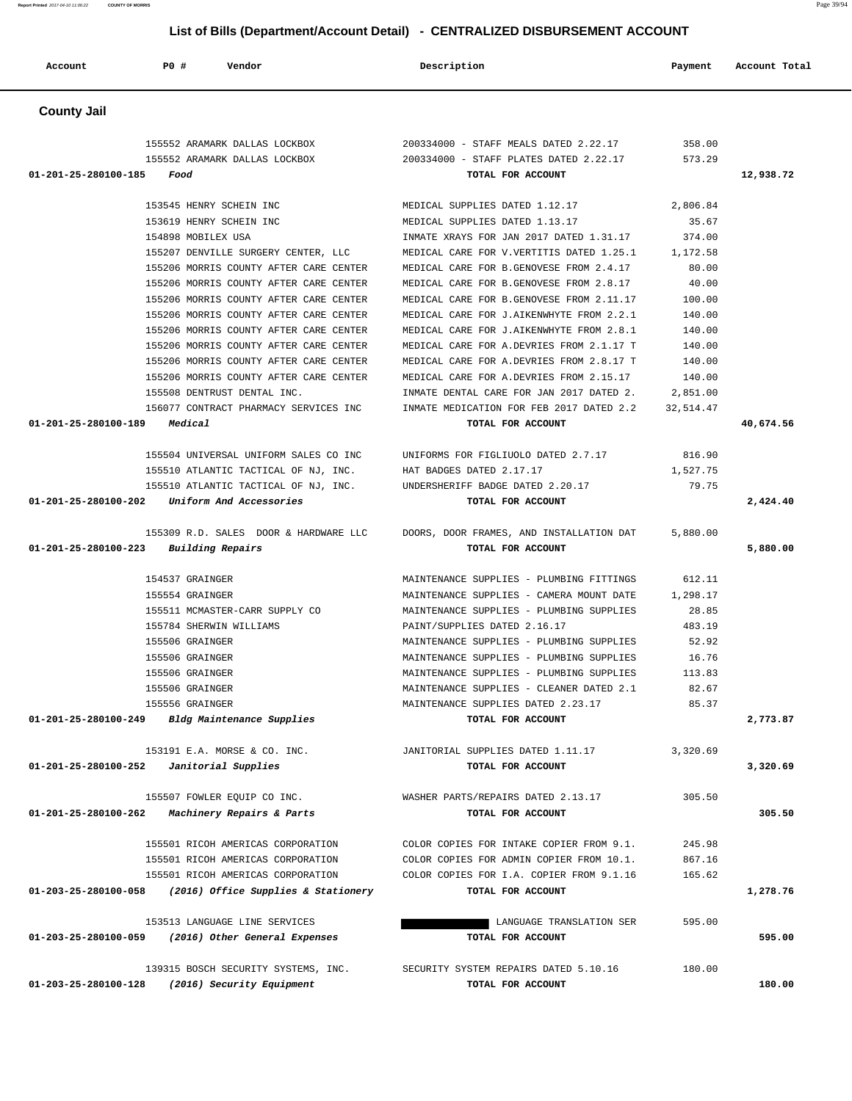**Report Printed** 2017-04-10 11:06:22 **COUNTY OF MORRIS** Page 39/94  **List of Bills (Department/Account Detail) - CENTRALIZED DISBURSEMENT ACCOUNT Account P0 # Vendor Description Payment Account Total**

 **County Jail** 

|                      | 155552 ARAMARK DALLAS LOCKBOX          | 200334000 - STAFF MEALS DATED 2.22.17     | 358.00    |           |
|----------------------|----------------------------------------|-------------------------------------------|-----------|-----------|
|                      | 155552 ARAMARK DALLAS LOCKBOX          | 200334000 - STAFF PLATES DATED 2.22.17    | 573.29    |           |
| 01-201-25-280100-185 | Food                                   | TOTAL FOR ACCOUNT                         |           | 12,938.72 |
|                      |                                        |                                           |           |           |
|                      | 153545 HENRY SCHEIN INC                | MEDICAL SUPPLIES DATED 1.12.17            | 2,806.84  |           |
|                      | 153619 HENRY SCHEIN INC                | MEDICAL SUPPLIES DATED 1.13.17            | 35.67     |           |
|                      | 154898 MOBILEX USA                     | INMATE XRAYS FOR JAN 2017 DATED 1.31.17   | 374.00    |           |
|                      | 155207 DENVILLE SURGERY CENTER, LLC    | MEDICAL CARE FOR V.VERTITIS DATED 1.25.1  | 1,172.58  |           |
|                      | 155206 MORRIS COUNTY AFTER CARE CENTER | MEDICAL CARE FOR B. GENOVESE FROM 2.4.17  | 80.00     |           |
|                      | 155206 MORRIS COUNTY AFTER CARE CENTER | MEDICAL CARE FOR B.GENOVESE FROM 2.8.17   | 40.00     |           |
|                      | 155206 MORRIS COUNTY AFTER CARE CENTER | MEDICAL CARE FOR B. GENOVESE FROM 2.11.17 | 100.00    |           |
|                      | 155206 MORRIS COUNTY AFTER CARE CENTER | MEDICAL CARE FOR J.AIKENWHYTE FROM 2.2.1  | 140.00    |           |
|                      | 155206 MORRIS COUNTY AFTER CARE CENTER | MEDICAL CARE FOR J.AIKENWHYTE FROM 2.8.1  | 140.00    |           |
|                      | 155206 MORRIS COUNTY AFTER CARE CENTER | MEDICAL CARE FOR A.DEVRIES FROM 2.1.17 T  | 140.00    |           |
|                      | 155206 MORRIS COUNTY AFTER CARE CENTER | MEDICAL CARE FOR A.DEVRIES FROM 2.8.17 T  | 140.00    |           |
|                      | 155206 MORRIS COUNTY AFTER CARE CENTER | MEDICAL CARE FOR A.DEVRIES FROM 2.15.17   | 140.00    |           |
|                      | 155508 DENTRUST DENTAL INC.            | INMATE DENTAL CARE FOR JAN 2017 DATED 2.  | 2,851.00  |           |
|                      | 156077 CONTRACT PHARMACY SERVICES INC  | INMATE MEDICATION FOR FEB 2017 DATED 2.2  | 32,514.47 |           |
| 01-201-25-280100-189 | Medical                                | TOTAL FOR ACCOUNT                         |           | 40,674.56 |
|                      |                                        |                                           |           |           |
|                      | 155504 UNIVERSAL UNIFORM SALES CO INC  | UNIFORMS FOR FIGLIUOLO DATED 2.7.17       | 816.90    |           |
|                      | 155510 ATLANTIC TACTICAL OF NJ, INC.   | HAT BADGES DATED 2.17.17                  | 1,527.75  |           |
|                      | 155510 ATLANTIC TACTICAL OF NJ, INC.   | UNDERSHERIFF BADGE DATED 2.20.17          | 79.75     |           |
| 01-201-25-280100-202 | Uniform And Accessories                | TOTAL FOR ACCOUNT                         |           | 2,424.40  |
|                      |                                        |                                           |           |           |
|                      | 155309 R.D. SALES DOOR & HARDWARE LLC  | DOORS, DOOR FRAMES, AND INSTALLATION DAT  | 5,880.00  |           |
| 01-201-25-280100-223 | Building Repairs                       | TOTAL FOR ACCOUNT                         |           | 5,880.00  |
|                      |                                        |                                           |           |           |
|                      | 154537 GRAINGER                        | MAINTENANCE SUPPLIES - PLUMBING FITTINGS  | 612.11    |           |
|                      | 155554 GRAINGER                        | MAINTENANCE SUPPLIES - CAMERA MOUNT DATE  | 1,298.17  |           |
|                      | 155511 MCMASTER-CARR SUPPLY CO         | MAINTENANCE SUPPLIES - PLUMBING SUPPLIES  | 28.85     |           |
|                      | 155784 SHERWIN WILLIAMS                | PAINT/SUPPLIES DATED 2.16.17              | 483.19    |           |
|                      | 155506 GRAINGER                        | MAINTENANCE SUPPLIES - PLUMBING SUPPLIES  | 52.92     |           |
|                      | 155506 GRAINGER                        | MAINTENANCE SUPPLIES - PLUMBING SUPPLIES  | 16.76     |           |
|                      | 155506 GRAINGER                        | MAINTENANCE SUPPLIES - PLUMBING SUPPLIES  | 113.83    |           |
|                      | 155506 GRAINGER                        | MAINTENANCE SUPPLIES - CLEANER DATED 2.1  | 82.67     |           |
|                      | 155556 GRAINGER                        | MAINTENANCE SUPPLIES DATED 2.23.17        | 85.37     |           |
| 01-201-25-280100-249 | Bldg Maintenance Supplies              | TOTAL FOR ACCOUNT                         |           | 2,773.87  |
|                      |                                        |                                           |           |           |
|                      | 153191 E.A. MORSE & CO. INC.           | JANITORIAL SUPPLIES DATED 1.11.17         | 3,320.69  |           |
| 01-201-25-280100-252 | Janitorial Supplies                    | TOTAL FOR ACCOUNT                         |           | 3,320.69  |
|                      |                                        |                                           |           |           |
|                      | 155507 FOWLER EQUIP CO INC.            | WASHER PARTS/REPAIRS DATED 2.13.17        | 305.50    |           |
| 01-201-25-280100-262 | Machinery Repairs & Parts              | TOTAL FOR ACCOUNT                         |           | 305.50    |
|                      | 155501 RICOH AMERICAS CORPORATION      | COLOR COPIES FOR INTAKE COPIER FROM 9.1.  | 245.98    |           |
|                      | 155501 RICOH AMERICAS CORPORATION      | COLOR COPIES FOR ADMIN COPIER FROM 10.1.  | 867.16    |           |
|                      |                                        |                                           |           |           |
|                      | 155501 RICOH AMERICAS CORPORATION      | COLOR COPIES FOR I.A. COPIER FROM 9.1.16  | 165.62    |           |
| 01-203-25-280100-058 | (2016) Office Supplies & Stationery    | TOTAL FOR ACCOUNT                         |           | 1,278.76  |
|                      | 153513 LANGUAGE LINE SERVICES          | LANGUAGE TRANSLATION SER                  | 595.00    |           |
| 01-203-25-280100-059 | (2016) Other General Expenses          | TOTAL FOR ACCOUNT                         |           | 595.00    |
|                      |                                        |                                           |           |           |
|                      | 139315 BOSCH SECURITY SYSTEMS, INC.    | SECURITY SYSTEM REPAIRS DATED 5.10.16     | 180.00    |           |
| 01-203-25-280100-128 | (2016) Security Equipment              | TOTAL FOR ACCOUNT                         |           | 180.00    |
|                      |                                        |                                           |           |           |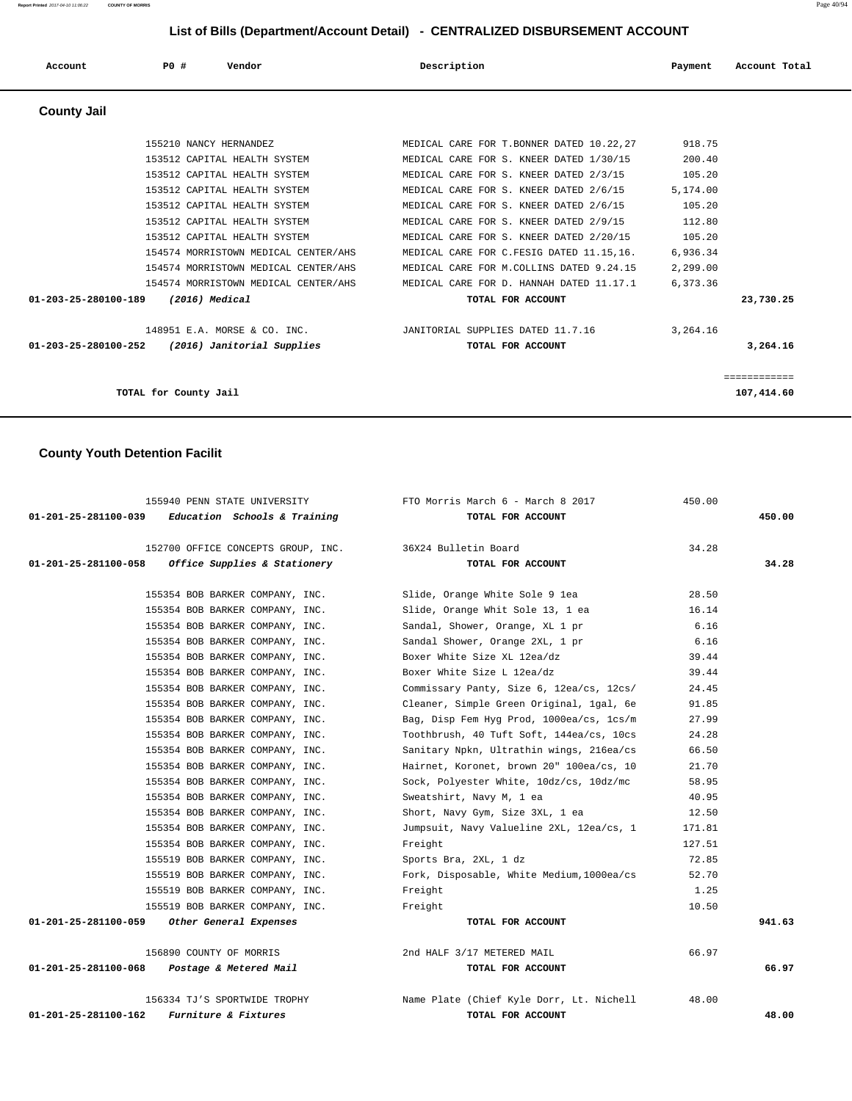| Account              | PO#                    | Vendor                                                                                                                                                                                                                                                                       | Description                                                                                                                                                                                                                                                                                                                                                                                     | Payment                                                                                      | Account Total              |
|----------------------|------------------------|------------------------------------------------------------------------------------------------------------------------------------------------------------------------------------------------------------------------------------------------------------------------------|-------------------------------------------------------------------------------------------------------------------------------------------------------------------------------------------------------------------------------------------------------------------------------------------------------------------------------------------------------------------------------------------------|----------------------------------------------------------------------------------------------|----------------------------|
| <b>County Jail</b>   |                        |                                                                                                                                                                                                                                                                              |                                                                                                                                                                                                                                                                                                                                                                                                 |                                                                                              |                            |
|                      | 155210 NANCY HERNANDEZ | 153512 CAPITAL HEALTH SYSTEM<br>153512 CAPITAL HEALTH SYSTEM<br>153512 CAPITAL HEALTH SYSTEM<br>153512 CAPITAL HEALTH SYSTEM<br>153512 CAPITAL HEALTH SYSTEM<br>153512 CAPITAL HEALTH SYSTEM<br>154574 MORRISTOWN MEDICAL CENTER/AHS<br>154574 MORRISTOWN MEDICAL CENTER/AHS | MEDICAL CARE FOR T. BONNER DATED 10.22,27<br>MEDICAL CARE FOR S. KNEER DATED 1/30/15<br>MEDICAL CARE FOR S. KNEER DATED 2/3/15<br>MEDICAL CARE FOR S. KNEER DATED 2/6/15<br>MEDICAL CARE FOR S. KNEER DATED 2/6/15<br>MEDICAL CARE FOR S. KNEER DATED 2/9/15<br>MEDICAL CARE FOR S. KNEER DATED 2/20/15<br>MEDICAL CARE FOR C.FESIG DATED 11.15,16.<br>MEDICAL CARE FOR M.COLLINS DATED 9.24.15 | 918.75<br>200.40<br>105.20<br>5,174.00<br>105.20<br>112.80<br>105.20<br>6,936.34<br>2,299.00 |                            |
| 01-203-25-280100-189 | $(2016)$ Medical       | 154574 MORRISTOWN MEDICAL CENTER/AHS                                                                                                                                                                                                                                         | MEDICAL CARE FOR D. HANNAH DATED 11.17.1<br>TOTAL FOR ACCOUNT                                                                                                                                                                                                                                                                                                                                   | 6,373.36                                                                                     | 23,730.25                  |
| 01-203-25-280100-252 |                        | 148951 E.A. MORSE & CO. INC.<br>(2016) Janitorial Supplies                                                                                                                                                                                                                   | JANITORIAL SUPPLIES DATED 11.7.16<br>TOTAL FOR ACCOUNT                                                                                                                                                                                                                                                                                                                                          | 3,264.16                                                                                     | 3,264.16                   |
|                      | TOTAL for County Jail  |                                                                                                                                                                                                                                                                              |                                                                                                                                                                                                                                                                                                                                                                                                 |                                                                                              | ============<br>107,414.60 |

# **County Youth Detention Facilit**

| 155940 PENN STATE UNIVERSITY                                    | FTO Morris March 6 - March 8 2017         | 450.00 |        |
|-----------------------------------------------------------------|-------------------------------------------|--------|--------|
| $01-201-25-281100-039$ Education Schools & Training             | TOTAL FOR ACCOUNT                         |        | 450.00 |
|                                                                 |                                           |        |        |
| 152700 OFFICE CONCEPTS GROUP, INC. 36X24 Bulletin Board         |                                           | 34.28  |        |
| 01-201-25-281100-058<br><i>Office Supplies &amp; Stationery</i> | TOTAL FOR ACCOUNT                         |        | 34.28  |
|                                                                 |                                           |        |        |
| 155354 BOB BARKER COMPANY, INC.                                 | Slide, Orange White Sole 9 lea            | 28.50  |        |
| 155354 BOB BARKER COMPANY, INC.                                 | Slide, Orange Whit Sole 13, 1 ea          | 16.14  |        |
| 155354 BOB BARKER COMPANY, INC.                                 | Sandal, Shower, Orange, XL 1 pr           | 6.16   |        |
| 155354 BOB BARKER COMPANY, INC.                                 | Sandal Shower, Orange 2XL, 1 pr           | 6.16   |        |
| 155354 BOB BARKER COMPANY, INC.                                 | Boxer White Size XL 12ea/dz               | 39.44  |        |
| 155354 BOB BARKER COMPANY, INC.                                 | Boxer White Size L 12ea/dz                | 39.44  |        |
| 155354 BOB BARKER COMPANY, INC.                                 | Commissary Panty, Size 6, 12ea/cs, 12cs/  | 24.45  |        |
| 155354 BOB BARKER COMPANY, INC.                                 | Cleaner, Simple Green Original, 1gal, 6e  | 91.85  |        |
| 155354 BOB BARKER COMPANY, INC.                                 | Bag, Disp Fem Hyg Prod, 1000ea/cs, 1cs/m  | 27.99  |        |
| 155354 BOB BARKER COMPANY, INC.                                 | Toothbrush, 40 Tuft Soft, 144ea/cs, 10cs  | 24.28  |        |
| 155354 BOB BARKER COMPANY, INC.                                 | Sanitary Npkn, Ultrathin wings, 216ea/cs  | 66.50  |        |
| 155354 BOB BARKER COMPANY, INC.                                 | Hairnet, Koronet, brown 20" 100ea/cs, 10  | 21.70  |        |
| 155354 BOB BARKER COMPANY, INC.                                 | Sock, Polyester White, 10dz/cs, 10dz/mc   | 58.95  |        |
| 155354 BOB BARKER COMPANY, INC.                                 | Sweatshirt, Navy M, 1 ea                  | 40.95  |        |
| 155354 BOB BARKER COMPANY, INC.                                 | Short, Navy Gym, Size 3XL, 1 ea           | 12.50  |        |
| 155354 BOB BARKER COMPANY, INC.                                 | Jumpsuit, Navy Valueline 2XL, 12ea/cs, 1  | 171.81 |        |
| 155354 BOB BARKER COMPANY, INC.                                 | Freight                                   | 127.51 |        |
| 155519 BOB BARKER COMPANY, INC.                                 | Sports Bra, 2XL, 1 dz                     | 72.85  |        |
| 155519 BOB BARKER COMPANY, INC.                                 | Fork, Disposable, White Medium, 1000ea/cs | 52.70  |        |
| 155519 BOB BARKER COMPANY, INC.                                 | Freight                                   | 1.25   |        |
| 155519 BOB BARKER COMPANY, INC.                                 | Freight                                   | 10.50  |        |
| 01-201-25-281100-059 Other General Expenses                     | TOTAL FOR ACCOUNT                         |        | 941.63 |
|                                                                 |                                           |        |        |
| 156890 COUNTY OF MORRIS                                         | 2nd HALF 3/17 METERED MAIL                | 66.97  |        |
| 01-201-25-281100-068 Postage & Metered Mail                     | TOTAL FOR ACCOUNT                         |        | 66.97  |
|                                                                 |                                           |        |        |
| 156334 TJ'S SPORTWIDE TROPHY                                    | Name Plate (Chief Kyle Dorr, Lt. Nichell  | 48.00  |        |
| 01-201-25-281100-162<br>Furniture & Fixtures                    | TOTAL FOR ACCOUNT                         |        | 48.00  |
|                                                                 |                                           |        |        |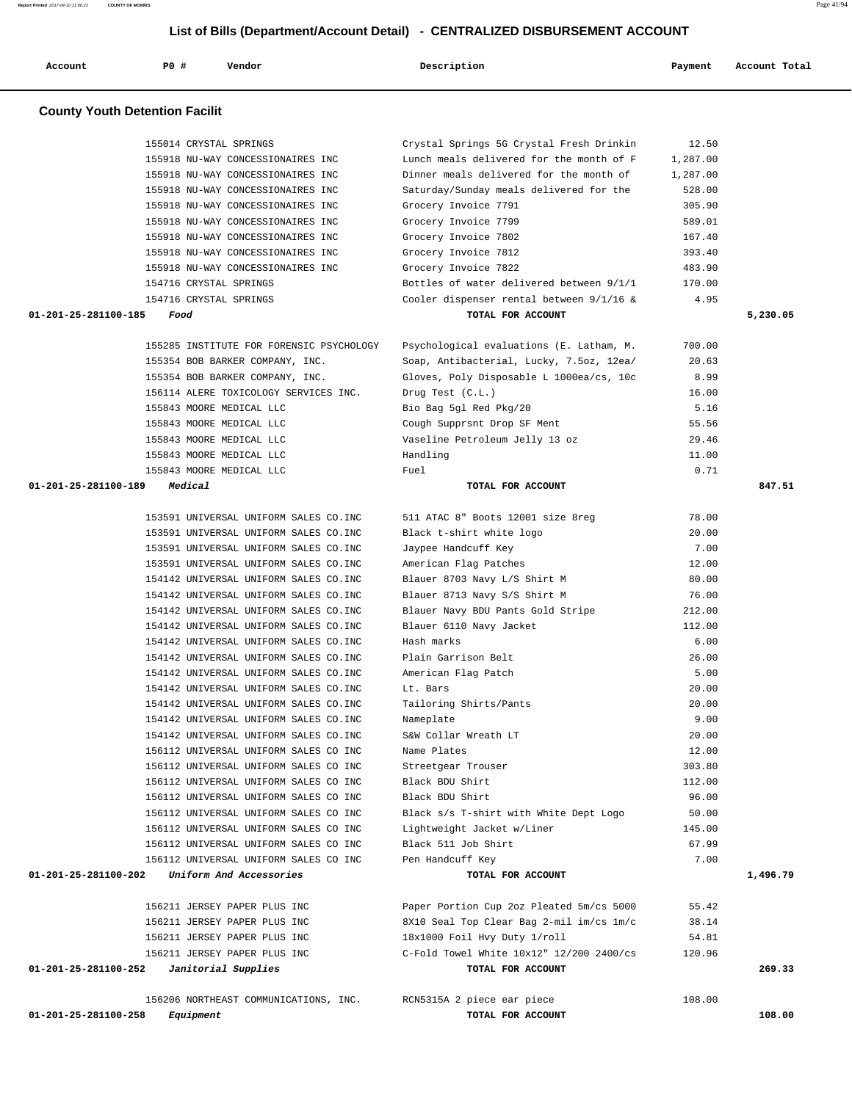| Account              | <b>PO #</b><br>Vendor                                                           | Description                                                                          | Payment          | Account Total |
|----------------------|---------------------------------------------------------------------------------|--------------------------------------------------------------------------------------|------------------|---------------|
|                      |                                                                                 |                                                                                      |                  |               |
|                      | <b>County Youth Detention Facilit</b>                                           |                                                                                      |                  |               |
|                      | 155014 CRYSTAL SPRINGS                                                          | Crystal Springs 5G Crystal Fresh Drinkin                                             | 12.50            |               |
|                      | 155918 NU-WAY CONCESSIONAIRES INC                                               | Lunch meals delivered for the month of F                                             | 1,287.00         |               |
|                      | 155918 NU-WAY CONCESSIONAIRES INC                                               | Dinner meals delivered for the month of                                              | 1,287.00         |               |
|                      | 155918 NU-WAY CONCESSIONAIRES INC                                               | Saturday/Sunday meals delivered for the                                              | 528.00           |               |
|                      | 155918 NU-WAY CONCESSIONAIRES INC                                               | Grocery Invoice 7791                                                                 | 305.90           |               |
|                      | 155918 NU-WAY CONCESSIONAIRES INC<br>155918 NU-WAY CONCESSIONAIRES INC          | Grocery Invoice 7799<br>Grocery Invoice 7802                                         | 589.01<br>167.40 |               |
|                      | 155918 NU-WAY CONCESSIONAIRES INC                                               | Grocery Invoice 7812                                                                 | 393.40           |               |
|                      | 155918 NU-WAY CONCESSIONAIRES INC                                               | Grocery Invoice 7822                                                                 | 483.90           |               |
|                      | 154716 CRYSTAL SPRINGS                                                          | Bottles of water delivered between 9/1/1                                             | 170.00           |               |
|                      | 154716 CRYSTAL SPRINGS                                                          | Cooler dispenser rental between 9/1/16 &                                             | 4.95             |               |
| 01-201-25-281100-185 | Food                                                                            | TOTAL FOR ACCOUNT                                                                    |                  | 5,230.05      |
|                      | 155285 INSTITUTE FOR FORENSIC PSYCHOLOGY                                        | Psychological evaluations (E. Latham, M.                                             | 700.00           |               |
|                      | 155354 BOB BARKER COMPANY, INC.                                                 | Soap, Antibacterial, Lucky, 7.5oz, 12ea/                                             | 20.63            |               |
|                      | 155354 BOB BARKER COMPANY, INC.                                                 | Gloves, Poly Disposable L 1000ea/cs, 10c                                             | 8.99             |               |
|                      | 156114 ALERE TOXICOLOGY SERVICES INC.                                           | Drug Test (C.L.)                                                                     | 16.00            |               |
|                      | 155843 MOORE MEDICAL LLC                                                        | Bio Bag 5gl Red Pkg/20                                                               | 5.16             |               |
|                      | 155843 MOORE MEDICAL LLC                                                        | Cough Supprsnt Drop SF Ment                                                          | 55.56            |               |
|                      | 155843 MOORE MEDICAL LLC                                                        | Vaseline Petroleum Jelly 13 oz                                                       | 29.46            |               |
|                      | 155843 MOORE MEDICAL LLC                                                        | Handling                                                                             | 11.00            |               |
|                      | 155843 MOORE MEDICAL LLC                                                        | Fuel                                                                                 | 0.71             |               |
| 01-201-25-281100-189 | Medical                                                                         | TOTAL FOR ACCOUNT                                                                    |                  | 847.51        |
|                      | 153591 UNIVERSAL UNIFORM SALES CO.INC                                           | 511 ATAC 8" Boots 12001 size 8reg                                                    | 78.00            |               |
|                      | 153591 UNIVERSAL UNIFORM SALES CO. INC                                          | Black t-shirt white logo                                                             | 20.00            |               |
|                      | 153591 UNIVERSAL UNIFORM SALES CO.INC                                           | Jaypee Handcuff Key                                                                  | 7.00             |               |
|                      | 153591 UNIVERSAL UNIFORM SALES CO. INC                                          | American Flag Patches                                                                | 12.00            |               |
|                      | 154142 UNIVERSAL UNIFORM SALES CO.INC<br>154142 UNIVERSAL UNIFORM SALES CO. INC | Blauer 8703 Navy L/S Shirt M                                                         | 80.00            |               |
|                      | 154142 UNIVERSAL UNIFORM SALES CO. INC                                          | Blauer 8713 Navy S/S Shirt M<br>Blauer Navy BDU Pants Gold Stripe                    | 76.00<br>212.00  |               |
|                      | 154142 UNIVERSAL UNIFORM SALES CO. INC                                          | Blauer 6110 Navy Jacket                                                              | 112.00           |               |
|                      | 154142 UNIVERSAL UNIFORM SALES CO.INC                                           | Hash marks                                                                           | 6.00             |               |
|                      | 154142 UNIVERSAL UNIFORM SALES CO. INC                                          | Plain Garrison Belt                                                                  | 26.00            |               |
|                      | 154142 UNIVERSAL UNIFORM SALES CO. INC                                          | American Flag Patch                                                                  | 5.00             |               |
|                      | 154142 UNIVERSAL UNIFORM SALES CO. INC                                          | Lt. Bars                                                                             | 20.00            |               |
|                      | 154142 UNIVERSAL UNIFORM SALES CO. INC                                          | Tailoring Shirts/Pants                                                               | 20.00            |               |
|                      | 154142 UNIVERSAL UNIFORM SALES CO. INC                                          | Nameplate                                                                            | 9.00             |               |
|                      | 154142 UNIVERSAL UNIFORM SALES CO. INC                                          | S&W Collar Wreath LT                                                                 | 20.00            |               |
|                      | 156112 UNIVERSAL UNIFORM SALES CO INC                                           | Name Plates                                                                          | 12.00            |               |
|                      | 156112 UNIVERSAL UNIFORM SALES CO INC                                           | Streetgear Trouser                                                                   | 303.80           |               |
|                      | 156112 UNIVERSAL UNIFORM SALES CO INC                                           | Black BDU Shirt                                                                      | 112.00           |               |
|                      | 156112 UNIVERSAL UNIFORM SALES CO INC<br>156112 UNIVERSAL UNIFORM SALES CO INC  | Black BDU Shirt<br>Black s/s T-shirt with White Dept Logo                            | 96.00<br>50.00   |               |
|                      | 156112 UNIVERSAL UNIFORM SALES CO INC                                           | Lightweight Jacket w/Liner                                                           | 145.00           |               |
|                      | 156112 UNIVERSAL UNIFORM SALES CO INC                                           | Black 511 Job Shirt                                                                  | 67.99            |               |
|                      | 156112 UNIVERSAL UNIFORM SALES CO INC                                           | Pen Handcuff Key                                                                     | 7.00             |               |
| 01-201-25-281100-202 | Uniform And Accessories                                                         | TOTAL FOR ACCOUNT                                                                    |                  | 1,496.79      |
|                      |                                                                                 |                                                                                      |                  |               |
|                      | 156211 JERSEY PAPER PLUS INC<br>156211 JERSEY PAPER PLUS INC                    | Paper Portion Cup 2oz Pleated 5m/cs 5000<br>8X10 Seal Top Clear Bag 2-mil im/cs 1m/c | 55.42<br>38.14   |               |
|                      | 156211 JERSEY PAPER PLUS INC                                                    | 18x1000 Foil Hvy Duty 1/roll                                                         | 54.81            |               |
|                      | 156211 JERSEY PAPER PLUS INC                                                    | C-Fold Towel White 10x12" 12/200 2400/cs                                             | 120.96           |               |
| 01-201-25-281100-252 | Janitorial Supplies                                                             | TOTAL FOR ACCOUNT                                                                    |                  | 269.33        |
|                      |                                                                                 |                                                                                      |                  |               |
|                      | 156206 NORTHEAST COMMUNICATIONS, INC.                                           | RCN5315A 2 piece ear piece                                                           | 108.00           | 108.00        |
| 01-201-25-281100-258 | Equipment                                                                       | TOTAL FOR ACCOUNT                                                                    |                  |               |

**Report Printed** 2017-04-10 11:06:22 **COUNTY OF MORRIS** Page 41/94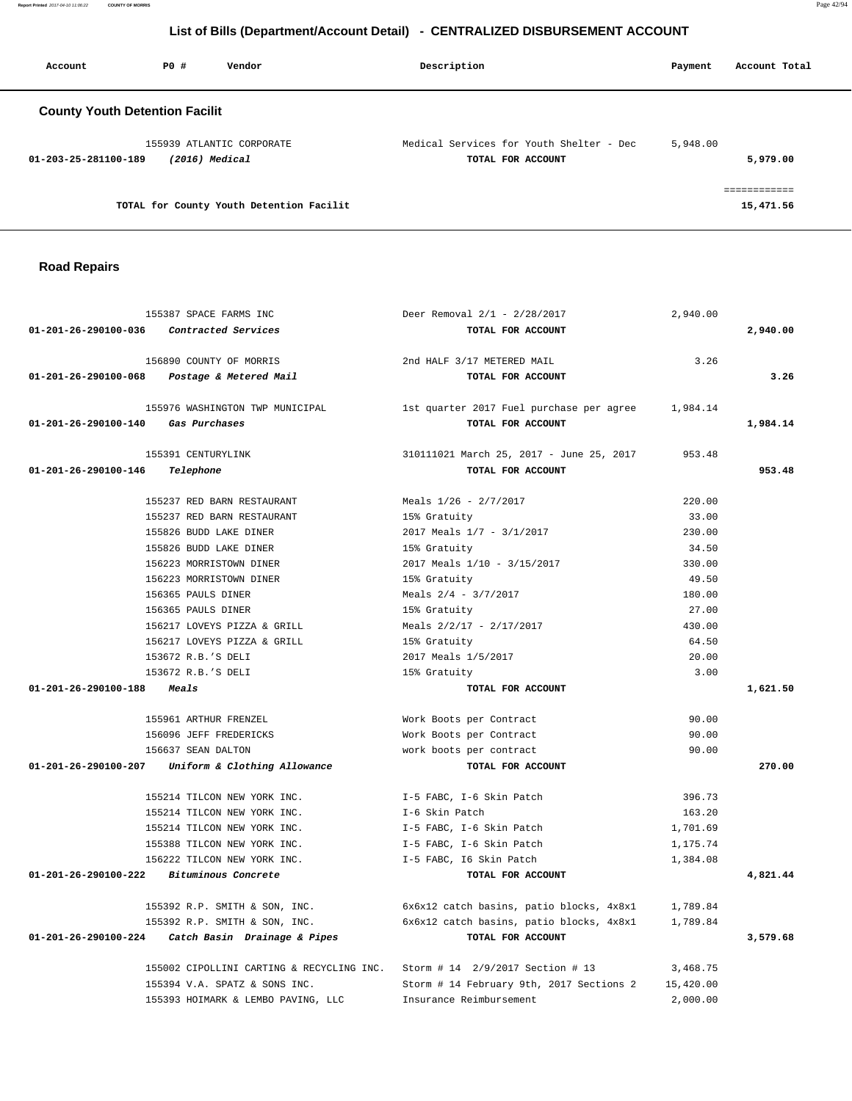| Account                                                               | PO# | Vendor                                                        | Description | Payment  | Account Total             |
|-----------------------------------------------------------------------|-----|---------------------------------------------------------------|-------------|----------|---------------------------|
| <b>County Youth Detention Facilit</b>                                 |     |                                                               |             |          |                           |
| 155939 ATLANTIC CORPORATE<br>$(2016)$ Medical<br>01-203-25-281100-189 |     | Medical Services for Youth Shelter - Dec<br>TOTAL FOR ACCOUNT | 5,948.00    | 5,979.00 |                           |
|                                                                       |     | TOTAL for County Youth Detention Facilit                      |             |          | ============<br>15,471.56 |

#### **Road Repairs**

|                                    | 155387 SPACE FARMS INC                                                     | Deer Removal $2/1 - 2/28/2017$                    | 2,940.00  |          |
|------------------------------------|----------------------------------------------------------------------------|---------------------------------------------------|-----------|----------|
| 01-201-26-290100-036               | <i>Contracted Services</i>                                                 | TOTAL FOR ACCOUNT                                 |           | 2,940.00 |
|                                    | 156890 COUNTY OF MORRIS                                                    | 2nd HALF 3/17 METERED MAIL                        | 3.26      |          |
|                                    | 01-201-26-290100-068 Postage & Metered Mail                                | TOTAL FOR ACCOUNT                                 |           | 3.26     |
|                                    | 155976 WASHINGTON TWP MUNICIPAL                                            | 1st quarter 2017 Fuel purchase per agree 1,984.14 |           |          |
| 01-201-26-290100-140 Gas Purchases |                                                                            | TOTAL FOR ACCOUNT                                 |           | 1,984.14 |
|                                    | 155391 CENTURYLINK                                                         | 310111021 March 25, 2017 - June 25, 2017          | 953.48    |          |
| 01-201-26-290100-146               | Telephone                                                                  | TOTAL FOR ACCOUNT                                 |           | 953.48   |
|                                    | 155237 RED BARN RESTAURANT                                                 | Meals 1/26 - 2/7/2017                             | 220.00    |          |
|                                    | 155237 RED BARN RESTAURANT                                                 | 15% Gratuity                                      | 33.00     |          |
|                                    | 155826 BUDD LAKE DINER                                                     | 2017 Meals 1/7 - 3/1/2017                         | 230.00    |          |
|                                    | 155826 BUDD LAKE DINER                                                     | 15% Gratuity                                      | 34.50     |          |
|                                    | 156223 MORRISTOWN DINER                                                    | 2017 Meals 1/10 - 3/15/2017                       | 330.00    |          |
|                                    | 156223 MORRISTOWN DINER                                                    | 15% Gratuity                                      | 49.50     |          |
|                                    | 156365 PAULS DINER                                                         | Meals $2/4$ - $3/7/2017$                          | 180.00    |          |
|                                    | 156365 PAULS DINER                                                         | 15% Gratuity                                      | 27.00     |          |
|                                    | 156217 LOVEYS PIZZA & GRILL                                                | Meals $2/2/17 - 2/17/2017$                        | 430.00    |          |
|                                    | 156217 LOVEYS PIZZA & GRILL                                                | 15% Gratuity                                      | 64.50     |          |
|                                    | 153672 R.B.'S DELI                                                         | 2017 Meals 1/5/2017                               | 20.00     |          |
|                                    | 153672 R.B.'S DELI                                                         | 15% Gratuity                                      | 3.00      |          |
| 01-201-26-290100-188               | <i>Meals</i>                                                               | TOTAL FOR ACCOUNT                                 |           | 1,621.50 |
|                                    | 155961 ARTHUR FRENZEL                                                      | Work Boots per Contract                           | 90.00     |          |
|                                    | 156096 JEFF FREDERICKS                                                     | Work Boots per Contract                           | 90.00     |          |
|                                    | 156637 SEAN DALTON                                                         | work boots per contract                           | 90.00     |          |
|                                    | 01-201-26-290100-207 Uniform & Clothing Allowance                          | TOTAL FOR ACCOUNT                                 |           | 270.00   |
|                                    | 155214 TILCON NEW YORK INC.                                                | I-5 FABC, I-6 Skin Patch                          | 396.73    |          |
|                                    | 155214 TILCON NEW YORK INC.                                                | I-6 Skin Patch                                    | 163.20    |          |
|                                    | 155214 TILCON NEW YORK INC.                                                | I-5 FABC, I-6 Skin Patch                          | 1,701.69  |          |
|                                    | 155388 TILCON NEW YORK INC.                                                | I-5 FABC, I-6 Skin Patch                          | 1,175.74  |          |
|                                    | 156222 TILCON NEW YORK INC.                                                | I-5 FABC, I6 Skin Patch                           | 1,384.08  |          |
|                                    | $01-201-26-290100-222$ Bituminous Concrete                                 | TOTAL FOR ACCOUNT                                 |           | 4,821.44 |
|                                    | 155392 R.P. SMITH & SON, INC.                                              | 6x6x12 catch basins, patio blocks, 4x8x1          | 1,789.84  |          |
|                                    | 155392 R.P. SMITH & SON, INC.                                              | 6x6x12 catch basins, patio blocks, 4x8x1          | 1,789.84  |          |
|                                    | $01-201-26-290100-224$ Catch Basin Drainage & Pipes                        | TOTAL FOR ACCOUNT                                 |           | 3,579.68 |
|                                    | 155002 CIPOLLINI CARTING & RECYCLING INC. Storm # 14 2/9/2017 Section # 13 |                                                   | 3,468.75  |          |
|                                    | 155394 V.A. SPATZ & SONS INC.                                              | Storm # 14 February 9th, 2017 Sections 2          | 15,420.00 |          |
|                                    | 155393 HOIMARK & LEMBO PAVING, LLC                                         | Insurance Reimbursement                           | 2,000.00  |          |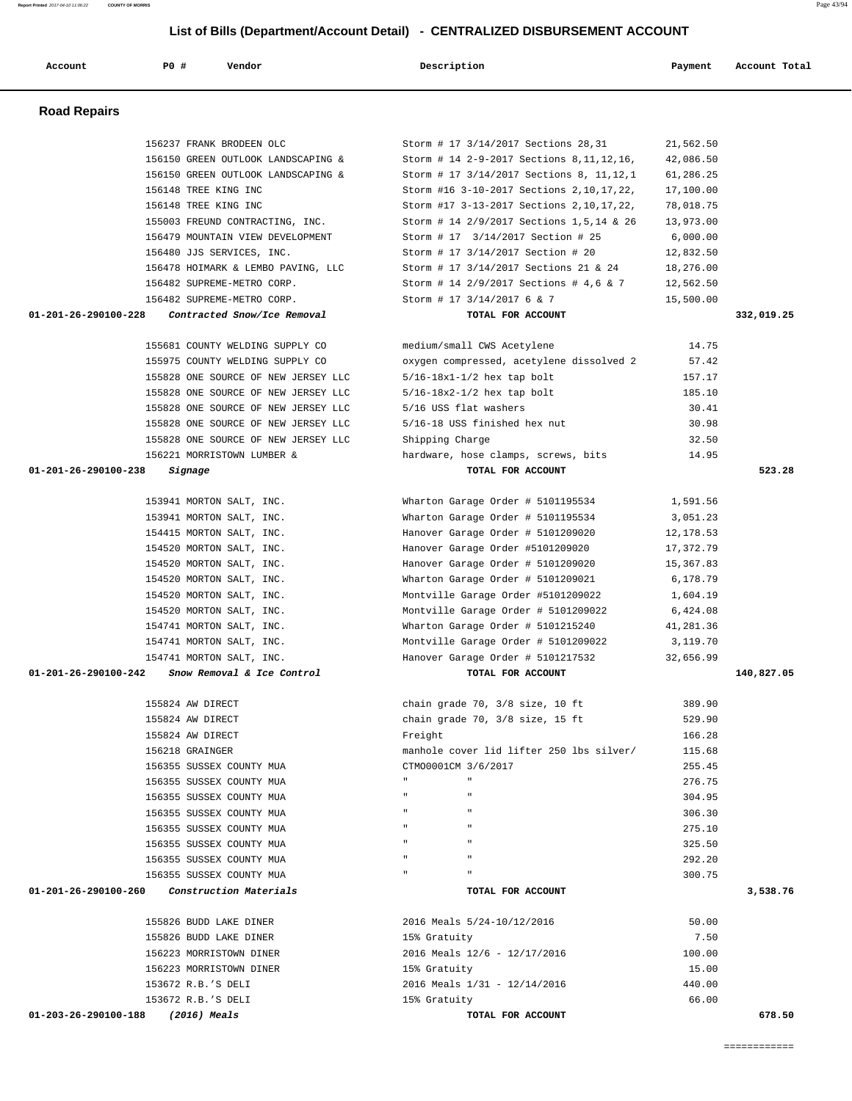| <b>Road Repairs</b>                                 |                                             |           |            |
|-----------------------------------------------------|---------------------------------------------|-----------|------------|
|                                                     |                                             |           |            |
| 156237 FRANK BRODEEN OLC                            | Storm # 17 3/14/2017 Sections 28,31         | 21,562.50 |            |
| 156150 GREEN OUTLOOK LANDSCAPING &                  | Storm # 14 2-9-2017 Sections 8, 11, 12, 16, | 42,086.50 |            |
| 156150 GREEN OUTLOOK LANDSCAPING &                  | Storm # 17 3/14/2017 Sections 8, 11,12,1    | 61,286.25 |            |
| 156148 TREE KING INC                                | Storm #16 3-10-2017 Sections 2, 10, 17, 22, | 17,100.00 |            |
| 156148 TREE KING INC                                | Storm #17 3-13-2017 Sections 2, 10, 17, 22, | 78,018.75 |            |
| 155003 FREUND CONTRACTING, INC.                     | Storm # 14 2/9/2017 Sections 1,5,14 & 26    | 13,973.00 |            |
| 156479 MOUNTAIN VIEW DEVELOPMENT                    | Storm # 17 3/14/2017 Section # 25           | 6,000.00  |            |
| 156480 JJS SERVICES, INC.                           | Storm # 17 3/14/2017 Section # 20           | 12,832.50 |            |
| 156478 HOIMARK & LEMBO PAVING, LLC                  | Storm # 17 3/14/2017 Sections 21 & 24       | 18,276.00 |            |
| 156482 SUPREME-METRO CORP.                          | Storm # 14 2/9/2017 Sections # 4,6 & 7      | 12,562.50 |            |
| 156482 SUPREME-METRO CORP.                          | Storm # 17 3/14/2017 6 & 7                  | 15,500.00 |            |
| 01-201-26-290100-228<br>Contracted Snow/Ice Removal | TOTAL FOR ACCOUNT                           |           | 332,019.25 |
|                                                     |                                             |           |            |
| 155681 COUNTY WELDING SUPPLY CO                     | medium/small CWS Acetylene                  | 14.75     |            |
| 155975 COUNTY WELDING SUPPLY CO                     | oxygen compressed, acetylene dissolved 2    | 57.42     |            |
| 155828 ONE SOURCE OF NEW JERSEY LLC                 | $5/16-18x1-1/2$ hex tap bolt                | 157.17    |            |
| 155828 ONE SOURCE OF NEW JERSEY LLC                 | $5/16-18x2-1/2$ hex tap bolt                | 185.10    |            |
| 155828 ONE SOURCE OF NEW JERSEY LLC                 | 5/16 USS flat washers                       | 30.41     |            |
| 155828 ONE SOURCE OF NEW JERSEY LLC                 | 5/16-18 USS finished hex nut                | 30.98     |            |
| 155828 ONE SOURCE OF NEW JERSEY LLC                 | Shipping Charge                             | 32.50     |            |
| 156221 MORRISTOWN LUMBER &                          | hardware, hose clamps, screws, bits         | 14.95     |            |
| $01 - 201 - 26 - 290100 - 238$<br>Signage           | TOTAL FOR ACCOUNT                           |           | 523.28     |
|                                                     |                                             |           |            |
| 153941 MORTON SALT, INC.                            | Wharton Garage Order # 5101195534           | 1,591.56  |            |
| 153941 MORTON SALT, INC.                            | Wharton Garage Order # 5101195534           | 3,051.23  |            |
| 154415 MORTON SALT, INC.                            | Hanover Garage Order # 5101209020           | 12,178.53 |            |
| 154520 MORTON SALT, INC.                            | Hanover Garage Order #5101209020            | 17,372.79 |            |
| 154520 MORTON SALT, INC.                            | Hanover Garage Order # 5101209020           | 15,367.83 |            |
| 154520 MORTON SALT, INC.                            | Wharton Garage Order # 5101209021           | 6,178.79  |            |
| 154520 MORTON SALT, INC.                            | Montville Garage Order #5101209022          | 1,604.19  |            |
| 154520 MORTON SALT, INC.                            | Montville Garage Order # 5101209022         | 6,424.08  |            |
| 154741 MORTON SALT, INC.                            | Wharton Garage Order # 5101215240           | 41,281.36 |            |
| 154741 MORTON SALT, INC.                            | Montville Garage Order # 5101209022         | 3,119.70  |            |
| 154741 MORTON SALT, INC.                            | Hanover Garage Order # 5101217532           | 32,656.99 |            |
| 01-201-26-290100-242<br>Snow Removal & Ice Control  | TOTAL FOR ACCOUNT                           |           | 140,827.05 |
| 155824 AW DIRECT                                    | chain grade 70, 3/8 size, 10 ft             | 389.90    |            |
| 155824 AW DIRECT                                    | chain grade 70, 3/8 size, 15 ft             | 529.90    |            |
| 155824 AW DIRECT                                    | Freight                                     | 166.28    |            |
| 156218 GRAINGER                                     | manhole cover lid lifter 250 lbs silver/    | 115.68    |            |
| 156355 SUSSEX COUNTY MUA                            | CTMO0001CM 3/6/2017                         | 255.45    |            |
| 156355 SUSSEX COUNTY MUA                            | $\mathbf{u}$                                | 276.75    |            |
| 156355 SUSSEX COUNTY MUA                            |                                             | 304.95    |            |
| 156355 SUSSEX COUNTY MUA                            | $\mathbf{u}$                                | 306.30    |            |
| 156355 SUSSEX COUNTY MUA                            | $\mathbf{u}$                                | 275.10    |            |
| 156355 SUSSEX COUNTY MUA                            | $\mathbf{H}$                                | 325.50    |            |
| 156355 SUSSEX COUNTY MUA                            |                                             | 292.20    |            |
| 156355 SUSSEX COUNTY MUA                            | $\mathbf{u}$                                | 300.75    |            |
| 01-201-26-290100-260<br>Construction Materials      | TOTAL FOR ACCOUNT                           |           | 3,538.76   |
|                                                     |                                             |           |            |
| 155826 BUDD LAKE DINER                              | 2016 Meals 5/24-10/12/2016                  | 50.00     |            |
| 155826 BUDD LAKE DINER                              | 15% Gratuity                                | 7.50      |            |
| 156223 MORRISTOWN DINER                             | 2016 Meals 12/6 - 12/17/2016                | 100.00    |            |
| 156223 MORRISTOWN DINER                             | 15% Gratuity                                | 15.00     |            |
| 153672 R.B.'S DELI                                  | 2016 Meals 1/31 - 12/14/2016                | 440.00    |            |
| 153672 R.B.'S DELI                                  | 15% Gratuity                                | 66.00     |            |
| 01-203-26-290100-188<br>$(2016)$ Meals              | TOTAL FOR ACCOUNT                           |           | 678.50     |

 **Account P0 # Vendor Description Payment Account Total**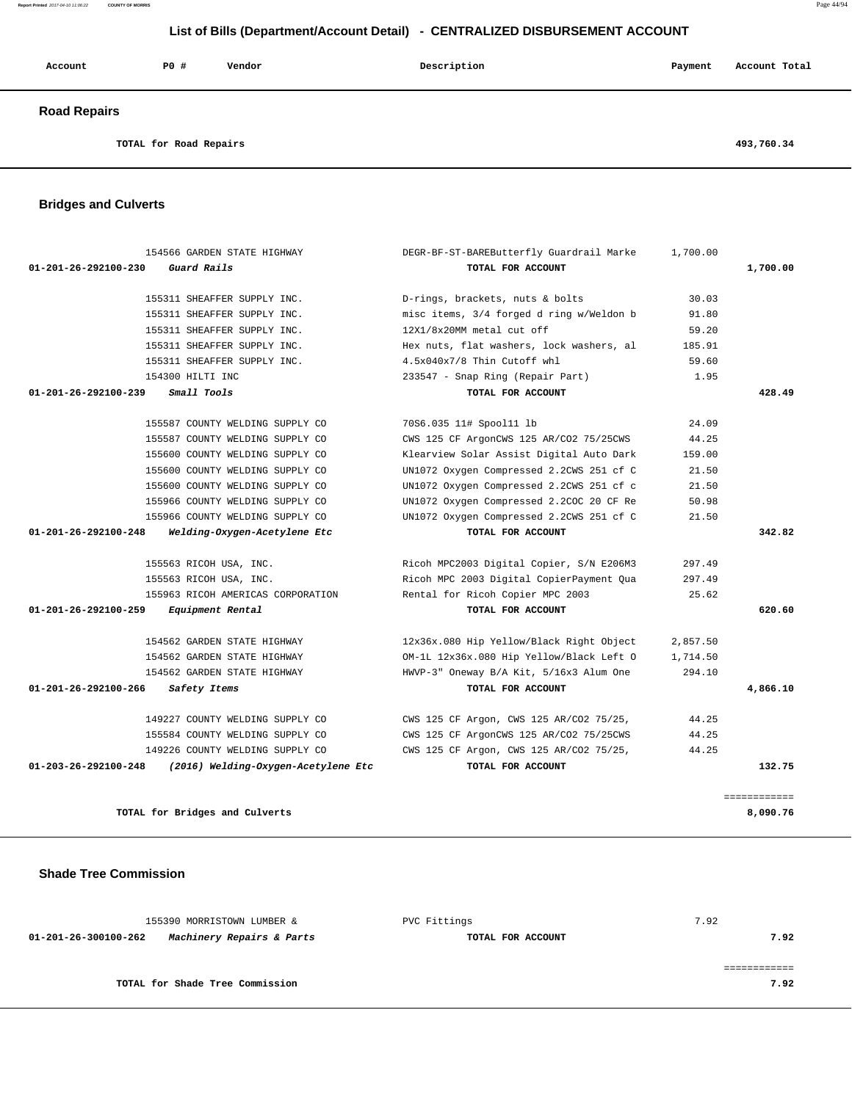#### **Report Printed** 2017-04-10 11:06:22 **COUNTY OF MORRIS** Page 44/94

### **List of Bills (Department/Account Detail) - CENTRALIZED DISBURSEMENT ACCOUNT**

| Account             | PO#                    | Vendor | Description | Payment | Account Total |
|---------------------|------------------------|--------|-------------|---------|---------------|
| <b>Road Repairs</b> |                        |        |             |         |               |
|                     | TOTAL for Road Repairs |        |             |         | 493,760.34    |

# **Bridges and Culverts**

| 154566 GARDEN STATE HIGHWAY                                    | DEGR-BF-ST-BAREButterfly Guardrail Marke | 1,700.00 |              |
|----------------------------------------------------------------|------------------------------------------|----------|--------------|
| $01 - 201 - 26 - 292100 - 230$<br>Guard Rails                  | TOTAL FOR ACCOUNT                        |          | 1,700.00     |
| 155311 SHEAFFER SUPPLY INC.                                    | D-rings, brackets, nuts & bolts          | 30.03    |              |
| 155311 SHEAFFER SUPPLY INC.                                    | misc items, 3/4 forged d ring w/Weldon b | 91.80    |              |
| 155311 SHEAFFER SUPPLY INC.                                    | 12X1/8x20MM metal cut off                | 59.20    |              |
| 155311 SHEAFFER SUPPLY INC.                                    | Hex nuts, flat washers, lock washers, al | 185.91   |              |
| 155311 SHEAFFER SUPPLY INC.                                    | 4.5x040x7/8 Thin Cutoff whl              | 59.60    |              |
| 154300 HILTI INC                                               | 233547 - Snap Ring (Repair Part)         | 1.95     |              |
| 01-201-26-292100-239<br>Small Tools                            | TOTAL FOR ACCOUNT                        |          | 428.49       |
| 155587 COUNTY WELDING SUPPLY CO                                | 70S6.035 11# Spool11 lb                  | 24.09    |              |
| 155587 COUNTY WELDING SUPPLY CO                                | CWS 125 CF ArgonCWS 125 AR/CO2 75/25CWS  | 44.25    |              |
| 155600 COUNTY WELDING SUPPLY CO                                | Klearview Solar Assist Digital Auto Dark | 159.00   |              |
| 155600 COUNTY WELDING SUPPLY CO                                | UN1072 Oxygen Compressed 2.2CWS 251 cf C | 21.50    |              |
| 155600 COUNTY WELDING SUPPLY CO                                | UN1072 Oxygen Compressed 2.2CWS 251 cf c | 21.50    |              |
| 155966 COUNTY WELDING SUPPLY CO                                | UN1072 Oxygen Compressed 2.2COC 20 CF Re | 50.98    |              |
| 155966 COUNTY WELDING SUPPLY CO                                | UN1072 Oxygen Compressed 2.2CWS 251 cf C | 21.50    |              |
| Welding-Oxygen-Acetylene Etc<br>$01 - 201 - 26 - 292100 - 248$ | TOTAL FOR ACCOUNT                        |          | 342.82       |
| 155563 RICOH USA, INC.                                         | Ricoh MPC2003 Digital Copier, S/N E206M3 | 297.49   |              |
| 155563 RICOH USA, INC.                                         | Ricoh MPC 2003 Digital CopierPayment Qua | 297.49   |              |
| 155963 RICOH AMERICAS CORPORATION                              | Rental for Ricoh Copier MPC 2003         | 25.62    |              |
| Equipment Rental<br>01-201-26-292100-259                       | TOTAL FOR ACCOUNT                        |          | 620.60       |
| 154562 GARDEN STATE HIGHWAY                                    | 12x36x.080 Hip Yellow/Black Right Object | 2,857.50 |              |
| 154562 GARDEN STATE HIGHWAY                                    | OM-1L 12x36x.080 Hip Yellow/Black Left O | 1,714.50 |              |
| 154562 GARDEN STATE HIGHWAY                                    | HWVP-3" Oneway B/A Kit, 5/16x3 Alum One  | 294.10   |              |
| 01-201-26-292100-266<br>Safety Items                           | TOTAL FOR ACCOUNT                        |          | 4,866.10     |
| 149227 COUNTY WELDING SUPPLY CO                                | CWS 125 CF Argon, CWS 125 AR/CO2 75/25,  | 44.25    |              |
| 155584 COUNTY WELDING SUPPLY CO                                | CWS 125 CF ArgonCWS 125 AR/CO2 75/25CWS  | 44.25    |              |
| 149226 COUNTY WELDING SUPPLY CO                                | CWS 125 CF Argon, CWS 125 AR/CO2 75/25,  | 44.25    |              |
| 01-203-26-292100-248<br>(2016) Welding-Oxygen-Acetylene Etc    | TOTAL FOR ACCOUNT                        |          | 132.75       |
|                                                                |                                          |          | ============ |
| TOTAL for Bridges and Culverts                                 |                                          |          | 8,090.76     |

 **Shade Tree Commission** 

| 155390 MORRISTOWN LUMBER &                        | PVC Fittings      | 7.92 |  |
|---------------------------------------------------|-------------------|------|--|
| Machinery Repairs & Parts<br>01-201-26-300100-262 | TOTAL FOR ACCOUNT | 7.92 |  |
|                                                   |                   |      |  |
|                                                   |                   |      |  |
| TOTAL for Shade Tree Commission                   |                   | 7.92 |  |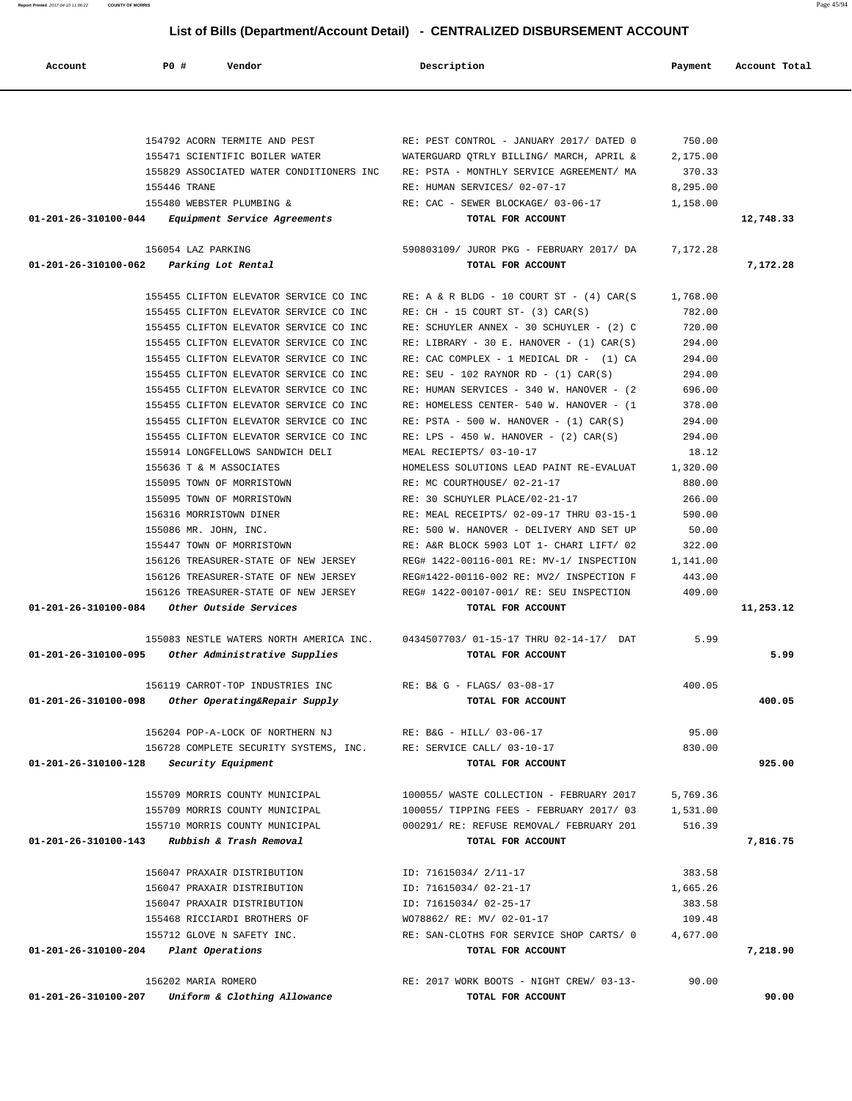**Report Printed** 2017-04-10 11:06:22 **COUNTY OF MORRIS** Page 45/94

# **List of Bills (Department/Account Detail) - CENTRALIZED DISBURSEMENT ACCOUNT**

| Account              | P0 #<br>Vendor                                                    | Description                                                                          | Payment         | Account Total |
|----------------------|-------------------------------------------------------------------|--------------------------------------------------------------------------------------|-----------------|---------------|
|                      |                                                                   |                                                                                      |                 |               |
|                      | 154792 ACORN TERMITE AND PEST                                     | RE: PEST CONTROL - JANUARY 2017/ DATED 0                                             | 750.00          |               |
|                      | 155471 SCIENTIFIC BOILER WATER                                    | WATERGUARD QTRLY BILLING/ MARCH, APRIL &                                             | 2,175.00        |               |
|                      | 155829 ASSOCIATED WATER CONDITIONERS INC                          | RE: PSTA - MONTHLY SERVICE AGREEMENT/ MA                                             | 370.33          |               |
|                      | 155446 TRANE                                                      | RE: HUMAN SERVICES/ 02-07-17                                                         | 8,295.00        |               |
|                      | 155480 WEBSTER PLUMBING &                                         | RE: CAC - SEWER BLOCKAGE/ 03-06-17                                                   | 1,158.00        |               |
| 01-201-26-310100-044 | <i>Equipment Service Agreements</i>                               | TOTAL FOR ACCOUNT                                                                    |                 | 12,748.33     |
|                      | 156054 LAZ PARKING                                                | 590803109/ JUROR PKG - FEBRUARY 2017/ DA                                             | 7,172.28        |               |
|                      | 01-201-26-310100-062 Parking Lot Rental                           | TOTAL FOR ACCOUNT                                                                    |                 | 7,172.28      |
|                      | 155455 CLIFTON ELEVATOR SERVICE CO INC                            | RE: A & R BLDG - 10 COURT ST - $(4)$ CAR $(S)$                                       | 1,768.00        |               |
|                      | 155455 CLIFTON ELEVATOR SERVICE CO INC                            | $RE: CH - 15 COURT ST- (3) CAR(S)$                                                   | 782.00          |               |
|                      | 155455 CLIFTON ELEVATOR SERVICE CO INC                            | RE: SCHUYLER ANNEX - 30 SCHUYLER - (2) C                                             | 720.00          |               |
|                      | 155455 CLIFTON ELEVATOR SERVICE CO INC                            | RE: LIBRARY - 30 E. HANOVER - $(1)$ CAR $(S)$                                        | 294.00          |               |
|                      | 155455 CLIFTON ELEVATOR SERVICE CO INC                            | RE: CAC COMPLEX - 1 MEDICAL DR - (1) CA                                              | 294.00          |               |
|                      | 155455 CLIFTON ELEVATOR SERVICE CO INC                            | RE: SEU - 102 RAYNOR RD - $(1)$ CAR $(S)$                                            | 294.00          |               |
|                      | 155455 CLIFTON ELEVATOR SERVICE CO INC                            | RE: HUMAN SERVICES - 340 W. HANOVER - (2                                             | 696.00          |               |
|                      | 155455 CLIFTON ELEVATOR SERVICE CO INC                            | RE: HOMELESS CENTER- 540 W. HANOVER - (1                                             | 378.00          |               |
|                      | 155455 CLIFTON ELEVATOR SERVICE CO INC                            | $RE: PSTA - 500 W. HANOVER - (1) CAR(S)$                                             | 294.00          |               |
|                      | 155455 CLIFTON ELEVATOR SERVICE CO INC                            | RE: LPS - 450 W. HANOVER - $(2)$ CAR $(S)$                                           | 294.00          |               |
|                      | 155914 LONGFELLOWS SANDWICH DELI                                  | MEAL RECIEPTS/ 03-10-17                                                              | 18.12           |               |
|                      | 155636 T & M ASSOCIATES                                           | HOMELESS SOLUTIONS LEAD PAINT RE-EVALUAT                                             | 1,320.00        |               |
|                      | 155095 TOWN OF MORRISTOWN                                         | RE: MC COURTHOUSE/ 02-21-17                                                          | 880.00          |               |
|                      | 155095 TOWN OF MORRISTOWN                                         | RE: 30 SCHUYLER PLACE/02-21-17                                                       | 266.00          |               |
|                      | 156316 MORRISTOWN DINER                                           | RE: MEAL RECEIPTS/ 02-09-17 THRU 03-15-1                                             | 590.00          |               |
|                      | 155086 MR. JOHN, INC.                                             | RE: 500 W. HANOVER - DELIVERY AND SET UP<br>RE: A&R BLOCK 5903 LOT 1- CHARI LIFT/ 02 | 50.00<br>322.00 |               |
|                      | 155447 TOWN OF MORRISTOWN<br>156126 TREASURER-STATE OF NEW JERSEY | REG# 1422-00116-001 RE: MV-1/ INSPECTION                                             | 1,141.00        |               |
|                      | 156126 TREASURER-STATE OF NEW JERSEY                              | REG#1422-00116-002 RE: MV2/ INSPECTION F                                             | 443.00          |               |
|                      | 156126 TREASURER-STATE OF NEW JERSEY                              | REG# 1422-00107-001/ RE: SEU INSPECTION                                              | 409.00          |               |
| 01-201-26-310100-084 | Other Outside Services                                            | TOTAL FOR ACCOUNT                                                                    |                 | 11,253.12     |
|                      | 155083 NESTLE WATERS NORTH AMERICA INC.                           | 0434507703/01-15-17 THRU 02-14-17/ DAT                                               | 5.99            |               |
| 01-201-26-310100-095 | Other Administrative Supplies                                     | TOTAL FOR ACCOUNT                                                                    |                 | 5.99          |
|                      | 156119 CARROT-TOP INDUSTRIES INC                                  | RE: B& G - FLAGS/ 03-08-17                                                           | 400.05          |               |
| 01-201-26-310100-098 | Other Operating&Repair Supply                                     | TOTAL FOR ACCOUNT                                                                    |                 | 400.05        |
|                      | 156204 POP-A-LOCK OF NORTHERN NJ                                  | RE: B&G - HILL/ 03-06-17                                                             | 95.00           |               |
|                      | 156728 COMPLETE SECURITY SYSTEMS, INC.                            | RE: SERVICE CALL/ 03-10-17                                                           | 830.00          |               |
| 01-201-26-310100-128 | Security Equipment                                                | TOTAL FOR ACCOUNT                                                                    |                 | 925.00        |
|                      | 155709 MORRIS COUNTY MUNICIPAL                                    | 100055/ WASTE COLLECTION - FEBRUARY 2017                                             | 5,769.36        |               |
|                      | 155709 MORRIS COUNTY MUNICIPAL                                    | 100055/ TIPPING FEES - FEBRUARY 2017/ 03                                             | 1,531.00        |               |
|                      | 155710 MORRIS COUNTY MUNICIPAL                                    | 000291/ RE: REFUSE REMOVAL/ FEBRUARY 201                                             | 516.39          |               |
|                      | $01-201-26-310100-143$ Rubbish & Trash Removal                    | TOTAL FOR ACCOUNT                                                                    |                 | 7,816.75      |
|                      | 156047 PRAXAIR DISTRIBUTION                                       | ID: 71615034/ 2/11-17                                                                | 383.58          |               |
|                      | 156047 PRAXAIR DISTRIBUTION                                       | ID: 71615034/ 02-21-17                                                               | 1,665.26        |               |
|                      | 156047 PRAXAIR DISTRIBUTION                                       | ID: 71615034/ 02-25-17                                                               | 383.58          |               |
|                      | 155468 RICCIARDI BROTHERS OF                                      | WO78862/ RE: MV/ 02-01-17                                                            | 109.48          |               |
|                      | 155712 GLOVE N SAFETY INC.                                        | RE: SAN-CLOTHS FOR SERVICE SHOP CARTS/ 0                                             | 4,677.00        |               |
|                      | 01-201-26-310100-204 Plant Operations                             | TOTAL FOR ACCOUNT                                                                    |                 | 7,218.90      |
|                      | 156202 MARIA ROMERO                                               | RE: 2017 WORK BOOTS - NIGHT CREW/ 03-13-                                             | 90.00           |               |
| 01-201-26-310100-207 | Uniform & Clothing Allowance                                      | TOTAL FOR ACCOUNT                                                                    |                 | 90.00         |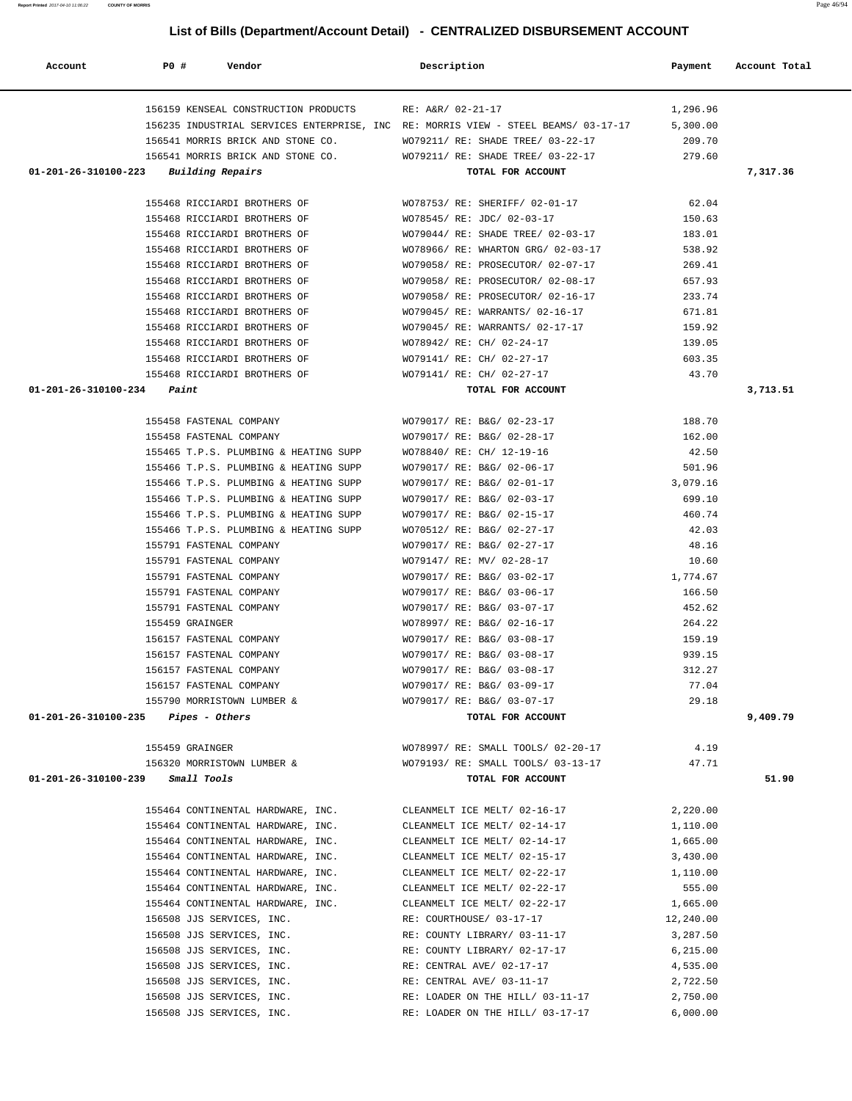**Report Printed** 2017-04-10 11:06:22 **COUNTY OF MORRIS** Page 46/94

# **List of Bills (Department/Account Detail) - CENTRALIZED DISBURSEMENT ACCOUNT**

| Account                               | P0#<br>Vendor                                                                      | Description                                            | Payment          | Account Total |
|---------------------------------------|------------------------------------------------------------------------------------|--------------------------------------------------------|------------------|---------------|
|                                       | 156159 KENSEAL CONSTRUCTION PRODUCTS                                               | RE: A&R/ 02-21-17                                      | 1,296.96         |               |
|                                       | 156235 INDUSTRIAL SERVICES ENTERPRISE, INC RE: MORRIS VIEW - STEEL BEAMS/ 03-17-17 |                                                        | 5,300.00         |               |
|                                       | 156541 MORRIS BRICK AND STONE CO.                                                  | WO79211/ RE: SHADE TREE/ 03-22-17                      | 209.70           |               |
|                                       | 156541 MORRIS BRICK AND STONE CO.                                                  | WO79211/ RE: SHADE TREE/ 03-22-17                      | 279.60           |               |
| 01-201-26-310100-223                  | Building Repairs                                                                   | TOTAL FOR ACCOUNT                                      |                  | 7,317.36      |
|                                       | 155468 RICCIARDI BROTHERS OF                                                       | WO78753/ RE: SHERIFF/ 02-01-17                         | 62.04            |               |
|                                       | 155468 RICCIARDI BROTHERS OF                                                       | WO78545/ RE: JDC/ 02-03-17                             | 150.63           |               |
|                                       | 155468 RICCIARDI BROTHERS OF                                                       | WO79044/ RE: SHADE TREE/ 02-03-17                      | 183.01           |               |
|                                       | 155468 RICCIARDI BROTHERS OF                                                       | WO78966/ RE: WHARTON GRG/ 02-03-17                     | 538.92           |               |
|                                       | 155468 RICCIARDI BROTHERS OF                                                       | WO79058/ RE: PROSECUTOR/ 02-07-17                      | 269.41           |               |
|                                       | 155468 RICCIARDI BROTHERS OF                                                       | WO79058/ RE: PROSECUTOR/ 02-08-17                      | 657.93           |               |
|                                       | 155468 RICCIARDI BROTHERS OF                                                       | WO79058/ RE: PROSECUTOR/ 02-16-17                      | 233.74           |               |
|                                       | 155468 RICCIARDI BROTHERS OF                                                       | WO79045/ RE: WARRANTS/ 02-16-17                        | 671.81           |               |
|                                       | 155468 RICCIARDI BROTHERS OF                                                       | WO79045/ RE: WARRANTS/ 02-17-17                        | 159.92           |               |
|                                       |                                                                                    |                                                        |                  |               |
|                                       | 155468 RICCIARDI BROTHERS OF<br>155468 RICCIARDI BROTHERS OF                       | WO78942/ RE: CH/ 02-24-17<br>WO79141/ RE: CH/ 02-27-17 | 139.05<br>603.35 |               |
|                                       | 155468 RICCIARDI BROTHERS OF                                                       | WO79141/ RE: CH/ 02-27-17                              | 43.70            |               |
| 01-201-26-310100-234                  |                                                                                    | TOTAL FOR ACCOUNT                                      |                  |               |
|                                       | Paint                                                                              |                                                        |                  | 3,713.51      |
|                                       | 155458 FASTENAL COMPANY                                                            | WO79017/ RE: B&G/ 02-23-17                             | 188.70           |               |
|                                       | 155458 FASTENAL COMPANY                                                            | WO79017/ RE: B&G/ 02-28-17                             | 162.00           |               |
|                                       | 155465 T.P.S. PLUMBING & HEATING SUPP                                              | WO78840/ RE: CH/ 12-19-16                              | 42.50            |               |
|                                       | 155466 T.P.S. PLUMBING & HEATING SUPP                                              | WO79017/ RE: B&G/ 02-06-17                             | 501.96           |               |
|                                       | 155466 T.P.S. PLUMBING & HEATING SUPP                                              | WO79017/ RE: B&G/ 02-01-17                             | 3,079.16         |               |
|                                       | 155466 T.P.S. PLUMBING & HEATING SUPP                                              | WO79017/ RE: B&G/ 02-03-17                             | 699.10           |               |
|                                       | 155466 T.P.S. PLUMBING & HEATING SUPP                                              | WO79017/ RE: B&G/ 02-15-17                             | 460.74           |               |
|                                       | 155466 T.P.S. PLUMBING & HEATING SUPP                                              | WO70512/ RE: B&G/ 02-27-17                             | 42.03            |               |
|                                       | 155791 FASTENAL COMPANY                                                            | WO79017/ RE: B&G/ 02-27-17                             | 48.16            |               |
|                                       | 155791 FASTENAL COMPANY                                                            | WO79147/ RE: MV/ 02-28-17                              | 10.60            |               |
|                                       | 155791 FASTENAL COMPANY                                                            | WO79017/ RE: B&G/ 03-02-17                             | 1,774.67         |               |
|                                       | 155791 FASTENAL COMPANY                                                            | WO79017/ RE: B&G/ 03-06-17                             | 166.50           |               |
|                                       | 155791 FASTENAL COMPANY                                                            | WO79017/ RE: B&G/ 03-07-17                             | 452.62           |               |
|                                       | 155459 GRAINGER                                                                    | WO78997/ RE: B&G/ 02-16-17                             | 264.22           |               |
|                                       | 156157 FASTENAL COMPANY                                                            | WO79017/ RE: B&G/ 03-08-17                             | 159.19           |               |
|                                       | 156157 FASTENAL COMPANY                                                            | WO79017/ RE: B&G/ 03-08-17                             | 939.15           |               |
|                                       | 156157 FASTENAL COMPANY                                                            | WO79017/ RE: B&G/ 03-08-17                             | 312.27           |               |
|                                       | 156157 FASTENAL COMPANY                                                            | WO79017/ RE: B&G/ 03-09-17                             | 77.04            |               |
|                                       | 155790 MORRISTOWN LUMBER &                                                         | WO79017/ RE: B&G/ 03-07-17                             | 29.18            |               |
| $01-201-26-310100-235$ Pipes - Others |                                                                                    | TOTAL FOR ACCOUNT                                      |                  | 9,409.79      |
|                                       | 155459 GRAINGER                                                                    | WO78997/ RE: SMALL TOOLS/ 02-20-17                     | 4.19             |               |
|                                       | 156320 MORRISTOWN LUMBER &                                                         | WO79193/ RE: SMALL TOOLS/ 03-13-17                     | 47.71            |               |
| 01-201-26-310100-239 Small Tools      |                                                                                    | TOTAL FOR ACCOUNT                                      |                  | 51.90         |
|                                       | 155464 CONTINENTAL HARDWARE, INC.                                                  | CLEANMELT ICE MELT/ 02-16-17                           | 2,220.00         |               |
|                                       | 155464 CONTINENTAL HARDWARE, INC.                                                  | CLEANMELT ICE MELT/ 02-14-17                           | 1,110.00         |               |
|                                       | 155464 CONTINENTAL HARDWARE, INC.                                                  | CLEANMELT ICE MELT/ 02-14-17                           | 1,665.00         |               |
|                                       | 155464 CONTINENTAL HARDWARE, INC.                                                  | CLEANMELT ICE MELT/ 02-15-17                           | 3,430.00         |               |
|                                       | 155464 CONTINENTAL HARDWARE, INC.                                                  | CLEANMELT ICE MELT/ 02-22-17                           | 1,110.00         |               |
|                                       | 155464 CONTINENTAL HARDWARE, INC.                                                  | CLEANMELT ICE MELT/ 02-22-17                           | 555.00           |               |
|                                       | 155464 CONTINENTAL HARDWARE, INC.                                                  | CLEANMELT ICE MELT/ 02-22-17                           | 1,665.00         |               |
|                                       | 156508 JJS SERVICES, INC.                                                          | RE: COURTHOUSE/ 03-17-17                               | 12,240.00        |               |
|                                       | 156508 JJS SERVICES, INC.                                                          | RE: COUNTY LIBRARY/ 03-11-17                           | 3,287.50         |               |
|                                       | 156508 JJS SERVICES, INC.                                                          | RE: COUNTY LIBRARY/ 02-17-17                           | 6,215.00         |               |
|                                       | 156508 JJS SERVICES, INC.                                                          | RE: CENTRAL AVE/ 02-17-17                              | 4,535.00         |               |
|                                       | 156508 JJS SERVICES, INC.                                                          | RE: CENTRAL AVE/ 03-11-17                              | 2,722.50         |               |
|                                       | 156508 JJS SERVICES, INC.                                                          | RE: LOADER ON THE HILL/ 03-11-17                       | 2,750.00         |               |
|                                       | 156508 JJS SERVICES, INC.                                                          | RE: LOADER ON THE HILL/ 03-17-17                       | 6,000.00         |               |
|                                       |                                                                                    |                                                        |                  |               |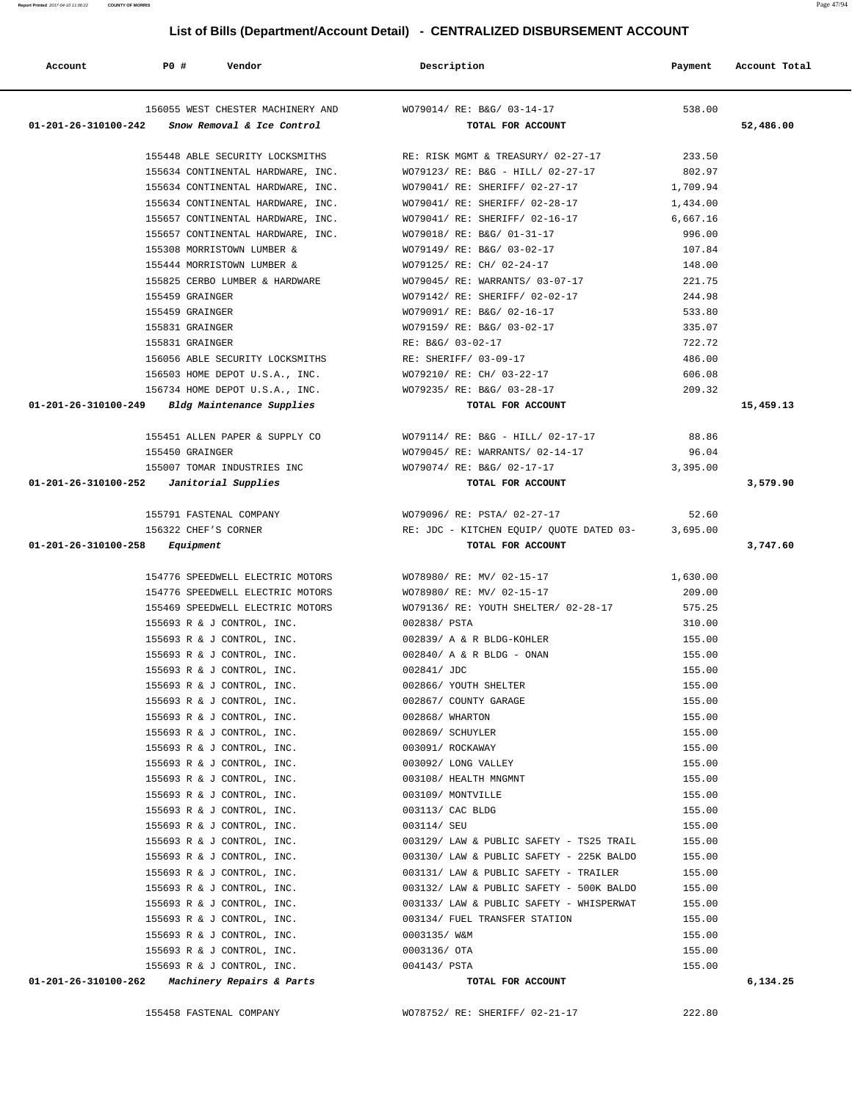| Account                                  | <b>PO #</b>     | Vendor                                                                         | Description                                            | Payment            | Account Total |
|------------------------------------------|-----------------|--------------------------------------------------------------------------------|--------------------------------------------------------|--------------------|---------------|
| $01 - 201 - 26 - 310100 - 242$           |                 | 156055 WEST CHESTER MACHINERY AND<br>Snow Removal & Ice Control                | WO79014/ RE: B&G/ 03-14-17<br>TOTAL FOR ACCOUNT        | 538.00             | 52,486.00     |
|                                          |                 | 155448 ABLE SECURITY LOCKSMITHS                                                | RE: RISK MGMT & TREASURY/ 02-27-17                     | 233.50             |               |
|                                          |                 | 155634 CONTINENTAL HARDWARE, INC.                                              | WO79123/ RE: B&G - HILL/ 02-27-17                      | 802.97             |               |
|                                          |                 | 155634 CONTINENTAL HARDWARE, INC.                                              | WO79041/ RE: SHERIFF/ 02-27-17                         | 1,709.94           |               |
|                                          |                 | 155634 CONTINENTAL HARDWARE, INC.                                              | WO79041/ RE: SHERIFF/ 02-28-17                         | 1,434.00           |               |
|                                          |                 | 155657 CONTINENTAL HARDWARE, INC.                                              | WO79041/ RE: SHERIFF/ 02-16-17                         | 6,667.16           |               |
|                                          |                 | 155657 CONTINENTAL HARDWARE, INC.                                              | WO79018/ RE: B&G/ 01-31-17                             | 996.00             |               |
|                                          |                 | 155308 MORRISTOWN LUMBER &                                                     | WO79149/ RE: B&G/ 03-02-17                             | 107.84             |               |
|                                          |                 | 155444 MORRISTOWN LUMBER &                                                     | WO79125/ RE: CH/ 02-24-17                              | 148.00             |               |
|                                          |                 | 155825 CERBO LUMBER & HARDWARE                                                 | WO79045/ RE: WARRANTS/ 03-07-17                        | 221.75             |               |
|                                          | 155459 GRAINGER |                                                                                | WO79142/ RE: SHERIFF/ 02-02-17                         | 244.98             |               |
|                                          | 155459 GRAINGER |                                                                                | WO79091/ RE: B&G/ 02-16-17                             | 533.80             |               |
|                                          | 155831 GRAINGER |                                                                                | WO79159/ RE: B&G/ 03-02-17                             | 335.07             |               |
|                                          | 155831 GRAINGER |                                                                                | RE: B&G/ 03-02-17                                      | 722.72             |               |
|                                          |                 | 156056 ABLE SECURITY LOCKSMITHS                                                | RE: SHERIFF/ 03-09-17                                  | 486.00             |               |
|                                          |                 | 156503 HOME DEPOT U.S.A., INC.                                                 | WO79210/ RE: CH/ 03-22-17                              | 606.08             |               |
|                                          |                 | 156734 HOME DEPOT U.S.A., INC.                                                 | WO79235/ RE: B&G/ 03-28-17                             | 209.32             |               |
|                                          |                 | 01-201-26-310100-249 Bldg Maintenance Supplies                                 | TOTAL FOR ACCOUNT                                      |                    | 15,459.13     |
|                                          |                 | 155451 ALLEN PAPER & SUPPLY CO                                                 | WO79114/ RE: B&G - HILL/ 02-17-17                      | 88.86              |               |
|                                          | 155450 GRAINGER |                                                                                | WO79045/ RE: WARRANTS/ 02-14-17                        | 96.04              |               |
|                                          |                 | 155007 TOMAR INDUSTRIES INC                                                    | WO79074/ RE: B&G/ 02-17-17                             | 3,395.00           |               |
| 01-201-26-310100-252 Janitorial Supplies |                 |                                                                                | TOTAL FOR ACCOUNT                                      |                    | 3,579.90      |
|                                          |                 | 155791 FASTENAL COMPANY                                                        | WO79096/ RE: PSTA/ 02-27-17                            | 52.60              |               |
|                                          |                 | 156322 CHEF'S CORNER                                                           | RE: JDC - KITCHEN EQUIP/ QUOTE DATED 03-<br>3,695.00   |                    |               |
| $01 - 201 - 26 - 310100 - 258$ Equipment |                 |                                                                                | TOTAL FOR ACCOUNT                                      |                    | 3,747.60      |
|                                          |                 |                                                                                |                                                        |                    |               |
|                                          |                 | 154776 SPEEDWELL ELECTRIC MOTORS<br>154776 SPEEDWELL ELECTRIC MOTORS           | WO78980/ RE: MV/ 02-15-17<br>WO78980/ RE: MV/ 02-15-17 | 1,630.00<br>209.00 |               |
|                                          |                 | 155469 SPEEDWELL ELECTRIC MOTORS                                               | WO79136/ RE: YOUTH SHELTER/ 02-28-17                   | 575.25             |               |
|                                          |                 | 155693 R & J CONTROL, INC.                                                     | 002838/ PSTA                                           | 310.00             |               |
|                                          |                 | 155693 R & J CONTROL, INC.                                                     | 002839/ A & R BLDG-KOHLER                              | 155.00             |               |
|                                          |                 | 155693 R & J CONTROL, INC.                                                     | 002840/ A & R BLDG - ONAN                              | 155.00             |               |
|                                          |                 | 155693 R & J CONTROL, INC.                                                     | 002841/ JDC                                            | 155.00             |               |
|                                          |                 | 155693 R & J CONTROL, INC.                                                     | 002866/ YOUTH SHELTER                                  | 155.00             |               |
|                                          |                 | 155693 R & J CONTROL, INC.                                                     | 002867/ COUNTY GARAGE                                  | 155.00             |               |
|                                          |                 | 155693 R & J CONTROL, INC.                                                     | 002868/ WHARTON                                        | 155.00             |               |
|                                          |                 | 155693 R & J CONTROL, INC.                                                     | 002869/ SCHUYLER                                       | 155.00             |               |
|                                          |                 | 155693 R & J CONTROL, INC.                                                     | 003091/ ROCKAWAY                                       | 155.00             |               |
|                                          |                 | 155693 R & J CONTROL, INC.                                                     | 003092/ LONG VALLEY                                    | 155.00             |               |
|                                          |                 | 155693 R & J CONTROL, INC.                                                     | 003108/ HEALTH MNGMNT                                  | 155.00             |               |
|                                          |                 | 155693 R & J CONTROL, INC.                                                     | 003109/ MONTVILLE                                      | 155.00             |               |
|                                          |                 | 155693 R & J CONTROL, INC.                                                     | 003113/ CAC BLDG                                       | 155.00             |               |
|                                          |                 | 155693 R & J CONTROL, INC.                                                     | 003114/ SEU                                            | 155.00             |               |
|                                          |                 | 155693 R & J CONTROL, INC.                                                     | 003129/ LAW & PUBLIC SAFETY - TS25 TRAIL               | 155.00             |               |
|                                          |                 | 155693 R & J CONTROL, INC.                                                     | 003130/ LAW & PUBLIC SAFETY - 225K BALDO               | 155.00             |               |
|                                          |                 | 155693 R & J CONTROL, INC.                                                     | 003131/ LAW & PUBLIC SAFETY - TRAILER                  | 155.00             |               |
|                                          |                 | 155693 R & J CONTROL, INC.                                                     | 003132/ LAW & PUBLIC SAFETY - 500K BALDO               | 155.00             |               |
|                                          |                 | 155693 R & J CONTROL, INC.                                                     | 003133/ LAW & PUBLIC SAFETY - WHISPERWAT               | 155.00             |               |
|                                          |                 | 155693 R & J CONTROL, INC.                                                     | 003134/ FUEL TRANSFER STATION                          | 155.00             |               |
|                                          |                 | 155693 R & J CONTROL, INC.                                                     | 0003135/ W&M                                           | 155.00             |               |
|                                          |                 | 155693 R & J CONTROL, INC.                                                     | 0003136/ OTA                                           | 155.00             |               |
|                                          |                 | 155693 R & J CONTROL, INC.<br>$01-201-26-310100-262$ Machinery Repairs & Parts | 004143/ PSTA<br>TOTAL FOR ACCOUNT                      | 155.00             | 6,134.25      |
|                                          |                 |                                                                                |                                                        |                    |               |

155458 FASTENAL COMPANY WO78752/ RE: SHERIFF/ 02-21-17 222.80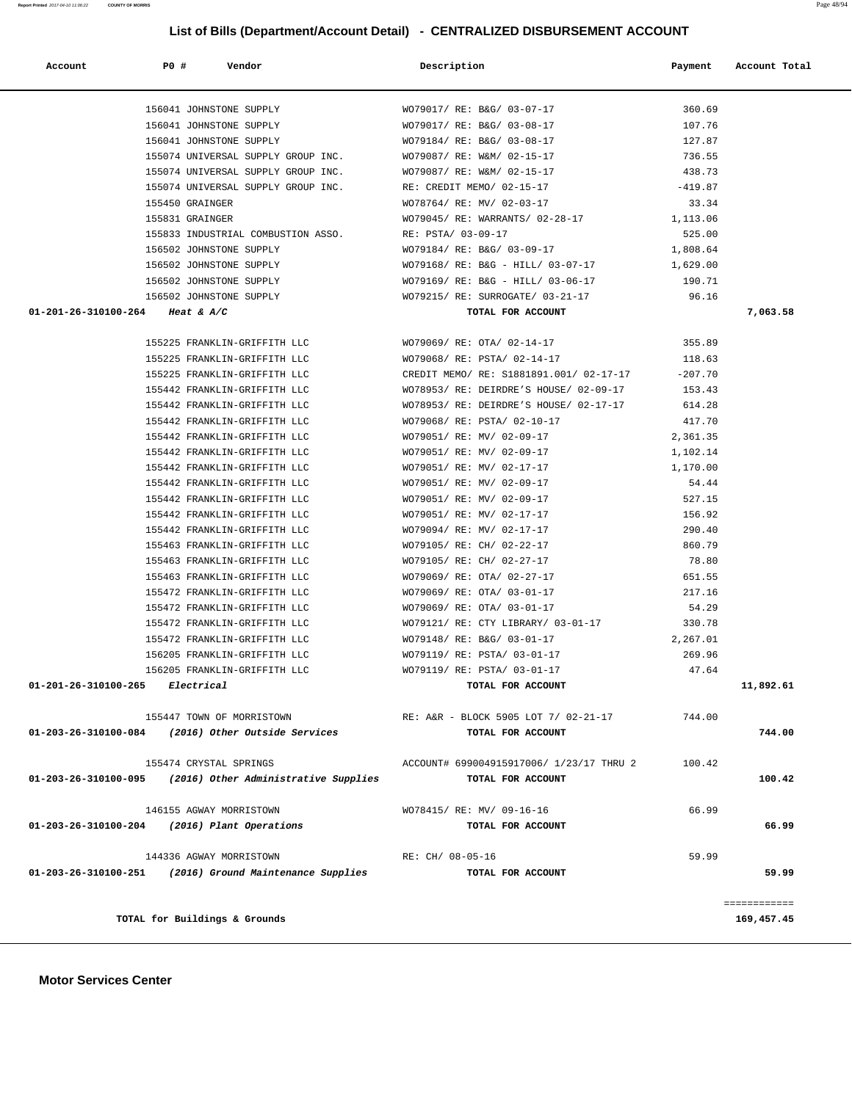| Account                                      | P0 #            | Vendor                                                      | Description                                                   | Payment   | Account Total |
|----------------------------------------------|-----------------|-------------------------------------------------------------|---------------------------------------------------------------|-----------|---------------|
|                                              |                 | 156041 JOHNSTONE SUPPLY                                     | WO79017/ RE: B&G/ 03-07-17                                    | 360.69    |               |
|                                              |                 | 156041 JOHNSTONE SUPPLY                                     | WO79017/ RE: B&G/ 03-08-17                                    | 107.76    |               |
|                                              |                 | 156041 JOHNSTONE SUPPLY                                     | WO79184/ RE: B&G/ 03-08-17                                    | 127.87    |               |
|                                              |                 | 155074 UNIVERSAL SUPPLY GROUP INC.                          | WO79087/ RE: W&M/ 02-15-17                                    | 736.55    |               |
|                                              |                 | 155074 UNIVERSAL SUPPLY GROUP INC.                          | WO79087/ RE: W&M/ 02-15-17                                    | 438.73    |               |
|                                              |                 | 155074 UNIVERSAL SUPPLY GROUP INC.                          | RE: CREDIT MEMO/ 02-15-17                                     | $-419.87$ |               |
|                                              | 155450 GRAINGER |                                                             | WO78764/ RE: MV/ 02-03-17                                     | 33.34     |               |
|                                              | 155831 GRAINGER |                                                             | WO79045/ RE: WARRANTS/ 02-28-17                               | 1,113.06  |               |
|                                              |                 | 155833 INDUSTRIAL COMBUSTION ASSO.                          | RE: PSTA/ 03-09-17                                            | 525.00    |               |
|                                              |                 | 156502 JOHNSTONE SUPPLY                                     | WO79184/ RE: B&G/ 03-09-17                                    | 1,808.64  |               |
|                                              |                 | 156502 JOHNSTONE SUPPLY                                     | WO79168/RE: B&G - HILL/ 03-07-17 1,629.00                     |           |               |
|                                              |                 | 156502 JOHNSTONE SUPPLY                                     | WO79169/ RE: B&G - HILL/ 03-06-17                             | 190.71    |               |
|                                              |                 |                                                             |                                                               |           |               |
| 01-201-26-310100-264 Heat & A/C              |                 |                                                             | 156502 JOHNSTONE SUPPLY WO79215/RE: SURROGATE/ 03-21-17 96.16 |           |               |
|                                              |                 |                                                             | TOTAL FOR ACCOUNT                                             |           | 7,063.58      |
|                                              |                 | 155225 FRANKLIN-GRIFFITH LLC                                | WO79069/ RE: OTA/ 02-14-17                                    | 355.89    |               |
|                                              |                 | 155225 FRANKLIN-GRIFFITH LLC                                | WO79068/ RE: PSTA/ 02-14-17                                   | 118.63    |               |
|                                              |                 | 155225 FRANKLIN-GRIFFITH LLC                                | CREDIT MEMO/ RE: S1881891.001/ 02-17-17                       | $-207.70$ |               |
|                                              |                 | 155442 FRANKLIN-GRIFFITH LLC                                | WO78953/ RE: DEIRDRE'S HOUSE/ 02-09-17 153.43                 |           |               |
|                                              |                 | 155442 FRANKLIN-GRIFFITH LLC                                | WO78953/ RE: DEIRDRE'S HOUSE/ 02-17-17                        | 614.28    |               |
|                                              |                 | 155442 FRANKLIN-GRIFFITH LLC                                | WO79068/ RE: PSTA/ 02-10-17                                   | 417.70    |               |
|                                              |                 | 155442 FRANKLIN-GRIFFITH LLC                                | WO79051/ RE: MV/ 02-09-17                                     | 2,361.35  |               |
|                                              |                 | 155442 FRANKLIN-GRIFFITH LLC                                | WO79051/ RE: MV/ 02-09-17                                     | 1,102.14  |               |
|                                              |                 | 155442 FRANKLIN-GRIFFITH LLC                                | WO79051/ RE: MV/ 02-17-17                                     | 1,170.00  |               |
|                                              |                 | 155442 FRANKLIN-GRIFFITH LLC                                | WO79051/ RE: MV/ 02-09-17                                     | 54.44     |               |
|                                              |                 | 155442 FRANKLIN-GRIFFITH LLC                                | WO79051/ RE: MV/ 02-09-17                                     | 527.15    |               |
|                                              |                 | 155442 FRANKLIN-GRIFFITH LLC                                | WO79051/ RE: MV/ 02-17-17                                     | 156.92    |               |
|                                              |                 | 155442 FRANKLIN-GRIFFITH LLC                                | WO79094/ RE: MV/ 02-17-17                                     | 290.40    |               |
|                                              |                 | 155463 FRANKLIN-GRIFFITH LLC                                | WO79105/ RE: CH/ 02-22-17                                     | 860.79    |               |
|                                              |                 | 155463 FRANKLIN-GRIFFITH LLC                                | WO79105/ RE: CH/ 02-27-17                                     | 78.80     |               |
|                                              |                 | 155463 FRANKLIN-GRIFFITH LLC                                | WO79069/ RE: OTA/ 02-27-17                                    | 651.55    |               |
|                                              |                 | 155472 FRANKLIN-GRIFFITH LLC                                | WO79069/ RE: OTA/ 03-01-17                                    | 217.16    |               |
|                                              |                 | 155472 FRANKLIN-GRIFFITH LLC                                | WO79069/ RE: OTA/ 03-01-17                                    | 54.29     |               |
|                                              |                 | 155472 FRANKLIN-GRIFFITH LLC                                | WO79121/ RE: CTY LIBRARY/ 03-01-17 330.78                     |           |               |
|                                              |                 | 155472 FRANKLIN-GRIFFITH LLC                                | WO79148/ RE: B&G/ 03-01-17                                    | 2,267.01  |               |
|                                              |                 | 156205 FRANKLIN-GRIFFITH LLC                                | WO79119/ RE: PSTA/ 03-01-17                                   | 269.96    |               |
|                                              |                 | 156205 FRANKLIN-GRIFFITH LLC                                | WO79119/ RE: PSTA/ 03-01-17                                   | 47.64     |               |
| $01-201-26-310100-265$ Electrical            |                 |                                                             | TOTAL FOR ACCOUNT                                             |           | 11,892.61     |
|                                              |                 | 155447 TOWN OF MORRISTOWN                                   | RE: A&R - BLOCK 5905 LOT 7/ 02-21-17                          | 744.00    |               |
| 01-203-26-310100-084                         |                 | (2016) Other Outside Services                               | TOTAL FOR ACCOUNT                                             |           | 744.00        |
|                                              |                 | 155474 CRYSTAL SPRINGS                                      | ACCOUNT# 699004915917006/ 1/23/17 THRU 2                      | 100.42    |               |
|                                              |                 | $01-203-26-310100-095$ (2016) Other Administrative Supplies | TOTAL FOR ACCOUNT                                             |           | 100.42        |
|                                              |                 |                                                             |                                                               |           |               |
|                                              |                 | 146155 AGWAY MORRISTOWN                                     | WO78415/ RE: MV/ 09-16-16                                     | 66.99     |               |
| 01-203-26-310100-204 (2016) Plant Operations |                 |                                                             | TOTAL FOR ACCOUNT                                             |           | 66.99         |
|                                              |                 | 144336 AGWAY MORRISTOWN                                     | RE: CH/ 08-05-16                                              | 59.99     |               |
|                                              |                 | 01-203-26-310100-251 (2016) Ground Maintenance Supplies     | TOTAL FOR ACCOUNT                                             |           | 59.99         |
|                                              |                 |                                                             |                                                               |           | ============  |
|                                              |                 | TOTAL for Buildings & Grounds                               |                                                               |           | 169,457.45    |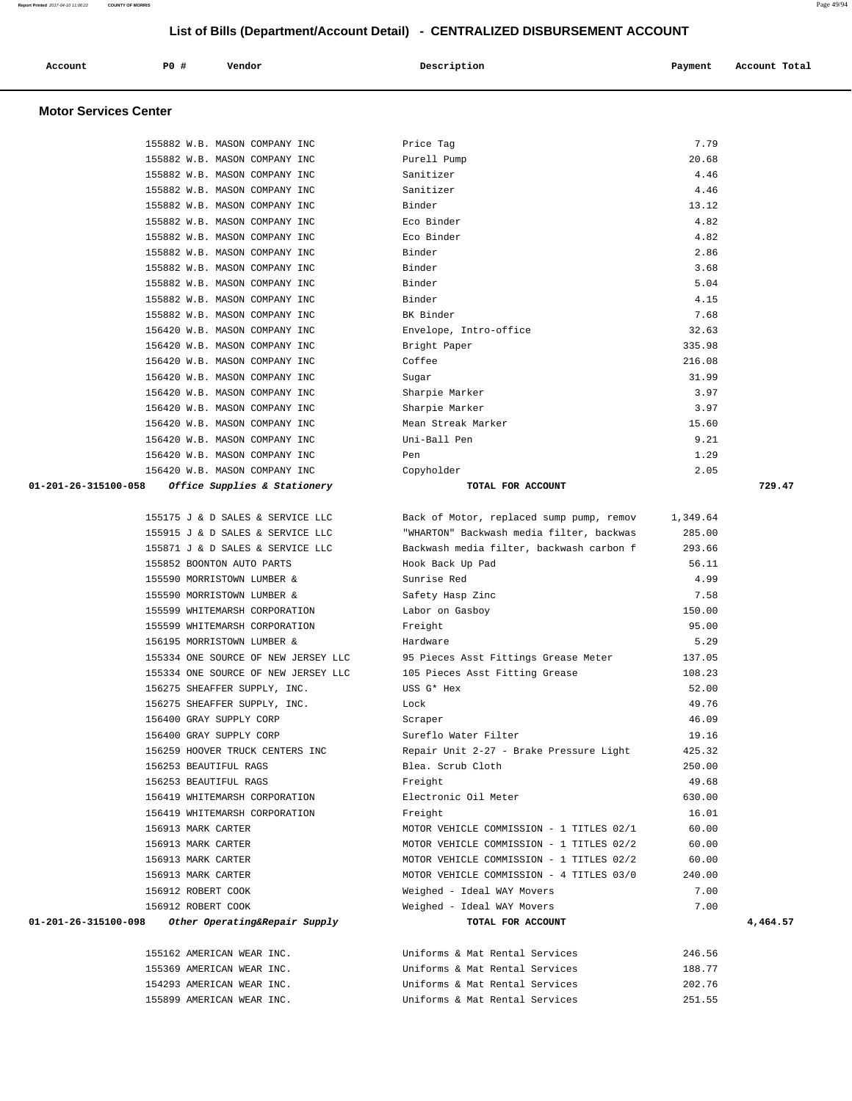| Account<br>. | P0 # | Vendor | Description | Payment<br>. . | Account Total<br>. |
|--------------|------|--------|-------------|----------------|--------------------|
|              |      |        |             |                |                    |

| 155882 W.B. MASON COMPANY INC                         | Price Tag                                | 7.79     |          |
|-------------------------------------------------------|------------------------------------------|----------|----------|
| 155882 W.B. MASON COMPANY INC                         | Purell Pump                              | 20.68    |          |
| 155882 W.B. MASON COMPANY INC                         | Sanitizer                                | 4.46     |          |
| 155882 W.B. MASON COMPANY INC                         | Sanitizer                                | 4.46     |          |
| 155882 W.B. MASON COMPANY INC                         | Binder                                   | 13.12    |          |
| 155882 W.B. MASON COMPANY INC                         | Eco Binder                               | 4.82     |          |
| 155882 W.B. MASON COMPANY INC                         | Eco Binder                               | 4.82     |          |
| 155882 W.B. MASON COMPANY INC                         | Binder                                   | 2.86     |          |
| 155882 W.B. MASON COMPANY INC                         | Binder                                   | 3.68     |          |
| 155882 W.B. MASON COMPANY INC                         | Binder                                   | 5.04     |          |
| 155882 W.B. MASON COMPANY INC                         | Binder                                   | 4.15     |          |
| 155882 W.B. MASON COMPANY INC                         | BK Binder                                | 7.68     |          |
| 156420 W.B. MASON COMPANY INC                         | Envelope, Intro-office                   | 32.63    |          |
| 156420 W.B. MASON COMPANY INC                         | Bright Paper                             | 335.98   |          |
| 156420 W.B. MASON COMPANY INC                         | Coffee                                   | 216.08   |          |
| 156420 W.B. MASON COMPANY INC                         | Sugar                                    | 31.99    |          |
| 156420 W.B. MASON COMPANY INC                         | Sharpie Marker                           | 3.97     |          |
| 156420 W.B. MASON COMPANY INC                         | Sharpie Marker                           | 3.97     |          |
| 156420 W.B. MASON COMPANY INC                         | Mean Streak Marker                       | 15.60    |          |
| 156420 W.B. MASON COMPANY INC                         | Uni-Ball Pen                             | 9.21     |          |
| 156420 W.B. MASON COMPANY INC                         | Pen                                      | 1.29     |          |
| 156420 W.B. MASON COMPANY INC                         | Copyholder                               | 2.05     |          |
| 01-201-26-315100-058<br>Office Supplies & Stationery  | TOTAL FOR ACCOUNT                        |          | 729.47   |
|                                                       |                                          |          |          |
| 155175 J & D SALES & SERVICE LLC                      | Back of Motor, replaced sump pump, remov | 1,349.64 |          |
| 155915 J & D SALES & SERVICE LLC                      | "WHARTON" Backwash media filter, backwas | 285.00   |          |
| 155871 J & D SALES & SERVICE LLC                      | Backwash media filter, backwash carbon f | 293.66   |          |
| 155852 BOONTON AUTO PARTS                             | Hook Back Up Pad                         | 56.11    |          |
| 155590 MORRISTOWN LUMBER &                            | Sunrise Red                              | 4.99     |          |
| 155590 MORRISTOWN LUMBER &                            | Safety Hasp Zinc                         | 7.58     |          |
| 155599 WHITEMARSH CORPORATION                         | Labor on Gasboy                          | 150.00   |          |
| 155599 WHITEMARSH CORPORATION                         | Freight                                  | 95.00    |          |
| 156195 MORRISTOWN LUMBER &                            | Hardware                                 | 5.29     |          |
| 155334 ONE SOURCE OF NEW JERSEY LLC                   | 95 Pieces Asst Fittings Grease Meter     | 137.05   |          |
| 155334 ONE SOURCE OF NEW JERSEY LLC                   | 105 Pieces Asst Fitting Grease           | 108.23   |          |
| 156275 SHEAFFER SUPPLY, INC.                          | USS G* Hex                               | 52.00    |          |
| 156275 SHEAFFER SUPPLY, INC.                          | Lock                                     | 49.76    |          |
| 156400 GRAY SUPPLY CORP                               | Scraper                                  |          |          |
|                                                       |                                          | 46.09    |          |
| 156400 GRAY SUPPLY CORP                               | Sureflo Water Filter                     | 19.16    |          |
| 156259 HOOVER TRUCK CENTERS INC                       | Repair Unit 2-27 - Brake Pressure Light  | 425.32   |          |
| 156253 BEAUTIFUL RAGS                                 | Blea. Scrub Cloth                        | 250.00   |          |
| 156253 BEAUTIFUL RAGS                                 | Freight                                  | 49.68    |          |
| 156419 WHITEMARSH CORPORATION                         | Electronic Oil Meter                     | 630.00   |          |
| 156419 WHITEMARSH CORPORATION                         | Freight                                  | 16.01    |          |
| 156913 MARK CARTER                                    | MOTOR VEHICLE COMMISSION - 1 TITLES 02/1 | 60.00    |          |
| 156913 MARK CARTER                                    | MOTOR VEHICLE COMMISSION - 1 TITLES 02/2 | 60.00    |          |
| 156913 MARK CARTER                                    | MOTOR VEHICLE COMMISSION - 1 TITLES 02/2 | 60.00    |          |
| 156913 MARK CARTER                                    | MOTOR VEHICLE COMMISSION - 4 TITLES 03/0 | 240.00   |          |
| 156912 ROBERT COOK                                    | Weighed - Ideal WAY Movers               | 7.00     |          |
| 156912 ROBERT COOK                                    | Weighed - Ideal WAY Movers               | 7.00     |          |
| 01-201-26-315100-098<br>Other Operating&Repair Supply | TOTAL FOR ACCOUNT                        |          | 4,464.57 |
|                                                       |                                          |          |          |
| 155162 AMERICAN WEAR INC.                             | Uniforms & Mat Rental Services           | 246.56   |          |
| 155369 AMERICAN WEAR INC.                             | Uniforms & Mat Rental Services           | 188.77   |          |
| 154293 AMERICAN WEAR INC.                             | Uniforms & Mat Rental Services           | 202.76   |          |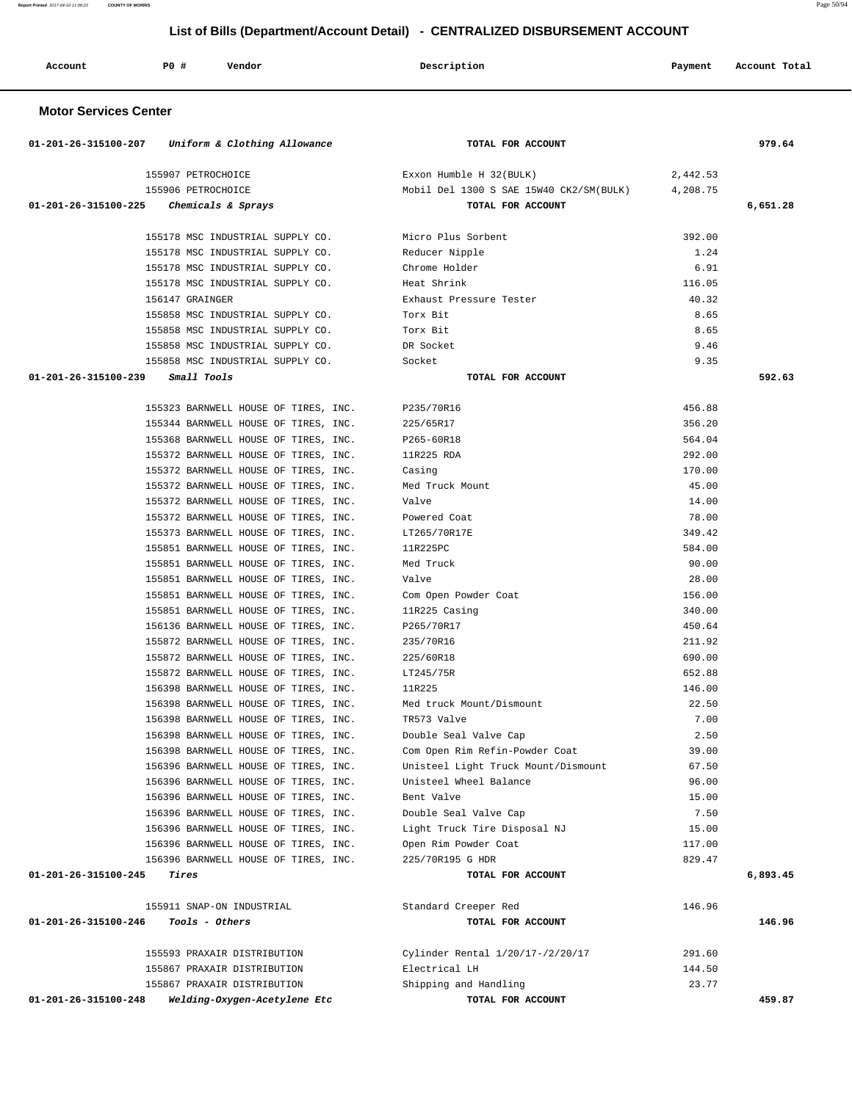**Report Printed** 2017-04-10 11:06:22 **COUNTY OF MORRIS** Page 50/94

# **List of Bills (Department/Account Detail) - CENTRALIZED DISBURSEMENT ACCOUNT**

| Account | PO# | Vendor | Description | Payment Account Total |
|---------|-----|--------|-------------|-----------------------|
|         |     |        |             |                       |

|                                           | 01-201-26-315100-207 Uniform & Clothing Allowance | TOTAL FOR ACCOUNT                       |          | 979.64   |
|-------------------------------------------|---------------------------------------------------|-----------------------------------------|----------|----------|
|                                           | 155907 PETROCHOICE                                | Exxon Humble H 32(BULK)                 | 2,442.53 |          |
|                                           | 155906 PETROCHOICE                                | Mobil Del 1300 S SAE 15W40 CK2/SM(BULK) | 4,208.75 |          |
| $01-201-26-315100-225$ Chemicals & Sprays |                                                   | TOTAL FOR ACCOUNT                       |          | 6,651.28 |
|                                           |                                                   |                                         |          |          |
|                                           | 155178 MSC INDUSTRIAL SUPPLY CO.                  | Micro Plus Sorbent                      | 392.00   |          |
|                                           | 155178 MSC INDUSTRIAL SUPPLY CO.                  | Reducer Nipple                          | 1.24     |          |
|                                           | 155178 MSC INDUSTRIAL SUPPLY CO.                  | Chrome Holder                           | 6.91     |          |
|                                           | 155178 MSC INDUSTRIAL SUPPLY CO.                  | Heat Shrink                             | 116.05   |          |
|                                           | 156147 GRAINGER                                   | Exhaust Pressure Tester                 | 40.32    |          |
|                                           | 155858 MSC INDUSTRIAL SUPPLY CO.                  | Torx Bit                                | 8.65     |          |
|                                           | 155858 MSC INDUSTRIAL SUPPLY CO.                  | Torx Bit                                | 8.65     |          |
|                                           | 155858 MSC INDUSTRIAL SUPPLY CO.                  | DR Socket                               | 9.46     |          |
|                                           | 155858 MSC INDUSTRIAL SUPPLY CO.                  | Socket                                  | 9.35     |          |
| 01-201-26-315100-239 Small Tools          |                                                   | TOTAL FOR ACCOUNT                       |          | 592.63   |
|                                           | 155323 BARNWELL HOUSE OF TIRES, INC.              | P235/70R16                              | 456.88   |          |
|                                           | 155344 BARNWELL HOUSE OF TIRES, INC.              | 225/65R17                               | 356.20   |          |
|                                           | 155368 BARNWELL HOUSE OF TIRES, INC.              | P265-60R18                              | 564.04   |          |
|                                           | 155372 BARNWELL HOUSE OF TIRES, INC.              | 11R225 RDA                              | 292.00   |          |
|                                           | 155372 BARNWELL HOUSE OF TIRES, INC.              | Casing                                  | 170.00   |          |
|                                           | 155372 BARNWELL HOUSE OF TIRES, INC.              | Med Truck Mount                         | 45.00    |          |
|                                           | 155372 BARNWELL HOUSE OF TIRES, INC.              | Valve                                   | 14.00    |          |
|                                           | 155372 BARNWELL HOUSE OF TIRES, INC.              | Powered Coat                            | 78.00    |          |
|                                           | 155373 BARNWELL HOUSE OF TIRES, INC.              | LT265/70R17E                            | 349.42   |          |
|                                           | 155851 BARNWELL HOUSE OF TIRES, INC.              | 11R225PC                                | 584.00   |          |
|                                           | 155851 BARNWELL HOUSE OF TIRES, INC.              | Med Truck                               | 90.00    |          |
|                                           | 155851 BARNWELL HOUSE OF TIRES, INC.              | Valve                                   | 28.00    |          |
|                                           | 155851 BARNWELL HOUSE OF TIRES, INC.              | Com Open Powder Coat                    | 156.00   |          |
|                                           | 155851 BARNWELL HOUSE OF TIRES, INC.              | 11R225 Casing                           | 340.00   |          |
|                                           | 156136 BARNWELL HOUSE OF TIRES, INC.              | P265/70R17                              | 450.64   |          |
|                                           | 155872 BARNWELL HOUSE OF TIRES, INC.              | 235/70R16                               | 211.92   |          |
|                                           | 155872 BARNWELL HOUSE OF TIRES, INC.              | 225/60R18                               | 690.00   |          |
|                                           | 155872 BARNWELL HOUSE OF TIRES, INC.              | LT245/75R                               | 652.88   |          |
|                                           | 156398 BARNWELL HOUSE OF TIRES, INC.              | 11R225                                  | 146.00   |          |
|                                           | 156398 BARNWELL HOUSE OF TIRES, INC.              | Med truck Mount/Dismount                | 22.50    |          |
|                                           | 156398 BARNWELL HOUSE OF TIRES, INC.              | TR573 Valve                             | 7.00     |          |
|                                           | 156398 BARNWELL HOUSE OF TIRES, INC.              | Double Seal Valve Cap                   | 2.50     |          |
|                                           | 156398 BARNWELL HOUSE OF TIRES, INC.              | Com Open Rim Refin-Powder Coat          | 39.00    |          |
|                                           | 156396 BARNWELL HOUSE OF TIRES, INC.              | Unisteel Light Truck Mount/Dismount     | 67.50    |          |
|                                           | 156396 BARNWELL HOUSE OF TIRES, INC.              | Unisteel Wheel Balance                  | 96.00    |          |
|                                           | 156396 BARNWELL HOUSE OF TIRES, INC.              | Bent Valve                              | 15.00    |          |
|                                           | 156396 BARNWELL HOUSE OF TIRES, INC.              | Double Seal Valve Cap                   | 7.50     |          |
|                                           | 156396 BARNWELL HOUSE OF TIRES, INC.              | Light Truck Tire Disposal NJ            | 15.00    |          |
|                                           | 156396 BARNWELL HOUSE OF TIRES, INC.              | Open Rim Powder Coat                    | 117.00   |          |
|                                           | 156396 BARNWELL HOUSE OF TIRES, INC.              | 225/70R195 G HDR                        | 829.47   |          |
| 01-201-26-315100-245                      | Tires                                             | TOTAL FOR ACCOUNT                       |          | 6,893.45 |
|                                           | 155911 SNAP-ON INDUSTRIAL                         | Standard Creeper Red                    | 146.96   |          |
| 01-201-26-315100-246                      | Tools - Others                                    | TOTAL FOR ACCOUNT                       |          | 146.96   |
|                                           | 155593 PRAXAIR DISTRIBUTION                       | Cylinder Rental 1/20/17-/2/20/17        | 291.60   |          |
|                                           | 155867 PRAXAIR DISTRIBUTION                       | Electrical LH                           | 144.50   |          |
|                                           | 155867 PRAXAIR DISTRIBUTION                       | Shipping and Handling                   | 23.77    |          |
| 01-201-26-315100-248                      | Welding-Oxygen-Acetylene Etc                      | TOTAL FOR ACCOUNT                       |          | 459.87   |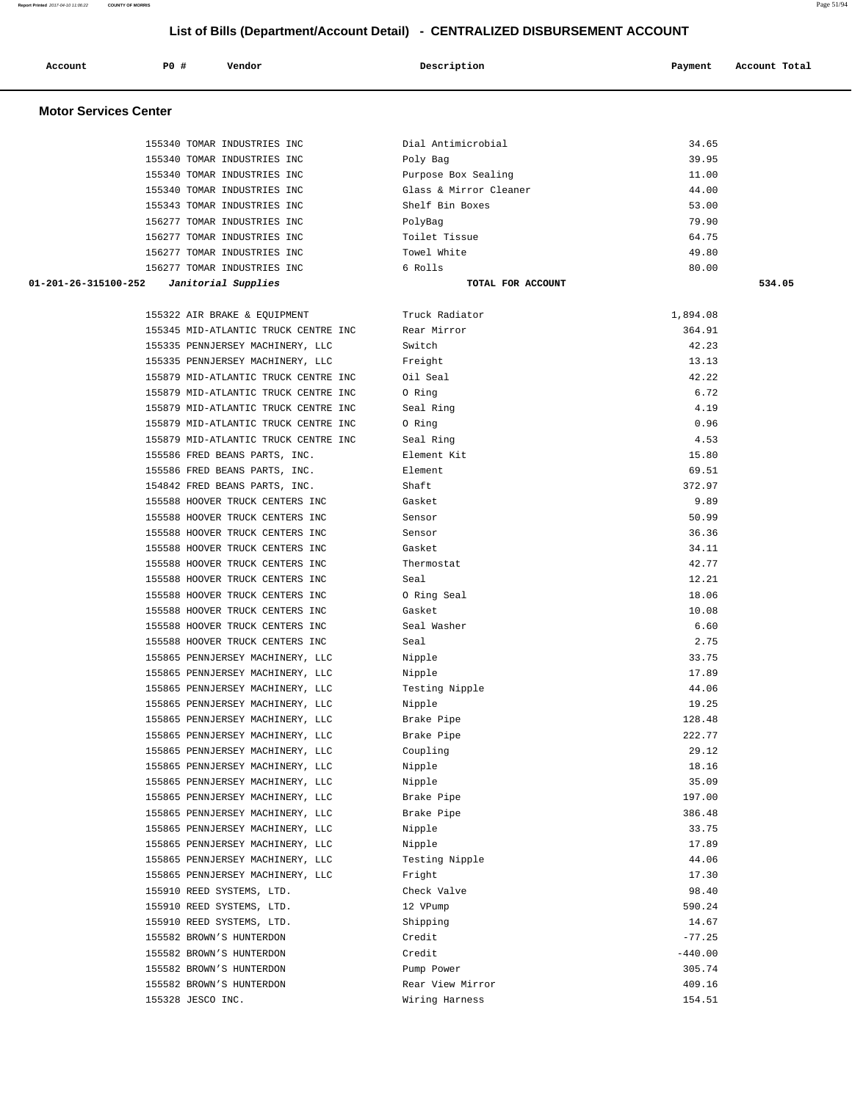| Account                      | P0 # | Vendor                               | Description            | Payment   | Account Total |
|------------------------------|------|--------------------------------------|------------------------|-----------|---------------|
|                              |      |                                      |                        |           |               |
| <b>Motor Services Center</b> |      |                                      |                        |           |               |
|                              |      | 155340 TOMAR INDUSTRIES INC          | Dial Antimicrobial     | 34.65     |               |
|                              |      | 155340 TOMAR INDUSTRIES INC          | Poly Bag               | 39.95     |               |
|                              |      | 155340 TOMAR INDUSTRIES INC          | Purpose Box Sealing    | 11.00     |               |
|                              |      | 155340 TOMAR INDUSTRIES INC          | Glass & Mirror Cleaner | 44.00     |               |
|                              |      | 155343 TOMAR INDUSTRIES INC          | Shelf Bin Boxes        | 53.00     |               |
|                              |      | 156277 TOMAR INDUSTRIES INC          | PolyBag                | 79.90     |               |
|                              |      | 156277 TOMAR INDUSTRIES INC          | Toilet Tissue          | 64.75     |               |
|                              |      | 156277 TOMAR INDUSTRIES INC          | Towel White            | 49.80     |               |
|                              |      | 156277 TOMAR INDUSTRIES INC          | 6 Rolls                | 80.00     |               |
| 01-201-26-315100-252         |      | Janitorial Supplies                  | TOTAL FOR ACCOUNT      |           | 534.05        |
|                              |      | 155322 AIR BRAKE & EQUIPMENT         | Truck Radiator         | 1,894.08  |               |
|                              |      | 155345 MID-ATLANTIC TRUCK CENTRE INC | Rear Mirror            | 364.91    |               |
|                              |      | 155335 PENNJERSEY MACHINERY, LLC     | Switch                 | 42.23     |               |
|                              |      | 155335 PENNJERSEY MACHINERY, LLC     | Freight                | 13.13     |               |
|                              |      | 155879 MID-ATLANTIC TRUCK CENTRE INC | Oil Seal               | 42.22     |               |
|                              |      | 155879 MID-ATLANTIC TRUCK CENTRE INC | 0 Ring                 | 6.72      |               |
|                              |      | 155879 MID-ATLANTIC TRUCK CENTRE INC | Seal Ring              | 4.19      |               |
|                              |      | 155879 MID-ATLANTIC TRUCK CENTRE INC | 0 Ring                 | 0.96      |               |
|                              |      | 155879 MID-ATLANTIC TRUCK CENTRE INC | Seal Ring              | 4.53      |               |
|                              |      | 155586 FRED BEANS PARTS, INC.        | Element Kit            | 15.80     |               |
|                              |      | 155586 FRED BEANS PARTS, INC.        | Element                | 69.51     |               |
|                              |      | 154842 FRED BEANS PARTS, INC.        | Shaft                  | 372.97    |               |
|                              |      | 155588 HOOVER TRUCK CENTERS INC      | Gasket                 | 9.89      |               |
|                              |      | 155588 HOOVER TRUCK CENTERS INC      | Sensor                 | 50.99     |               |
|                              |      | 155588 HOOVER TRUCK CENTERS INC      | Sensor                 | 36.36     |               |
|                              |      | 155588 HOOVER TRUCK CENTERS INC      | Gasket                 | 34.11     |               |
|                              |      | 155588 HOOVER TRUCK CENTERS INC      | Thermostat             | 42.77     |               |
|                              |      | 155588 HOOVER TRUCK CENTERS INC      | Seal                   | 12.21     |               |
|                              |      | 155588 HOOVER TRUCK CENTERS INC      | O Ring Seal            | 18.06     |               |
|                              |      | 155588 HOOVER TRUCK CENTERS INC      | Gasket                 | 10.08     |               |
|                              |      | 155588 HOOVER TRUCK CENTERS INC      | Seal Washer            | 6.60      |               |
|                              |      | 155588 HOOVER TRUCK CENTERS INC      | Seal                   | 2.75      |               |
|                              |      | 155865 PENNJERSEY MACHINERY, LLC     | Nipple                 | 33.75     |               |
|                              |      | 155865 PENNJERSEY MACHINERY, LLC     | Nipple                 | 17.89     |               |
|                              |      | 155865 PENNJERSEY MACHINERY, LLC     | Testing Nipple         | 44.06     |               |
|                              |      | 155865 PENNJERSEY MACHINERY, LLC     | Nipple                 | 19.25     |               |
|                              |      | 155865 PENNJERSEY MACHINERY, LLC     | Brake Pipe             | 128.48    |               |
|                              |      | 155865 PENNJERSEY MACHINERY, LLC     | Brake Pipe             | 222.77    |               |
|                              |      | 155865 PENNJERSEY MACHINERY, LLC     | Coupling               | 29.12     |               |
|                              |      | 155865 PENNJERSEY MACHINERY, LLC     | Nipple                 | 18.16     |               |
|                              |      | 155865 PENNJERSEY MACHINERY, LLC     | Nipple                 | 35.09     |               |
|                              |      | 155865 PENNJERSEY MACHINERY, LLC     | Brake Pipe             | 197.00    |               |
|                              |      | 155865 PENNJERSEY MACHINERY, LLC     | Brake Pipe             | 386.48    |               |
|                              |      | 155865 PENNJERSEY MACHINERY, LLC     | Nipple                 | 33.75     |               |
|                              |      | 155865 PENNJERSEY MACHINERY, LLC     | Nipple                 | 17.89     |               |
|                              |      | 155865 PENNJERSEY MACHINERY, LLC     | Testing Nipple         | 44.06     |               |
|                              |      | 155865 PENNJERSEY MACHINERY, LLC     | Fright                 | 17.30     |               |
|                              |      | 155910 REED SYSTEMS, LTD.            | Check Valve            | 98.40     |               |
|                              |      | 155910 REED SYSTEMS, LTD.            | 12 VPump               | 590.24    |               |
|                              |      | 155910 REED SYSTEMS, LTD.            | Shipping               | 14.67     |               |
|                              |      | 155582 BROWN'S HUNTERDON             | Credit                 | $-77.25$  |               |
|                              |      | 155582 BROWN'S HUNTERDON             | Credit                 | $-440.00$ |               |
|                              |      | 155582 BROWN'S HUNTERDON             | Pump Power             | 305.74    |               |
|                              |      | 155582 BROWN'S HUNTERDON             | Rear View Mirror       | 409.16    |               |

155328 JESCO INC. Wiring Harness 154.51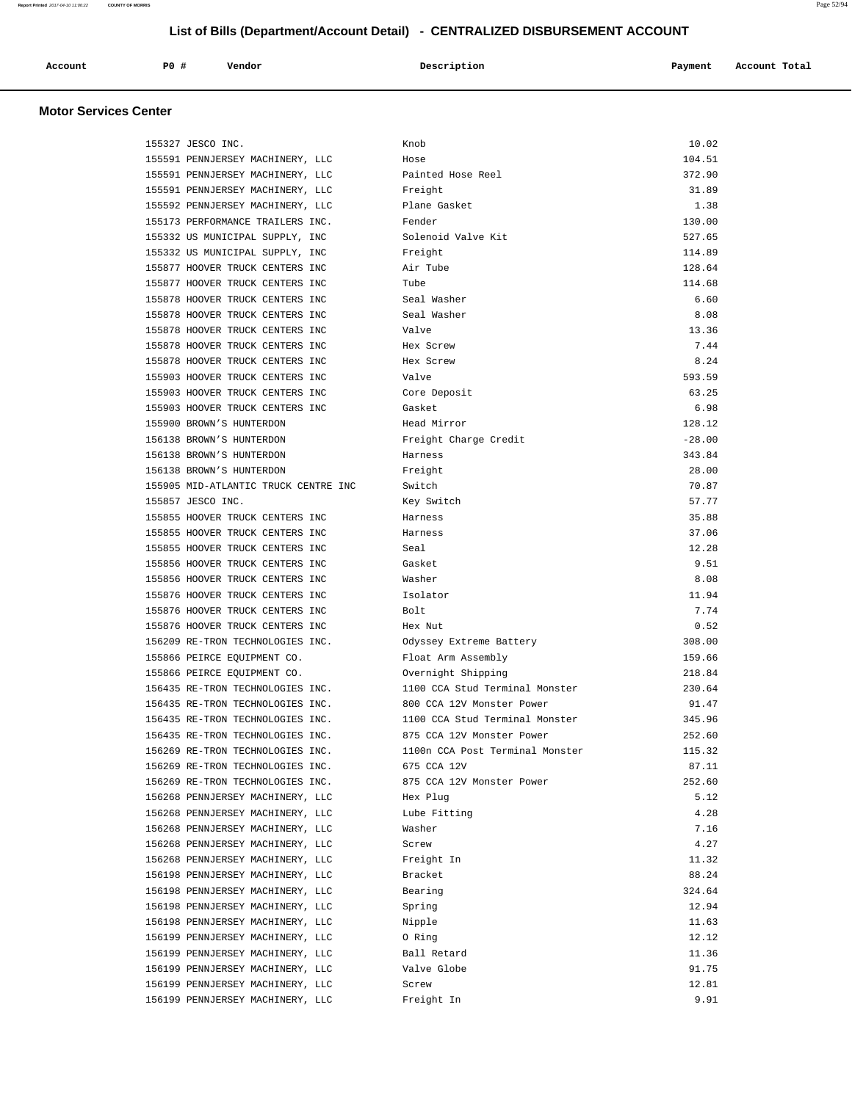| Account<br>. | P0 # | Vendor<br>. | Description | Payment | Account Total |
|--------------|------|-------------|-------------|---------|---------------|
|              |      |             |             |         |               |

| 155327 JESCO INC.                                                  | Knob                            | 10.02        |
|--------------------------------------------------------------------|---------------------------------|--------------|
| 155591 PENNJERSEY MACHINERY, LLC                                   | Hose                            | 104.51       |
| 155591 PENNJERSEY MACHINERY, LLC                                   | Painted Hose Reel               | 372.90       |
| 155591 PENNJERSEY MACHINERY, LLC                                   | Freight                         | 31.89        |
| 155592 PENNJERSEY MACHINERY, LLC                                   | Plane Gasket                    | 1.38         |
| 155173 PERFORMANCE TRAILERS INC.                                   | Fender                          | 130.00       |
| 155332 US MUNICIPAL SUPPLY, INC                                    | Solenoid Valve Kit              | 527.65       |
| 155332 US MUNICIPAL SUPPLY, INC                                    | Freight                         | 114.89       |
| 155877 HOOVER TRUCK CENTERS INC                                    | Air Tube                        | 128.64       |
| 155877 HOOVER TRUCK CENTERS INC                                    | Tube                            | 114.68       |
| 155878 HOOVER TRUCK CENTERS INC                                    | Seal Washer                     | 6.60         |
| 155878 HOOVER TRUCK CENTERS INC                                    | Seal Washer                     | 8.08         |
| 155878 HOOVER TRUCK CENTERS INC                                    | Valve                           | 13.36        |
| 155878 HOOVER TRUCK CENTERS INC                                    | Hex Screw                       | 7.44         |
| 155878 HOOVER TRUCK CENTERS INC                                    | Hex Screw                       | 8.24         |
| 155903 HOOVER TRUCK CENTERS INC                                    | Valve                           | 593.59       |
| 155903 HOOVER TRUCK CENTERS INC                                    | Core Deposit                    | 63.25        |
| 155903 HOOVER TRUCK CENTERS INC                                    | Gasket                          | 6.98         |
| 155900 BROWN'S HUNTERDON                                           | Head Mirror                     | 128.12       |
| 156138 BROWN'S HUNTERDON                                           | Freight Charge Credit           | $-28.00$     |
| 156138 BROWN'S HUNTERDON                                           | Harness                         | 343.84       |
|                                                                    |                                 | 28.00        |
| 156138 BROWN'S HUNTERDON<br>155905 MID-ATLANTIC TRUCK CENTRE INC   | Freight<br>Switch               | 70.87        |
| 155857 JESCO INC.                                                  |                                 | 57.77        |
| 155855 HOOVER TRUCK CENTERS INC                                    | Key Switch<br>Harness           | 35.88        |
| 155855 HOOVER TRUCK CENTERS INC                                    | Harness                         | 37.06        |
|                                                                    | Seal                            | 12.28        |
| 155855 HOOVER TRUCK CENTERS INC<br>155856 HOOVER TRUCK CENTERS INC | Gasket                          | 9.51         |
|                                                                    |                                 |              |
| 155856 HOOVER TRUCK CENTERS INC                                    | Washer                          | 8.08         |
| 155876 HOOVER TRUCK CENTERS INC                                    | Isolator                        | 11.94        |
| 155876 HOOVER TRUCK CENTERS INC                                    | Bolt                            | 7.74<br>0.52 |
| 155876 HOOVER TRUCK CENTERS INC                                    | Hex Nut                         |              |
| 156209 RE-TRON TECHNOLOGIES INC.                                   | Odyssey Extreme Battery         | 308.00       |
| 155866 PEIRCE EQUIPMENT CO.                                        | Float Arm Assembly              | 159.66       |
| 155866 PEIRCE EQUIPMENT CO.                                        | Overnight Shipping              | 218.84       |
| 156435 RE-TRON TECHNOLOGIES INC.                                   | 1100 CCA Stud Terminal Monster  | 230.64       |
| 156435 RE-TRON TECHNOLOGIES INC.                                   | 800 CCA 12V Monster Power       | 91.47        |
| 156435 RE-TRON TECHNOLOGIES INC.                                   | 1100 CCA Stud Terminal Monster  | 345.96       |
| 156435 RE-TRON TECHNOLOGIES INC.                                   | 875 CCA 12V Monster Power       | 252.60       |
| 156269 RE-TRON TECHNOLOGIES INC.                                   | 1100n CCA Post Terminal Monster | 115.32       |
| 156269 RE-TRON TECHNOLOGIES INC.                                   | 675 CCA 12V                     | 87.11        |
| 156269 RE-TRON TECHNOLOGIES INC.                                   | 875 CCA 12V Monster Power       | 252.60       |
| 156268 PENNJERSEY MACHINERY, LLC                                   | Hex Plug                        | 5.12         |
| 156268 PENNJERSEY MACHINERY, LLC                                   | Lube Fitting                    | 4.28         |
| 156268 PENNJERSEY MACHINERY, LLC                                   | Washer                          | 7.16         |
| 156268 PENNJERSEY MACHINERY, LLC                                   | Screw                           | 4.27         |
| 156268 PENNJERSEY MACHINERY, LLC                                   | Freight In                      | 11.32        |
| 156198 PENNJERSEY MACHINERY, LLC                                   | Bracket                         | 88.24        |
| 156198 PENNJERSEY MACHINERY, LLC                                   | Bearing                         | 324.64       |
| 156198 PENNJERSEY MACHINERY, LLC                                   | Spring                          | 12.94        |
| 156198 PENNJERSEY MACHINERY, LLC                                   | Nipple                          | 11.63        |
| 156199 PENNJERSEY MACHINERY, LLC                                   | 0 Ring                          | 12.12        |
| 156199 PENNJERSEY MACHINERY, LLC                                   | Ball Retard                     | 11.36        |
| 156199 PENNJERSEY MACHINERY, LLC                                   | Valve Globe                     | 91.75        |
| 156199 PENNJERSEY MACHINERY, LLC                                   | Screw                           | 12.81        |
| 156199 PENNJERSEY MACHINERY, LLC                                   | Freight In                      | 9.91         |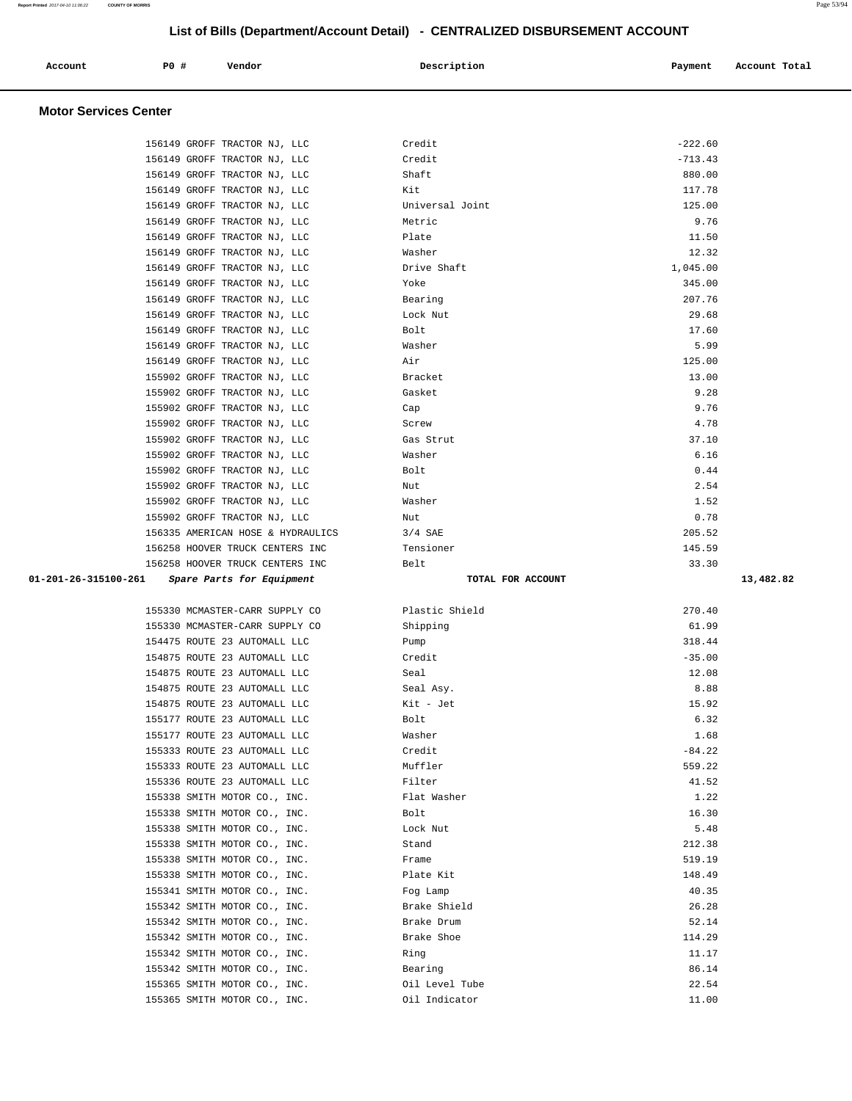| Account                                       | PO# | Vendor | Description | Account Total<br>Payment |
|-----------------------------------------------|-----|--------|-------------|--------------------------|
| $M_{\rm{eff}}$ and $\sigma$ and decomposition |     |        |             |                          |

| 156149 GROFF TRACTOR NJ, LLC                                 | Credit                          | $-222.60$      |
|--------------------------------------------------------------|---------------------------------|----------------|
| 156149 GROFF TRACTOR NJ, LLC                                 | Credit                          | $-713.43$      |
| 156149 GROFF TRACTOR NJ, LLC                                 | Shaft                           | 880.00         |
| 156149 GROFF TRACTOR NJ, LLC                                 | Kit                             | 117.78         |
| 156149 GROFF TRACTOR NJ, LLC                                 | Universal Joint                 | 125.00         |
| 156149 GROFF TRACTOR NJ, LLC                                 | Metric                          | 9.76           |
| 156149 GROFF TRACTOR NJ, LLC                                 | Plate                           | 11.50          |
| 156149 GROFF TRACTOR NJ, LLC                                 | Washer                          | 12.32          |
| 156149 GROFF TRACTOR NJ, LLC                                 | Drive Shaft                     | 1,045.00       |
| 156149 GROFF TRACTOR NJ, LLC                                 | Yoke                            | 345.00         |
| 156149 GROFF TRACTOR NJ, LLC                                 | Bearing                         | 207.76         |
| 156149 GROFF TRACTOR NJ, LLC                                 | Lock Nut                        | 29.68          |
| 156149 GROFF TRACTOR NJ, LLC                                 | Bolt                            | 17.60          |
| 156149 GROFF TRACTOR NJ, LLC                                 | Washer                          | 5.99           |
| 156149 GROFF TRACTOR NJ, LLC                                 | Air                             | 125.00         |
| 155902 GROFF TRACTOR NJ, LLC                                 | Bracket                         | 13.00          |
| 155902 GROFF TRACTOR NJ, LLC                                 | Gasket                          | 9.28           |
| 155902 GROFF TRACTOR NJ, LLC                                 | Cap                             | 9.76           |
| 155902 GROFF TRACTOR NJ, LLC                                 | Screw                           | 4.78           |
| 155902 GROFF TRACTOR NJ, LLC                                 | Gas Strut                       | 37.10          |
| 155902 GROFF TRACTOR NJ, LLC                                 | Washer                          | 6.16           |
| 155902 GROFF TRACTOR NJ, LLC                                 | Bolt                            | 0.44           |
| 155902 GROFF TRACTOR NJ, LLC                                 | Nut                             | 2.54           |
| 155902 GROFF TRACTOR NJ, LLC                                 | Washer                          | 1.52           |
| 155902 GROFF TRACTOR NJ, LLC                                 | Nut                             | 0.78           |
| 156335 AMERICAN HOSE & HYDRAULICS                            | $3/4$ SAE                       | 205.52         |
| 156258 HOOVER TRUCK CENTERS INC                              | Tensioner                       | 145.59         |
| 156258 HOOVER TRUCK CENTERS INC                              | Belt                            | 33.30          |
|                                                              |                                 |                |
| 01-201-26-315100-261 Spare Parts for Equipment               | TOTAL FOR ACCOUNT               | 13,482.82      |
|                                                              |                                 |                |
| 155330 MCMASTER-CARR SUPPLY CO                               | Plastic Shield                  | 270.40         |
| 155330 MCMASTER-CARR SUPPLY CO                               | Shipping                        | 61.99          |
| 154475 ROUTE 23 AUTOMALL LLC                                 | Pump                            | 318.44         |
| 154875 ROUTE 23 AUTOMALL LLC                                 | Credit                          | $-35.00$       |
| 154875 ROUTE 23 AUTOMALL LLC                                 | Seal                            | 12.08          |
| 154875 ROUTE 23 AUTOMALL LLC                                 | Seal Asy.                       | 8.88           |
| 154875 ROUTE 23 AUTOMALL LLC                                 | Kit - Jet                       | 15.92          |
| 155177 ROUTE 23 AUTOMALL LLC                                 | Bolt                            | 6.32           |
| 155177 ROUTE 23 AUTOMALL LLC                                 | Washer                          | 1.68           |
| 155333 ROUTE 23 AUTOMALL LLC                                 | Credit                          | $-84.22$       |
| 155333 ROUTE 23 AUTOMALL LLC                                 | Muffler                         | 559.22         |
| 155336 ROUTE 23 AUTOMALL LLC                                 | Filter                          | 41.52          |
| 155338 SMITH MOTOR CO., INC.                                 | Flat Washer                     | 1.22           |
| 155338 SMITH MOTOR CO., INC.                                 | Bolt                            | 16.30          |
| 155338 SMITH MOTOR CO., INC.                                 | Lock Nut                        | 5.48           |
| 155338 SMITH MOTOR CO., INC.                                 | Stand                           | 212.38         |
| 155338 SMITH MOTOR CO., INC.                                 | Frame                           | 519.19         |
| 155338 SMITH MOTOR CO., INC.                                 | Plate Kit                       | 148.49         |
| 155341 SMITH MOTOR CO., INC.                                 | Fog Lamp                        | 40.35          |
| 155342 SMITH MOTOR CO., INC.                                 | Brake Shield                    | 26.28          |
| 155342 SMITH MOTOR CO., INC.                                 | Brake Drum                      | 52.14          |
| 155342 SMITH MOTOR CO., INC.                                 | Brake Shoe                      | 114.29         |
| 155342 SMITH MOTOR CO., INC.                                 | Ring                            | 11.17          |
| 155342 SMITH MOTOR CO., INC.                                 | Bearing                         | 86.14          |
| 155365 SMITH MOTOR CO., INC.<br>155365 SMITH MOTOR CO., INC. | Oil Level Tube<br>Oil Indicator | 22.54<br>11.00 |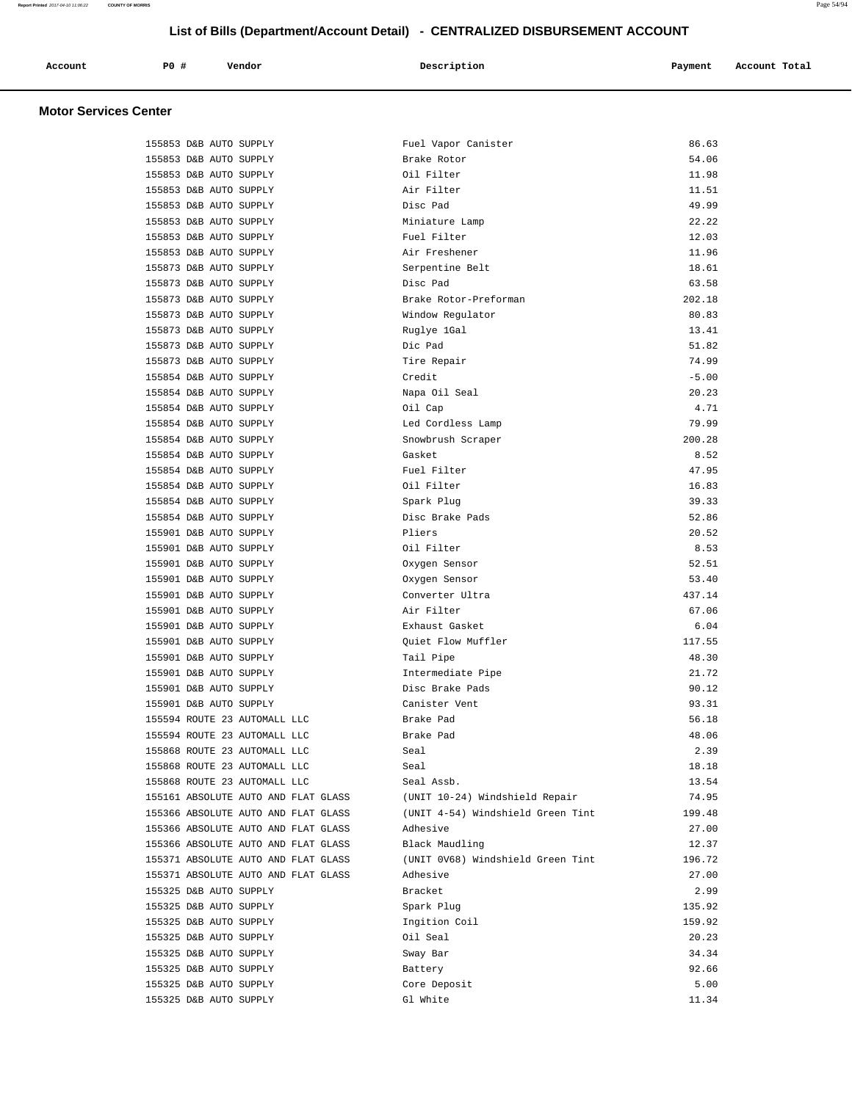| Account<br>. | P0 # | Vendor | Description | Payment | Account Total<br>.<br>. |
|--------------|------|--------|-------------|---------|-------------------------|
|              |      |        |             |         |                         |

#### **Motor Services Center**

| 155853 D&B AUTO SUPPLY              | Fuel Vapor Canister               | 86.63   |
|-------------------------------------|-----------------------------------|---------|
| 155853 D&B AUTO SUPPLY              | Brake Rotor                       | 54.06   |
| 155853 D&B AUTO SUPPLY              | Oil Filter                        | 11.98   |
| 155853 D&B AUTO SUPPLY              | Air Filter                        | 11.51   |
| 155853 D&B AUTO SUPPLY              | Disc Pad                          | 49.99   |
| 155853 D&B AUTO SUPPLY              | Miniature Lamp                    | 22.22   |
| 155853 D&B AUTO SUPPLY              | Fuel Filter                       | 12.03   |
| 155853 D&B AUTO SUPPLY              | Air Freshener                     | 11.96   |
| 155873 D&B AUTO SUPPLY              | Serpentine Belt                   | 18.61   |
| 155873 D&B AUTO SUPPLY              | Disc Pad                          | 63.58   |
| 155873 D&B AUTO SUPPLY              | Brake Rotor-Preforman             | 202.18  |
| 155873 D&B AUTO SUPPLY              | Window Regulator                  | 80.83   |
| 155873 D&B AUTO SUPPLY              | Ruglye 1Gal                       | 13.41   |
| 155873 D&B AUTO SUPPLY              | Dic Pad                           | 51.82   |
| 155873 D&B AUTO SUPPLY              | Tire Repair                       | 74.99   |
| 155854 D&B AUTO SUPPLY              | Credit                            | $-5.00$ |
| 155854 D&B AUTO SUPPLY              | Napa Oil Seal                     | 20.23   |
| 155854 D&B AUTO SUPPLY              | Oil Cap                           | 4.71    |
| 155854 D&B AUTO SUPPLY              | Led Cordless Lamp                 | 79.99   |
| 155854 D&B AUTO SUPPLY              | Snowbrush Scraper                 | 200.28  |
| 155854 D&B AUTO SUPPLY              | Gasket                            | 8.52    |
| 155854 D&B AUTO SUPPLY              | Fuel Filter                       | 47.95   |
| 155854 D&B AUTO SUPPLY              | Oil Filter                        | 16.83   |
| 155854 D&B AUTO SUPPLY              | Spark Plug                        | 39.33   |
| 155854 D&B AUTO SUPPLY              | Disc Brake Pads                   | 52.86   |
| 155901 D&B AUTO SUPPLY              | Pliers                            | 20.52   |
| 155901 D&B AUTO SUPPLY              | Oil Filter                        | 8.53    |
| 155901 D&B AUTO SUPPLY              | Oxygen Sensor                     | 52.51   |
| 155901 D&B AUTO SUPPLY              | Oxygen Sensor                     | 53.40   |
| 155901 D&B AUTO SUPPLY              | Converter Ultra                   | 437.14  |
| 155901 D&B AUTO SUPPLY              | Air Filter                        | 67.06   |
| 155901 D&B AUTO SUPPLY              | Exhaust Gasket                    | 6.04    |
| 155901 D&B AUTO SUPPLY              | Quiet Flow Muffler                | 117.55  |
| 155901 D&B AUTO SUPPLY              | Tail Pipe                         | 48.30   |
| 155901 D&B AUTO SUPPLY              | Intermediate Pipe                 | 21.72   |
| 155901 D&B AUTO SUPPLY              | Disc Brake Pads                   | 90.12   |
| 155901 D&B AUTO SUPPLY              | Canister Vent                     | 93.31   |
| 155594 ROUTE 23 AUTOMALL LLC        | Brake Pad                         | 56.18   |
| 155594 ROUTE 23 AUTOMALL LLC        | Brake Pad                         | 48.06   |
| 155868 ROUTE 23 AUTOMALL LLC        | Seal                              | 2.39    |
| 155868 ROUTE 23 AUTOMALL LLC        | Seal                              | 18.18   |
| 155868 ROUTE 23 AUTOMALL LLC        | Seal Assb.                        | 13.54   |
| 155161 ABSOLUTE AUTO AND FLAT GLASS | (UNIT 10-24) Windshield Repair    | 74.95   |
| 155366 ABSOLUTE AUTO AND FLAT GLASS | (UNIT 4-54) Windshield Green Tint | 199.48  |
| 155366 ABSOLUTE AUTO AND FLAT GLASS |                                   |         |
|                                     | Adhesive                          | 27.00   |
| 155366 ABSOLUTE AUTO AND FLAT GLASS | Black Maudling                    | 12.37   |
| 155371 ABSOLUTE AUTO AND FLAT GLASS | (UNIT 0V68) Windshield Green Tint | 196.72  |
| 155371 ABSOLUTE AUTO AND FLAT GLASS | Adhesive                          | 27.00   |
| 155325 D&B AUTO SUPPLY              | Bracket                           | 2.99    |
| 155325 D&B AUTO SUPPLY              | Spark Plug                        | 135.92  |
| 155325 D&B AUTO SUPPLY              | Ingition Coil                     | 159.92  |
| 155325 D&B AUTO SUPPLY              | Oil Seal                          | 20.23   |
| 155325 D&B AUTO SUPPLY              | Sway Bar                          | 34.34   |
| 155325 D&B AUTO SUPPLY              | Battery                           | 92.66   |
| 155325 D&B AUTO SUPPLY              | Core Deposit                      | 5.00    |
| 155325 D&B AUTO SUPPLY              | Gl White                          | 11.34   |

**Report Printed** 2017-04-10 11:06:22 **COUNTY OF MORRIS** Page 54/94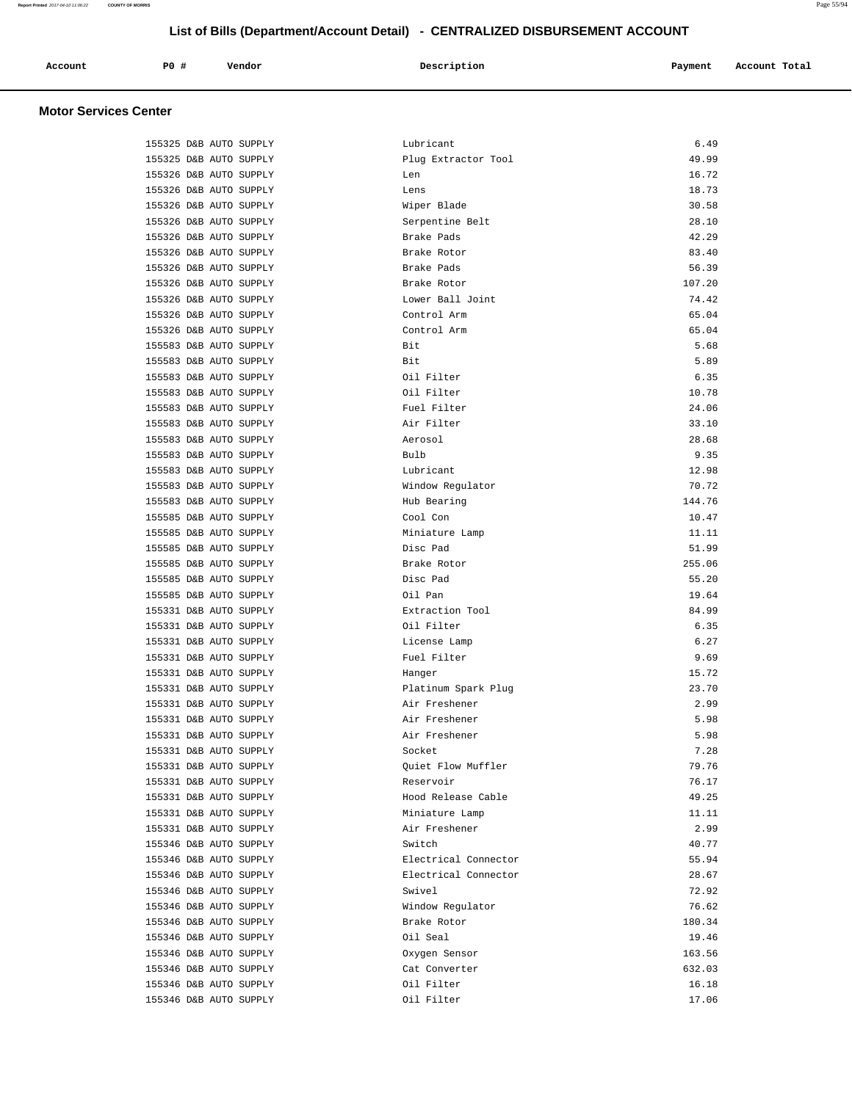| Account<br>. | PO# | Vendor | Description | Payment | Account Total |
|--------------|-----|--------|-------------|---------|---------------|
|              |     |        |             |         |               |

| 155325 D&B AUTO SUPPLY | Lubricant                            | 6.49   |
|------------------------|--------------------------------------|--------|
| 155325 D&B AUTO SUPPLY | Plug Extractor Tool                  | 49.99  |
| 155326 D&B AUTO SUPPLY | Len                                  | 16.72  |
| 155326 D&B AUTO SUPPLY | Lens                                 | 18.73  |
| 155326 D&B AUTO SUPPLY | Wiper Blade                          | 30.58  |
| 155326 D&B AUTO SUPPLY | Serpentine Belt                      | 28.10  |
| 155326 D&B AUTO SUPPLY | Brake Pads                           | 42.29  |
| 155326 D&B AUTO SUPPLY | Brake Rotor                          | 83.40  |
| 155326 D&B AUTO SUPPLY | Brake Pads                           | 56.39  |
| 155326 D&B AUTO SUPPLY | Brake Rotor                          | 107.20 |
| 155326 D&B AUTO SUPPLY | Lower Ball Joint                     | 74.42  |
| 155326 D&B AUTO SUPPLY | Control Arm                          | 65.04  |
| 155326 D&B AUTO SUPPLY | Control Arm                          | 65.04  |
| 155583 D&B AUTO SUPPLY | Bit                                  | 5.68   |
| 155583 D&B AUTO SUPPLY | Bit                                  | 5.89   |
| 155583 D&B AUTO SUPPLY | Oil Filter                           | 6.35   |
| 155583 D&B AUTO SUPPLY | Oil Filter                           | 10.78  |
| 155583 D&B AUTO SUPPLY | Fuel Filter                          | 24.06  |
| 155583 D&B AUTO SUPPLY | Air Filter                           | 33.10  |
| 155583 D&B AUTO SUPPLY | Aerosol                              | 28.68  |
| 155583 D&B AUTO SUPPLY | Bulb                                 | 9.35   |
| 155583 D&B AUTO SUPPLY | Lubricant                            | 12.98  |
| 155583 D&B AUTO SUPPLY | Window Regulator                     | 70.72  |
| 155583 D&B AUTO SUPPLY | Hub Bearing                          | 144.76 |
| 155585 D&B AUTO SUPPLY | Cool Con                             | 10.47  |
| 155585 D&B AUTO SUPPLY | Miniature Lamp                       | 11.11  |
| 155585 D&B AUTO SUPPLY | Disc Pad                             | 51.99  |
| 155585 D&B AUTO SUPPLY | Brake Rotor                          | 255.06 |
| 155585 D&B AUTO SUPPLY | Disc Pad                             | 55.20  |
| 155585 D&B AUTO SUPPLY | Oil Pan                              | 19.64  |
| 155331 D&B AUTO SUPPLY | Extraction Tool                      | 84.99  |
| 155331 D&B AUTO SUPPLY | Oil Filter                           | 6.35   |
| 155331 D&B AUTO SUPPLY | License Lamp                         | 6.27   |
| 155331 D&B AUTO SUPPLY | Fuel Filter                          | 9.69   |
| 155331 D&B AUTO SUPPLY | Hanger                               | 15.72  |
| 155331 D&B AUTO SUPPLY |                                      | 23.70  |
|                        | Platinum Spark Plug<br>Air Freshener | 2.99   |
| 155331 D&B AUTO SUPPLY |                                      |        |
| 155331 D&B AUTO SUPPLY | Air Freshener                        | 5.98   |
| 155331 D&B AUTO SUPPLY | Air Freshener                        | 5.98   |
| 155331 D&B AUTO SUPPLY | Socket                               | 7.28   |
| 155331 D&B AUTO SUPPLY | Quiet Flow Muffler                   | 79.76  |
| 155331 D&B AUTO SUPPLY | Reservoir                            | 76.17  |
| 155331 D&B AUTO SUPPLY | Hood Release Cable                   | 49.25  |
| 155331 D&B AUTO SUPPLY | Miniature Lamp                       | 11.11  |
| 155331 D&B AUTO SUPPLY | Air Freshener                        | 2.99   |
| 155346 D&B AUTO SUPPLY | Switch                               | 40.77  |
| 155346 D&B AUTO SUPPLY | Electrical Connector                 | 55.94  |
| 155346 D&B AUTO SUPPLY | Electrical Connector                 | 28.67  |
| 155346 D&B AUTO SUPPLY | Swivel                               | 72.92  |
| 155346 D&B AUTO SUPPLY | Window Regulator                     | 76.62  |
| 155346 D&B AUTO SUPPLY | Brake Rotor                          | 180.34 |
| 155346 D&B AUTO SUPPLY | Oil Seal                             | 19.46  |
| 155346 D&B AUTO SUPPLY | Oxygen Sensor                        | 163.56 |
| 155346 D&B AUTO SUPPLY | Cat Converter                        | 632.03 |
| 155346 D&B AUTO SUPPLY | Oil Filter                           | 16.18  |
| 155346 D&B AUTO SUPPLY | Oil Filter                           | 17.06  |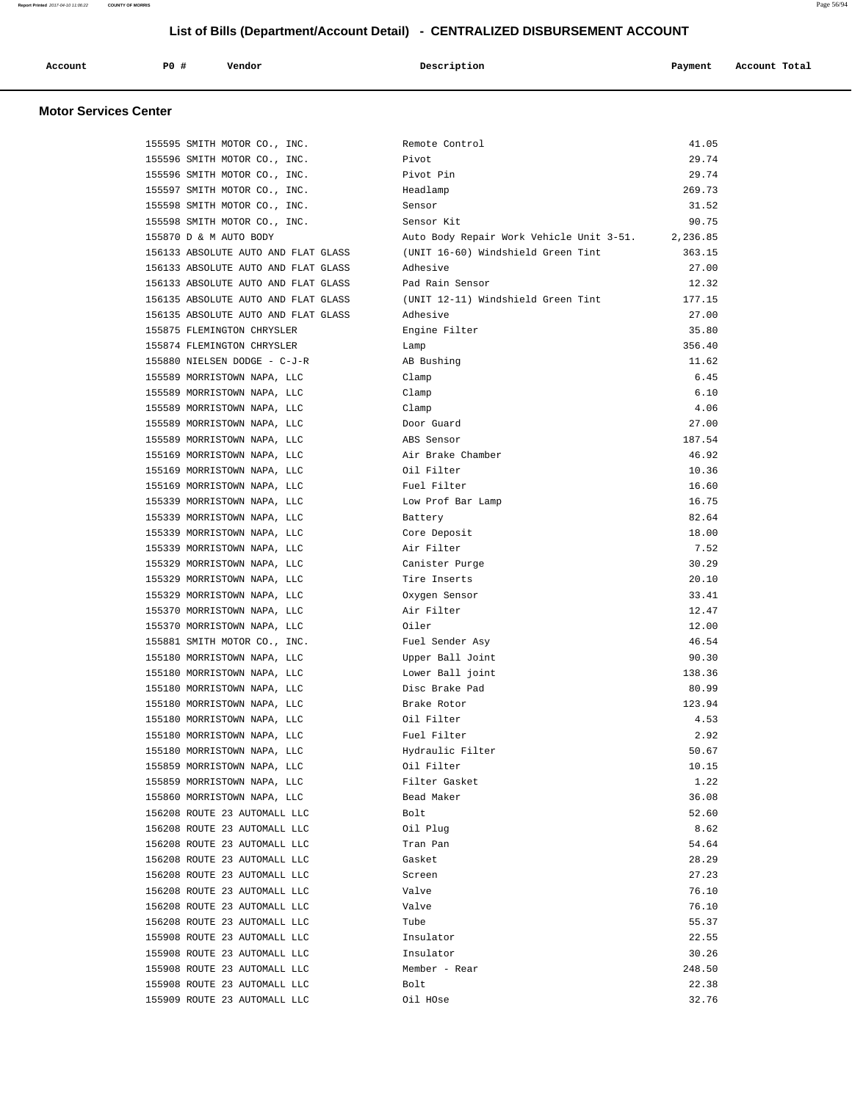| Account<br>. | P <sub>0</sub> | Vendor<br>. | Description | Payment<br>$\sim$ $\sim$ | Account Total<br>. |
|--------------|----------------|-------------|-------------|--------------------------|--------------------|
|              |                |             |             |                          |                    |

| 155595 SMITH MOTOR CO., INC.                               | Remote Control                           | 41.05    |
|------------------------------------------------------------|------------------------------------------|----------|
| 155596 SMITH MOTOR CO., INC.                               | Pivot                                    | 29.74    |
| 155596 SMITH MOTOR CO., INC.                               | Pivot Pin                                | 29.74    |
| 155597 SMITH MOTOR CO., INC.                               | Headlamp                                 | 269.73   |
| 155598 SMITH MOTOR CO., INC.                               | Sensor                                   | 31.52    |
| 155598 SMITH MOTOR CO., INC.                               | Sensor Kit                               | 90.75    |
| 155870 D & M AUTO BODY                                     | Auto Body Repair Work Vehicle Unit 3-51. | 2,236.85 |
| 156133 ABSOLUTE AUTO AND FLAT GLASS                        | (UNIT 16-60) Windshield Green Tint       | 363.15   |
| 156133 ABSOLUTE AUTO AND FLAT GLASS                        | Adhesive                                 | 27.00    |
| 156133 ABSOLUTE AUTO AND FLAT GLASS                        | Pad Rain Sensor                          | 12.32    |
| 156135 ABSOLUTE AUTO AND FLAT GLASS                        | (UNIT 12-11) Windshield Green Tint       | 177.15   |
| 156135 ABSOLUTE AUTO AND FLAT GLASS                        | Adhesive                                 | 27.00    |
| 155875 FLEMINGTON CHRYSLER                                 | Engine Filter                            | 35.80    |
| 155874 FLEMINGTON CHRYSLER                                 | Lamp                                     | 356.40   |
| 155880 NIELSEN DODGE - C-J-R                               | AB Bushing                               | 11.62    |
| 155589 MORRISTOWN NAPA, LLC                                | Clamp                                    | 6.45     |
| 155589 MORRISTOWN NAPA, LLC                                | Clamp                                    | 6.10     |
| 155589 MORRISTOWN NAPA, LLC                                | Clamp                                    | 4.06     |
| 155589 MORRISTOWN NAPA, LLC                                | Door Guard                               | 27.00    |
| 155589 MORRISTOWN NAPA, LLC                                | ABS Sensor                               | 187.54   |
| 155169 MORRISTOWN NAPA, LLC                                | Air Brake Chamber                        | 46.92    |
| 155169 MORRISTOWN NAPA, LLC                                | Oil Filter                               | 10.36    |
| 155169 MORRISTOWN NAPA, LLC                                | Fuel Filter                              | 16.60    |
| 155339 MORRISTOWN NAPA, LLC                                | Low Prof Bar Lamp                        | 16.75    |
| 155339 MORRISTOWN NAPA, LLC                                | Battery                                  | 82.64    |
| 155339 MORRISTOWN NAPA, LLC                                | Core Deposit                             | 18.00    |
| 155339 MORRISTOWN NAPA, LLC                                | Air Filter                               | 7.52     |
| 155329 MORRISTOWN NAPA, LLC                                | Canister Purge                           | 30.29    |
| 155329 MORRISTOWN NAPA, LLC                                | Tire Inserts                             | 20.10    |
| 155329 MORRISTOWN NAPA, LLC                                | Oxygen Sensor                            | 33.41    |
| 155370 MORRISTOWN NAPA, LLC                                | Air Filter                               | 12.47    |
| 155370 MORRISTOWN NAPA, LLC                                | Oiler                                    | 12.00    |
| 155881 SMITH MOTOR CO., INC.                               | Fuel Sender Asy                          | 46.54    |
| 155180 MORRISTOWN NAPA, LLC                                | Upper Ball Joint                         | 90.30    |
| 155180 MORRISTOWN NAPA, LLC                                | Lower Ball joint                         | 138.36   |
| 155180 MORRISTOWN NAPA, LLC                                | Disc Brake Pad                           | 80.99    |
| 155180 MORRISTOWN NAPA, LLC                                | Brake Rotor                              | 123.94   |
| 155180 MORRISTOWN NAPA, LLC                                | Oil Filter                               | 4.53     |
| 155180 MORRISTOWN NAPA, LLC                                | Fuel Filter                              | 2.92     |
| 155180 MORRISTOWN NAPA, LLC                                | Hydraulic Filter                         | 50.67    |
|                                                            |                                          | 10.15    |
| 155859 MORRISTOWN NAPA, LLC<br>155859 MORRISTOWN NAPA, LLC | Oil Filter<br>Filter Gasket              | 1.22     |
| 155860 MORRISTOWN NAPA, LLC                                | Bead Maker                               | 36.08    |
| 156208 ROUTE 23 AUTOMALL LLC                               | Bolt                                     | 52.60    |
| 156208 ROUTE 23 AUTOMALL LLC                               | Oil Plug                                 | 8.62     |
| 156208 ROUTE 23 AUTOMALL LLC                               | Tran Pan                                 | 54.64    |
| 156208 ROUTE 23 AUTOMALL LLC                               | Gasket                                   | 28.29    |
| 156208 ROUTE 23 AUTOMALL LLC                               | Screen                                   | 27.23    |
| 156208 ROUTE 23 AUTOMALL LLC                               | Valve                                    | 76.10    |
| 156208 ROUTE 23 AUTOMALL LLC                               | Valve                                    | 76.10    |
| 156208 ROUTE 23 AUTOMALL LLC                               | Tube                                     | 55.37    |
| 155908 ROUTE 23 AUTOMALL LLC                               |                                          |          |
|                                                            | Insulator                                | 22.55    |
| 155908 ROUTE 23 AUTOMALL LLC                               | Insulator                                | 30.26    |
| 155908 ROUTE 23 AUTOMALL LLC                               | Member - Rear                            | 248.50   |
| 155908 ROUTE 23 AUTOMALL LLC                               | Bolt                                     | 22.38    |
| 155909 ROUTE 23 AUTOMALL LLC                               | Oil HOse                                 | 32.76    |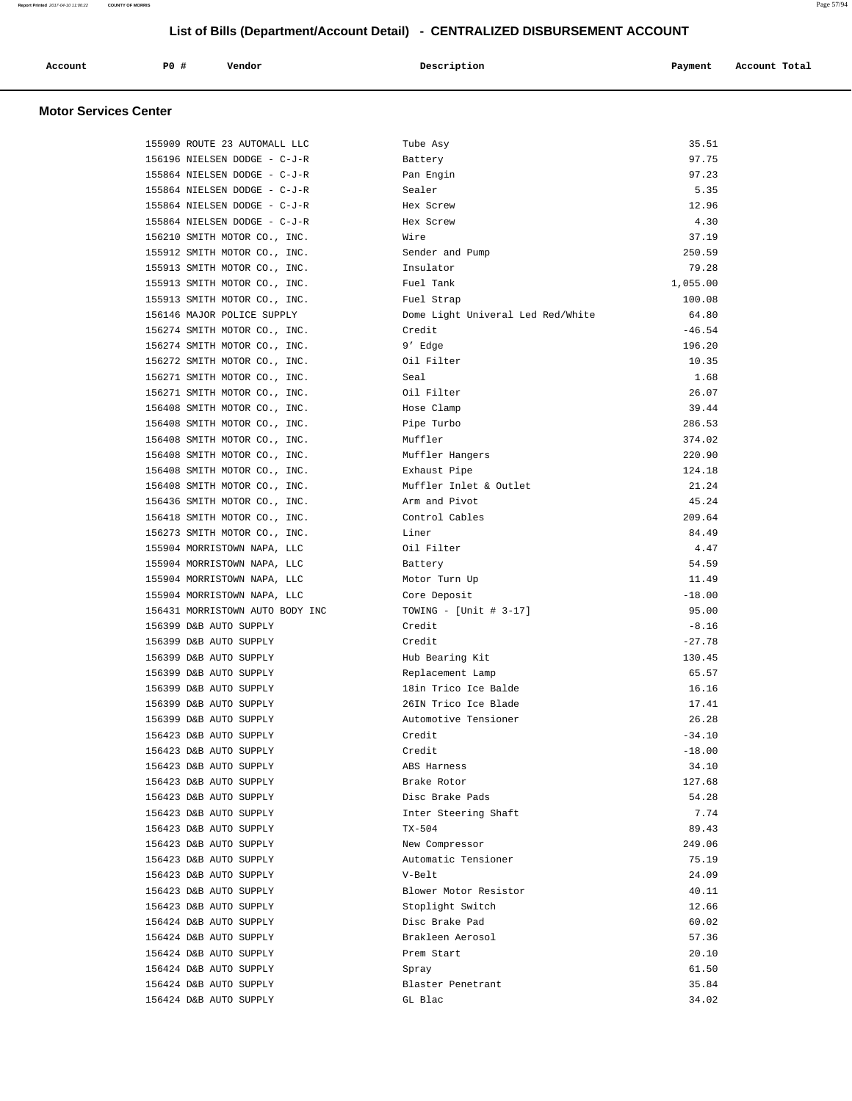| Account | <b>PO #</b> | Vendor | Description | Payment | Account Total |
|---------|-------------|--------|-------------|---------|---------------|
|         |             |        |             |         |               |

| 155909 ROUTE 23 AUTOMALL LLC    | Tube Asy                          | 35.51    |
|---------------------------------|-----------------------------------|----------|
| 156196 NIELSEN DODGE - C-J-R    | Battery                           | 97.75    |
| 155864 NIELSEN DODGE - C-J-R    | Pan Engin                         | 97.23    |
| 155864 NIELSEN DODGE - C-J-R    | Sealer                            | 5.35     |
| 155864 NIELSEN DODGE - C-J-R    | Hex Screw                         | 12.96    |
| 155864 NIELSEN DODGE - C-J-R    | Hex Screw                         | 4.30     |
| 156210 SMITH MOTOR CO., INC.    | Wire                              | 37.19    |
| 155912 SMITH MOTOR CO., INC.    | Sender and Pump                   | 250.59   |
| 155913 SMITH MOTOR CO., INC.    | Insulator                         | 79.28    |
| 155913 SMITH MOTOR CO., INC.    | Fuel Tank                         | 1,055.00 |
| 155913 SMITH MOTOR CO., INC.    | Fuel Strap                        | 100.08   |
| 156146 MAJOR POLICE SUPPLY      | Dome Light Univeral Led Red/White | 64.80    |
| 156274 SMITH MOTOR CO., INC.    | Credit                            | $-46.54$ |
| 156274 SMITH MOTOR CO., INC.    | 9' Edge                           | 196.20   |
| 156272 SMITH MOTOR CO., INC.    | Oil Filter                        | 10.35    |
| 156271 SMITH MOTOR CO., INC.    | Seal                              | 1.68     |
| 156271 SMITH MOTOR CO., INC.    | Oil Filter                        | 26.07    |
| 156408 SMITH MOTOR CO., INC.    | Hose Clamp                        | 39.44    |
| 156408 SMITH MOTOR CO., INC.    | Pipe Turbo                        | 286.53   |
| 156408 SMITH MOTOR CO., INC.    | Muffler                           | 374.02   |
| 156408 SMITH MOTOR CO., INC.    | Muffler Hangers                   | 220.90   |
| 156408 SMITH MOTOR CO., INC.    | Exhaust Pipe                      | 124.18   |
| 156408 SMITH MOTOR CO., INC.    | Muffler Inlet & Outlet            | 21.24    |
| 156436 SMITH MOTOR CO., INC.    | Arm and Pivot                     | 45.24    |
| 156418 SMITH MOTOR CO., INC.    | Control Cables                    | 209.64   |
| 156273 SMITH MOTOR CO., INC.    | Liner                             | 84.49    |
| 155904 MORRISTOWN NAPA, LLC     | Oil Filter                        | 4.47     |
| 155904 MORRISTOWN NAPA, LLC     | Battery                           | 54.59    |
| 155904 MORRISTOWN NAPA, LLC     | Motor Turn Up                     | 11.49    |
| 155904 MORRISTOWN NAPA, LLC     | Core Deposit                      | $-18.00$ |
| 156431 MORRISTOWN AUTO BODY INC | TOWING - [Unit # $3-17$ ]         | 95.00    |
| 156399 D&B AUTO SUPPLY          | Credit                            | $-8.16$  |
| 156399 D&B AUTO SUPPLY          | Credit                            | $-27.78$ |
| 156399 D&B AUTO SUPPLY          | Hub Bearing Kit                   | 130.45   |
| 156399 D&B AUTO SUPPLY          | Replacement Lamp                  | 65.57    |
| 156399 D&B AUTO SUPPLY          | 18in Trico Ice Balde              | 16.16    |
| 156399 D&B AUTO SUPPLY          | 26IN Trico Ice Blade              | 17.41    |
| 156399 D&B AUTO SUPPLY          | Automotive Tensioner              | 26.28    |
| 156423 D&B AUTO SUPPLY          | Credit                            | $-34.10$ |
| 156423 D&B AUTO SUPPLY          | Credit                            | $-18.00$ |
| 156423 D&B AUTO SUPPLY          | ABS Harness                       | 34.10    |
| 156423 D&B AUTO SUPPLY          | Brake Rotor                       | 127.68   |
| 156423 D&B AUTO SUPPLY          | Disc Brake Pads                   | 54.28    |
| 156423 D&B AUTO SUPPLY          | Inter Steering Shaft              | 7.74     |
| 156423 D&B AUTO SUPPLY          | $TX-504$                          | 89.43    |
| 156423 D&B AUTO SUPPLY          | New Compressor                    | 249.06   |
| 156423 D&B AUTO SUPPLY          | Automatic Tensioner               | 75.19    |
| 156423 D&B AUTO SUPPLY          | V-Belt                            | 24.09    |
| 156423 D&B AUTO SUPPLY          | Blower Motor Resistor             | 40.11    |
| 156423 D&B AUTO SUPPLY          | Stoplight Switch                  | 12.66    |
| 156424 D&B AUTO SUPPLY          | Disc Brake Pad                    | 60.02    |
| 156424 D&B AUTO SUPPLY          | Brakleen Aerosol                  | 57.36    |
| 156424 D&B AUTO SUPPLY          | Prem Start                        | 20.10    |
| 156424 D&B AUTO SUPPLY          | Spray                             | 61.50    |
| 156424 D&B AUTO SUPPLY          | Blaster Penetrant                 | 35.84    |
| 156424 D&B AUTO SUPPLY          | GL Blac                           | 34.02    |
|                                 |                                   |          |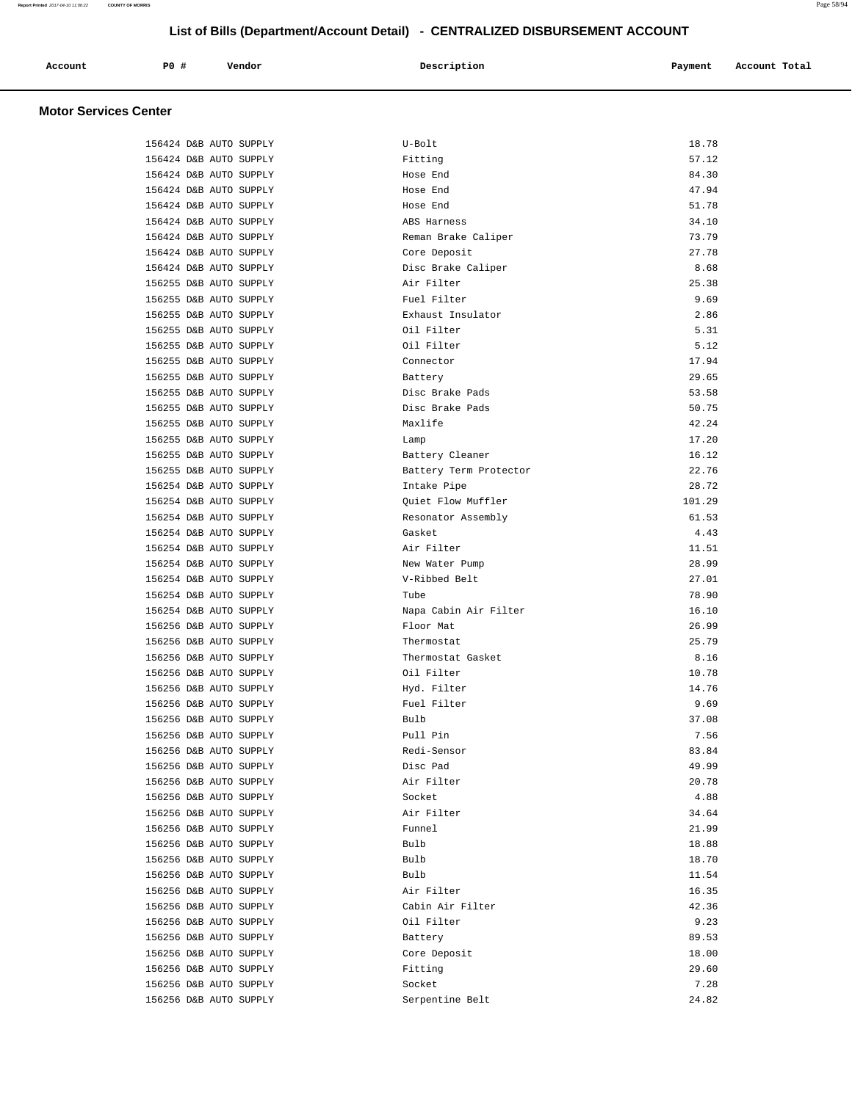| Account | P0 # | Vendor | Description | Payment       | Account Total |
|---------|------|--------|-------------|---------------|---------------|
|         |      |        |             | $\sim$ $\sim$ |               |
|         |      |        |             |               |               |

| 156424 D&B AUTO SUPPLY                           | U-Bolt                       | 18.78           |
|--------------------------------------------------|------------------------------|-----------------|
| 156424 D&B AUTO SUPPLY                           | Fitting                      | 57.12           |
| 156424 D&B AUTO SUPPLY                           | Hose End                     | 84.30           |
| 156424 D&B AUTO SUPPLY                           | Hose End                     | 47.94           |
| 156424 D&B AUTO SUPPLY                           | Hose End                     | 51.78           |
| 156424 D&B AUTO SUPPLY                           | ABS Harness                  | 34.10           |
| 156424 D&B AUTO SUPPLY                           | Reman Brake Caliper          | 73.79           |
| 156424 D&B AUTO SUPPLY                           | Core Deposit                 | 27.78           |
| 156424 D&B AUTO SUPPLY                           | Disc Brake Caliper           | 8.68            |
| 156255 D&B AUTO SUPPLY                           | Air Filter                   | 25.38           |
| 156255 D&B AUTO SUPPLY                           | Fuel Filter                  | 9.69            |
| 156255 D&B AUTO SUPPLY                           | Exhaust Insulator            | 2.86            |
| 156255 D&B AUTO SUPPLY                           | Oil Filter                   | 5.31            |
| 156255 D&B AUTO SUPPLY                           | Oil Filter                   | 5.12            |
| 156255 D&B AUTO SUPPLY                           | Connector                    | 17.94           |
| 156255 D&B AUTO SUPPLY                           | Battery                      | 29.65           |
| 156255 D&B AUTO SUPPLY                           | Disc Brake Pads              | 53.58           |
| 156255 D&B AUTO SUPPLY                           | Disc Brake Pads              | 50.75           |
| 156255 D&B AUTO SUPPLY                           | Maxlife                      | 42.24           |
| 156255 D&B AUTO SUPPLY                           | Lamp                         | 17.20           |
| 156255 D&B AUTO SUPPLY                           | Battery Cleaner              | 16.12           |
| 156255 D&B AUTO SUPPLY                           | Battery Term Protector       | 22.76           |
| 156254 D&B AUTO SUPPLY                           | Intake Pipe                  | 28.72           |
|                                                  | Ouiet Flow Muffler           |                 |
| 156254 D&B AUTO SUPPLY<br>156254 D&B AUTO SUPPLY |                              | 101.29<br>61.53 |
|                                                  | Resonator Assembly<br>Gasket | 4.43            |
| 156254 D&B AUTO SUPPLY                           |                              |                 |
| 156254 D&B AUTO SUPPLY                           | Air Filter                   | 11.51           |
| 156254 D&B AUTO SUPPLY                           | New Water Pump               | 28.99           |
| 156254 D&B AUTO SUPPLY                           | V-Ribbed Belt                | 27.01           |
| 156254 D&B AUTO SUPPLY                           | Tube                         | 78.90           |
| 156254 D&B AUTO SUPPLY                           | Napa Cabin Air Filter        | 16.10           |
| 156256 D&B AUTO SUPPLY                           | Floor Mat                    | 26.99           |
| 156256 D&B AUTO SUPPLY                           | Thermostat                   | 25.79           |
| 156256 D&B AUTO SUPPLY                           | Thermostat Gasket            | 8.16            |
| 156256 D&B AUTO SUPPLY                           | Oil Filter                   | 10.78           |
| 156256 D&B AUTO SUPPLY                           | Hyd. Filter                  | 14.76           |
| 156256 D&B AUTO SUPPLY                           | Fuel Filter                  | 9.69            |
| 156256 D&B AUTO SUPPLY                           | Bulb                         | 37.08           |
| 156256 D&B AUTO SUPPLY                           | Pull Pin                     | 7.56            |
| 156256 D&B AUTO SUPPLY                           | Redi-Sensor                  | 83.84           |
| 156256 D&B AUTO SUPPLY                           | Disc Pad                     | 49.99           |
| 156256 D&B AUTO SUPPLY                           | Air Filter                   | 20.78           |
| 156256 D&B AUTO SUPPLY                           | Socket                       | 4.88            |
| 156256 D&B AUTO SUPPLY                           | Air Filter                   | 34.64           |
| 156256 D&B AUTO SUPPLY                           | Funnel                       | 21.99           |
| 156256 D&B AUTO SUPPLY                           | Bulb                         | 18.88           |
| 156256 D&B AUTO SUPPLY                           | Bulb                         | 18.70           |
| 156256 D&B AUTO SUPPLY                           | Bulb                         | 11.54           |
| 156256 D&B AUTO SUPPLY                           | Air Filter                   | 16.35           |
| 156256 D&B AUTO SUPPLY                           | Cabin Air Filter             | 42.36           |
| 156256 D&B AUTO SUPPLY                           | Oil Filter                   | 9.23            |
| 156256 D&B AUTO SUPPLY                           | Battery                      | 89.53           |
| 156256 D&B AUTO SUPPLY                           | Core Deposit                 | 18.00           |
| 156256 D&B AUTO SUPPLY                           | Fitting                      | 29.60           |
| 156256 D&B AUTO SUPPLY                           | Socket                       | 7.28            |
| 156256 D&B AUTO SUPPLY                           | Serpentine Belt              | 24.82           |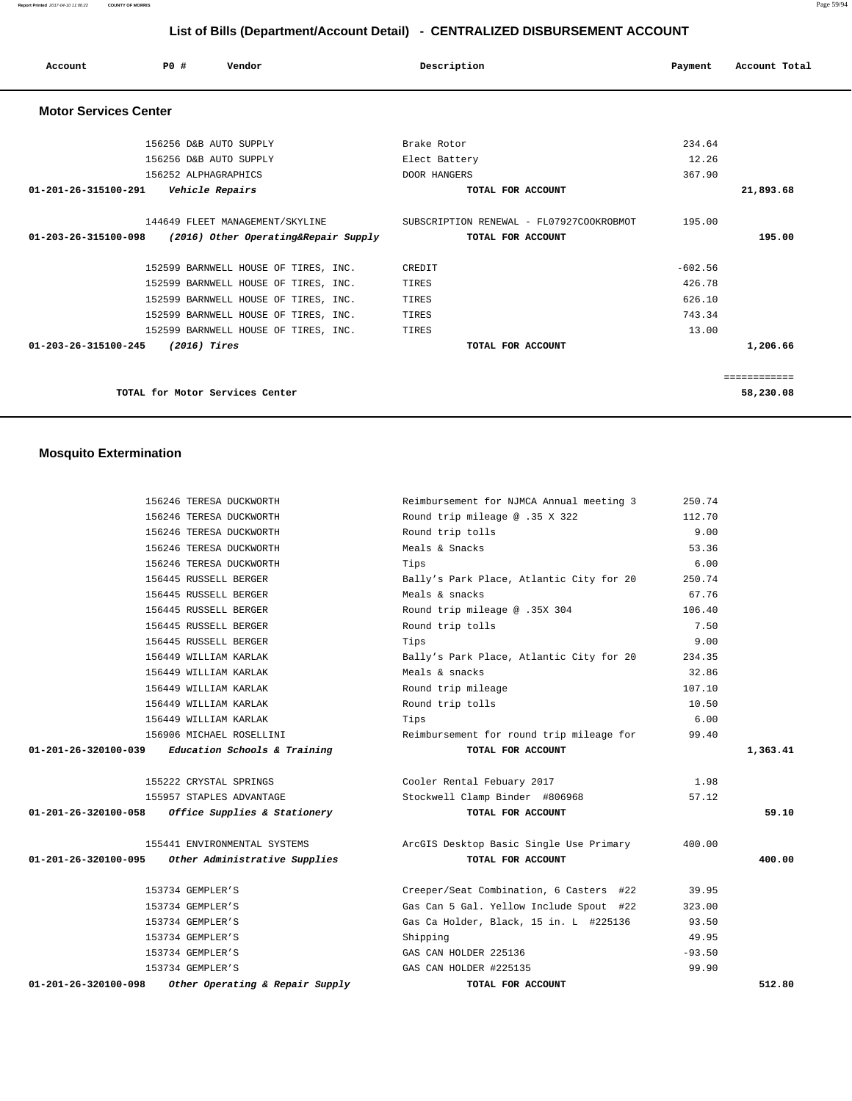| Account                        | PO#                  | Vendor                               | Description                              | Payment   | Account Total |  |
|--------------------------------|----------------------|--------------------------------------|------------------------------------------|-----------|---------------|--|
| <b>Motor Services Center</b>   |                      |                                      |                                          |           |               |  |
|                                |                      | 156256 D&B AUTO SUPPLY               | Brake Rotor                              | 234.64    |               |  |
|                                |                      | 156256 D&B AUTO SUPPLY               | Elect Battery                            | 12.26     |               |  |
|                                | 156252 ALPHAGRAPHICS |                                      | DOOR HANGERS                             | 367.90    |               |  |
| $01 - 201 - 26 - 315100 - 291$ |                      | Vehicle Repairs                      | TOTAL FOR ACCOUNT                        |           | 21,893.68     |  |
|                                |                      | 144649 FLEET MANAGEMENT/SKYLINE      | SUBSCRIPTION RENEWAL - FL07927COOKROBMOT | 195.00    |               |  |
| 01-203-26-315100-098           |                      | (2016) Other Operating&Repair Supply | TOTAL FOR ACCOUNT                        |           | 195.00        |  |
|                                |                      | 152599 BARNWELL HOUSE OF TIRES, INC. | CREDIT                                   | $-602.56$ |               |  |
|                                |                      | 152599 BARNWELL HOUSE OF TIRES, INC. | TIRES                                    | 426.78    |               |  |
|                                |                      | 152599 BARNWELL HOUSE OF TIRES, INC. | TIRES                                    | 626.10    |               |  |
|                                |                      | 152599 BARNWELL HOUSE OF TIRES, INC. | TIRES                                    | 743.34    |               |  |

| 01-203-26-315100-245<br>(2016) Tires | TOTAL FOR ACCOUNT | 1,206.66  |
|--------------------------------------|-------------------|-----------|
|                                      |                   |           |
| TOTAL for Motor Services Center      |                   | 58,230.08 |

152599 BARNWELL HOUSE OF TIRES, INC. TIRES 13.00

#### **Mosquito Extermination**

| 156246 TERESA DUCKWORTH                              | Reimbursement for NJMCA Annual meeting 3 | 250.74   |          |
|------------------------------------------------------|------------------------------------------|----------|----------|
| 156246 TERESA DUCKWORTH                              | Round trip mileage @ .35 X 322           | 112.70   |          |
| 156246 TERESA DUCKWORTH                              | Round trip tolls                         | 9.00     |          |
| 156246 TERESA DUCKWORTH                              | Meals & Snacks                           | 53.36    |          |
| 156246 TERESA DUCKWORTH                              | Tips                                     | 6.00     |          |
| 156445 RUSSELL BERGER                                | Bally's Park Place, Atlantic City for 20 | 250.74   |          |
| 156445 RUSSELL BERGER                                | Meals & snacks                           | 67.76    |          |
| 156445 RUSSELL BERGER                                | Round trip mileage @ .35X 304            | 106.40   |          |
| 156445 RUSSELL BERGER                                | Round trip tolls                         | 7.50     |          |
| 156445 RUSSELL BERGER                                | Tips                                     | 9.00     |          |
| 156449 WILLIAM KARLAK                                | Bally's Park Place, Atlantic City for 20 | 234.35   |          |
| 156449 WILLIAM KARLAK                                | Meals & snacks                           | 32.86    |          |
| 156449 WILLIAM KARLAK                                | Round trip mileage                       | 107.10   |          |
| 156449 WILLIAM KARLAK                                | Round trip tolls                         | 10.50    |          |
| 156449 WILLIAM KARLAK                                | Tips                                     | 6.00     |          |
| 156906 MICHAEL ROSELLINI                             | Reimbursement for round trip mileage for | 99.40    |          |
| Education Schools & Training<br>01-201-26-320100-039 | TOTAL FOR ACCOUNT                        |          | 1,363.41 |
| 155222 CRYSTAL SPRINGS                               | Cooler Rental Febuary 2017               | 1.98     |          |
| 155957 STAPLES ADVANTAGE                             | Stockwell Clamp Binder #806968           | 57.12    |          |
| 01-201-26-320100-058 Office Supplies & Stationery    | TOTAL FOR ACCOUNT                        |          | 59.10    |
| 155441 ENVIRONMENTAL SYSTEMS                         | ArcGIS Desktop Basic Single Use Primary  | 400.00   |          |
| 01-201-26-320100-095 Other Administrative Supplies   | TOTAL FOR ACCOUNT                        |          | 400.00   |
| 153734 GEMPLER'S                                     | Creeper/Seat Combination, 6 Casters #22  | 39.95    |          |
| 153734 GEMPLER'S                                     | Gas Can 5 Gal. Yellow Include Spout #22  | 323.00   |          |
| 153734 GEMPLER'S                                     | Gas Ca Holder, Black, 15 in. L #225136   | 93.50    |          |
| 153734 GEMPLER'S                                     |                                          |          |          |
|                                                      | Shipping                                 | 49.95    |          |
| 153734 GEMPLER'S                                     | GAS CAN HOLDER 225136                    | $-93.50$ |          |
| 153734 GEMPLER'S                                     | GAS CAN HOLDER #225135                   | 99.90    |          |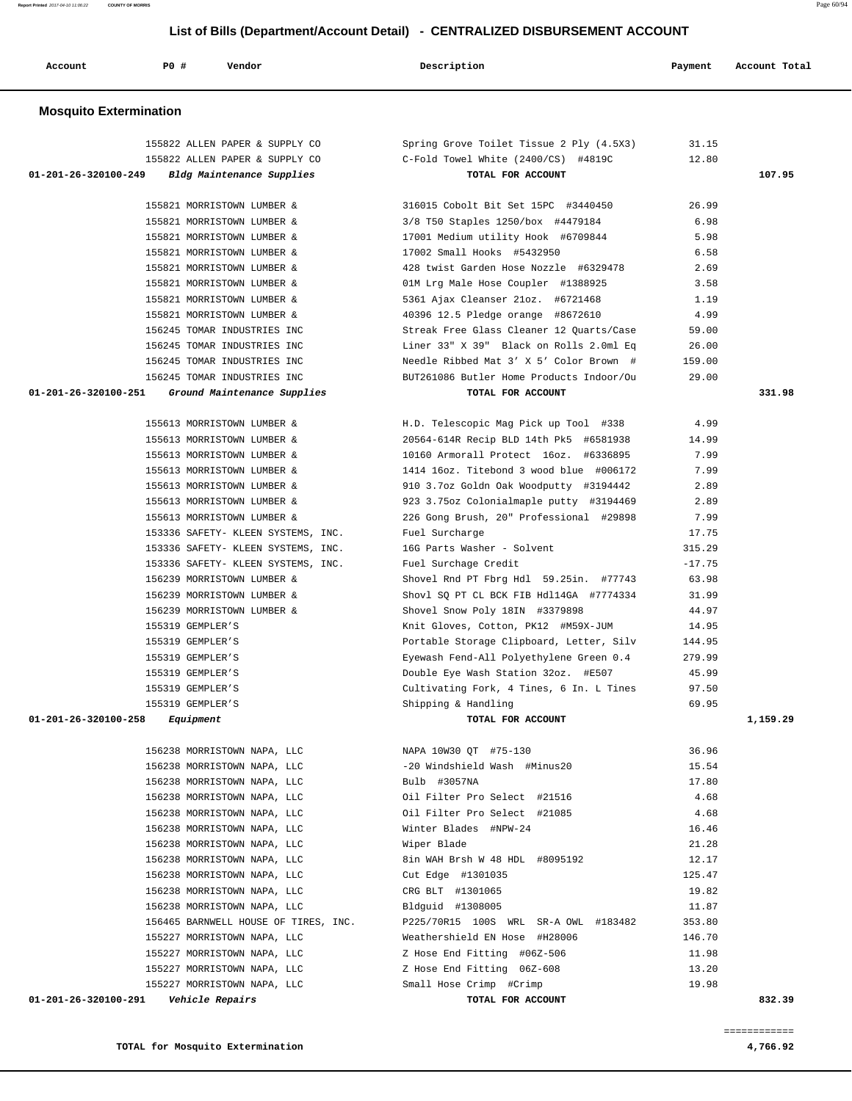**Report Printed** 2017-04-10 11:06:22 **COUNTY OF MORRIS** Page 60/94

### **List of Bills (Department/Account Detail) - CENTRALIZED DISBURSEMENT ACCOUNT**

| Account                       | P0 #             | Vendor                                                   | Description                                                                        | Payment      | Account Total |
|-------------------------------|------------------|----------------------------------------------------------|------------------------------------------------------------------------------------|--------------|---------------|
| <b>Mosquito Extermination</b> |                  |                                                          |                                                                                    |              |               |
|                               |                  | 155822 ALLEN PAPER & SUPPLY CO                           | Spring Grove Toilet Tissue 2 Ply (4.5X3)                                           | 31.15        |               |
|                               |                  | 155822 ALLEN PAPER & SUPPLY CO                           | C-Fold Towel White (2400/CS) #4819C                                                | 12.80        |               |
| 01-201-26-320100-249          |                  | Bldg Maintenance Supplies                                | TOTAL FOR ACCOUNT                                                                  |              | 107.95        |
|                               |                  | 155821 MORRISTOWN LUMBER &                               | 316015 Cobolt Bit Set 15PC #3440450                                                | 26.99        |               |
|                               |                  | 155821 MORRISTOWN LUMBER &                               | 3/8 T50 Staples 1250/box #4479184                                                  | 6.98         |               |
|                               |                  | 155821 MORRISTOWN LUMBER &                               | 17001 Medium utility Hook #6709844                                                 | 5.98         |               |
|                               |                  | 155821 MORRISTOWN LUMBER &                               | 17002 Small Hooks #5432950                                                         | 6.58         |               |
|                               |                  | 155821 MORRISTOWN LUMBER &                               | 428 twist Garden Hose Nozzle #6329478                                              | 2.69         |               |
|                               |                  | 155821 MORRISTOWN LUMBER &                               | 01M Lrg Male Hose Coupler #1388925                                                 | 3.58         |               |
|                               |                  | 155821 MORRISTOWN LUMBER &                               | 5361 Ajax Cleanser 21oz. #6721468                                                  | 1.19         |               |
|                               |                  | 155821 MORRISTOWN LUMBER &                               | 40396 12.5 Pledge orange #8672610                                                  | 4.99         |               |
|                               |                  | 156245 TOMAR INDUSTRIES INC                              | Streak Free Glass Cleaner 12 Quarts/Case                                           | 59.00        |               |
|                               |                  | 156245 TOMAR INDUSTRIES INC                              | Liner 33" X 39" Black on Rolls 2.0ml Eq                                            | 26.00        |               |
|                               |                  | 156245 TOMAR INDUSTRIES INC                              | Needle Ribbed Mat 3' X 5' Color Brown #                                            | 159.00       |               |
|                               |                  | 156245 TOMAR INDUSTRIES INC                              | BUT261086 Butler Home Products Indoor/Ou                                           | 29.00        |               |
| 01-201-26-320100-251          |                  | Ground Maintenance Supplies                              | TOTAL FOR ACCOUNT                                                                  |              | 331.98        |
|                               |                  |                                                          |                                                                                    |              |               |
|                               |                  | 155613 MORRISTOWN LUMBER &                               | H.D. Telescopic Mag Pick up Tool #338                                              | 4.99         |               |
|                               |                  | 155613 MORRISTOWN LUMBER &                               | 20564-614R Recip BLD 14th Pk5 #6581938                                             | 14.99        |               |
|                               |                  | 155613 MORRISTOWN LUMBER &                               | 10160 Armorall Protect 16oz. #6336895                                              | 7.99         |               |
|                               |                  | 155613 MORRISTOWN LUMBER &                               | 1414 16oz. Titebond 3 wood blue #006172                                            | 7.99         |               |
|                               |                  | 155613 MORRISTOWN LUMBER &<br>155613 MORRISTOWN LUMBER & | 910 3.7oz Goldn Oak Woodputty #3194442                                             | 2.89         |               |
|                               |                  | 155613 MORRISTOWN LUMBER &                               | 923 3.75oz Colonialmaple putty #3194469<br>226 Gong Brush, 20" Professional #29898 | 2.89<br>7.99 |               |
|                               |                  | 153336 SAFETY- KLEEN SYSTEMS, INC.                       | Fuel Surcharge                                                                     | 17.75        |               |
|                               |                  | 153336 SAFETY- KLEEN SYSTEMS, INC.                       | 16G Parts Washer - Solvent                                                         | 315.29       |               |
|                               |                  | 153336 SAFETY- KLEEN SYSTEMS, INC.                       | Fuel Surchage Credit                                                               | $-17.75$     |               |
|                               |                  | 156239 MORRISTOWN LUMBER &                               | Shovel Rnd PT Fbrg Hdl 59.25in. #77743                                             | 63.98        |               |
|                               |                  | 156239 MORRISTOWN LUMBER &                               | Shovl SQ PT CL BCK FIB Hdl14GA #7774334                                            | 31.99        |               |
|                               |                  | 156239 MORRISTOWN LUMBER &                               | Shovel Snow Poly 18IN #3379898                                                     | 44.97        |               |
|                               | 155319 GEMPLER'S |                                                          | Knit Gloves, Cotton, PK12 #M59X-JUM                                                | 14.95        |               |
|                               | 155319 GEMPLER'S |                                                          | Portable Storage Clipboard, Letter, Silv                                           | 144.95       |               |
|                               | 155319 GEMPLER'S |                                                          | Eyewash Fend-All Polyethylene Green 0.4                                            | 279.99       |               |
|                               | 155319 GEMPLER'S |                                                          | Double Eye Wash Station 32oz. #E507                                                | 45.99        |               |
|                               | 155319 GEMPLER'S |                                                          | Cultivating Fork, 4 Tines, 6 In. L Tines                                           | 97.50        |               |
|                               | 155319 GEMPLER'S |                                                          | Shipping & Handling                                                                | 69.95        |               |
| 01-201-26-320100-258          | Equipment        |                                                          | TOTAL FOR ACCOUNT                                                                  |              | 1,159.29      |
|                               |                  | 156238 MORRISTOWN NAPA, LLC                              | NAPA 10W30 QT #75-130                                                              | 36.96        |               |
|                               |                  | 156238 MORRISTOWN NAPA, LLC                              | -20 Windshield Wash #Minus20                                                       | 15.54        |               |
|                               |                  | 156238 MORRISTOWN NAPA, LLC                              | Bulb #3057NA                                                                       | 17.80        |               |
|                               |                  | 156238 MORRISTOWN NAPA, LLC                              | Oil Filter Pro Select #21516                                                       | 4.68         |               |
|                               |                  | 156238 MORRISTOWN NAPA, LLC                              | Oil Filter Pro Select #21085                                                       | 4.68         |               |
|                               |                  | 156238 MORRISTOWN NAPA, LLC                              | Winter Blades #NPW-24                                                              | 16.46        |               |
|                               |                  | 156238 MORRISTOWN NAPA, LLC                              | Wiper Blade                                                                        | 21.28        |               |
|                               |                  | 156238 MORRISTOWN NAPA, LLC                              | 8in WAH Brsh W 48 HDL #8095192                                                     | 12.17        |               |
|                               |                  | 156238 MORRISTOWN NAPA, LLC                              | Cut Edge #1301035                                                                  | 125.47       |               |
|                               |                  | 156238 MORRISTOWN NAPA, LLC                              | CRG BLT #1301065                                                                   | 19.82        |               |
|                               |                  | 156238 MORRISTOWN NAPA, LLC                              | Bldguid #1308005                                                                   | 11.87        |               |
|                               |                  | 156465 BARNWELL HOUSE OF TIRES, INC.                     | P225/70R15 100S WRL SR-A OWL #183482                                               | 353.80       |               |
|                               |                  | 155227 MORRISTOWN NAPA, LLC                              | Weathershield EN Hose #H28006                                                      | 146.70       |               |
|                               |                  | 155227 MORRISTOWN NAPA, LLC                              | Z Hose End Fitting #06Z-506                                                        | 11.98        |               |
|                               |                  | 155227 MORRISTOWN NAPA, LLC                              | Z Hose End Fitting 06Z-608                                                         | 13.20        |               |
|                               |                  | 155227 MORRISTOWN NAPA, LLC                              | Small Hose Crimp #Crimp                                                            | 19.98        |               |
| 01-201-26-320100-291          |                  | Vehicle Repairs                                          | TOTAL FOR ACCOUNT                                                                  |              | 832.39        |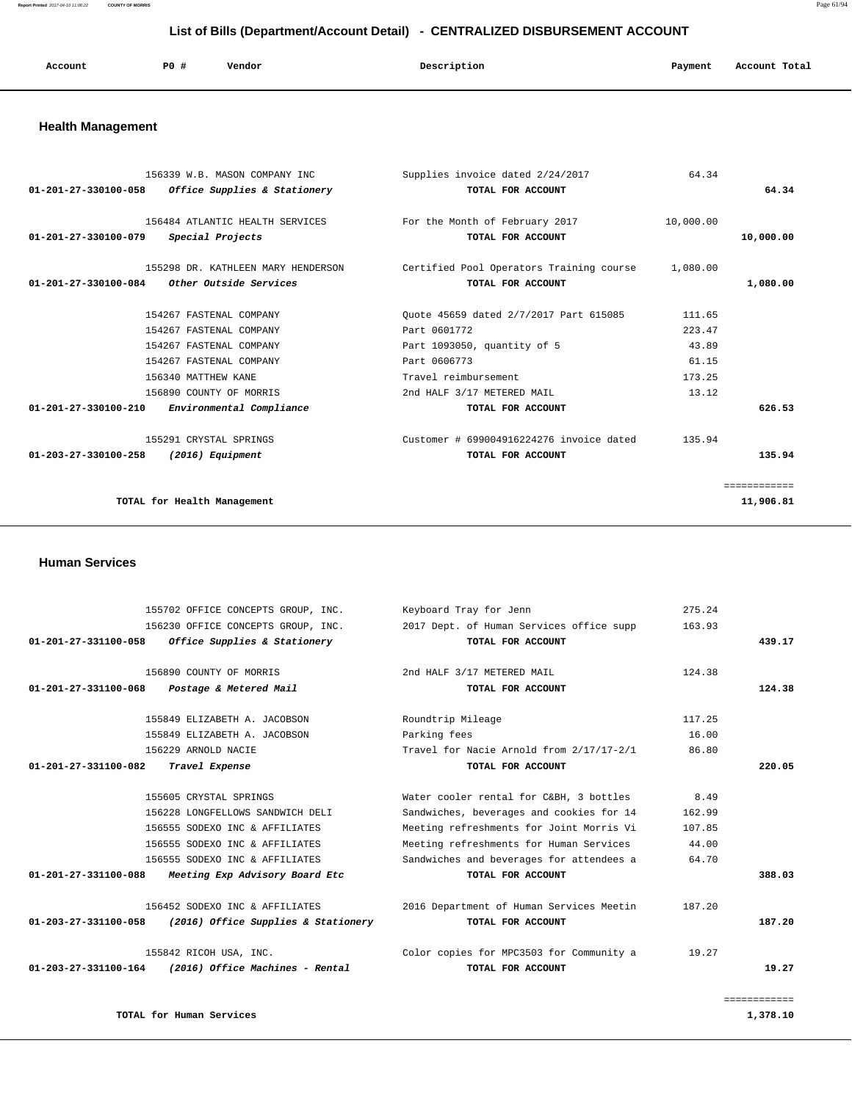| Account | P0 # | Vendor | Description | Payment | Account Total<br>. |
|---------|------|--------|-------------|---------|--------------------|
|         |      |        |             |         |                    |

# **Health Management**

| 156339 W.B. MASON COMPANY INC<br>01-201-27-330100-058<br>Office Supplies & Stationery | Supplies invoice dated 2/24/2017<br>TOTAL FOR ACCOUNT         | 64.34     | 64.34        |
|---------------------------------------------------------------------------------------|---------------------------------------------------------------|-----------|--------------|
| 156484 ATLANTIC HEALTH SERVICES<br>01-201-27-330100-079<br>Special Projects           | For the Month of February 2017<br>TOTAL FOR ACCOUNT           | 10,000.00 | 10,000.00    |
| 155298 DR. KATHLEEN MARY HENDERSON<br>01-201-27-330100-084<br>Other Outside Services  | Certified Pool Operators Training course<br>TOTAL FOR ACCOUNT | 1,080.00  | 1,080.00     |
| 154267 FASTENAL COMPANY                                                               | Ouote 45659 dated 2/7/2017 Part 615085                        | 111.65    |              |
| 154267 FASTENAL COMPANY                                                               | Part 0601772                                                  | 223.47    |              |
| 154267 FASTENAL COMPANY                                                               | Part 1093050, quantity of 5                                   | 43.89     |              |
| 154267 FASTENAL COMPANY                                                               | Part 0606773                                                  | 61.15     |              |
| 156340 MATTHEW KANE                                                                   | Travel reimbursement                                          | 173.25    |              |
| 156890 COUNTY OF MORRIS                                                               | 2nd HALF 3/17 METERED MAIL                                    | 13.12     |              |
| Environmental Compliance<br>01-201-27-330100-210                                      | TOTAL FOR ACCOUNT                                             |           | 626.53       |
| 155291 CRYSTAL SPRINGS                                                                | Customer # 699004916224276 invoice dated                      | 135.94    |              |
| 01-203-27-330100-258<br>(2016) Equipment                                              | TOTAL FOR ACCOUNT                                             |           | 135.94       |
|                                                                                       |                                                               |           | ============ |
| TOTAL for Health Management                                                           |                                                               |           | 11,906.81    |
|                                                                                       |                                                               |           |              |

 **Human Services** 

|              | 275.24 | Keyboard Tray for Jenn                   | 155702 OFFICE CONCEPTS GROUP, INC.     |                                |  |
|--------------|--------|------------------------------------------|----------------------------------------|--------------------------------|--|
|              | 163.93 | 2017 Dept. of Human Services office supp | 156230 OFFICE CONCEPTS GROUP, INC.     |                                |  |
| 439.17       |        | TOTAL FOR ACCOUNT                        | Office Supplies & Stationery           | 01-201-27-331100-058           |  |
|              | 124.38 | 2nd HALF 3/17 METERED MAIL               | 156890 COUNTY OF MORRIS                |                                |  |
| 124.38       |        | TOTAL FOR ACCOUNT                        | Postage & Metered Mail                 | 01-201-27-331100-068           |  |
|              | 117.25 | Roundtrip Mileage                        | 155849 ELIZABETH A. JACOBSON           |                                |  |
|              | 16.00  | Parking fees                             | 155849 ELIZABETH A. JACOBSON           |                                |  |
|              | 86.80  | Travel for Nacie Arnold from 2/17/17-2/1 | 156229 ARNOLD NACIE                    |                                |  |
| 220.05       |        | TOTAL FOR ACCOUNT                        | 01-201-27-331100-082<br>Travel Expense |                                |  |
|              | 8.49   | Water cooler rental for C&BH, 3 bottles  | 155605 CRYSTAL SPRINGS                 |                                |  |
|              | 162.99 | Sandwiches, beverages and cookies for 14 | 156228 LONGFELLOWS SANDWICH DELI       |                                |  |
|              | 107.85 | Meeting refreshments for Joint Morris Vi | 156555 SODEXO INC & AFFILIATES         |                                |  |
|              | 44.00  | Meeting refreshments for Human Services  | 156555 SODEXO INC & AFFILIATES         |                                |  |
|              | 64.70  | Sandwiches and beverages for attendees a | 156555 SODEXO INC & AFFILIATES         |                                |  |
| 388.03       |        | TOTAL FOR ACCOUNT                        | Meeting Exp Advisory Board Etc         | $01 - 201 - 27 - 331100 - 088$ |  |
|              | 187.20 | 2016 Department of Human Services Meetin | 156452 SODEXO INC & AFFILIATES         |                                |  |
| 187.20       |        | TOTAL FOR ACCOUNT                        | (2016) Office Supplies & Stationery    | 01-203-27-331100-058           |  |
|              | 19.27  | Color copies for MPC3503 for Community a | 155842 RICOH USA, INC.                 |                                |  |
| 19.27        |        | TOTAL FOR ACCOUNT                        | (2016) Office Machines - Rental        | 01-203-27-331100-164           |  |
| ============ |        |                                          |                                        |                                |  |
| 1,378.10     |        |                                          | TOTAL for Human Services               |                                |  |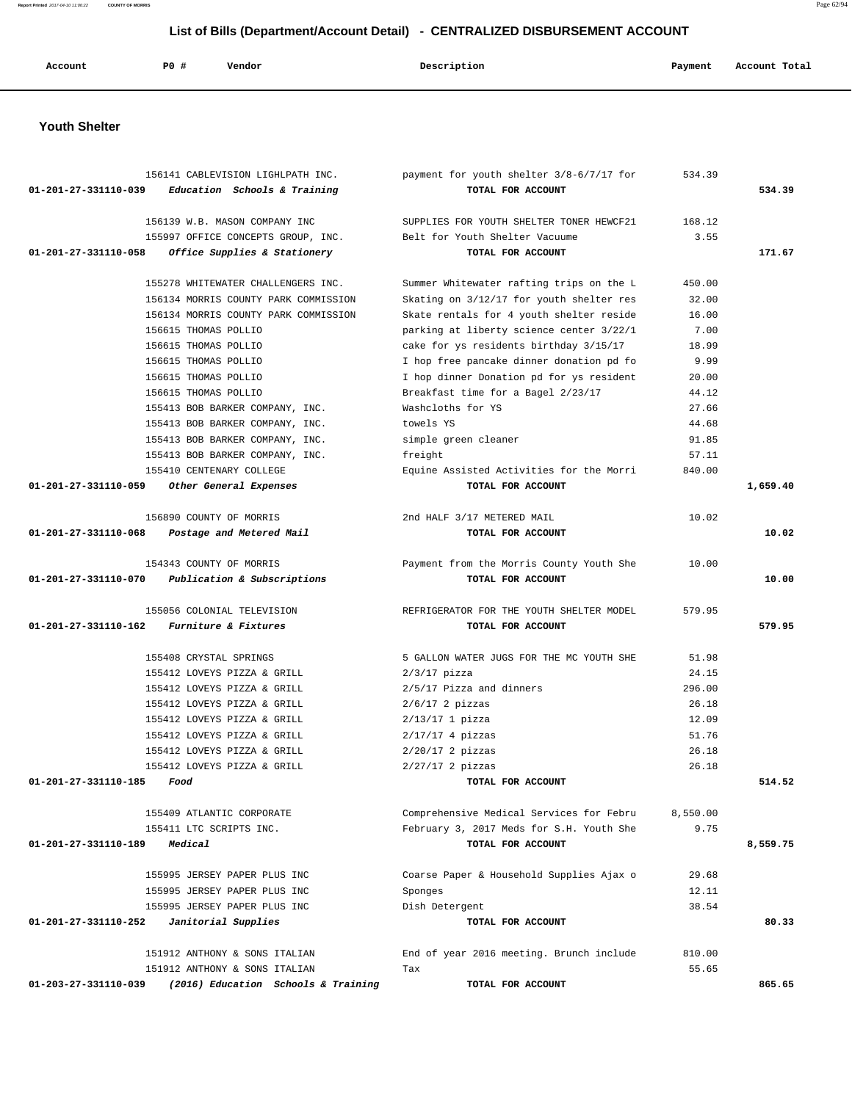**Report Printed** 2017-04-10 11:06:22 **COUNTY OF MORRIS** Page 62/94

### **List of Bills (Department/Account Detail) - CENTRALIZED DISBURSEMENT ACCOUNT**

| P0 #<br>Description<br>Vendor<br>Payment<br>Account Total<br>Account |  |  |  |  |  |  |  |
|----------------------------------------------------------------------|--|--|--|--|--|--|--|
|----------------------------------------------------------------------|--|--|--|--|--|--|--|

#### **Youth Shelter**

|                      | 156141 CABLEVISION LIGHLPATH INC.    | payment for youth shelter 3/8-6/7/17 for | 534.39   |          |
|----------------------|--------------------------------------|------------------------------------------|----------|----------|
| 01-201-27-331110-039 | Education Schools & Training         | TOTAL FOR ACCOUNT                        |          | 534.39   |
|                      | 156139 W.B. MASON COMPANY INC        | SUPPLIES FOR YOUTH SHELTER TONER HEWCF21 | 168.12   |          |
|                      | 155997 OFFICE CONCEPTS GROUP, INC.   | Belt for Youth Shelter Vacuume           | 3.55     |          |
| 01-201-27-331110-058 | Office Supplies & Stationery         | TOTAL FOR ACCOUNT                        |          | 171.67   |
|                      | 155278 WHITEWATER CHALLENGERS INC.   | Summer Whitewater rafting trips on the L | 450.00   |          |
|                      | 156134 MORRIS COUNTY PARK COMMISSION | Skating on 3/12/17 for youth shelter res | 32.00    |          |
|                      | 156134 MORRIS COUNTY PARK COMMISSION | Skate rentals for 4 youth shelter reside | 16.00    |          |
|                      | 156615 THOMAS POLLIO                 | parking at liberty science center 3/22/1 | 7.00     |          |
|                      | 156615 THOMAS POLLIO                 | cake for ys residents birthday 3/15/17   | 18.99    |          |
|                      | 156615 THOMAS POLLIO                 | I hop free pancake dinner donation pd fo | 9.99     |          |
|                      | 156615 THOMAS POLLIO                 | I hop dinner Donation pd for ys resident | 20.00    |          |
|                      | 156615 THOMAS POLLIO                 | Breakfast time for a Bagel 2/23/17       | 44.12    |          |
|                      | 155413 BOB BARKER COMPANY, INC.      | Washcloths for YS                        | 27.66    |          |
|                      | 155413 BOB BARKER COMPANY, INC.      | towels YS                                | 44.68    |          |
|                      | 155413 BOB BARKER COMPANY, INC.      | simple green cleaner                     | 91.85    |          |
|                      | 155413 BOB BARKER COMPANY, INC.      | freight                                  | 57.11    |          |
|                      | 155410 CENTENARY COLLEGE             | Equine Assisted Activities for the Morri | 840.00   |          |
| 01-201-27-331110-059 | Other General Expenses               | TOTAL FOR ACCOUNT                        |          | 1,659.40 |
|                      | 156890 COUNTY OF MORRIS              | 2nd HALF 3/17 METERED MAIL               | 10.02    |          |
| 01-201-27-331110-068 | Postage and Metered Mail             | TOTAL FOR ACCOUNT                        |          | 10.02    |
|                      |                                      |                                          |          |          |
|                      | 154343 COUNTY OF MORRIS              | Payment from the Morris County Youth She | 10.00    |          |
| 01-201-27-331110-070 | Publication & Subscriptions          | TOTAL FOR ACCOUNT                        |          | 10.00    |
|                      | 155056 COLONIAL TELEVISION           | REFRIGERATOR FOR THE YOUTH SHELTER MODEL | 579.95   |          |
| 01-201-27-331110-162 | Furniture & Fixtures                 | TOTAL FOR ACCOUNT                        |          | 579.95   |
|                      | 155408 CRYSTAL SPRINGS               | 5 GALLON WATER JUGS FOR THE MC YOUTH SHE | 51.98    |          |
|                      | 155412 LOVEYS PIZZA & GRILL          | $2/3/17$ pizza                           | 24.15    |          |
|                      | 155412 LOVEYS PIZZA & GRILL          | $2/5/17$ Pizza and dinners               | 296.00   |          |
|                      | 155412 LOVEYS PIZZA & GRILL          | $2/6/17$ 2 pizzas                        | 26.18    |          |
|                      | 155412 LOVEYS PIZZA & GRILL          | $2/13/17$ 1 pizza                        | 12.09    |          |
|                      | 155412 LOVEYS PIZZA & GRILL          | $2/17/17$ 4 pizzas                       | 51.76    |          |
|                      | 155412 LOVEYS PIZZA & GRILL          | $2/20/17$ 2 pizzas                       | 26.18    |          |
|                      | 155412 LOVEYS PIZZA & GRILL          | $2/27/17$ 2 pizzas                       | 26.18    |          |
| 01-201-27-331110-185 | Food                                 | TOTAL FOR ACCOUNT                        |          | 514.52   |
|                      | 155409 ATLANTIC CORPORATE            | Comprehensive Medical Services for Febru | 8,550.00 |          |
|                      | 155411 LTC SCRIPTS INC.              | February 3, 2017 Meds for S.H. Youth She | 9.75     |          |
| 01-201-27-331110-189 | Medical                              | TOTAL FOR ACCOUNT                        |          | 8,559.75 |
|                      |                                      |                                          |          |          |
|                      | 155995 JERSEY PAPER PLUS INC         | Coarse Paper & Household Supplies Ajax o | 29.68    |          |
|                      | 155995 JERSEY PAPER PLUS INC         | Sponges                                  | 12.11    |          |
|                      | 155995 JERSEY PAPER PLUS INC         | Dish Detergent                           | 38.54    |          |
| 01-201-27-331110-252 | Janitorial Supplies                  | TOTAL FOR ACCOUNT                        |          | 80.33    |
|                      | 151912 ANTHONY & SONS ITALIAN        | End of year 2016 meeting. Brunch include | 810.00   |          |
|                      | 151912 ANTHONY & SONS ITALIAN        | Tax                                      | 55.65    |          |
| 01-203-27-331110-039 | (2016) Education Schools & Training  | TOTAL FOR ACCOUNT                        |          | 865.65   |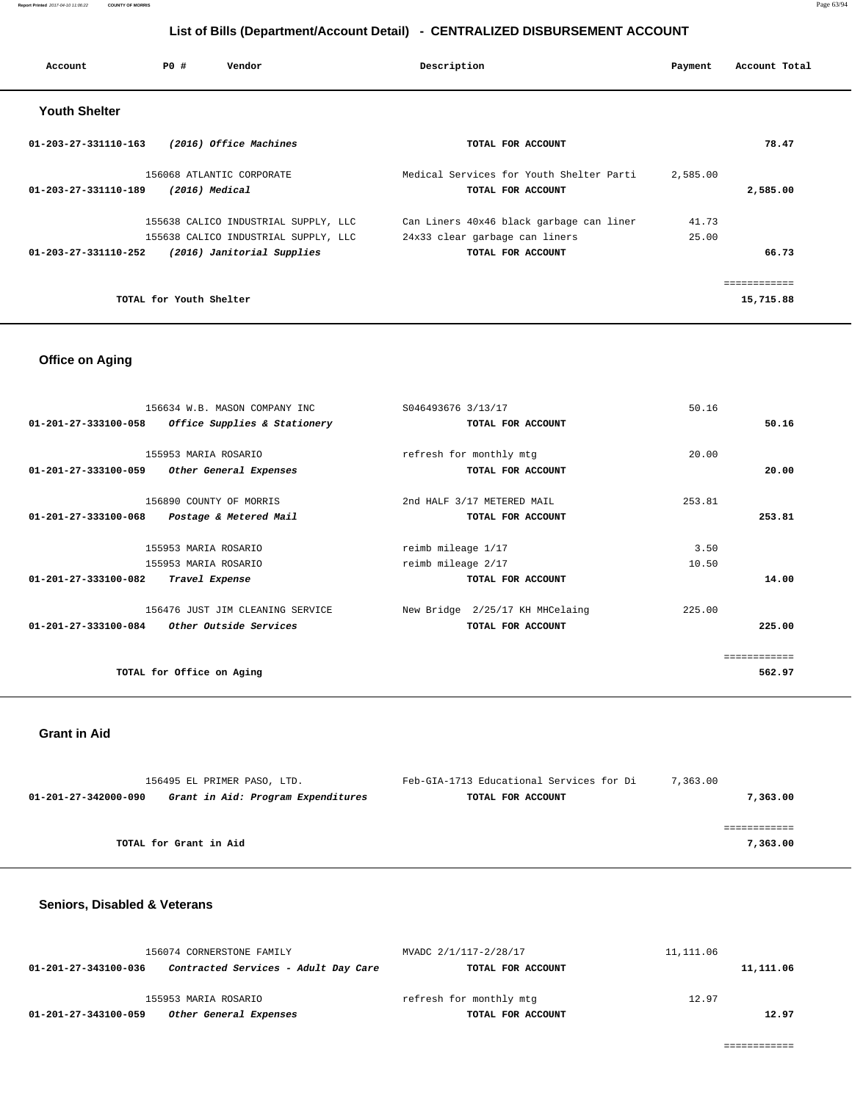| Account                        | PO#                     | Vendor                               | Description                              | Payment  | Account Total |
|--------------------------------|-------------------------|--------------------------------------|------------------------------------------|----------|---------------|
| <b>Youth Shelter</b>           |                         |                                      |                                          |          |               |
| $01 - 203 - 27 - 331110 - 163$ |                         | (2016) Office Machines               | TOTAL FOR ACCOUNT                        |          | 78.47         |
|                                |                         | 156068 ATLANTIC CORPORATE            | Medical Services for Youth Shelter Parti | 2,585.00 |               |
| 01-203-27-331110-189           | (2016) Medical          |                                      | TOTAL FOR ACCOUNT                        |          | 2,585.00      |
|                                |                         | 155638 CALICO INDUSTRIAL SUPPLY, LLC | Can Liners 40x46 black garbage can liner | 41.73    |               |
|                                |                         | 155638 CALICO INDUSTRIAL SUPPLY, LLC | 24x33 clear garbage can liners           | 25.00    |               |
| 01-203-27-331110-252           |                         | (2016) Janitorial Supplies           | TOTAL FOR ACCOUNT                        |          | 66.73         |
|                                |                         |                                      |                                          |          | ============  |
|                                | TOTAL for Youth Shelter |                                      |                                          |          | 15,715.88     |

### **Office on Aging**

| 156634 W.B. MASON COMPANY INC<br>Office Supplies & Stationery<br>$01 - 201 - 27 - 333100 - 058$ | S046493676 3/13/17<br>TOTAL FOR ACCOUNT | 50.16<br>50.16 |  |
|-------------------------------------------------------------------------------------------------|-----------------------------------------|----------------|--|
|                                                                                                 |                                         |                |  |
| 155953 MARIA ROSARIO                                                                            | refresh for monthly mtg                 | 20.00          |  |
| 01-201-27-333100-059<br>Other General Expenses                                                  | TOTAL FOR ACCOUNT                       | 20.00          |  |
| 156890 COUNTY OF MORRIS                                                                         | 2nd HALF 3/17 METERED MAIL              | 253.81         |  |
| 01-201-27-333100-068<br>Postage & Metered Mail                                                  | TOTAL FOR ACCOUNT                       | 253.81         |  |
|                                                                                                 |                                         |                |  |
| 155953 MARIA ROSARIO                                                                            | reimb mileage 1/17                      | 3.50           |  |
| 155953 MARIA ROSARIO                                                                            | reimb mileage 2/17                      | 10.50          |  |
| 01-201-27-333100-082<br>Travel Expense                                                          | TOTAL FOR ACCOUNT                       | 14.00          |  |
| 156476 JUST JIM CLEANING SERVICE                                                                | New Bridge 2/25/17 KH MHCelaing         | 225.00         |  |
| $01 - 201 - 27 - 333100 - 084$<br><i>Other Outside Services</i>                                 | TOTAL FOR ACCOUNT                       | 225.00         |  |
|                                                                                                 |                                         |                |  |
|                                                                                                 |                                         | eeeeeeeeee     |  |
| TOTAL for Office on Aging                                                                       |                                         | 562.97         |  |
|                                                                                                 |                                         |                |  |

#### **Grant in Aid**

| 156495 EL PRIMER PASO, LTD.                                | Feb-GIA-1713 Educational Services for Di | 7,363.00 |
|------------------------------------------------------------|------------------------------------------|----------|
| Grant in Aid: Program Expenditures<br>01-201-27-342000-090 | TOTAL FOR ACCOUNT                        | 7,363.00 |
|                                                            |                                          |          |
|                                                            |                                          |          |
| TOTAL for Grant in Aid                                     |                                          | 7,363,00 |

#### **Seniors, Disabled & Veterans**

|                      | 156074 CORNERSTONE FAMILY            | MVADC 2/1/117-2/28/17   | 11,111.06 |           |
|----------------------|--------------------------------------|-------------------------|-----------|-----------|
| 01-201-27-343100-036 | Contracted Services - Adult Day Care | TOTAL FOR ACCOUNT       |           | 11,111.06 |
|                      |                                      |                         |           |           |
|                      | 155953 MARIA ROSARIO                 | refresh for monthly mtg | 12.97     |           |
| 01-201-27-343100-059 | Other General Expenses               | TOTAL FOR ACCOUNT       |           | 12.97     |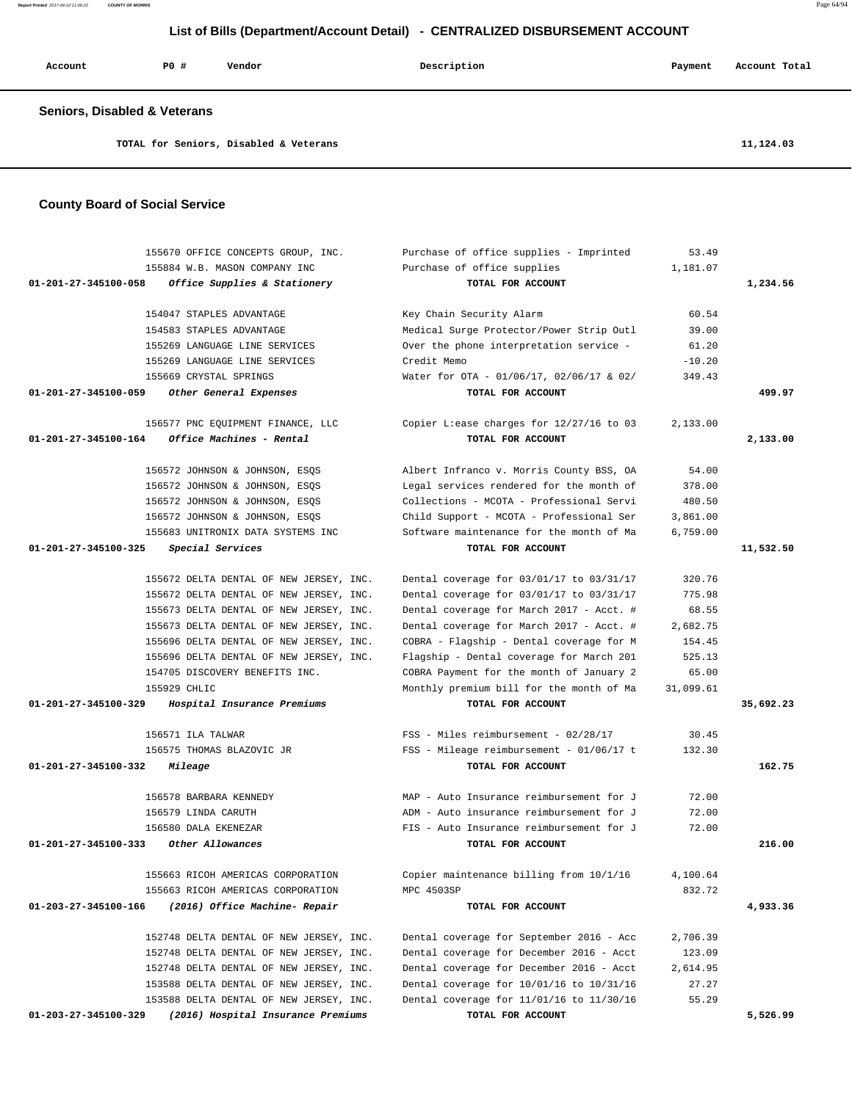**Report Printed** 2017-04-10 11:06:22 **COUNTY OF MORRIS** Page 64/94

### **List of Bills (Department/Account Detail) - CENTRALIZED DISBURSEMENT ACCOUNT**

| Account                                 | PO# | Vendor | Description | Payment | Account Total |
|-----------------------------------------|-----|--------|-------------|---------|---------------|
| <b>Seniors, Disabled &amp; Veterans</b> |     |        |             |         |               |

**TOTAL for Seniors, Disabled & Veterans 11,124.03**

#### **County Board of Social Service**

|                                | 155670 OFFICE CONCEPTS GROUP, INC.      | Purchase of office supplies - Imprinted   | 53.49     |           |
|--------------------------------|-----------------------------------------|-------------------------------------------|-----------|-----------|
|                                | 155884 W.B. MASON COMPANY INC           | Purchase of office supplies               | 1,181.07  |           |
| $01 - 201 - 27 - 345100 - 058$ | Office Supplies & Stationery            | TOTAL FOR ACCOUNT                         |           | 1,234.56  |
|                                | 154047 STAPLES ADVANTAGE                | Key Chain Security Alarm                  | 60.54     |           |
|                                | 154583 STAPLES ADVANTAGE                | Medical Surge Protector/Power Strip Outl  | 39.00     |           |
|                                | 155269 LANGUAGE LINE SERVICES           | Over the phone interpretation service -   | 61.20     |           |
|                                | 155269 LANGUAGE LINE SERVICES           | Credit Memo                               | $-10.20$  |           |
|                                | 155669 CRYSTAL SPRINGS                  | Water for OTA - 01/06/17, 02/06/17 & 02/  | 349.43    |           |
| 01-201-27-345100-059           | Other General Expenses                  | TOTAL FOR ACCOUNT                         |           | 499.97    |
|                                | 156577 PNC EQUIPMENT FINANCE, LLC       | Copier L: ease charges for 12/27/16 to 03 | 2,133.00  |           |
| 01-201-27-345100-164           | Office Machines - Rental                | TOTAL FOR ACCOUNT                         |           | 2,133.00  |
|                                | 156572 JOHNSON & JOHNSON, ESQS          | Albert Infranco v. Morris County BSS, OA  | 54.00     |           |
|                                | 156572 JOHNSON & JOHNSON, ESQS          | Legal services rendered for the month of  | 378.00    |           |
|                                | 156572 JOHNSON & JOHNSON, ESQS          | Collections - MCOTA - Professional Servi  | 480.50    |           |
|                                | 156572 JOHNSON & JOHNSON, ESQS          | Child Support - MCOTA - Professional Ser  | 3,861.00  |           |
|                                | 155683 UNITRONIX DATA SYSTEMS INC       | Software maintenance for the month of Ma  | 6,759.00  |           |
| $01 - 201 - 27 - 345100 - 325$ | Special Services                        | TOTAL FOR ACCOUNT                         |           | 11,532.50 |
|                                | 155672 DELTA DENTAL OF NEW JERSEY, INC. | Dental coverage for 03/01/17 to 03/31/17  | 320.76    |           |
|                                | 155672 DELTA DENTAL OF NEW JERSEY, INC. | Dental coverage for 03/01/17 to 03/31/17  | 775.98    |           |
|                                | 155673 DELTA DENTAL OF NEW JERSEY, INC. | Dental coverage for March 2017 - Acct. #  | 68.55     |           |
|                                | 155673 DELTA DENTAL OF NEW JERSEY, INC. | Dental coverage for March 2017 - Acct. #  | 2,682.75  |           |
|                                | 155696 DELTA DENTAL OF NEW JERSEY, INC. | COBRA - Flagship - Dental coverage for M  | 154.45    |           |
|                                | 155696 DELTA DENTAL OF NEW JERSEY, INC. | Flagship - Dental coverage for March 201  | 525.13    |           |
|                                | 154705 DISCOVERY BENEFITS INC.          | COBRA Payment for the month of January 2  | 65.00     |           |
| 155929 CHLIC                   |                                         | Monthly premium bill for the month of Ma  | 31,099.61 |           |
| 01-201-27-345100-329           | Hospital Insurance Premiums             | TOTAL FOR ACCOUNT                         |           | 35,692.23 |
|                                | 156571 ILA TALWAR                       | FSS - Miles reimbursement - 02/28/17      | 30.45     |           |
|                                | 156575 THOMAS BLAZOVIC JR               | FSS - Mileage reimbursement - 01/06/17 t  | 132.30    |           |
| 01-201-27-345100-332           | Mileage                                 | TOTAL FOR ACCOUNT                         |           | 162.75    |
|                                | 156578 BARBARA KENNEDY                  | MAP - Auto Insurance reimbursement for J  | 72.00     |           |
|                                | 156579 LINDA CARUTH                     | ADM - Auto insurance reimbursement for J  | 72.00     |           |
|                                | 156580 DALA EKENEZAR                    | FIS - Auto Insurance reimbursement for J  | 72.00     |           |
| 01-201-27-345100-333           | Other Allowances                        | TOTAL FOR ACCOUNT                         |           | 216.00    |
|                                | 155663 RICOH AMERICAS CORPORATION       | Copier maintenance billing from 10/1/16   | 4,100.64  |           |
|                                | 155663 RICOH AMERICAS CORPORATION       | MPC 4503SP                                | 832.72    |           |
| 01-203-27-345100-166           | (2016) Office Machine- Repair           | TOTAL FOR ACCOUNT                         |           | 4,933.36  |
|                                | 152748 DELTA DENTAL OF NEW JERSEY, INC. | Dental coverage for September 2016 - Acc  | 2,706.39  |           |
|                                | 152748 DELTA DENTAL OF NEW JERSEY, INC. | Dental coverage for December 2016 - Acct  | 123.09    |           |
|                                | 152748 DELTA DENTAL OF NEW JERSEY, INC. | Dental coverage for December 2016 - Acct  | 2,614.95  |           |
|                                | 153588 DELTA DENTAL OF NEW JERSEY, INC. | Dental coverage for 10/01/16 to 10/31/16  | 27.27     |           |
|                                | 153588 DELTA DENTAL OF NEW JERSEY, INC. | Dental coverage for 11/01/16 to 11/30/16  | 55.29     |           |
| 01-203-27-345100-329           | (2016) Hospital Insurance Premiums      | TOTAL FOR ACCOUNT                         |           | 5,526.99  |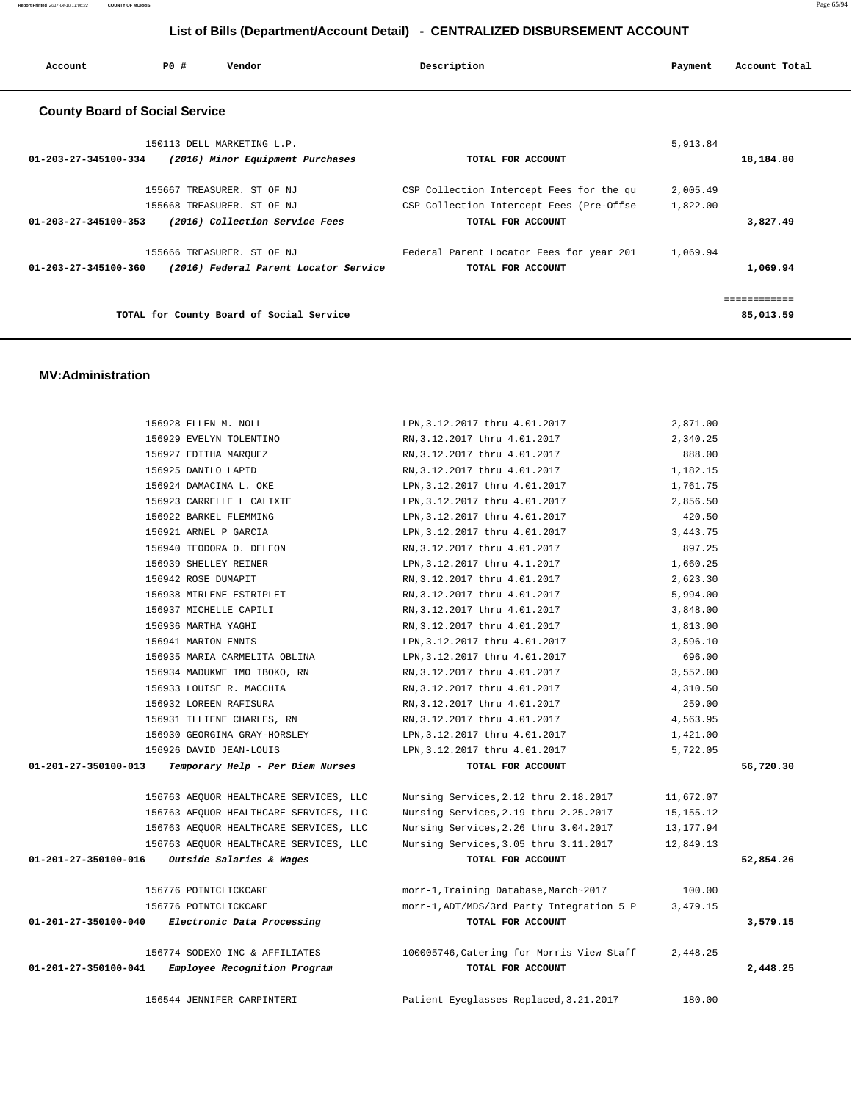| Account                               | PO# | Vendor                                   | Description                              | Payment  | Account Total |
|---------------------------------------|-----|------------------------------------------|------------------------------------------|----------|---------------|
| <b>County Board of Social Service</b> |     |                                          |                                          |          |               |
|                                       |     | 150113 DELL MARKETING L.P.               |                                          | 5,913.84 |               |
| 01-203-27-345100-334                  |     | (2016) Minor Equipment Purchases         | TOTAL FOR ACCOUNT                        |          | 18,184.80     |
|                                       |     | 155667 TREASURER. ST OF NJ               | CSP Collection Intercept Fees for the qu | 2,005.49 |               |
|                                       |     | 155668 TREASURER. ST OF NJ               | CSP Collection Intercept Fees (Pre-Offse | 1,822.00 |               |
| 01-203-27-345100-353                  |     | (2016) Collection Service Fees           | TOTAL FOR ACCOUNT                        |          | 3,827.49      |
|                                       |     | 155666 TREASURER. ST OF NJ               | Federal Parent Locator Fees for year 201 | 1,069.94 |               |
| 01-203-27-345100-360                  |     | (2016) Federal Parent Locator Service    | TOTAL FOR ACCOUNT                        |          | 1,069.94      |
|                                       |     |                                          |                                          |          | ------------  |
|                                       |     | TOTAL for County Board of Social Service |                                          |          | 85,013.59     |
|                                       |     |                                          |                                          |          |               |

#### **MV:Administration**

|                      | 156928 ELLEN M. NOLL                   | LPN, 3.12.2017 thru 4.01.2017             | 2,871.00  |           |
|----------------------|----------------------------------------|-------------------------------------------|-----------|-----------|
|                      | 156929 EVELYN TOLENTINO                | RN, 3.12.2017 thru 4.01.2017              | 2,340.25  |           |
|                      | 156927 EDITHA MARQUEZ                  | RN, 3.12.2017 thru 4.01.2017              | 888.00    |           |
|                      | 156925 DANILO LAPID                    | RN, 3.12.2017 thru 4.01.2017              | 1,182.15  |           |
|                      | 156924 DAMACINA L. OKE                 | LPN, 3.12.2017 thru 4.01.2017             | 1,761.75  |           |
|                      | 156923 CARRELLE L CALIXTE              | LPN, 3.12.2017 thru 4.01.2017             | 2,856.50  |           |
|                      | 156922 BARKEL FLEMMING                 | LPN, 3.12.2017 thru 4.01.2017             | 420.50    |           |
|                      | 156921 ARNEL P GARCIA                  | LPN, 3.12.2017 thru 4.01.2017             | 3,443.75  |           |
|                      | 156940 TEODORA O. DELEON               | RN, 3.12.2017 thru 4.01.2017              | 897.25    |           |
|                      | 156939 SHELLEY REINER                  | LPN, 3.12.2017 thru 4.1.2017              | 1,660.25  |           |
|                      | 156942 ROSE DUMAPIT                    | RN, 3.12.2017 thru 4.01.2017              | 2,623.30  |           |
|                      | 156938 MIRLENE ESTRIPLET               | RN, 3.12.2017 thru 4.01.2017              | 5,994.00  |           |
|                      | 156937 MICHELLE CAPILI                 | RN, 3.12.2017 thru 4.01.2017              | 3,848.00  |           |
|                      | 156936 MARTHA YAGHI                    | RN, 3.12.2017 thru 4.01.2017              | 1,813.00  |           |
|                      | 156941 MARION ENNIS                    | LPN, 3.12.2017 thru 4.01.2017             | 3,596.10  |           |
|                      | 156935 MARIA CARMELITA OBLINA          | LPN, 3.12.2017 thru 4.01.2017             | 696.00    |           |
|                      | 156934 MADUKWE IMO IBOKO, RN           | RN, 3.12.2017 thru 4.01.2017              | 3,552.00  |           |
|                      | 156933 LOUISE R. MACCHIA               | RN, 3.12.2017 thru 4.01.2017              | 4,310.50  |           |
|                      | 156932 LOREEN RAFISURA                 | RN, 3.12.2017 thru 4.01.2017              | 259.00    |           |
|                      | 156931 ILLIENE CHARLES, RN             | RN, 3.12.2017 thru 4.01.2017              | 4,563.95  |           |
|                      | 156930 GEORGINA GRAY-HORSLEY           | LPN, 3.12.2017 thru 4.01.2017             | 1,421.00  |           |
|                      | 156926 DAVID JEAN-LOUIS                | LPN, 3.12.2017 thru 4.01.2017             | 5,722.05  |           |
| 01-201-27-350100-013 | Temporary Help - Per Diem Nurses       | TOTAL FOR ACCOUNT                         |           | 56,720.30 |
|                      | 156763 AEQUOR HEALTHCARE SERVICES, LLC | Nursing Services, 2.12 thru 2.18.2017     | 11,672.07 |           |
|                      | 156763 AEQUOR HEALTHCARE SERVICES, LLC | Nursing Services, 2.19 thru 2.25.2017     | 15,155.12 |           |
|                      | 156763 AEQUOR HEALTHCARE SERVICES, LLC | Nursing Services, 2.26 thru 3.04.2017     | 13,177.94 |           |
|                      | 156763 AEQUOR HEALTHCARE SERVICES, LLC | Nursing Services, 3.05 thru 3.11.2017     | 12,849.13 |           |
| 01-201-27-350100-016 | Outside Salaries & Wages               | TOTAL FOR ACCOUNT                         |           | 52,854.26 |
|                      | 156776 POINTCLICKCARE                  | morr-1, Training Database, March~2017     | 100.00    |           |
|                      | 156776 POINTCLICKCARE                  | morr-1, ADT/MDS/3rd Party Integration 5 P | 3,479.15  |           |
| 01-201-27-350100-040 | Electronic Data Processing             | TOTAL FOR ACCOUNT                         |           | 3,579.15  |
|                      | 156774 SODEXO INC & AFFILIATES         | 100005746,Catering for Morris View Staff  | 2,448.25  |           |
| 01-201-27-350100-041 | Employee Recognition Program           | TOTAL FOR ACCOUNT                         |           | 2,448.25  |
|                      | 156544 JENNIFER CARPINTERI             | Patient Eyeglasses Replaced, 3.21.2017    | 180.00    |           |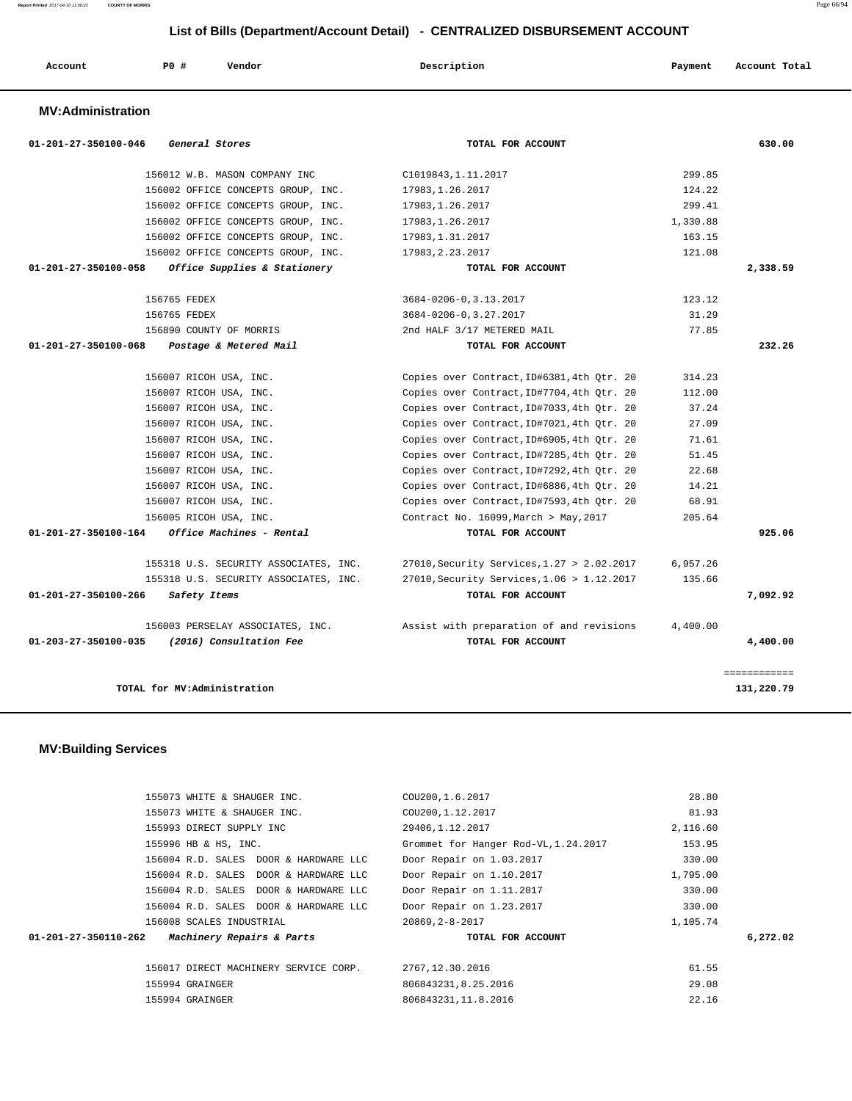|                                | LIST OF BIIIS (Department/Account Detail) - CENTRALIZED DISBURSEMENT ACCOUNT |                                    |                            |                          |  |
|--------------------------------|------------------------------------------------------------------------------|------------------------------------|----------------------------|--------------------------|--|
| Account                        | PO#                                                                          | Vendor                             | Description                | Account Total<br>Payment |  |
| <b>MV:Administration</b>       |                                                                              |                                    |                            |                          |  |
| $01 - 201 - 27 - 350100 - 046$ |                                                                              | General Stores                     | TOTAL FOR ACCOUNT          | 630.00                   |  |
|                                |                                                                              | 156012 W.B. MASON COMPANY INC      | C1019843, 1.11.2017        | 299.85                   |  |
|                                |                                                                              | 156002 OFFICE CONCEPTS GROUP, INC. | 17983, 1.26.2017           | 124.22                   |  |
|                                |                                                                              | 156002 OFFICE CONCEPTS GROUP, INC. | 17983, 1.26.2017           | 299.41                   |  |
|                                |                                                                              | 156002 OFFICE CONCEPTS GROUP, INC. | 17983, 1.26.2017           | 1,330.88                 |  |
|                                |                                                                              | 156002 OFFICE CONCEPTS GROUP, INC. | 17983, 1.31.2017           | 163.15                   |  |
|                                |                                                                              | 156002 OFFICE CONCEPTS GROUP, INC. | 17983, 2.23.2017           | 121.08                   |  |
| 01-201-27-350100-058           |                                                                              | Office Supplies & Stationery       | TOTAL FOR ACCOUNT          | 2,338.59                 |  |
|                                | 156765 FEDEX                                                                 |                                    | 3684-0206-0, 3.13.2017     | 123.12                   |  |
|                                | 156765 FEDEX                                                                 |                                    | 3684-0206-0, 3.27.2017     | 31.29                    |  |
|                                |                                                                              | 156890 COUNTY OF MORRIS            | 2nd HALF 3/17 METERED MAIL | 77.85                    |  |
| 01-201-27-350100-068           |                                                                              | Postage & Metered Mail             | TOTAL FOR ACCOUNT          | 232.26                   |  |

 156007 RICOH USA, INC. Copies over Contract,ID#6381,4th Qtr. 20 314.23 156007 RICOH USA, INC. Copies over Contract,ID#7704,4th Qtr. 20 112.00 156007 RICOH USA, INC. Copies over Contract,ID#7033,4th Qtr. 20 37.24 156007 RICOH USA, INC. Copies over Contract,ID#7021,4th Qtr. 20 27.09 156007 RICOH USA, INC. Copies over Contract,ID#6905,4th Qtr. 20 71.61 156007 RICOH USA, INC. Copies over Contract,ID#7285,4th Qtr. 20 51.45 156007 RICOH USA, INC. Copies over Contract,ID#7292,4th Qtr. 20 22.68 156007 RICOH USA, INC. Copies over Contract,ID#6886,4th Qtr. 20 14.21 156007 RICOH USA, INC. Copies over Contract,ID#7593,4th Qtr. 20 68.91 156005 RICOH USA, INC. Contract No. 16099,March > May,2017 205.64

 **01-201-27-350100-164 Office Machines - Rental TOTAL FOR ACCOUNT 925.06**

 155318 U.S. SECURITY ASSOCIATES, INC. 27010,Security Services,1.27 > 2.02.2017 6,957.26 155318 U.S. SECURITY ASSOCIATES, INC. 27010,Security Services,1.06 > 1.12.2017 135.66  **01-201-27-350100-266 Safety Items TOTAL FOR ACCOUNT 7,092.92**

 156003 PERSELAY ASSOCIATES, INC. Assist with preparation of and revisions 4,400.00  **01-203-27-350100-035 (2016) Consultation Fee TOTAL FOR ACCOUNT 4,400.00**

**TOTAL for MV:Administration 131,220.79**

#### **MV:Building Services**

|                      | 155073 WHITE & SHAUGER INC.           | COU200, 1.6.2017                     | 28.80    |
|----------------------|---------------------------------------|--------------------------------------|----------|
|                      | 155073 WHITE & SHAUGER INC.           | COU200, 1.12.2017                    | 81.93    |
|                      | 155993 DIRECT SUPPLY INC              | 29406,1.12.2017                      | 2,116.60 |
|                      | 155996 HB & HS, INC.                  | Grommet for Hanger Rod-VL, 1.24.2017 | 153.95   |
|                      | 156004 R.D. SALES DOOR & HARDWARE LLC | Door Repair on 1.03.2017             | 330.00   |
|                      | 156004 R.D. SALES DOOR & HARDWARE LLC | Door Repair on 1.10.2017             | 1,795.00 |
|                      | 156004 R.D. SALES DOOR & HARDWARE LLC | Door Repair on 1.11.2017             | 330.00   |
|                      | 156004 R.D. SALES DOOR & HARDWARE LLC | Door Repair on 1.23.2017             | 330.00   |
|                      | 156008 SCALES INDUSTRIAL              | 20869, 2-8-2017                      | 1,105.74 |
| 01-201-27-350110-262 | Machinery Repairs & Parts             | TOTAL FOR ACCOUNT                    | 6,272.02 |
|                      |                                       |                                      |          |
|                      | 156017 DIRECT MACHINERY SERVICE CORP. | 2767, 12.30.2016                     | 61.55    |
|                      | 155994 GRAINGER                       | 806843231, 8.25.2016                 | 29.08    |
|                      | 155994 GRAINGER                       | 806843231, 11.8.2016                 | 22.16    |

============

**Report Printed** 2017-04-10 11:06:22 **COUNTY OF MORRIS** Page 66/94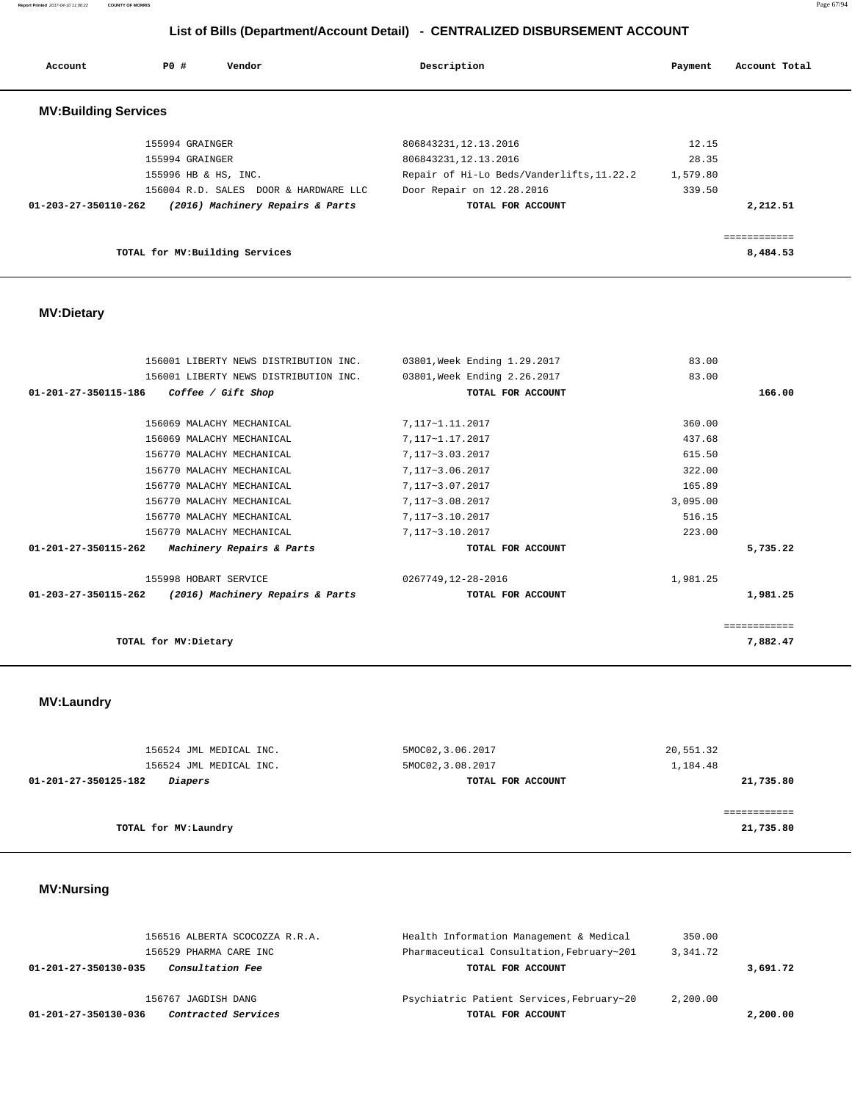**Report Printed** 2017-04-10 11:06:22 **COUNTY OF MORRIS** Page 67/94

# **List of Bills (Department/Account Detail) - CENTRALIZED DISBURSEMENT ACCOUNT**

| Account                     | PO#<br>Vendor                         | Description                               | Payment  | Account Total |
|-----------------------------|---------------------------------------|-------------------------------------------|----------|---------------|
| <b>MV:Building Services</b> |                                       |                                           |          |               |
|                             | 155994 GRAINGER                       | 806843231, 12.13.2016                     | 12.15    |               |
|                             | 155994 GRAINGER                       | 806843231, 12.13.2016                     | 28.35    |               |
|                             | 155996 HB & HS, INC.                  | Repair of Hi-Lo Beds/Vanderlifts, 11.22.2 | 1,579.80 |               |
|                             | 156004 R.D. SALES DOOR & HARDWARE LLC | Door Repair on 12.28.2016                 | 339.50   |               |
| 01-203-27-350110-262        | (2016) Machinery Repairs & Parts      | TOTAL FOR ACCOUNT                         |          | 2,212.51      |
|                             |                                       |                                           |          |               |
|                             | TOTAL for MV: Building Services       |                                           |          | 8,484.53      |

## **MV:Dietary**

|              | 83.00    | 03801, Week Ending 1.29.2017 | 156001 LIBERTY NEWS DISTRIBUTION INC. |                                |
|--------------|----------|------------------------------|---------------------------------------|--------------------------------|
|              | 83.00    | 03801, Week Ending 2.26.2017 | 156001 LIBERTY NEWS DISTRIBUTION INC. |                                |
| 166.00       |          | TOTAL FOR ACCOUNT            | Coffee / Gift Shop                    | 01-201-27-350115-186           |
|              |          |                              |                                       |                                |
|              | 360.00   | 7,117~1.11.2017              | 156069 MALACHY MECHANICAL             |                                |
|              | 437.68   | 7,117~1.17.2017              | 156069 MALACHY MECHANICAL             |                                |
|              | 615.50   | 7,117~3.03.2017              | 156770 MALACHY MECHANICAL             |                                |
|              | 322.00   | 7,117~3.06.2017              | 156770 MALACHY MECHANICAL             |                                |
|              | 165.89   | 7,117~3.07.2017              | 156770 MALACHY MECHANICAL             |                                |
|              | 3,095.00 | 7,117~3.08.2017              | 156770 MALACHY MECHANICAL             |                                |
|              | 516.15   | 7,117~3.10.2017              | 156770 MALACHY MECHANICAL             |                                |
|              | 223.00   | 7,117~3.10.2017              | 156770 MALACHY MECHANICAL             |                                |
| 5,735.22     |          | TOTAL FOR ACCOUNT            | Machinery Repairs & Parts             | $01 - 201 - 27 - 350115 - 262$ |
|              | 1,981.25 | 0267749,12-28-2016           | 155998 HOBART SERVICE                 |                                |
| 1,981.25     |          | TOTAL FOR ACCOUNT            | (2016) Machinery Repairs & Parts      | 01-203-27-350115-262           |
| ============ |          |                              |                                       |                                |
| 7,882.47     |          |                              | TOTAL for MV: Dietary                 |                                |

# **MV:Laundry**

| 156524 JML MEDICAL INC.                | 5MOC02, 3.06.2017 | 20,551.32 |
|----------------------------------------|-------------------|-----------|
| 156524 JML MEDICAL INC.                | 5MOC02, 3.08.2017 | 1,184.48  |
| 01-201-27-350125-182<br><i>Diapers</i> | TOTAL FOR ACCOUNT | 21,735.80 |
|                                        |                   |           |
|                                        |                   |           |
| TOTAL for MV:Laundry                   |                   | 21,735.80 |

# **MV:Nursing**

| <i>Contracted Services</i><br>01-201-27-350130-036 | TOTAL FOR ACCOUNT                         |          | 2,200.00 |
|----------------------------------------------------|-------------------------------------------|----------|----------|
| 156767 JAGDISH DANG                                | Psychiatric Patient Services, February~20 | 2,200.00 |          |
| Consultation Fee<br>01-201-27-350130-035           | TOTAL FOR ACCOUNT                         |          | 3,691.72 |
| 156529 PHARMA CARE INC                             | Pharmaceutical Consultation, February~201 | 3,341.72 |          |
| 156516 ALBERTA SCOCOZZA R.R.A.                     | Health Information Management & Medical   | 350.00   |          |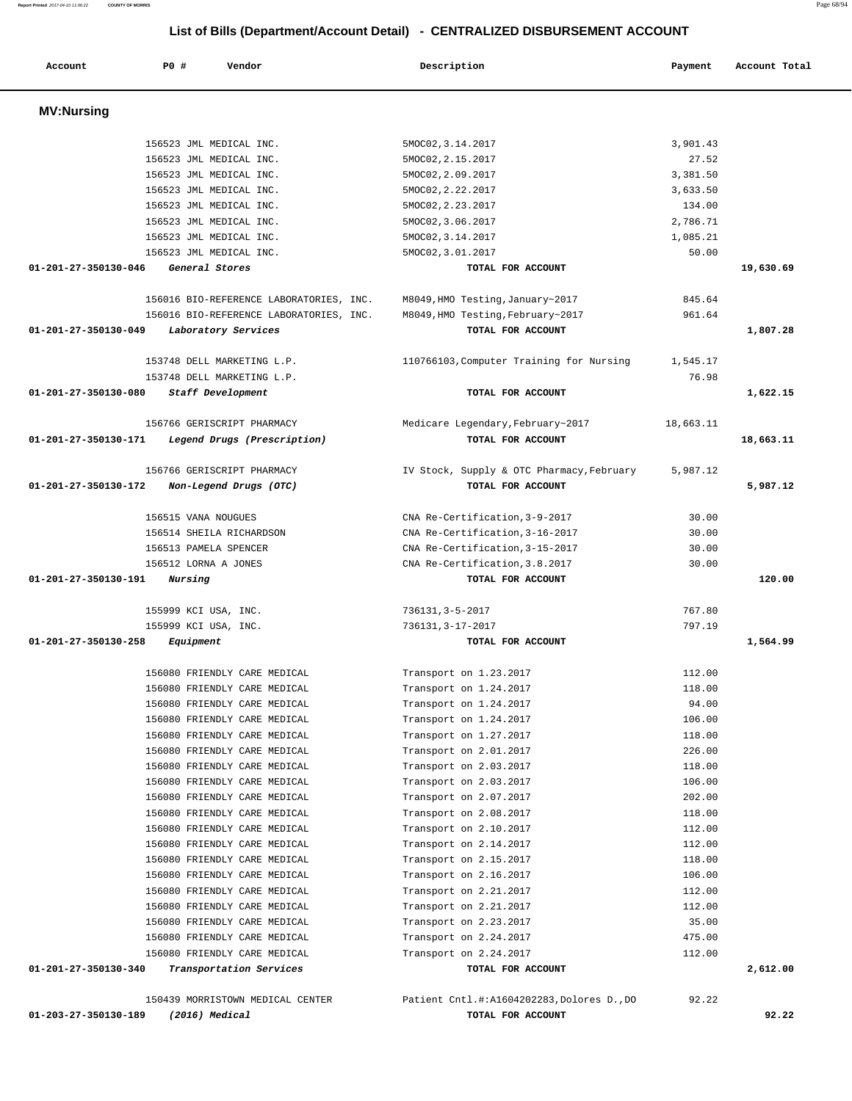| Account              | P0 #<br>Vendor                                                 | Description                                                     | Payment              | Account Total |
|----------------------|----------------------------------------------------------------|-----------------------------------------------------------------|----------------------|---------------|
| <b>MV:Nursing</b>    |                                                                |                                                                 |                      |               |
|                      |                                                                |                                                                 |                      |               |
|                      | 156523 JML MEDICAL INC.                                        | 5MOC02, 3.14.2017                                               | 3,901.43             |               |
|                      | 156523 JML MEDICAL INC.                                        | 5MOC02, 2.15.2017                                               | 27.52                |               |
|                      | 156523 JML MEDICAL INC.                                        | 5MOC02, 2.09.2017                                               | 3,381.50             |               |
|                      | 156523 JML MEDICAL INC.                                        | 5MOC02, 2.22.2017                                               | 3,633.50             |               |
|                      | 156523 JML MEDICAL INC.<br>156523 JML MEDICAL INC.             | 5MOC02, 2.23.2017                                               | 134.00               |               |
|                      | 156523 JML MEDICAL INC.                                        | 5MOC02, 3.06.2017                                               | 2,786.71<br>1,085.21 |               |
|                      | 156523 JML MEDICAL INC.                                        | 5MOC02, 3.14.2017<br>5MOC02, 3.01.2017                          | 50.00                |               |
| 01-201-27-350130-046 | General Stores                                                 | TOTAL FOR ACCOUNT                                               |                      | 19,630.69     |
|                      |                                                                |                                                                 | 845.64               |               |
|                      | 156016 BIO-REFERENCE LABORATORIES, INC.                        | M8049, HMO Testing, January~2017                                | 961.64               |               |
| 01-201-27-350130-049 | 156016 BIO-REFERENCE LABORATORIES, INC.<br>Laboratory Services | M8049, HMO Testing, February~2017<br>TOTAL FOR ACCOUNT          |                      | 1,807.28      |
|                      |                                                                |                                                                 |                      |               |
|                      | 153748 DELL MARKETING L.P.                                     | 110766103, Computer Training for Nursing                        | 1,545.17             |               |
| 01-201-27-350130-080 | 153748 DELL MARKETING L.P.<br>Staff Development                | TOTAL FOR ACCOUNT                                               | 76.98                | 1,622.15      |
|                      |                                                                |                                                                 |                      |               |
|                      | 156766 GERISCRIPT PHARMACY                                     | Medicare Legendary, February~2017                               | 18,663.11            |               |
| 01-201-27-350130-171 | Legend Drugs (Prescription)                                    | TOTAL FOR ACCOUNT                                               |                      | 18,663.11     |
|                      | 156766 GERISCRIPT PHARMACY                                     | IV Stock, Supply & OTC Pharmacy, February                       | 5,987.12             |               |
| 01-201-27-350130-172 | Non-Legend Drugs (OTC)                                         | TOTAL FOR ACCOUNT                                               |                      | 5,987.12      |
|                      |                                                                |                                                                 |                      |               |
|                      | 156515 VANA NOUGUES                                            | CNA Re-Certification, 3-9-2017                                  | 30.00                |               |
|                      | 156514 SHEILA RICHARDSON                                       | CNA Re-Certification, 3-16-2017                                 | 30.00                |               |
|                      | 156513 PAMELA SPENCER                                          | CNA Re-Certification, 3-15-2017                                 | 30.00                |               |
| 01-201-27-350130-191 | 156512 LORNA A JONES<br>Nursing                                | CNA Re-Certification, 3.8.2017<br>TOTAL FOR ACCOUNT             | 30.00                | 120.00        |
|                      |                                                                |                                                                 |                      |               |
|                      | 155999 KCI USA, INC.                                           | 736131, 3-5-2017                                                | 767.80               |               |
|                      | 155999 KCI USA, INC.                                           | 736131, 3-17-2017                                               | 797.19               |               |
| 01-201-27-350130-258 | Equipment                                                      | TOTAL FOR ACCOUNT                                               |                      | 1,564.99      |
|                      | 156080 FRIENDLY CARE MEDICAL                                   | Transport on 1.23.2017                                          | 112.00               |               |
|                      | 156080 FRIENDLY CARE MEDICAL                                   | Transport on 1.24.2017                                          | 118.00               |               |
|                      | 156080 FRIENDLY CARE MEDICAL                                   | Transport on 1.24.2017                                          | 94.00                |               |
|                      | 156080 FRIENDLY CARE MEDICAL                                   | Transport on 1.24.2017                                          | 106.00               |               |
|                      | 156080 FRIENDLY CARE MEDICAL                                   | Transport on 1.27.2017                                          | 118.00               |               |
|                      | 156080 FRIENDLY CARE MEDICAL                                   | Transport on 2.01.2017                                          | 226.00               |               |
|                      | 156080 FRIENDLY CARE MEDICAL                                   | Transport on 2.03.2017                                          | 118.00               |               |
|                      | 156080 FRIENDLY CARE MEDICAL                                   | Transport on 2.03.2017                                          | 106.00               |               |
|                      | 156080 FRIENDLY CARE MEDICAL                                   | Transport on 2.07.2017                                          | 202.00               |               |
|                      | 156080 FRIENDLY CARE MEDICAL                                   | Transport on 2.08.2017                                          | 118.00               |               |
|                      | 156080 FRIENDLY CARE MEDICAL                                   | Transport on 2.10.2017                                          | 112.00               |               |
|                      | 156080 FRIENDLY CARE MEDICAL                                   | Transport on 2.14.2017                                          | 112.00               |               |
|                      | 156080 FRIENDLY CARE MEDICAL                                   | Transport on 2.15.2017                                          | 118.00<br>106.00     |               |
|                      | 156080 FRIENDLY CARE MEDICAL<br>156080 FRIENDLY CARE MEDICAL   | Transport on 2.16.2017<br>Transport on 2.21.2017                | 112.00               |               |
|                      | 156080 FRIENDLY CARE MEDICAL                                   | Transport on 2.21.2017                                          | 112.00               |               |
|                      | 156080 FRIENDLY CARE MEDICAL                                   | Transport on 2.23.2017                                          | 35.00                |               |
|                      | 156080 FRIENDLY CARE MEDICAL                                   | Transport on 2.24.2017                                          | 475.00               |               |
|                      | 156080 FRIENDLY CARE MEDICAL                                   | Transport on 2.24.2017                                          | 112.00               |               |
| 01-201-27-350130-340 | Transportation Services                                        | TOTAL FOR ACCOUNT                                               |                      | 2,612.00      |
|                      |                                                                |                                                                 |                      |               |
| 01-203-27-350130-189 | 150439 MORRISTOWN MEDICAL CENTER<br>$(2016)$ Medical           | Patient Cntl.#:A1604202283, Dolores D., DO<br>TOTAL FOR ACCOUNT | 92.22                | 92.22         |
|                      |                                                                |                                                                 |                      |               |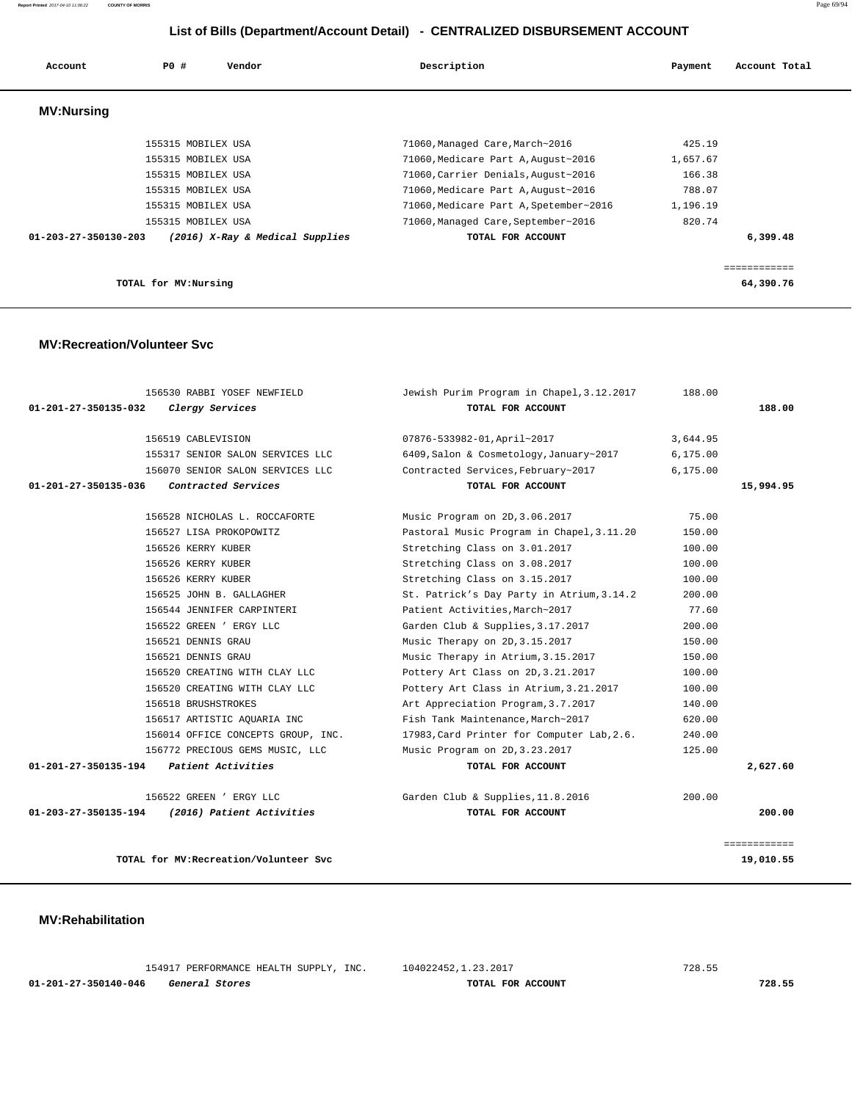| Account                        | PO#                | Vendor                          | Description                            | Payment  | Account Total |
|--------------------------------|--------------------|---------------------------------|----------------------------------------|----------|---------------|
| <b>MV:Nursing</b>              |                    |                                 |                                        |          |               |
|                                | 155315 MOBILEX USA |                                 | 71060, Managed Care, March~2016        | 425.19   |               |
|                                | 155315 MOBILEX USA |                                 | 71060, Medicare Part A, August~2016    | 1,657.67 |               |
|                                | 155315 MOBILEX USA |                                 | 71060, Carrier Denials, August~2016    | 166.38   |               |
|                                | 155315 MOBILEX USA |                                 | 71060, Medicare Part A, August~2016    | 788.07   |               |
|                                | 155315 MOBILEX USA |                                 | 71060, Medicare Part A, Spetember~2016 | 1,196.19 |               |
|                                | 155315 MOBILEX USA |                                 | 71060, Managed Care, September~2016    | 820.74   |               |
| $01 - 203 - 27 - 350130 - 203$ |                    | (2016) X-Ray & Medical Supplies | TOTAL FOR ACCOUNT                      |          | 6,399.48      |
|                                |                    |                                 |                                        |          |               |
|                                |                    |                                 |                                        |          |               |

**TOTAL for MV:Nursing 64,390.76**

 **MV:Recreation/Volunteer Svc**

| 156530 RABBI YOSEF NEWFIELD<br>01-201-27-350135-032<br>Clergy Services | Jewish Purim Program in Chapel, 3.12.2017<br>TOTAL FOR ACCOUNT | 188.00   | 188.00       |
|------------------------------------------------------------------------|----------------------------------------------------------------|----------|--------------|
|                                                                        |                                                                |          |              |
| 156519 CABLEVISION                                                     | 07876-533982-01, April~2017                                    | 3,644.95 |              |
| 155317 SENIOR SALON SERVICES LLC                                       | 6409, Salon & Cosmetology, January~2017                        | 6,175.00 |              |
| 156070 SENIOR SALON SERVICES LLC                                       | Contracted Services, February~2017                             | 6,175.00 |              |
| Contracted Services<br>01-201-27-350135-036                            | TOTAL FOR ACCOUNT                                              |          | 15,994.95    |
| 156528 NICHOLAS L. ROCCAFORTE                                          | Music Program on 2D, 3.06.2017                                 | 75.00    |              |
| 156527 LISA PROKOPOWITZ                                                | Pastoral Music Program in Chapel, 3.11.20                      | 150.00   |              |
| 156526 KERRY KUBER                                                     | Stretching Class on 3.01.2017                                  | 100.00   |              |
| 156526 KERRY KUBER                                                     | Stretching Class on 3.08.2017                                  | 100.00   |              |
| 156526 KERRY KUBER                                                     | Stretching Class on 3.15.2017                                  | 100.00   |              |
| 156525 JOHN B. GALLAGHER                                               | St. Patrick's Day Party in Atrium, 3.14.2                      | 200.00   |              |
| 156544 JENNIFER CARPINTERI                                             | Patient Activities, March~2017                                 | 77.60    |              |
| 156522 GREEN ' ERGY LLC                                                | Garden Club & Supplies, 3.17.2017                              | 200.00   |              |
| 156521 DENNIS GRAU                                                     | Music Therapy on 2D, 3.15.2017                                 | 150.00   |              |
| 156521 DENNIS GRAU                                                     | Music Therapy in Atrium, 3.15.2017                             | 150.00   |              |
| 156520 CREATING WITH CLAY LLC                                          | Pottery Art Class on 2D, 3.21.2017                             | 100.00   |              |
| 156520 CREATING WITH CLAY LLC                                          | Pottery Art Class in Atrium, 3.21.2017                         | 100.00   |              |
| 156518 BRUSHSTROKES                                                    | Art Appreciation Program, 3.7.2017                             | 140.00   |              |
| 156517 ARTISTIC AOUARIA INC                                            | Fish Tank Maintenance, March~2017                              | 620.00   |              |
| 156014 OFFICE CONCEPTS GROUP, INC.                                     | 17983, Card Printer for Computer Lab, 2.6.                     | 240.00   |              |
| 156772 PRECIOUS GEMS MUSIC, LLC                                        | Music Program on 2D, 3.23.2017                                 | 125.00   |              |
| 01-201-27-350135-194 Patient Activities                                | TOTAL FOR ACCOUNT                                              |          | 2,627.60     |
| 156522 GREEN ' ERGY LLC                                                | Garden Club & Supplies, 11.8.2016                              | 200.00   |              |
| (2016) Patient Activities<br>01-203-27-350135-194                      | TOTAL FOR ACCOUNT                                              |          | 200.00       |
|                                                                        |                                                                |          | ============ |

**TOTAL for MV:Recreation/Volunteer Svc 19,010.55**

 **MV:Rehabilitation** 

 154917 PERFORMANCE HEALTH SUPPLY, INC. 104022452,1.23.2017 728.55  **01-201-27-350140-046 General Stores TOTAL FOR ACCOUNT 728.55**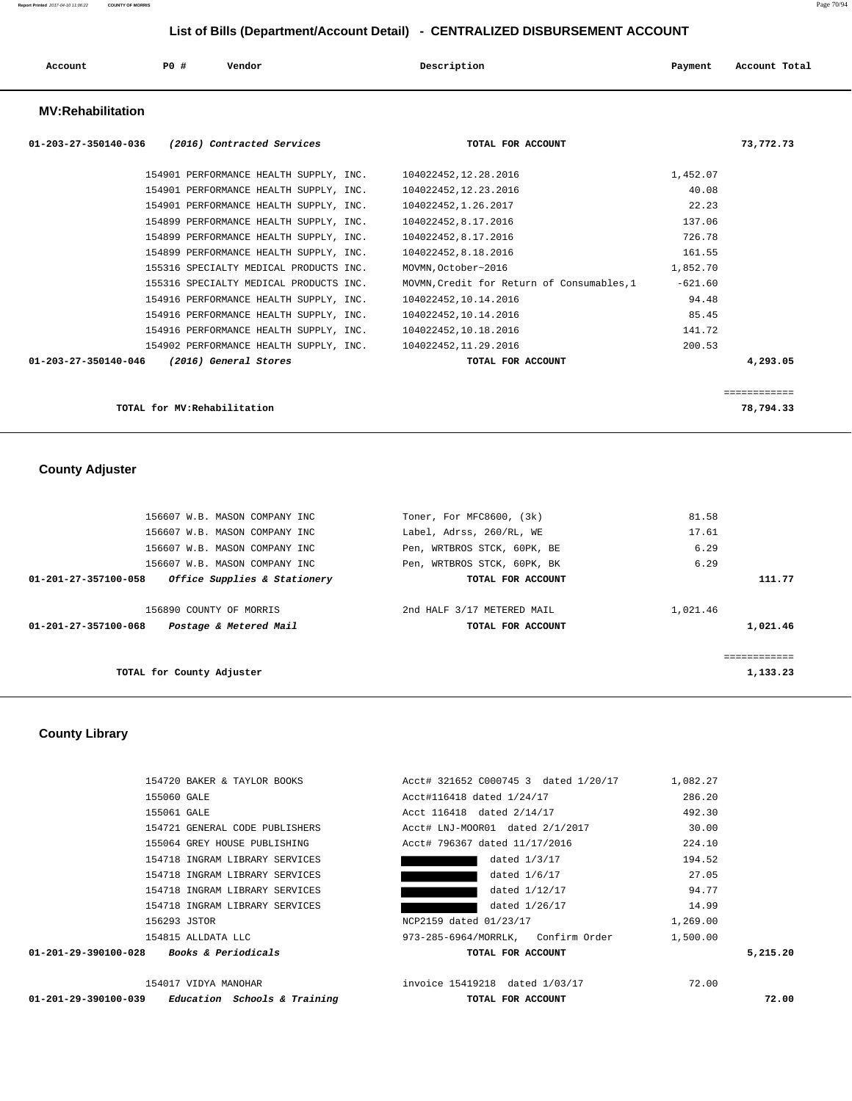| Account                  | <b>PO #</b> | Vendor | Description | Payment | Account Total |
|--------------------------|-------------|--------|-------------|---------|---------------|
| <b>MV:Rehabilitation</b> |             |        |             |         |               |

| (2016) Contracted Services<br>01-203-27-350140-036 | TOTAL FOR ACCOUNT                          | 73,772.73    |
|----------------------------------------------------|--------------------------------------------|--------------|
| 154901 PERFORMANCE HEALTH SUPPLY, INC.             | 104022452,12.28.2016                       | 1,452.07     |
| 154901 PERFORMANCE HEALTH SUPPLY, INC.             | 104022452, 12.23.2016                      | 40.08        |
| 154901 PERFORMANCE HEALTH SUPPLY, INC.             | 104022452,1.26.2017                        | 22.23        |
| 154899 PERFORMANCE HEALTH SUPPLY, INC.             | 104022452,8.17.2016                        | 137.06       |
| 154899 PERFORMANCE HEALTH SUPPLY, INC.             | 104022452,8.17.2016                        | 726.78       |
| 154899 PERFORMANCE HEALTH SUPPLY, INC.             | 104022452,8.18.2016                        | 161.55       |
| 155316 SPECIALTY MEDICAL PRODUCTS INC.             | MOVMN, October~2016                        | 1,852.70     |
| 155316 SPECIALTY MEDICAL PRODUCTS INC.             | MOVMN, Credit for Return of Consumables, 1 | $-621.60$    |
| 154916 PERFORMANCE HEALTH SUPPLY, INC.             | 104022452,10.14.2016                       | 94.48        |
| 154916 PERFORMANCE HEALTH SUPPLY, INC.             | 104022452,10.14.2016                       | 85.45        |
| 154916 PERFORMANCE HEALTH SUPPLY, INC.             | 104022452,10.18.2016                       | 141.72       |
| 154902 PERFORMANCE HEALTH SUPPLY, INC.             | 104022452,11.29.2016                       | 200.53       |
| 01-203-27-350140-046<br>(2016) General Stores      | TOTAL FOR ACCOUNT                          | 4,293.05     |
|                                                    |                                            | ------------ |
| TOTAL for MV: Rehabilitation                       |                                            | 78,794.33    |

 **County Adjuster** 

| 156607 W.B. MASON COMPANY INC                        | Toner, For MFC8600, (3k)    | 81.58    |
|------------------------------------------------------|-----------------------------|----------|
| 156607 W.B. MASON COMPANY INC                        | Label, Adrss, 260/RL, WE    | 17.61    |
| 156607 W.B. MASON COMPANY INC                        | Pen, WRTBROS STCK, 60PK, BE | 6.29     |
| 156607 W.B. MASON COMPANY INC                        | Pen, WRTBROS STCK, 60PK, BK | 6.29     |
| 01-201-27-357100-058<br>Office Supplies & Stationery | TOTAL FOR ACCOUNT           | 111.77   |
|                                                      |                             |          |
| 156890 COUNTY OF MORRIS                              | 2nd HALF 3/17 METERED MAIL  | 1,021.46 |
| 01-201-27-357100-068<br>Postage & Metered Mail       | TOTAL FOR ACCOUNT           | 1,021.46 |
|                                                      |                             |          |
|                                                      |                             |          |
| TOTAL for County Adjuster                            |                             | 1,133.23 |

### **County Library**

| Education Schools & Training<br>01-201-29-390100-039   | TOTAL FOR ACCOUNT                    |          | 72.00    |
|--------------------------------------------------------|--------------------------------------|----------|----------|
| 154017 VIDYA MANOHAR                                   | invoice 15419218 dated 1/03/17       | 72.00    |          |
| <i>Books &amp; Periodicals</i><br>01-201-29-390100-028 | TOTAL FOR ACCOUNT                    |          | 5,215.20 |
| 154815 ALLDATA LLC                                     | 973-285-6964/MORRLK, Confirm Order   | 1,500.00 |          |
| 156293 JSTOR                                           | NCP2159 dated 01/23/17               | 1,269.00 |          |
| 154718 INGRAM LIBRARY SERVICES                         | dated 1/26/17                        | 14.99    |          |
| 154718 INGRAM LIBRARY SERVICES                         | dated 1/12/17                        | 94.77    |          |
| 154718 INGRAM LIBRARY SERVICES                         | dated 1/6/17                         | 27.05    |          |
| 154718 INGRAM LIBRARY SERVICES                         | dated 1/3/17                         | 194.52   |          |
| 155064 GREY HOUSE PUBLISHING                           | Acct# 796367 dated 11/17/2016        | 224.10   |          |
| 154721 GENERAL CODE PUBLISHERS                         | Acct# LNJ-MOOR01 dated 2/1/2017      | 30.00    |          |
| 155061 GALE                                            | Acct 116418 dated 2/14/17            | 492.30   |          |
| 155060 GALE                                            | Acct#116418 dated 1/24/17            | 286.20   |          |
| 154720 BAKER & TAYLOR BOOKS                            | Acct# 321652 C000745 3 dated 1/20/17 | 1,082.27 |          |
|                                                        |                                      |          |          |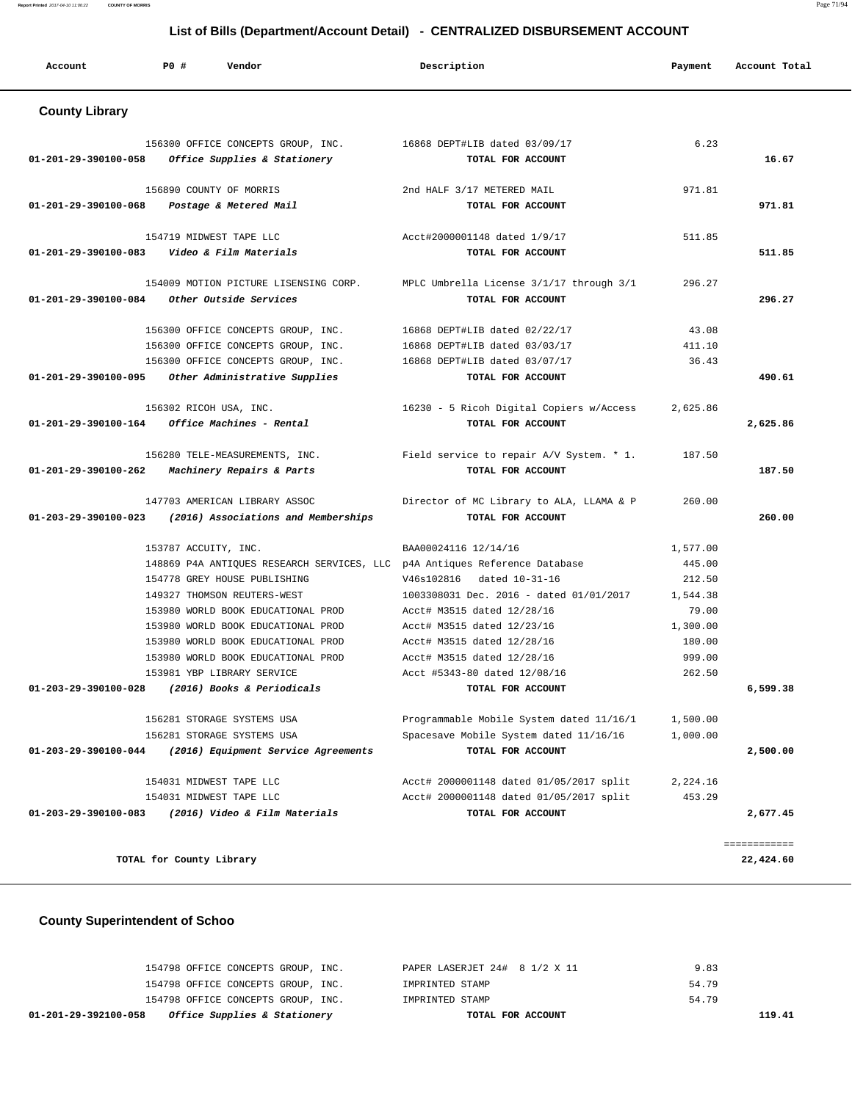| Account               | PO#<br>Vendor                                                              | Description                                                   | Payment  | Account Total |
|-----------------------|----------------------------------------------------------------------------|---------------------------------------------------------------|----------|---------------|
| <b>County Library</b> |                                                                            |                                                               |          |               |
|                       | 156300 OFFICE CONCEPTS GROUP, INC.                                         | 16868 DEPT#LIB dated 03/09/17                                 | 6.23     |               |
| 01-201-29-390100-058  | Office Supplies & Stationery                                               | TOTAL FOR ACCOUNT                                             |          | 16.67         |
|                       |                                                                            |                                                               |          |               |
|                       | 156890 COUNTY OF MORRIS                                                    | 2nd HALF 3/17 METERED MAIL                                    | 971.81   |               |
| 01-201-29-390100-068  | Postage & Metered Mail                                                     | TOTAL FOR ACCOUNT                                             |          | 971.81        |
|                       | 154719 MIDWEST TAPE LLC                                                    | Acct#2000001148 dated 1/9/17                                  | 511.85   |               |
|                       | 01-201-29-390100-083    Video & Film Materials                             | TOTAL FOR ACCOUNT                                             |          | 511.85        |
|                       | 154009 MOTION PICTURE LISENSING CORP.                                      |                                                               | 296.27   |               |
| 01-201-29-390100-084  | Other Outside Services                                                     | MPLC Umbrella License 3/1/17 through 3/1<br>TOTAL FOR ACCOUNT |          | 296.27        |
|                       |                                                                            |                                                               |          |               |
|                       | 156300 OFFICE CONCEPTS GROUP, INC.                                         | 16868 DEPT#LIB dated 02/22/17                                 | 43.08    |               |
|                       | 156300 OFFICE CONCEPTS GROUP, INC.                                         | 16868 DEPT#LIB dated 03/03/17                                 | 411.10   |               |
|                       | 156300 OFFICE CONCEPTS GROUP, INC.                                         | 16868 DEPT#LIB dated 03/07/17                                 | 36.43    |               |
| 01-201-29-390100-095  | Other Administrative Supplies                                              | TOTAL FOR ACCOUNT                                             |          | 490.61        |
|                       | 156302 RICOH USA, INC.                                                     | 16230 - 5 Ricoh Digital Copiers w/Access                      | 2,625.86 |               |
| 01-201-29-390100-164  | Office Machines - Rental                                                   | TOTAL FOR ACCOUNT                                             |          | 2,625.86      |
|                       | 156280 TELE-MEASUREMENTS, INC.                                             | Field service to repair A/V System. * 1.                      | 187.50   |               |
| 01-201-29-390100-262  | Machinery Repairs & Parts                                                  | TOTAL FOR ACCOUNT                                             |          | 187.50        |
|                       | 147703 AMERICAN LIBRARY ASSOC                                              | Director of MC Library to ALA, LLAMA & P                      | 260.00   |               |
| 01-203-29-390100-023  | (2016) Associations and Memberships                                        | TOTAL FOR ACCOUNT                                             |          | 260.00        |
|                       | 153787 ACCUITY, INC.                                                       | BAA00024116 12/14/16                                          | 1,577.00 |               |
|                       | 148869 P4A ANTIQUES RESEARCH SERVICES, LLC p4A Antiques Reference Database |                                                               | 445.00   |               |
|                       | 154778 GREY HOUSE PUBLISHING                                               | V46s102816 dated 10-31-16                                     | 212.50   |               |
|                       | 149327 THOMSON REUTERS-WEST                                                | 1003308031 Dec. 2016 - dated 01/01/2017                       | 1,544.38 |               |
|                       | 153980 WORLD BOOK EDUCATIONAL PROD                                         | Acct# M3515 dated 12/28/16                                    | 79.00    |               |
|                       | 153980 WORLD BOOK EDUCATIONAL PROD                                         | Acct# M3515 dated 12/23/16                                    | 1,300.00 |               |
|                       | 153980 WORLD BOOK EDUCATIONAL PROD                                         | Acct# M3515 dated 12/28/16                                    | 180.00   |               |
|                       | 153980 WORLD BOOK EDUCATIONAL PROD                                         | Acct# M3515 dated 12/28/16                                    | 999.00   |               |
| 01-203-29-390100-028  | 153981 YBP LIBRARY SERVICE<br>(2016) Books & Periodicals                   | Acct #5343-80 dated 12/08/16<br>TOTAL FOR ACCOUNT             | 262.50   | 6,599.38      |
|                       |                                                                            |                                                               |          |               |
|                       | 156281 STORAGE SYSTEMS USA                                                 | Programmable Mobile System dated 11/16/1                      | 1,500.00 |               |
|                       | 156281 STORAGE SYSTEMS USA                                                 | Spacesave Mobile System dated 11/16/16                        | 1,000.00 |               |
| 01-203-29-390100-044  | (2016) Equipment Service Agreements                                        | TOTAL FOR ACCOUNT                                             |          | 2,500.00      |
|                       | 154031 MIDWEST TAPE LLC                                                    | Acct# 2000001148 dated 01/05/2017 split                       | 2,224.16 |               |
|                       | 154031 MIDWEST TAPE LLC                                                    | Acct# 2000001148 dated 01/05/2017 split                       | 453.29   |               |
| 01-203-29-390100-083  | (2016) Video & Film Materials                                              | TOTAL FOR ACCOUNT                                             |          | 2,677.45      |
|                       |                                                                            |                                                               |          | ============  |
|                       | TOTAL for County Library                                                   |                                                               |          | 22,424.60     |

# **County Superintendent of Schoo**

| Office Supplies & Stationery<br>01-201-29-392100-058 | TOTAL FOR ACCOUNT             | 119.41 |
|------------------------------------------------------|-------------------------------|--------|
| 154798 OFFICE CONCEPTS GROUP, INC.                   | IMPRINTED STAMP               | 54.79  |
| 154798 OFFICE CONCEPTS GROUP, INC.                   | IMPRINTED STAMP               | 54.79  |
| 154798 OFFICE CONCEPTS GROUP, INC.                   | PAPER LASERJET 24# 8 1/2 X 11 | 9.83   |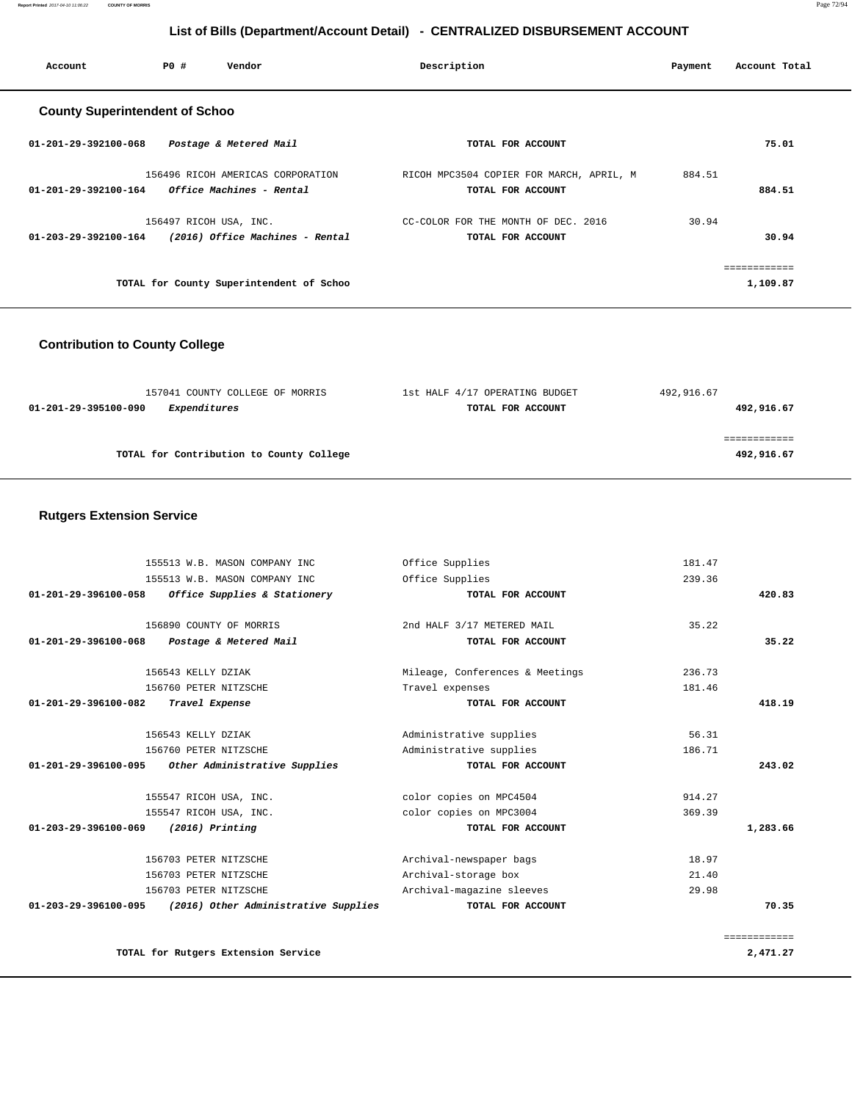**Report Printed** 2017-04-10 11:06:22 **COUNTY OF MORRIS** Page 72/94

### **List of Bills (Department/Account Detail) - CENTRALIZED DISBURSEMENT ACCOUNT**

| Account                               | PO# | Vendor                                   | Description                              | Payment | Account Total |
|---------------------------------------|-----|------------------------------------------|------------------------------------------|---------|---------------|
| <b>County Superintendent of Schoo</b> |     |                                          |                                          |         |               |
| $01 - 201 - 29 - 392100 - 068$        |     | Postage & Metered Mail                   | TOTAL FOR ACCOUNT                        |         | 75.01         |
|                                       |     | 156496 RICOH AMERICAS CORPORATION        | RICOH MPC3504 COPIER FOR MARCH, APRIL, M | 884.51  |               |
| $01 - 201 - 29 - 392100 - 164$        |     | Office Machines - Rental                 | TOTAL FOR ACCOUNT                        |         | 884.51        |
|                                       |     | 156497 RICOH USA, INC.                   | CC-COLOR FOR THE MONTH OF DEC. 2016      | 30.94   |               |
| $01 - 203 - 29 - 392100 - 164$        |     | (2016) Office Machines - Rental          | TOTAL FOR ACCOUNT                        |         | 30.94         |
|                                       |     |                                          |                                          |         | ============  |
|                                       |     | TOTAL for County Superintendent of Schoo |                                          |         | 1,109.87      |

### **Contribution to County College**

| 157041 COUNTY COLLEGE OF MORRIS          | 1st HALF 4/17 OPERATING BUDGET | 492,916.67 |
|------------------------------------------|--------------------------------|------------|
| Expenditures<br>01-201-29-395100-090     | TOTAL FOR ACCOUNT              | 492,916.67 |
|                                          |                                |            |
|                                          |                                |            |
| TOTAL for Contribution to County College |                                | 492,916.67 |
|                                          |                                |            |

#### **Rutgers Extension Service**

|              | 181.47 | Office Supplies                 | 155513 W.B. MASON COMPANY INC        |                                |
|--------------|--------|---------------------------------|--------------------------------------|--------------------------------|
|              | 239.36 | Office Supplies                 | 155513 W.B. MASON COMPANY INC        |                                |
| 420.83       |        | TOTAL FOR ACCOUNT               | Office Supplies & Stationery         | $01 - 201 - 29 - 396100 - 058$ |
|              | 35.22  | 2nd HALF 3/17 METERED MAIL      | 156890 COUNTY OF MORRIS              |                                |
| 35.22        |        | TOTAL FOR ACCOUNT               | Postage & Metered Mail               | $01 - 201 - 29 - 396100 - 068$ |
|              | 236.73 | Mileage, Conferences & Meetings | 156543 KELLY DZIAK                   |                                |
|              | 181.46 | Travel expenses                 | 156760 PETER NITZSCHE                |                                |
| 418.19       |        | TOTAL FOR ACCOUNT               | Travel Expense                       | 01-201-29-396100-082           |
|              | 56.31  | Administrative supplies         | 156543 KELLY DZIAK                   |                                |
|              | 186.71 | Administrative supplies         | 156760 PETER NITZSCHE                |                                |
| 243.02       |        | TOTAL FOR ACCOUNT               | Other Administrative Supplies        | 01-201-29-396100-095           |
|              | 914.27 | color copies on MPC4504         | 155547 RICOH USA, INC.               |                                |
|              | 369.39 | color copies on MPC3004         | 155547 RICOH USA, INC.               |                                |
| 1,283.66     |        | TOTAL FOR ACCOUNT               | $(2016)$ Printing                    | 01-203-29-396100-069           |
|              | 18.97  | Archival-newspaper bags         | 156703 PETER NITZSCHE                |                                |
|              | 21.40  | Archival-storage box            | 156703 PETER NITZSCHE                |                                |
|              | 29.98  | Archival-magazine sleeves       | 156703 PETER NITZSCHE                |                                |
| 70.35        |        | TOTAL FOR ACCOUNT               | (2016) Other Administrative Supplies | 01-203-29-396100-095           |
| ============ |        |                                 |                                      |                                |
| 2,471.27     |        |                                 | TOTAL for Rutgers Extension Service  |                                |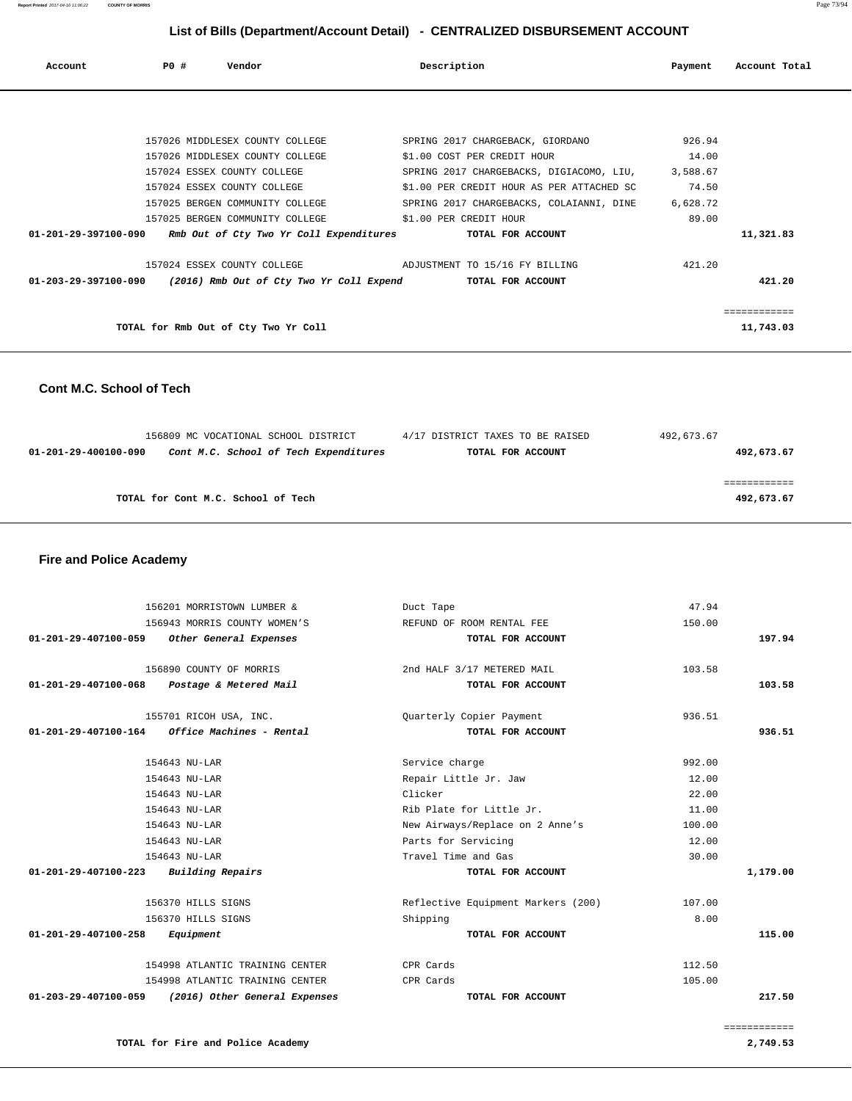**Report Printed** 2017-04-10 11:06:22 **COUNTY OF MORRIS** Page 73/94

# **List of Bills (Department/Account Detail) - CENTRALIZED DISBURSEMENT ACCOUNT**

| Account              | PO# | Vendor                                   | Description                               | Payment  | Account Total |
|----------------------|-----|------------------------------------------|-------------------------------------------|----------|---------------|
|                      |     |                                          |                                           |          |               |
|                      |     | 157026 MIDDLESEX COUNTY COLLEGE          | SPRING 2017 CHARGEBACK, GIORDANO          | 926.94   |               |
|                      |     | 157026 MIDDLESEX COUNTY COLLEGE          | \$1.00 COST PER CREDIT HOUR               | 14.00    |               |
|                      |     | 157024 ESSEX COUNTY COLLEGE              | SPRING 2017 CHARGEBACKS, DIGIACOMO, LIU,  | 3,588.67 |               |
|                      |     | 157024 ESSEX COUNTY COLLEGE              | \$1.00 PER CREDIT HOUR AS PER ATTACHED SC | 74.50    |               |
|                      |     | 157025 BERGEN COMMUNITY COLLEGE          | SPRING 2017 CHARGEBACKS, COLAIANNI, DINE  | 6,628.72 |               |
|                      |     | 157025 BERGEN COMMUNITY COLLEGE          | \$1.00 PER CREDIT HOUR                    | 89.00    |               |
| 01-201-29-397100-090 |     | Rmb Out of Cty Two Yr Coll Expenditures  | TOTAL FOR ACCOUNT                         |          | 11,321.83     |
|                      |     | 157024 ESSEX COUNTY COLLEGE              | ADJUSTMENT TO 15/16 FY BILLING            | 421.20   |               |
| 01-203-29-397100-090 |     | (2016) Rmb Out of Cty Two Yr Coll Expend | TOTAL FOR ACCOUNT                         |          | 421.20        |
|                      |     |                                          |                                           |          | ============  |
|                      |     | TOTAL for Rmb Out of Cty Two Yr Coll     |                                           |          | 11,743.03     |

## **Cont M.C. School of Tech**

|                                    | 156809 MC VOCATIONAL SCHOOL DISTRICT  | 4/17 DISTRICT TAXES TO BE RAISED | 492,673.67 |
|------------------------------------|---------------------------------------|----------------------------------|------------|
| 01-201-29-400100-090               | Cont M.C. School of Tech Expenditures | TOTAL FOR ACCOUNT                | 492,673.67 |
|                                    |                                       |                                  |            |
|                                    |                                       |                                  |            |
| TOTAL for Cont M.C. School of Tech |                                       |                                  | 492,673.67 |
|                                    |                                       |                                  |            |

 **Fire and Police Academy** 

| 156201 MORRISTOWN LUMBER &                            | Duct Tape                          | 47.94  |          |
|-------------------------------------------------------|------------------------------------|--------|----------|
| 156943 MORRIS COUNTY WOMEN'S                          | REFUND OF ROOM RENTAL FEE          | 150.00 |          |
| Other General Expenses<br>01-201-29-407100-059        | TOTAL FOR ACCOUNT                  |        | 197.94   |
| 156890 COUNTY OF MORRIS                               | 2nd HALF 3/17 METERED MAIL         | 103.58 |          |
| 01-201-29-407100-068<br>Postage & Metered Mail        | TOTAL FOR ACCOUNT                  |        | 103.58   |
| 155701 RICOH USA, INC.                                | Quarterly Copier Payment           | 936.51 |          |
| Office Machines - Rental<br>01-201-29-407100-164      | TOTAL FOR ACCOUNT                  |        | 936.51   |
| 154643 NU-LAR                                         | Service charge                     | 992.00 |          |
| 154643 NU-LAR                                         | Repair Little Jr. Jaw              | 12.00  |          |
| 154643 NU-LAR                                         | Clicker                            | 22.00  |          |
| 154643 NU-LAR                                         | Rib Plate for Little Jr.           | 11.00  |          |
| 154643 NU-LAR                                         | New Airways/Replace on 2 Anne's    | 100.00 |          |
| 154643 NU-LAR                                         | Parts for Servicing                | 12.00  |          |
| 154643 NU-LAR                                         | Travel Time and Gas                | 30.00  |          |
| Building Repairs<br>01-201-29-407100-223              | TOTAL FOR ACCOUNT                  |        | 1,179.00 |
| 156370 HILLS SIGNS                                    | Reflective Equipment Markers (200) | 107.00 |          |
| 156370 HILLS SIGNS                                    | Shipping                           | 8.00   |          |
| 01-201-29-407100-258<br>Equipment                     | TOTAL FOR ACCOUNT                  |        | 115.00   |
| 154998 ATLANTIC TRAINING CENTER                       | CPR Cards                          | 112.50 |          |
| 154998 ATLANTIC TRAINING CENTER                       | CPR Cards                          | 105.00 |          |
| 01-203-29-407100-059<br>(2016) Other General Expenses | TOTAL FOR ACCOUNT                  |        | 217.50   |
|                                                       |                                    |        |          |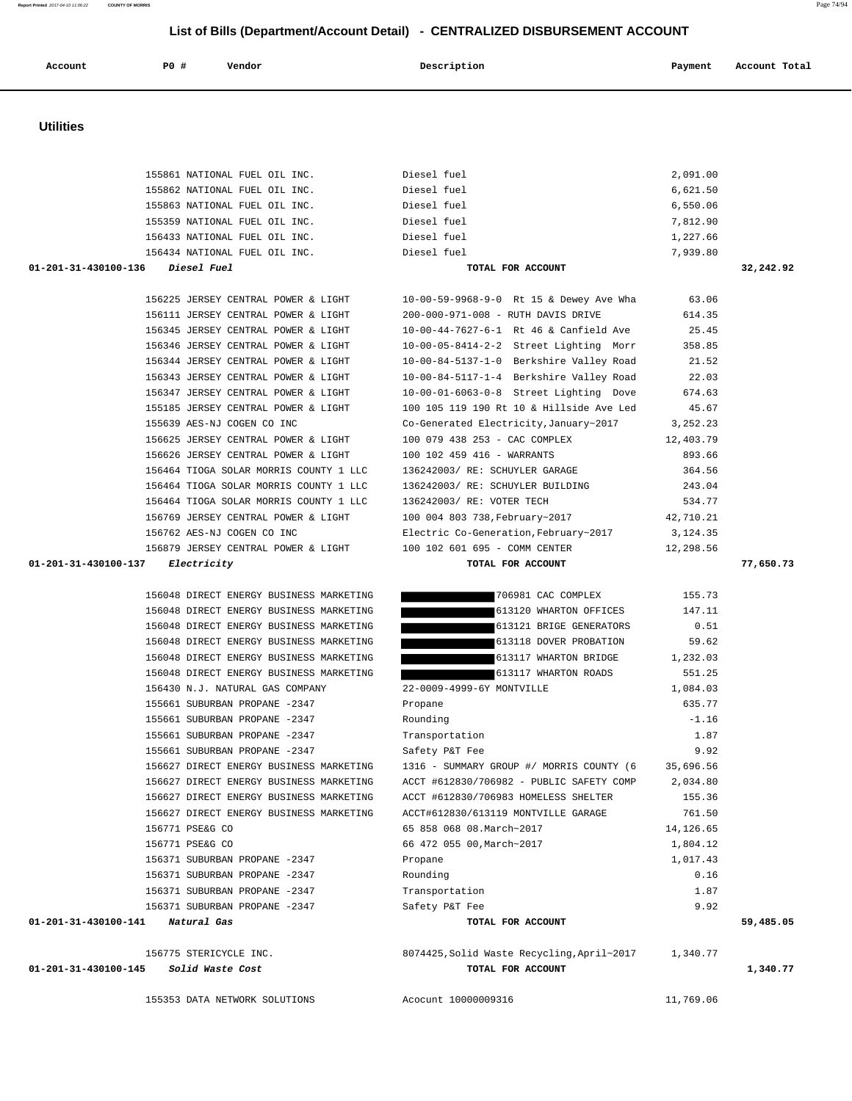| 156430 N.J. NATURAL GAS COMPANY          | 22-0009-4999-6Y MONTVILLE                            | 1,084.03   |           |
|------------------------------------------|------------------------------------------------------|------------|-----------|
| 155661 SUBURBAN PROPANE -2347            | Propane                                              | 635.77     |           |
| 155661 SUBURBAN PROPANE -2347            | Rounding                                             | $-1.16$    |           |
| 155661 SUBURBAN PROPANE -2347            | Transportation                                       | 1.87       |           |
| 155661 SUBURBAN PROPANE -2347            | Safety P&T Fee                                       | 9.92       |           |
| 156627 DIRECT ENERGY BUSINESS MARKETING  | 1316 - SUMMARY GROUP #/ MORRIS COUNTY (6             | 35,696.56  |           |
| 156627 DIRECT ENERGY BUSINESS MARKETING  | ACCT #612830/706982 - PUBLIC SAFETY COMP             | 2,034.80   |           |
| 156627 DIRECT ENERGY BUSINESS MARKETING  | ACCT #612830/706983 HOMELESS SHELTER                 | 155.36     |           |
| 156627 DIRECT ENERGY BUSINESS MARKETING  | ACCT#612830/613119 MONTVILLE GARAGE                  | 761.50     |           |
| 156771 PSE&G CO                          | 65 858 068 08. March~2017                            | 14, 126.65 |           |
| 156771 PSE&G CO                          | 66 472 055 00, March~2017                            | 1,804.12   |           |
| 156371 SUBURBAN PROPANE -2347            | Propane                                              | 1,017.43   |           |
| 156371 SUBURBAN PROPANE -2347            | Rounding                                             | 0.16       |           |
| 156371 SUBURBAN PROPANE -2347            | Transportation                                       | 1.87       |           |
| 156371 SUBURBAN PROPANE -2347            | Safety P&T Fee                                       | 9.92       |           |
| Natural Gas<br>01-201-31-430100-141      | TOTAL FOR ACCOUNT                                    |            | 59,485.05 |
| 156775 STERICYCLE INC.                   | 8074425, Solid Waste Recycling, April~2017 1, 340.77 |            |           |
| 01-201-31-430100-145<br>Solid Waste Cost | TOTAL FOR ACCOUNT                                    |            | 1,340.77  |
| 155353 DATA NETWORK SOLUTIONS            | Acocunt 10000009316                                  | 11,769.06  |           |

 156048 DIRECT ENERGY BUSINESS MARKETING 706981 CAC COMPLEX 155.73 156048 DIRECT ENERGY BUSINESS MARKETING 613120 WHARTON OFFICES 147.11 156048 DIRECT ENERGY BUSINESS MARKETING 613121 BRIGE GENERATORS 0.51 156048 DIRECT ENERGY BUSINESS MARKETING 613118 DOVER PROBATION 59.62 156048 DIRECT ENERGY BUSINESS MARKETING 613117 WHARTON BRIDGE 1,232.03 156048 DIRECT ENERGY BUSINESS MARKETING 613117 WHARTON ROADS 551.25

#### **01-201-31-430100-137 Electricity TOTAL FOR ACCOUNT 77,650.73**

|                                           |                                                                                   | $+ 1 - 1 - 1 - 0 - 0$ |           |
|-------------------------------------------|-----------------------------------------------------------------------------------|-----------------------|-----------|
| 156434 NATIONAL FUEL OIL INC. Diesel fuel |                                                                                   | 7,939.80              |           |
|                                           | TOTAL FOR ACCOUNT                                                                 |                       | 32,242.92 |
|                                           |                                                                                   |                       |           |
|                                           | 156225 JERSEY CENTRAL POWER & LIGHT 10-00-59-9968-9-0 Rt 15 & Dewey Ave Wha 63.06 |                       |           |
|                                           | 156111 JERSEY CENTRAL POWER & LIGHT 200-000-971-008 - RUTH DAVIS DRIVE 614.35     |                       |           |
|                                           | 156345 JERSEY CENTRAL POWER & LIGHT 10-00-44-7627-6-1 Rt 46 & Canfield Ave 25.45  |                       |           |
|                                           | 156346 JERSEY CENTRAL POWER & LIGHT 10-00-05-8414-2-2 Street Lighting Morr 358.85 |                       |           |
|                                           | 156344 JERSEY CENTRAL POWER & LIGHT 10-00-84-5137-1-0 Berkshire Valley Road 21.52 |                       |           |
|                                           | 156343 JERSEY CENTRAL POWER & LIGHT 10-00-84-5117-1-4 Berkshire Valley Road 22.03 |                       |           |
| 156347 JERSEY CENTRAL POWER & LIGHT       | $10-00-01-6063-0-8$ Street Lighting Dove 674.63                                   |                       |           |
| 155185 JERSEY CENTRAL POWER & LIGHT       | 100 105 119 190 Rt 10 & Hillside Ave Led 45.67                                    |                       |           |
|                                           | 155639 AES-NJ COGEN CO INC 60 Co-Generated Electricity, January~2017 3, 252.23    |                       |           |
|                                           | 156625 JERSEY CENTRAL POWER & LIGHT 100 079 438 253 - CAC COMPLEX 12,403.79       |                       |           |
|                                           | 156626 JERSEY CENTRAL POWER & LIGHT 100 102 459 416 - WARRANTS                    | 893.66                |           |
|                                           | 156464 TIOGA SOLAR MORRIS COUNTY 1 LLC 136242003/RE: SCHUYLER GARAGE 364.56       |                       |           |
| 156464 TIOGA SOLAR MORRIS COUNTY 1 LLC    | 136242003/ RE: SCHUYLER BUILDING 243.04                                           |                       |           |
|                                           | 156464 TIOGA SOLAR MORRIS COUNTY 1 LLC 136242003/RE: VOTER TECH                   | 534.77                |           |
|                                           | 156769 JERSEY CENTRAL POWER & LIGHT 100 004 803 738, February~2017 42, 710.21     |                       |           |
|                                           | 156762 AES-NJ COGEN CO INC Electric Co-Generation, February~2017 3, 124.35        |                       |           |
|                                           | 156879 JERSEY CENTRAL POWER & LIGHT 100 102 601 695 - COMM CENTER 12,298.56       |                       |           |
|                                           |                                                                                   |                       |           |

| CENTRAL POWER & LIGHT     | 10-00-59-9968-9-0 Rt 15 & Dewey Ave Wha  | 63.06      |
|---------------------------|------------------------------------------|------------|
| CENTRAL POWER & LIGHT     | 200-000-971-008 - RUTH DAVIS DRIVE       | 614.35     |
| CENTRAL POWER & LIGHT     | $10-00-44-7627-6-1$ Rt 46 & Canfield Ave | 25.45      |
| CENTRAL POWER & LIGHT     | 10-00-05-8414-2-2 Street Lighting Morr   | 358.85     |
| CENTRAL POWER & LIGHT     | 10-00-84-5137-1-0 Berkshire Valley Road  | 21.52      |
| CENTRAL POWER & LIGHT     | 10-00-84-5117-1-4 Berkshire Valley Road  | 22.03      |
| CENTRAL POWER & LIGHT     | 10-00-01-6063-0-8 Street Lighting Dove   | 674.63     |
| CENTRAL POWER & LIGHT     | 100 105 119 190 Rt 10 & Hillside Ave Led | 45.67      |
| COGEN CO INC              | Co-Generated Electricity, January~2017   | 3, 252. 23 |
| CENTRAL POWER & LIGHT     | 100 079 438 253 - CAC COMPLEX            | 12,403.79  |
| CENTRAL POWER & LIGHT     | 100 102 459 416 - WARRANTS               | 893.66     |
| SOLAR MORRIS COUNTY 1 LLC | 136242003/ RE: SCHUYLER GARAGE           | 364.56     |
| SOLAR MORRIS COUNTY 1 LLC | 136242003/ RE: SCHUYLER BUILDING         | 243.04     |
| SOLAR MORRIS COUNTY 1 LLC | 136242003/ RE: VOTER TECH                | 534.77     |
| CENTRAL POWER & LIGHT     | 100 004 803 738, February~2017           | 42,710.21  |

| 01-201-31-430100-136 | Diesel Fue. |  |
|----------------------|-------------|--|

| 155861 NATIONAL FUEL OIL INC. | Diesel fuel | 2,091.00 |
|-------------------------------|-------------|----------|
| 155862 NATIONAL FUEL OIL INC. | Diesel fuel | 6,621.50 |
| 155863 NATIONAL FUEL OIL INC. | Diesel fuel | 6,550.06 |
| 155359 NATIONAL FUEL OIL INC. | Diesel fuel | 7,812.90 |
| 156433 NATIONAL FUEL OIL INC. | Diesel fuel | 1,227.66 |
| 156434 NATIONAL FUEL OIL INC. | Diesel fuel | 7,939.80 |
|                               |             |          |

#### **Utilities**

|         | List of Bills (Department/Account Detail) - CENTRALIZED DISBURSEMENT ACCOUNT |        |             |         |               |
|---------|------------------------------------------------------------------------------|--------|-------------|---------|---------------|
| Account | PO#                                                                          | Vendor | Description | Payment | Account Total |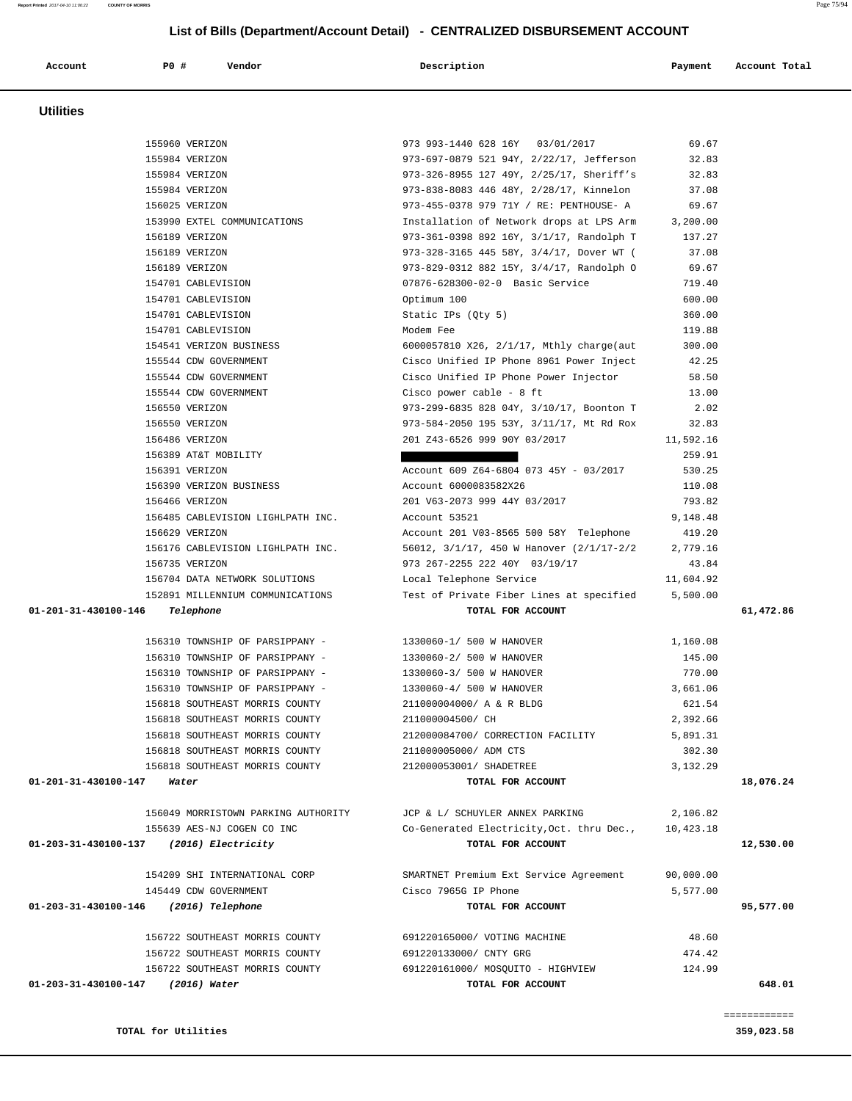#### **TOTAL for Utilities 359,023.58**

 **Utilities** 

| 155960 VERIZON                        |                                                          | 973 993-1440 628 16Y 03/01/2017                                        | 69.67     |           |
|---------------------------------------|----------------------------------------------------------|------------------------------------------------------------------------|-----------|-----------|
| 155984 VERIZON                        |                                                          | 973-697-0879 521 94Y, 2/22/17, Jefferson                               | 32.83     |           |
| 155984 VERIZON                        |                                                          | 973-326-8955 127 49Y, 2/25/17, Sheriff's                               | 32.83     |           |
| 155984 VERIZON                        |                                                          | 973-838-8083 446 48Y, 2/28/17, Kinnelon                                | 37.08     |           |
| 156025 VERIZON                        |                                                          | 973-455-0378 979 71Y / RE: PENTHOUSE- A                                | 69.67     |           |
|                                       | 153990 EXTEL COMMUNICATIONS                              | Installation of Network drops at LPS Arm 3,200.00                      |           |           |
| 156189 VERIZON                        |                                                          | 973-361-0398 892 16Y, 3/1/17, Randolph T                               | 137.27    |           |
| 156189 VERIZON                        |                                                          | 973-328-3165 445 58Y, 3/4/17, Dover WT (                               | 37.08     |           |
| 156189 VERIZON                        |                                                          | 973-829-0312 882 15Y, 3/4/17, Randolph 0 69.67                         |           |           |
|                                       | 154701 CABLEVISION                                       | 07876-628300-02-0 Basic Service                                        | 719.40    |           |
|                                       | 154701 CABLEVISION                                       | Optimum 100                                                            | 600.00    |           |
|                                       | 154701 CABLEVISION                                       | Static IPs (Qty 5)                                                     | 360.00    |           |
|                                       | 154701 CABLEVISION                                       | Modem Fee                                                              | 119.88    |           |
|                                       | 154541 VERIZON BUSINESS                                  | 6000057810 X26, 2/1/17, Mthly charge(aut                               | 300.00    |           |
|                                       | 155544 CDW GOVERNMENT                                    | Cisco Unified IP Phone 8961 Power Inject                               | 42.25     |           |
|                                       | 155544 CDW GOVERNMENT                                    | Cisco Unified IP Phone Power Injector                                  | 58.50     |           |
|                                       | 155544 CDW GOVERNMENT                                    | Cisco power cable - 8 ft                                               | 13.00     |           |
| 156550 VERIZON                        |                                                          | 973-299-6835 828 04Y, 3/10/17, Boonton T                               | 2.02      |           |
| 156550 VERIZON                        |                                                          | 973-584-2050 195 53Y, 3/11/17, Mt Rd Rox                               | 32.83     |           |
| 156486 VERIZON                        |                                                          | 201 Z43-6526 999 90Y 03/2017                                           | 11,592.16 |           |
|                                       | 156389 AT&T MOBILITY                                     |                                                                        | 259.91    |           |
| 156391 VERIZON                        |                                                          | Account 609 Z64-6804 073 45Y - 03/2017                                 | 530.25    |           |
|                                       | 156390 VERIZON BUSINESS                                  | Account 6000083582X26                                                  | 110.08    |           |
| 156466 VERIZON                        |                                                          | 201 V63-2073 999 44Y 03/2017                                           | 793.82    |           |
|                                       | 156485 CABLEVISION LIGHLPATH INC.                        | Account 53521                                                          | 9,148.48  |           |
| 156629 VERIZON                        |                                                          | Account 201 V03-8565 500 58Y Telephone                                 | 419.20    |           |
|                                       | 156176 CABLEVISION LIGHLPATH INC.                        | 56012, 3/1/17, 450 W Hanover (2/1/17-2/2 2,779.16                      |           |           |
| 156735 VERIZON                        |                                                          | 973 267-2255 222 40Y 03/19/17                                          | 43.84     |           |
|                                       | 156704 DATA NETWORK SOLUTIONS                            |                                                                        |           |           |
|                                       |                                                          |                                                                        |           |           |
|                                       | 152891 MILLENNIUM COMMUNICATIONS                         | Local Telephone Service                                                | 11,604.92 |           |
| 01-201-31-430100-146                  | Telephone                                                | Test of Private Fiber Lines at specified 5,500.00<br>TOTAL FOR ACCOUNT |           | 61,472.86 |
|                                       |                                                          |                                                                        |           |           |
|                                       | 156310 TOWNSHIP OF PARSIPPANY - 1330060-1/ 500 W HANOVER |                                                                        | 1,160.08  |           |
|                                       | 156310 TOWNSHIP OF PARSIPPANY -                          | 1330060-2/ 500 W HANOVER                                               | 145.00    |           |
|                                       | 156310 TOWNSHIP OF PARSIPPANY -                          | 1330060-3/ 500 W HANOVER                                               | 770.00    |           |
|                                       | 156310 TOWNSHIP OF PARSIPPANY -                          | 1330060-4/ 500 W HANOVER                                               | 3,661.06  |           |
|                                       | 156818 SOUTHEAST MORRIS COUNTY                           | 211000004000/ A & R BLDG                                               | 621.54    |           |
|                                       | 156818 SOUTHEAST MORRIS COUNTY                           | 211000004500/ CH                                                       | 2,392.66  |           |
|                                       | 156818 SOUTHEAST MORRIS COUNTY                           | 212000084700/ CORRECTION FACILITY                                      | 5,891.31  |           |
|                                       | 156818 SOUTHEAST MORRIS COUNTY                           | 211000005000/ ADM CTS                                                  | 302.30    |           |
|                                       | 156818 SOUTHEAST MORRIS COUNTY                           | 212000053001/ SHADETREE                                                | 3,132.29  |           |
| 01-201-31-430100-147<br>Water         |                                                          | TOTAL FOR ACCOUNT                                                      |           | 18,076.24 |
|                                       |                                                          |                                                                        |           |           |
|                                       | 156049 MORRISTOWN PARKING AUTHORITY                      | JCP & L/ SCHUYLER ANNEX PARKING                                        | 2,106.82  |           |
|                                       | 155639 AES-NJ COGEN CO INC                               | Co-Generated Electricity, Oct. thru Dec.,                              | 10,423.18 |           |
| 01-203-31-430100-137                  | (2016) Electricity                                       | TOTAL FOR ACCOUNT                                                      |           | 12,530.00 |
|                                       |                                                          |                                                                        |           |           |
|                                       | 154209 SHI INTERNATIONAL CORP                            | SMARTNET Premium Ext Service Agreement                                 | 90,000.00 |           |
|                                       | 145449 CDW GOVERNMENT                                    | Cisco 7965G IP Phone                                                   | 5,577.00  |           |
| 01-203-31-430100-146 (2016) Telephone |                                                          | TOTAL FOR ACCOUNT                                                      |           | 95,577.00 |
|                                       |                                                          |                                                                        |           |           |
|                                       | 156722 SOUTHEAST MORRIS COUNTY                           | 691220165000/ VOTING MACHINE                                           | 48.60     |           |
|                                       | 156722 SOUTHEAST MORRIS COUNTY                           | 691220133000/ CNTY GRG                                                 | 474.42    |           |
|                                       | 156722 SOUTHEAST MORRIS COUNTY                           | 691220161000/ MOSQUITO - HIGHVIEW                                      | 124.99    |           |
| 01-203-31-430100-147                  | (2016) Water                                             | TOTAL FOR ACCOUNT                                                      |           | 648.01    |

# **List of Bills (Department/Account Detail) - CENTRALIZED DISBURSEMENT ACCOUNT**

 **Account P0 # Vendor Description Payment Account Total**

**Report Printed** 2017-04-10 11:06:22 **COUNTY OF MORRIS** Page 75/94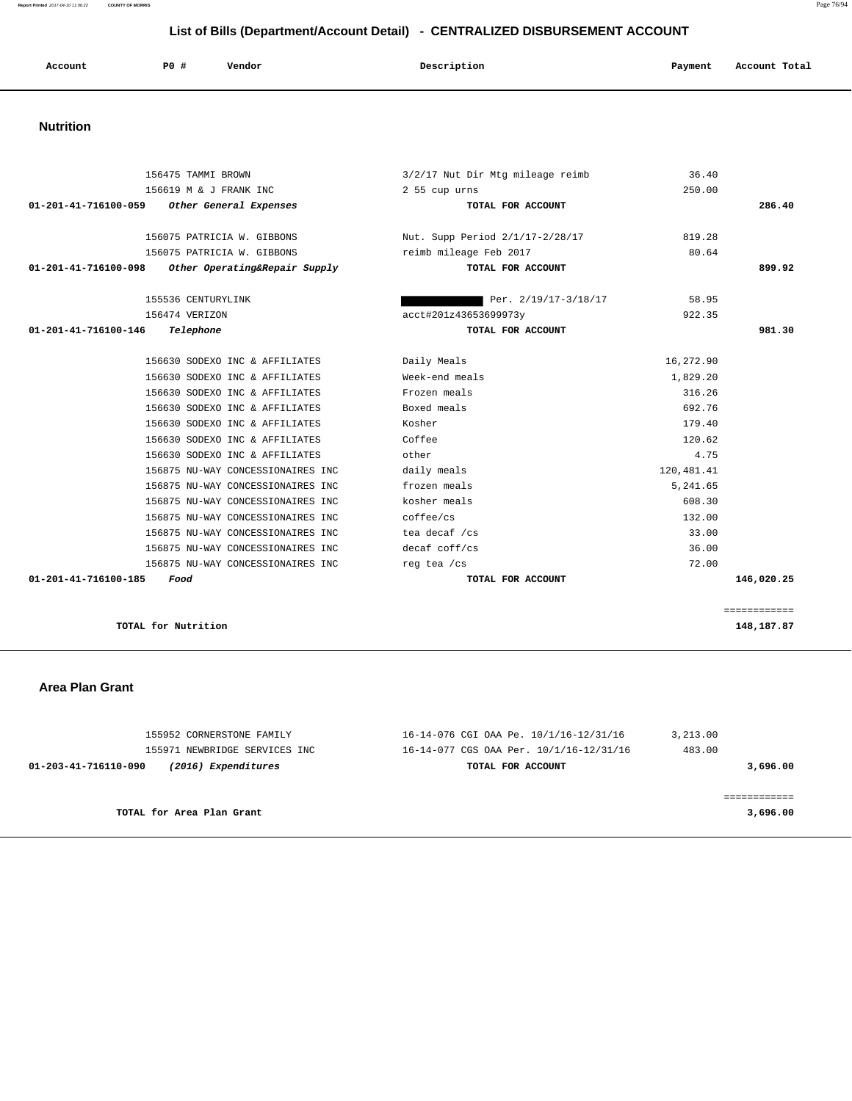| Account               | P0 # | Vendor | Description | Payment | Account Total |
|-----------------------|------|--------|-------------|---------|---------------|
| <b>SALE AND STATE</b> |      |        |             |         |               |

 **Nutrition** 

|                                | 156475 TAMMI BROWN                | 3/2/17 Nut Dir Mtg mileage reimb | 36.40      |              |
|--------------------------------|-----------------------------------|----------------------------------|------------|--------------|
|                                | 156619 M & J FRANK INC            | 2 55 cup urns                    | 250.00     |              |
| $01 - 201 - 41 - 716100 - 059$ | Other General Expenses            | TOTAL FOR ACCOUNT                |            | 286.40       |
|                                | 156075 PATRICIA W. GIBBONS        | Nut. Supp Period 2/1/17-2/28/17  | 819.28     |              |
|                                | 156075 PATRICIA W. GIBBONS        | reimb mileage Feb 2017           | 80.64      |              |
| $01 - 201 - 41 - 716100 - 098$ | Other Operating&Repair Supply     | TOTAL FOR ACCOUNT                |            | 899.92       |
|                                | 155536 CENTURYLINK                | Per. 2/19/17-3/18/17             | 58.95      |              |
|                                | 156474 VERIZON                    | acct#201z43653699973y            | 922.35     |              |
| 01-201-41-716100-146           | Telephone                         | TOTAL FOR ACCOUNT                |            | 981.30       |
|                                | 156630 SODEXO INC & AFFILIATES    | Daily Meals                      | 16,272.90  |              |
|                                | 156630 SODEXO INC & AFFILIATES    | Week-end meals                   | 1,829.20   |              |
|                                | 156630 SODEXO INC & AFFILIATES    | Frozen meals                     | 316.26     |              |
|                                | 156630 SODEXO INC & AFFILIATES    | Boxed meals                      | 692.76     |              |
|                                | 156630 SODEXO INC & AFFILIATES    | Kosher                           | 179.40     |              |
|                                | 156630 SODEXO INC & AFFILIATES    | Coffee                           | 120.62     |              |
|                                | 156630 SODEXO INC & AFFILIATES    | other                            | 4.75       |              |
|                                | 156875 NU-WAY CONCESSIONAIRES INC | daily meals                      | 120,481.41 |              |
|                                | 156875 NU-WAY CONCESSIONAIRES INC | frozen meals                     | 5, 241, 65 |              |
|                                | 156875 NU-WAY CONCESSIONAIRES INC | kosher meals                     | 608.30     |              |
|                                | 156875 NU-WAY CONCESSIONAIRES INC | coffee/cs                        | 132.00     |              |
|                                | 156875 NU-WAY CONCESSIONAIRES INC | tea decaf /cs                    | 33.00      |              |
|                                | 156875 NU-WAY CONCESSIONAIRES INC | decaf coff/cs                    | 36.00      |              |
|                                | 156875 NU-WAY CONCESSIONAIRES INC | reg tea /cs                      | 72.00      |              |
| 01-201-41-716100-185           | Food                              | TOTAL FOR ACCOUNT                |            | 146,020.25   |
|                                |                                   |                                  |            | ============ |
|                                | TOTAL for Nutrition               |                                  |            | 148,187.87   |
|                                |                                   |                                  |            |              |

## **Area Plan Grant**

| 155952 CORNERSTONE FAMILY                   | 16-14-076 CGI OAA Pe. 10/1/16-12/31/16  | 3,213.00 |
|---------------------------------------------|-----------------------------------------|----------|
| 155971 NEWBRIDGE SERVICES INC               | 16-14-077 CGS OAA Per. 10/1/16-12/31/16 | 483.00   |
| (2016) Expenditures<br>01-203-41-716110-090 | TOTAL FOR ACCOUNT                       | 3,696.00 |
|                                             |                                         |          |
|                                             |                                         |          |
| TOTAL for Area Plan Grant                   |                                         | 3,696.00 |
|                                             |                                         |          |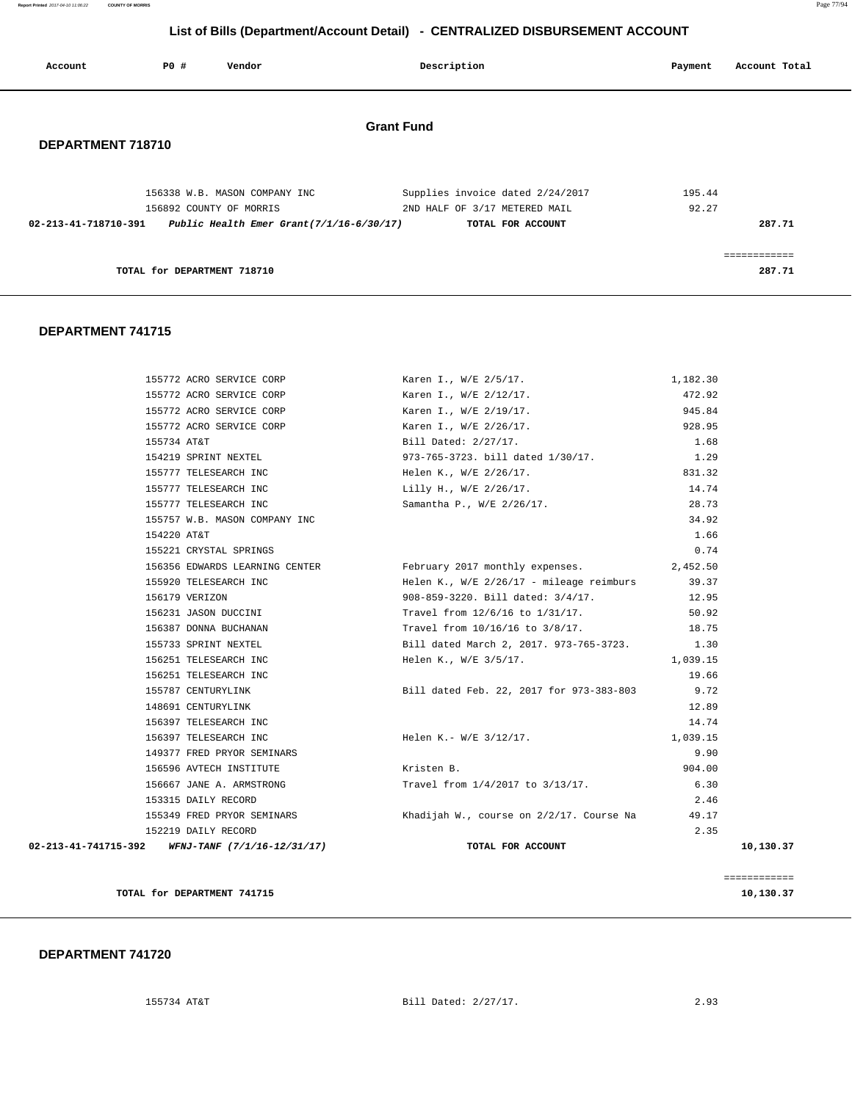**Report Printed** 2017-04-10 11:06:22 **COUNTY OF MORRIS** Page 77/94

# **List of Bills (Department/Account Detail) - CENTRALIZED DISBURSEMENT ACCOUNT**

| Account              | <b>PO #</b>                 | Vendor                                                   | Description       |                                                                   | Payment         | Account Total |
|----------------------|-----------------------------|----------------------------------------------------------|-------------------|-------------------------------------------------------------------|-----------------|---------------|
| DEPARTMENT 718710    |                             |                                                          | <b>Grant Fund</b> |                                                                   |                 |               |
|                      |                             | 156338 W.B. MASON COMPANY INC<br>156892 COUNTY OF MORRIS |                   | Supplies invoice dated 2/24/2017<br>2ND HALF OF 3/17 METERED MAIL | 195.44<br>92.27 |               |
| 02-213-41-718710-391 |                             | Public Health Emer Grant $(7/1/16-6/30/17)$              |                   | TOTAL FOR ACCOUNT                                                 |                 | 287.71        |
|                      |                             |                                                          |                   |                                                                   |                 | ------------  |
|                      | TOTAL for DEPARTMENT 718710 |                                                          |                   |                                                                   |                 | 287.71        |

#### **DEPARTMENT 741715**

| TOTAL for DEPARTMENT 741715                          |                                                          |          | ============<br>10,130.37 |
|------------------------------------------------------|----------------------------------------------------------|----------|---------------------------|
| 02-213-41-741715-392 WFNJ-TANF $(7/1/16 - 12/31/17)$ | TOTAL FOR ACCOUNT                                        |          | 10,130.37                 |
| 152219 DAILY RECORD                                  |                                                          | 2.35     |                           |
| 155349 FRED PRYOR SEMINARS                           | Khadijah W., course on 2/2/17. Course Na           49.17 |          |                           |
| 153315 DAILY RECORD                                  |                                                          | 2.46     |                           |
| 156667 JANE A. ARMSTRONG                             | Travel from 1/4/2017 to 3/13/17.                         | 6.30     |                           |
| 156596 AVTECH INSTITUTE                              | Kristen B.                                               | 904.00   |                           |
| 149377 FRED PRYOR SEMINARS                           |                                                          | 9.90     |                           |
| 156397 TELESEARCH INC                                | Helen K.- W/E 3/12/17.                                   | 1,039.15 |                           |
| 156397 TELESEARCH INC                                |                                                          | 14.74    |                           |
| 148691 CENTURYLINK                                   |                                                          | 12.89    |                           |
| 155787 CENTURYLINK                                   | Bill dated Feb. 22, 2017 for 973-383-803                 | 9.72     |                           |
| 156251 TELESEARCH INC                                |                                                          | 19.66    |                           |
| 156251 TELESEARCH INC                                | Helen K., W/E 3/5/17.                                    | 1,039.15 |                           |
| 155733 SPRINT NEXTEL                                 | Bill dated March 2, 2017. 973-765-3723.                  | 1.30     |                           |
| 156387 DONNA BUCHANAN                                | Travel from 10/16/16 to 3/8/17.                          | 18.75    |                           |
| 156231 JASON DUCCINI                                 | Travel from 12/6/16 to 1/31/17.                          | 50.92    |                           |
| 156179 VERIZON                                       | 908-859-3220. Bill dated: 3/4/17.                        | 12.95    |                           |
| 155920 TELESEARCH INC                                | Helen K., $W/E \frac{2}{26}/17 - mileage$ reimburs 39.37 |          |                           |
| 156356 EDWARDS LEARNING CENTER                       | February 2017 monthly expenses.                          | 2,452.50 |                           |
| 155221 CRYSTAL SPRINGS                               |                                                          | 0.74     |                           |
| 154220 AT&T                                          |                                                          | 1.66     |                           |
| 155757 W.B. MASON COMPANY INC                        |                                                          | 34.92    |                           |
| 155777 TELESEARCH INC                                | Samantha P., W/E 2/26/17.                                | 28.73    |                           |
| 155777 TELESEARCH INC                                | Lilly H., W/E 2/26/17.                                   | 14.74    |                           |
| 155777 TELESEARCH INC                                | Helen K., W/E 2/26/17.                                   | 831.32   |                           |
| 154219 SPRINT NEXTEL                                 | 973-765-3723. bill dated 1/30/17.                        | 1.29     |                           |
| 155734 AT&T                                          | Bill Dated: 2/27/17.                                     | 1.68     |                           |
| 155772 ACRO SERVICE CORP 6 Karen I., W/E 2/26/17.    |                                                          | 928.95   |                           |
| 155772 ACRO SERVICE CORP                             | Karen I., W/E 2/19/17.                                   | 945.84   |                           |
| 155772 ACRO SERVICE CORP                             | Karen I., W/E 2/12/17.                                   | 472.92   |                           |
| 155772 ACRO SERVICE CORP                             | Karen I., W/E 2/5/17.                                    | 1,182.30 |                           |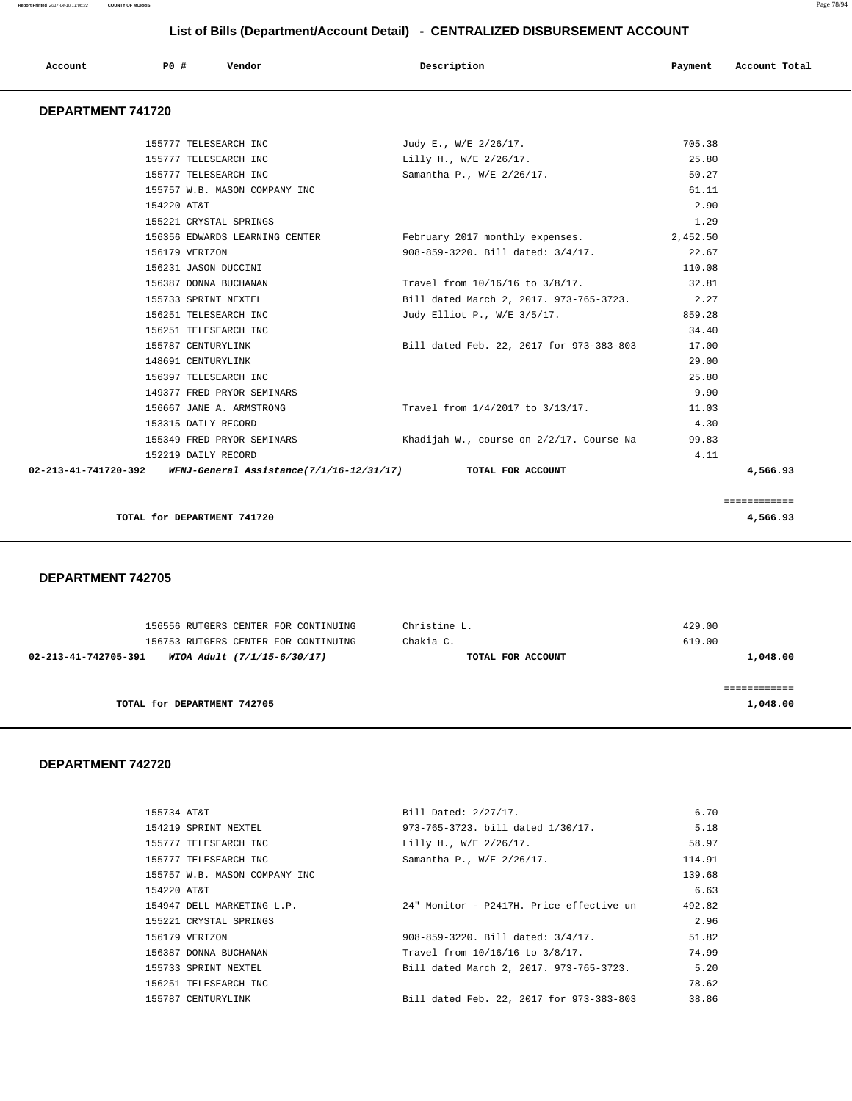| P <sub>0</sub><br>Description<br>Vendor<br>Account<br>Account Total<br>Payment<br>. |  |
|-------------------------------------------------------------------------------------|--|
|-------------------------------------------------------------------------------------|--|

## **DEPARTMENT 741720**

|             | TOTAL for DEPARTMENT 741720                                                     |                                                                |          | ============<br>4,566.93 |
|-------------|---------------------------------------------------------------------------------|----------------------------------------------------------------|----------|--------------------------|
|             | 02-213-41-741720-392 WFNJ-General Assistance(7/1/16-12/31/17) TOTAL FOR ACCOUNT |                                                                |          | 4,566.93                 |
|             | 152219 DAILY RECORD                                                             |                                                                | 4.11     |                          |
|             | 155349 FRED PRYOR SEMINARS                                                      | Khadijah W., course on 2/2/17. Course Na                       | 99.83    |                          |
|             | 153315 DAILY RECORD                                                             |                                                                | 4.30     |                          |
|             | 156667 JANE A. ARMSTRONG                                                        | Travel from 1/4/2017 to 3/13/17.                               | 11.03    |                          |
|             | 149377 FRED PRYOR SEMINARS                                                      |                                                                | 9.90     |                          |
|             | 156397 TELESEARCH INC                                                           |                                                                | 25.80    |                          |
|             | 148691 CENTURYLINK                                                              |                                                                | 29.00    |                          |
|             | 155787 CENTURYLINK                                                              | Bill dated Feb. 22, 2017 for 973-383-803                       | 17.00    |                          |
|             | 156251 TELESEARCH INC                                                           |                                                                | 34.40    |                          |
|             | 156251 TELESEARCH INC                                                           | Judy Elliot P., W/E 3/5/17.                                    | 859.28   |                          |
|             | 155733 SPRINT NEXTEL                                                            | Bill dated March 2, 2017. 973-765-3723. 2.27                   |          |                          |
|             | 156387 DONNA BUCHANAN                                                           | Travel from 10/16/16 to 3/8/17.                                | 32.81    |                          |
|             | 156231 JASON DUCCINI                                                            |                                                                | 110.08   |                          |
|             | 156179 VERIZON                                                                  | 908-859-3220. Bill dated: 3/4/17.                              | 22.67    |                          |
|             |                                                                                 | 156356 EDWARDS LEARNING CENTER February 2017 monthly expenses. | 2,452.50 |                          |
|             | 155221 CRYSTAL SPRINGS                                                          |                                                                | 1.29     |                          |
| 154220 AT&T |                                                                                 |                                                                | 2.90     |                          |
|             | 155757 W.B. MASON COMPANY INC.                                                  |                                                                | 61.11    |                          |
|             | 155777 TELESEARCH INC                                                           | Samantha P., W/E 2/26/17.                                      | 50.27    |                          |
|             | 155777 TELESEARCH INC                                                           | Lilly H., W/E 2/26/17.                                         | 25.80    |                          |
|             | 155777 TELESEARCH INC                                                           | Judy E., W/E 2/26/17.                                          | 705.38   |                          |

 **DEPARTMENT 742705** 

| 156556 RUTGERS CENTER FOR CONTINUING<br>156753 RUTGERS CENTER FOR CONTINUING | Christine L.<br>Chakia C. | 429.00<br>619.00 |
|------------------------------------------------------------------------------|---------------------------|------------------|
| 02-213-41-742705-391<br>WIOA Adult (7/1/15-6/30/17)                          | TOTAL FOR ACCOUNT         | 1,048.00         |
|                                                                              |                           |                  |
| TOTAL for DEPARTMENT 742705                                                  |                           | 1,048.00         |

| 155734 AT&T                   | Bill Dated: 2/27/17.                     | 6.70   |
|-------------------------------|------------------------------------------|--------|
| 154219 SPRINT NEXTEL          | 973-765-3723, bill dated 1/30/17.        | 5.18   |
| 155777 TELESEARCH INC         | Lilly H., W/E 2/26/17.                   | 58.97  |
| 155777 TELESEARCH INC         | Samantha P., W/E 2/26/17.                | 114.91 |
| 155757 W.B. MASON COMPANY INC |                                          | 139.68 |
| 154220 AT&T                   |                                          | 6.63   |
| 154947 DELL MARKETING L.P.    | 24" Monitor - P2417H. Price effective un | 492.82 |
| 155221 CRYSTAL SPRINGS        |                                          | 2.96   |
| 156179 VERIZON                | 908-859-3220. Bill dated: 3/4/17.        | 51.82  |
| 156387 DONNA BUCHANAN         | Travel from 10/16/16 to 3/8/17.          | 74.99  |
| 155733 SPRINT NEXTEL          | Bill dated March 2, 2017. 973-765-3723.  | 5.20   |
| 156251 TELESEARCH INC         |                                          | 78.62  |
| 155787 CENTURYLINK            | Bill dated Feb. 22, 2017 for 973-383-803 | 38.86  |
|                               |                                          |        |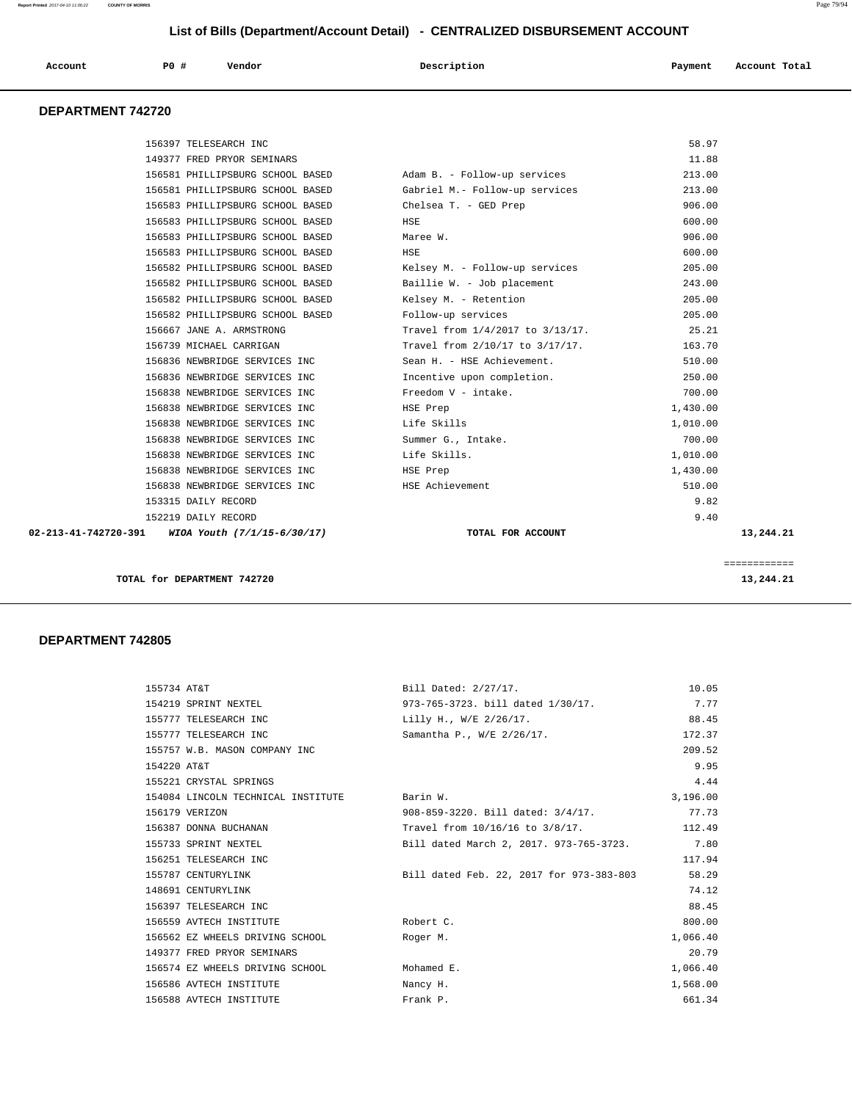| Account<br>. | P <sub>0</sub> | Vendor | Description<br>$\sim$ $\sim$ | Payment | Account Total |
|--------------|----------------|--------|------------------------------|---------|---------------|
|              |                |        |                              |         |               |

## **DEPARTMENT 742720**

|                      | TOTAL for DEPARTMENT 742720      |                                  |          | ============<br>13,244.21 |
|----------------------|----------------------------------|----------------------------------|----------|---------------------------|
| 02-213-41-742720-391 | WIOA Youth (7/1/15-6/30/17)      | TOTAL FOR ACCOUNT                |          | 13,244.21                 |
|                      | 152219 DAILY RECORD              |                                  | 9.40     |                           |
|                      | 153315 DAILY RECORD              |                                  | 9.82     |                           |
|                      | 156838 NEWBRIDGE SERVICES INC    | HSE Achievement                  | 510.00   |                           |
|                      | 156838 NEWBRIDGE SERVICES INC    | HSE Prep                         | 1,430.00 |                           |
|                      | 156838 NEWBRIDGE SERVICES INC    | Life Skills.                     | 1,010.00 |                           |
|                      | 156838 NEWBRIDGE SERVICES INC    | Summer G., Intake.               | 700.00   |                           |
|                      | 156838 NEWBRIDGE SERVICES INC    | Life Skills                      | 1,010.00 |                           |
|                      | 156838 NEWBRIDGE SERVICES INC    | HSE Prep                         | 1,430.00 |                           |
|                      | 156838 NEWBRIDGE SERVICES INC    | Freedom V - intake.              | 700.00   |                           |
|                      | 156836 NEWBRIDGE SERVICES INC    | Incentive upon completion.       | 250.00   |                           |
|                      | 156836 NEWBRIDGE SERVICES INC    | Sean H. - HSE Achievement.       | 510.00   |                           |
|                      | 156739 MICHAEL CARRIGAN          | Travel from 2/10/17 to 3/17/17.  | 163.70   |                           |
|                      | 156667 JANE A. ARMSTRONG         | Travel from 1/4/2017 to 3/13/17. | 25.21    |                           |
|                      | 156582 PHILLIPSBURG SCHOOL BASED | Follow-up services               | 205.00   |                           |
|                      | 156582 PHILLIPSBURG SCHOOL BASED | Kelsey M. - Retention            | 205.00   |                           |
|                      | 156582 PHILLIPSBURG SCHOOL BASED | Baillie W. - Job placement       | 243.00   |                           |
|                      | 156582 PHILLIPSBURG SCHOOL BASED | Kelsey M. - Follow-up services   | 205.00   |                           |
|                      | 156583 PHILLIPSBURG SCHOOL BASED | HSE                              | 600.00   |                           |
|                      | 156583 PHILLIPSBURG SCHOOL BASED | Maree W.                         | 906.00   |                           |
|                      | 156583 PHILLIPSBURG SCHOOL BASED | HSE                              | 600.00   |                           |
|                      | 156583 PHILLIPSBURG SCHOOL BASED | Chelsea T. - GED Prep            | 906.00   |                           |
|                      | 156581 PHILLIPSBURG SCHOOL BASED | Gabriel M.- Follow-up services   | 213.00   |                           |
|                      | 156581 PHILLIPSBURG SCHOOL BASED | Adam B. - Follow-up services     | 213.00   |                           |
|                      | 149377 FRED PRYOR SEMINARS       |                                  | 11.88    |                           |

| 155734 AT&T                        | Bill Dated: 2/27/17.                         | 10.05    |
|------------------------------------|----------------------------------------------|----------|
| 154219 SPRINT NEXTEL               | 973-765-3723. bill dated 1/30/17.            | 7.77     |
| 155777 TELESEARCH INC              | Lilly H., W/E 2/26/17.                       | 88.45    |
| 155777 TELESEARCH INC              | Samantha P., W/E 2/26/17.                    | 172.37   |
| 155757 W.B. MASON COMPANY INC      |                                              | 209.52   |
| 154220 AT&T                        |                                              | 9.95     |
| 155221 CRYSTAL SPRINGS             |                                              | 4.44     |
| 154084 LINCOLN TECHNICAL INSTITUTE | Barin W.                                     | 3,196.00 |
| 156179 VERIZON                     | 908-859-3220. Bill dated: 3/4/17.            | 77.73    |
| 156387 DONNA BUCHANAN              | Travel from 10/16/16 to 3/8/17.              | 112.49   |
| 155733 SPRINT NEXTEL               | Bill dated March 2, 2017. 973-765-3723. 7.80 |          |
| 156251 TELESEARCH INC              |                                              | 117.94   |
| 155787 CENTURYLINK                 | Bill dated Feb. 22, 2017 for 973-383-803     | 58.29    |
| 148691 CENTURYLINK                 |                                              | 74.12    |
| 156397 TELESEARCH INC              |                                              | 88.45    |
| 156559 AVTECH INSTITUTE            | Robert C.                                    | 800.00   |
| 156562 EZ WHEELS DRIVING SCHOOL    | Roger M.                                     | 1,066.40 |
| 149377 FRED PRYOR SEMINARS         |                                              | 20.79    |
| 156574 EZ WHEELS DRIVING SCHOOL    | Mohamed E.                                   | 1,066.40 |
| 156586 AVTECH INSTITUTE            | Nancy H.                                     | 1,568.00 |
| 156588 AVTECH INSTITUTE            | Frank P.                                     | 661.34   |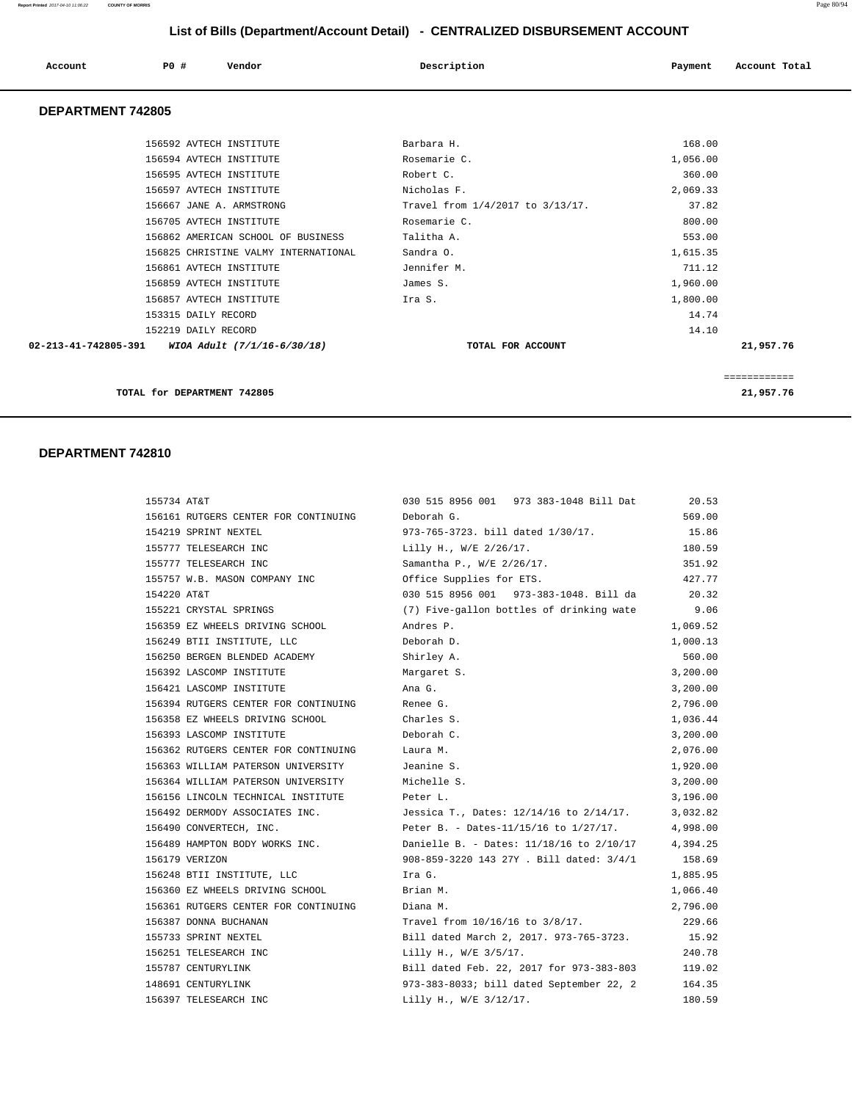| Account                  | PO# | Vendor | Description | Payment | Account Total |
|--------------------------|-----|--------|-------------|---------|---------------|
| <b>DEPARTMENT 742805</b> |     |        |             |         |               |

|                                                                | TOTAL for DEPARTMENT 742805          |                                  |          | 21,957.76 |
|----------------------------------------------------------------|--------------------------------------|----------------------------------|----------|-----------|
|                                                                |                                      |                                  |          |           |
| $02 - 213 - 41 - 742805 - 391$ WIOA Adult $(7/1/16 - 6/30/18)$ |                                      | TOTAL FOR ACCOUNT                |          | 21,957.76 |
|                                                                | 152219 DAILY RECORD                  |                                  | 14.10    |           |
|                                                                | 153315 DAILY RECORD                  |                                  | 14.74    |           |
|                                                                | 156857 AVTECH INSTITUTE              | Ira S.                           | 1,800.00 |           |
|                                                                | 156859 AVTECH INSTITUTE              | James S.                         | 1,960.00 |           |
|                                                                | 156861 AVTECH INSTITUTE              | Jennifer M.                      | 711.12   |           |
|                                                                | 156825 CHRISTINE VALMY INTERNATIONAL | Sandra 0.                        | 1,615.35 |           |
|                                                                | 156862 AMERICAN SCHOOL OF BUSINESS   | Talitha A.                       | 553.00   |           |
|                                                                | 156705 AVTECH INSTITUTE              | Rosemarie C.                     | 800.00   |           |
|                                                                | 156667 JANE A. ARMSTRONG             | Travel from 1/4/2017 to 3/13/17. | 37.82    |           |
|                                                                | 156597 AVTECH INSTITUTE              | Nicholas F.                      | 2,069.33 |           |
|                                                                | 156595 AVTECH INSTITUTE              | Robert C.                        | 360.00   |           |
|                                                                | 156594 AVTECH INSTITUTE              | Rosemarie C.                     | 1,056.00 |           |
|                                                                | 156592 AVTECH INSTITUTE              | Barbara H.                       | 168.00   |           |
|                                                                |                                      |                                  |          |           |

| 155734 AT&T                          | 030 515 8956 001 973 383-1048 Bill Dat   | 20.53    |
|--------------------------------------|------------------------------------------|----------|
| 156161 RUTGERS CENTER FOR CONTINUING | Deborah G.                               | 569.00   |
| 154219 SPRINT NEXTEL                 | 973-765-3723. bill dated 1/30/17.        | 15.86    |
| 155777 TELESEARCH INC                | Lilly H., W/E 2/26/17.                   | 180.59   |
| 155777 TELESEARCH INC                | Samantha P., W/E 2/26/17.                | 351.92   |
| 155757 W.B. MASON COMPANY INC        | Office Supplies for ETS.                 | 427.77   |
| 154220 AT&T                          | 030 515 8956 001 973-383-1048. Bill da   | 20.32    |
| 155221 CRYSTAL SPRINGS               | (7) Five-gallon bottles of drinking wate | 9.06     |
| 156359 EZ WHEELS DRIVING SCHOOL      | Andres P.                                | 1,069.52 |
| 156249 BTII INSTITUTE, LLC           | Deborah D.                               | 1,000.13 |
| 156250 BERGEN BLENDED ACADEMY        | Shirley A.                               | 560.00   |
| 156392 LASCOMP INSTITUTE             | Margaret S.                              | 3,200.00 |
| 156421 LASCOMP INSTITUTE             | Ana G.                                   | 3,200.00 |
| 156394 RUTGERS CENTER FOR CONTINUING | Renee G.                                 | 2,796.00 |
| 156358 EZ WHEELS DRIVING SCHOOL      | Charles S.                               | 1,036.44 |
| 156393 LASCOMP INSTITUTE             | Deborah C.                               | 3,200.00 |
| 156362 RUTGERS CENTER FOR CONTINUING | Laura M.                                 | 2,076.00 |
| 156363 WILLIAM PATERSON UNIVERSITY   | Jeanine S.                               | 1,920.00 |
| 156364 WILLIAM PATERSON UNIVERSITY   | Michelle S.                              | 3,200.00 |
| 156156 LINCOLN TECHNICAL INSTITUTE   | Peter L.                                 | 3,196.00 |
| 156492 DERMODY ASSOCIATES INC.       | Jessica T., Dates: 12/14/16 to 2/14/17.  | 3,032.82 |
| 156490 CONVERTECH, INC.              | Peter B. - Dates-11/15/16 to 1/27/17.    | 4,998.00 |
| 156489 HAMPTON BODY WORKS INC.       | Danielle B. - Dates: 11/18/16 to 2/10/17 | 4,394.25 |
| 156179 VERIZON                       | 908-859-3220 143 27Y . Bill dated: 3/4/1 | 158.69   |
| 156248 BTII INSTITUTE, LLC           | Ira G.                                   | 1,885.95 |
| 156360 EZ WHEELS DRIVING SCHOOL      | Brian M.                                 | 1,066.40 |
| 156361 RUTGERS CENTER FOR CONTINUING | Diana M.                                 | 2,796.00 |
| 156387 DONNA BUCHANAN                | Travel from 10/16/16 to 3/8/17.          | 229.66   |
| 155733 SPRINT NEXTEL                 | Bill dated March 2, 2017. 973-765-3723.  | 15.92    |
| 156251 TELESEARCH INC                | Lilly H., W/E 3/5/17.                    | 240.78   |
| 155787 CENTURYLINK                   | Bill dated Feb. 22, 2017 for 973-383-803 | 119.02   |
| 148691 CENTURYLINK                   | 973-383-8033; bill dated September 22, 2 | 164.35   |
| 156397 TELESEARCH INC                | Lilly H., W/E 3/12/17.                   | 180.59   |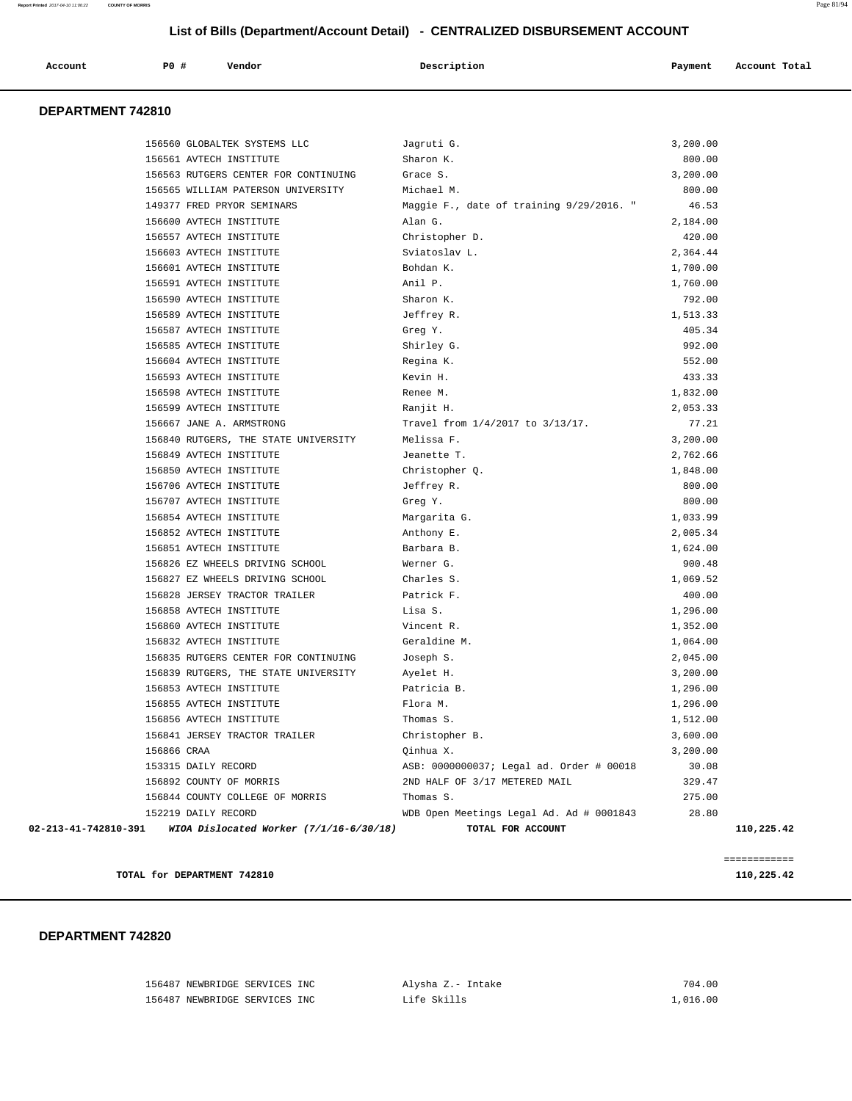| Account | P0 # | Vendor | Description | Payment | Account Total |
|---------|------|--------|-------------|---------|---------------|
|         |      |        |             |         |               |

#### **DEPARTMENT 742810**

|                      | 156560 GLOBALTEK SYSTEMS LLC            | Jagruti G.                               | 3,200.00 |            |
|----------------------|-----------------------------------------|------------------------------------------|----------|------------|
|                      | 156561 AVTECH INSTITUTE                 | Sharon K.                                | 800.00   |            |
|                      | 156563 RUTGERS CENTER FOR CONTINUING    | Grace S.                                 | 3,200.00 |            |
|                      | 156565 WILLIAM PATERSON UNIVERSITY      | Michael M.                               | 800.00   |            |
|                      | 149377 FRED PRYOR SEMINARS              | Maggie F., date of training 9/29/2016. " | 46.53    |            |
|                      | 156600 AVTECH INSTITUTE                 | Alan G.                                  | 2,184.00 |            |
|                      | 156557 AVTECH INSTITUTE                 | Christopher D.                           | 420.00   |            |
|                      | 156603 AVTECH INSTITUTE                 | Sviatoslav L.                            | 2,364.44 |            |
|                      | 156601 AVTECH INSTITUTE                 | Bohdan K.                                | 1,700.00 |            |
|                      | 156591 AVTECH INSTITUTE                 | Anil P.                                  | 1,760.00 |            |
|                      | 156590 AVTECH INSTITUTE                 | Sharon K.                                | 792.00   |            |
|                      | 156589 AVTECH INSTITUTE                 | Jeffrey R.                               | 1,513.33 |            |
|                      | 156587 AVTECH INSTITUTE                 | Greg Y.                                  | 405.34   |            |
|                      | 156585 AVTECH INSTITUTE                 | Shirley G.                               | 992.00   |            |
|                      | 156604 AVTECH INSTITUTE                 | Regina K.                                | 552.00   |            |
|                      | 156593 AVTECH INSTITUTE                 | Kevin H.                                 | 433.33   |            |
|                      | 156598 AVTECH INSTITUTE                 | Renee M.                                 | 1,832.00 |            |
|                      | 156599 AVTECH INSTITUTE                 | Ranjit H.                                | 2,053.33 |            |
|                      | 156667 JANE A. ARMSTRONG                | Travel from 1/4/2017 to 3/13/17.         | 77.21    |            |
|                      | 156840 RUTGERS, THE STATE UNIVERSITY    | Melissa F.                               | 3,200.00 |            |
|                      | 156849 AVTECH INSTITUTE                 | Jeanette T.                              | 2,762.66 |            |
|                      | 156850 AVTECH INSTITUTE                 | Christopher Q.                           | 1,848.00 |            |
|                      | 156706 AVTECH INSTITUTE                 | Jeffrey R.                               | 800.00   |            |
|                      | 156707 AVTECH INSTITUTE                 | Greg Y.                                  | 800.00   |            |
|                      | 156854 AVTECH INSTITUTE                 | Margarita G.                             | 1,033.99 |            |
|                      | 156852 AVTECH INSTITUTE                 | Anthony E.                               | 2,005.34 |            |
|                      | 156851 AVTECH INSTITUTE                 | Barbara B.                               | 1,624.00 |            |
|                      | 156826 EZ WHEELS DRIVING SCHOOL         | Werner G.                                | 900.48   |            |
|                      | 156827 EZ WHEELS DRIVING SCHOOL         | Charles S.                               | 1,069.52 |            |
|                      | 156828 JERSEY TRACTOR TRAILER           | Patrick F.                               | 400.00   |            |
|                      | 156858 AVTECH INSTITUTE                 | Lisa S.                                  | 1,296.00 |            |
|                      | 156860 AVTECH INSTITUTE                 | Vincent R.                               | 1,352.00 |            |
|                      | 156832 AVTECH INSTITUTE                 | Geraldine M.                             | 1,064.00 |            |
|                      | 156835 RUTGERS CENTER FOR CONTINUING    | Joseph S.                                | 2,045.00 |            |
|                      | 156839 RUTGERS, THE STATE UNIVERSITY    | Ayelet H.                                | 3,200.00 |            |
|                      | 156853 AVTECH INSTITUTE                 | Patricia B.                              | 1,296.00 |            |
|                      | 156855 AVTECH INSTITUTE                 | Flora M.                                 | 1,296.00 |            |
|                      | 156856 AVTECH INSTITUTE                 | Thomas S.                                | 1,512.00 |            |
|                      | 156841 JERSEY TRACTOR TRAILER           | Christopher B.                           | 3,600.00 |            |
|                      | 156866 CRAA                             | Qinhua X.                                | 3,200.00 |            |
|                      | 153315 DAILY RECORD                     | ASB: 0000000037; Legal ad. Order # 00018 | 30.08    |            |
|                      | 156892 COUNTY OF MORRIS                 | 2ND HALF OF 3/17 METERED MAIL            | 329.47   |            |
|                      | 156844 COUNTY COLLEGE OF MORRIS         | Thomas S.                                | 275.00   |            |
|                      | 152219 DAILY RECORD                     | WDB Open Meetings Legal Ad. Ad # 0001843 | 28.80    |            |
| 02-213-41-742810-391 | WIOA Dislocated Worker (7/1/16-6/30/18) | TOTAL FOR ACCOUNT                        |          | 110,225.42 |
|                      |                                         |                                          |          |            |

**TOTAL for DEPARTMENT 742810** 110,225.42

============

#### **DEPARTMENT 742820**

 156487 NEWBRIDGE SERVICES INC Alysha Z.- Intake 704.00 156487 NEWBRIDGE SERVICES INC Life Skills 1,016.00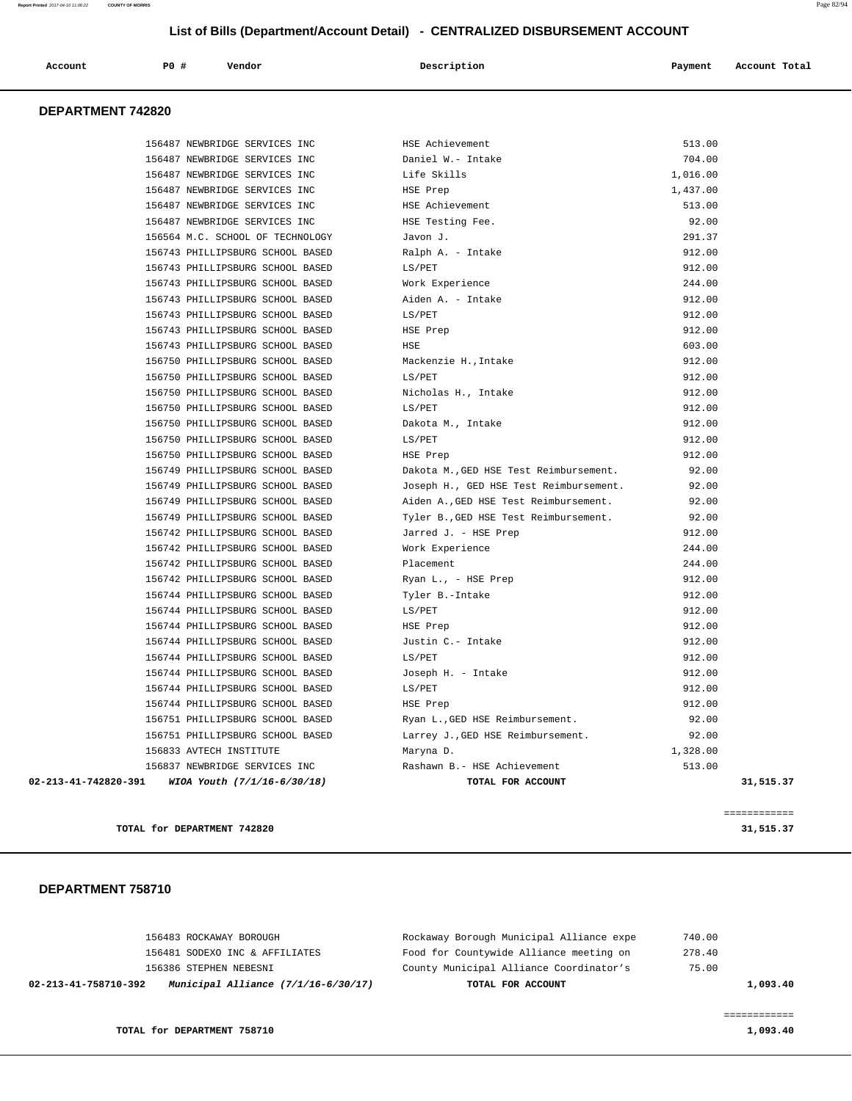| Account<br>. | P <sub>0</sub> | Vendor<br>. | Description | Payment | Account Total |
|--------------|----------------|-------------|-------------|---------|---------------|
|              |                |             |             |         |               |

## **DEPARTMENT 742820**

| 156487 NEWBRIDGE SERVICES INC                                 | HSE Achievement                        | 513.00    |  |
|---------------------------------------------------------------|----------------------------------------|-----------|--|
| 156487 NEWBRIDGE SERVICES INC                                 | Daniel W.- Intake                      | 704.00    |  |
| 156487 NEWBRIDGE SERVICES INC                                 | Life Skills                            | 1,016.00  |  |
| 156487 NEWBRIDGE SERVICES INC                                 | HSE Prep                               | 1,437.00  |  |
| 156487 NEWBRIDGE SERVICES INC                                 | HSE Achievement                        | 513.00    |  |
| 156487 NEWBRIDGE SERVICES INC                                 | HSE Testing Fee.                       | 92.00     |  |
| 156564 M.C. SCHOOL OF TECHNOLOGY                              | Javon J.                               | 291.37    |  |
| 156743 PHILLIPSBURG SCHOOL BASED                              | Ralph A. - Intake                      | 912.00    |  |
| 156743 PHILLIPSBURG SCHOOL BASED                              | LS/PET                                 | 912.00    |  |
| 156743 PHILLIPSBURG SCHOOL BASED                              | Work Experience                        | 244.00    |  |
| 156743 PHILLIPSBURG SCHOOL BASED                              | Aiden A. - Intake                      | 912.00    |  |
| 156743 PHILLIPSBURG SCHOOL BASED                              | LS/PET                                 | 912.00    |  |
| 156743 PHILLIPSBURG SCHOOL BASED                              | HSE Prep                               | 912.00    |  |
| 156743 PHILLIPSBURG SCHOOL BASED                              | HSE                                    | 603.00    |  |
| 156750 PHILLIPSBURG SCHOOL BASED                              | Mackenzie H., Intake                   | 912.00    |  |
| 156750 PHILLIPSBURG SCHOOL BASED                              | LS/PET                                 | 912.00    |  |
| 156750 PHILLIPSBURG SCHOOL BASED                              | Nicholas H., Intake                    | 912.00    |  |
| 156750 PHILLIPSBURG SCHOOL BASED                              | LS/PET                                 | 912.00    |  |
| 156750 PHILLIPSBURG SCHOOL BASED                              | Dakota M., Intake                      | 912.00    |  |
| 156750 PHILLIPSBURG SCHOOL BASED                              | LS/PET                                 | 912.00    |  |
| 156750 PHILLIPSBURG SCHOOL BASED                              | HSE Prep                               | 912.00    |  |
| 156749 PHILLIPSBURG SCHOOL BASED                              | Dakota M., GED HSE Test Reimbursement. | 92.00     |  |
| 156749 PHILLIPSBURG SCHOOL BASED                              | Joseph H., GED HSE Test Reimbursement. | 92.00     |  |
| 156749 PHILLIPSBURG SCHOOL BASED                              | Aiden A., GED HSE Test Reimbursement.  | 92.00     |  |
| 156749 PHILLIPSBURG SCHOOL BASED                              | Tyler B., GED HSE Test Reimbursement.  | 92.00     |  |
| 156742 PHILLIPSBURG SCHOOL BASED                              | Jarred J. - HSE Prep                   | 912.00    |  |
| 156742 PHILLIPSBURG SCHOOL BASED                              | Work Experience                        | 244.00    |  |
| 156742 PHILLIPSBURG SCHOOL BASED                              | Placement                              | 244.00    |  |
| 156742 PHILLIPSBURG SCHOOL BASED                              | Ryan L., - HSE Prep                    | 912.00    |  |
| 156744 PHILLIPSBURG SCHOOL BASED                              | Tyler B.-Intake                        | 912.00    |  |
| 156744 PHILLIPSBURG SCHOOL BASED                              | LS/PET                                 | 912.00    |  |
| 156744 PHILLIPSBURG SCHOOL BASED                              | HSE Prep                               | 912.00    |  |
| 156744 PHILLIPSBURG SCHOOL BASED                              | Justin C.- Intake                      | 912.00    |  |
| 156744 PHILLIPSBURG SCHOOL BASED                              | LS/PET                                 | 912.00    |  |
| 156744 PHILLIPSBURG SCHOOL BASED                              | Joseph H. - Intake                     | 912.00    |  |
| 156744 PHILLIPSBURG SCHOOL BASED                              | LS/PET                                 | 912.00    |  |
| 156744 PHILLIPSBURG SCHOOL BASED                              | HSE Prep                               | 912.00    |  |
| 156751 PHILLIPSBURG SCHOOL BASED                              | Ryan L., GED HSE Reimbursement.        | 92.00     |  |
| 156751 PHILLIPSBURG SCHOOL BASED                              | Larrey J., GED HSE Reimbursement.      | 92.00     |  |
| 156833 AVTECH INSTITUTE                                       | Maryna D.                              | 1,328.00  |  |
| 156837 NEWBRIDGE SERVICES INC                                 | Rashawn B.- HSE Achievement            | 513.00    |  |
| $02 - 213 - 41 - 742820 - 391$<br>WIOA Youth (7/1/16-6/30/18) | TOTAL FOR ACCOUNT                      | 31,515.37 |  |
|                                                               |                                        |           |  |

**TOTAL for DEPARTMENT 742820 31,515.37**

 **DEPARTMENT 758710** 

| 02-213-41-758710-392 | Municipal Alliance $(7/1/16-6/30/17)$ | TOTAL FOR ACCOUNT                        | 1,093.40 |
|----------------------|---------------------------------------|------------------------------------------|----------|
|                      | 156386 STEPHEN NEBESNI                | County Municipal Alliance Coordinator's  | 75.00    |
|                      | 156481 SODEXO INC & AFFILIATES        | Food for Countywide Alliance meeting on  | 278.40   |
|                      | 156483 ROCKAWAY BOROUGH               | Rockaway Borough Municipal Alliance expe | 740.00   |

============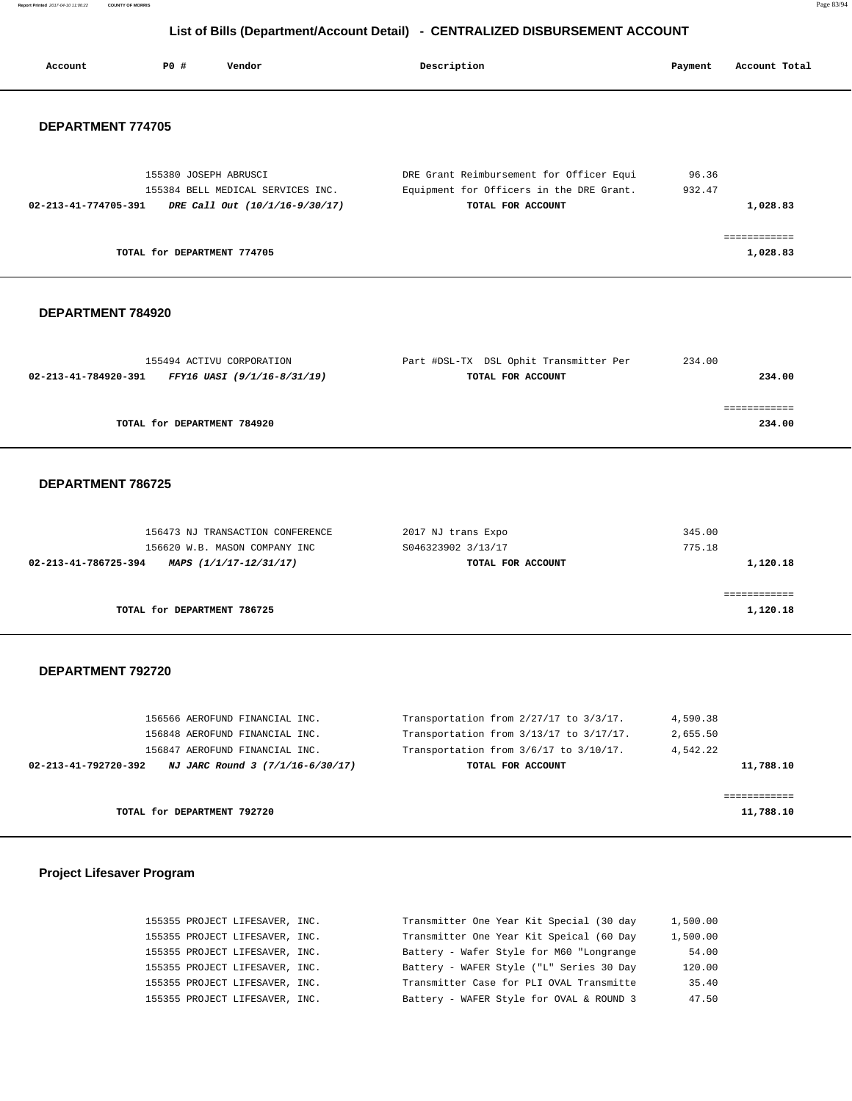**Report Printed** 2017-04-10 11:06:22 **COUNTY OF MORRIS** Page 83/94

# **List of Bills (Department/Account Detail) - CENTRALIZED DISBURSEMENT ACCOUNT**

| Account                  | P0 #<br>Vendor                                                                               | Description                                                                                               | Payment          | Account Total            |  |
|--------------------------|----------------------------------------------------------------------------------------------|-----------------------------------------------------------------------------------------------------------|------------------|--------------------------|--|
| <b>DEPARTMENT 774705</b> |                                                                                              |                                                                                                           |                  |                          |  |
| 02-213-41-774705-391     | 155380 JOSEPH ABRUSCI<br>155384 BELL MEDICAL SERVICES INC.<br>DRE Call Out (10/1/16-9/30/17) | DRE Grant Reimbursement for Officer Equi<br>Equipment for Officers in the DRE Grant.<br>TOTAL FOR ACCOUNT | 96.36<br>932.47  | 1,028.83                 |  |
|                          | TOTAL for DEPARTMENT 774705                                                                  |                                                                                                           |                  | ============<br>1,028.83 |  |
| DEPARTMENT 784920        |                                                                                              |                                                                                                           |                  |                          |  |
| 02-213-41-784920-391     | 155494 ACTIVU CORPORATION<br>FFY16 UASI (9/1/16-8/31/19)                                     | Part #DSL-TX DSL Ophit Transmitter Per<br>TOTAL FOR ACCOUNT                                               | 234.00           | 234.00                   |  |
|                          | TOTAL for DEPARTMENT 784920                                                                  |                                                                                                           |                  | ============<br>234.00   |  |
| DEPARTMENT 786725        |                                                                                              |                                                                                                           |                  |                          |  |
| 02-213-41-786725-394     | 156473 NJ TRANSACTION CONFERENCE<br>156620 W.B. MASON COMPANY INC<br>MAPS (1/1/17-12/31/17)  | 2017 NJ trans Expo<br>S046323902 3/13/17<br>TOTAL FOR ACCOUNT                                             | 345.00<br>775.18 | 1,120.18                 |  |
|                          | TOTAL for DEPARTMENT 786725                                                                  |                                                                                                           |                  | 1,120.18                 |  |
| DEPARTMENT 792720        |                                                                                              |                                                                                                           |                  |                          |  |
|                          | 156566 AEROFUND FINANCIAL INC.                                                               | Transportation from 2/27/17 to 3/3/17.                                                                    | 4,590.38         |                          |  |

| TOTAL for DEPARTMENT 792720                              |                                             | 11,788.10   |
|----------------------------------------------------------|---------------------------------------------|-------------|
|                                                          |                                             |             |
| NJ JARC Round 3 (7/1/16-6/30/17)<br>02-213-41-792720-392 | TOTAL FOR ACCOUNT                           | 11,788.10   |
| 156847 AEROFUND FINANCIAL INC.                           | Transportation from $3/6/17$ to $3/10/17$ . | 4.542.22    |
| 156848 AEROFUND FINANCIAL INC.                           | Transportation from 3/13/17 to 3/17/17.     | 2,655.50    |
| TAARAA URKARAHA FINUMATU TIMA''                          | IL GHIS POLUGULUM LIUM 2/27/17 UU 3/3/17.   | 7, 77 7. 70 |

# **Project Lifesaver Program**

| 1,500.00 | Transmitter One Year Kit Special (30 day | 155355 PROJECT LIFESAVER, INC. |  |
|----------|------------------------------------------|--------------------------------|--|
| 1,500.00 | Transmitter One Year Kit Speical (60 Day | 155355 PROJECT LIFESAVER, INC. |  |
| 54.00    | Battery - Wafer Style for M60 "Longrange | 155355 PROJECT LIFESAVER, INC. |  |
| 120.00   | Battery - WAFER Style ("L" Series 30 Day | 155355 PROJECT LIFESAVER, INC. |  |
| 35.40    | Transmitter Case for PLI OVAL Transmitte | 155355 PROJECT LIFESAVER, INC. |  |
| 47.50    | Battery - WAFER Style for OVAL & ROUND 3 | 155355 PROJECT LIFESAVER, INC. |  |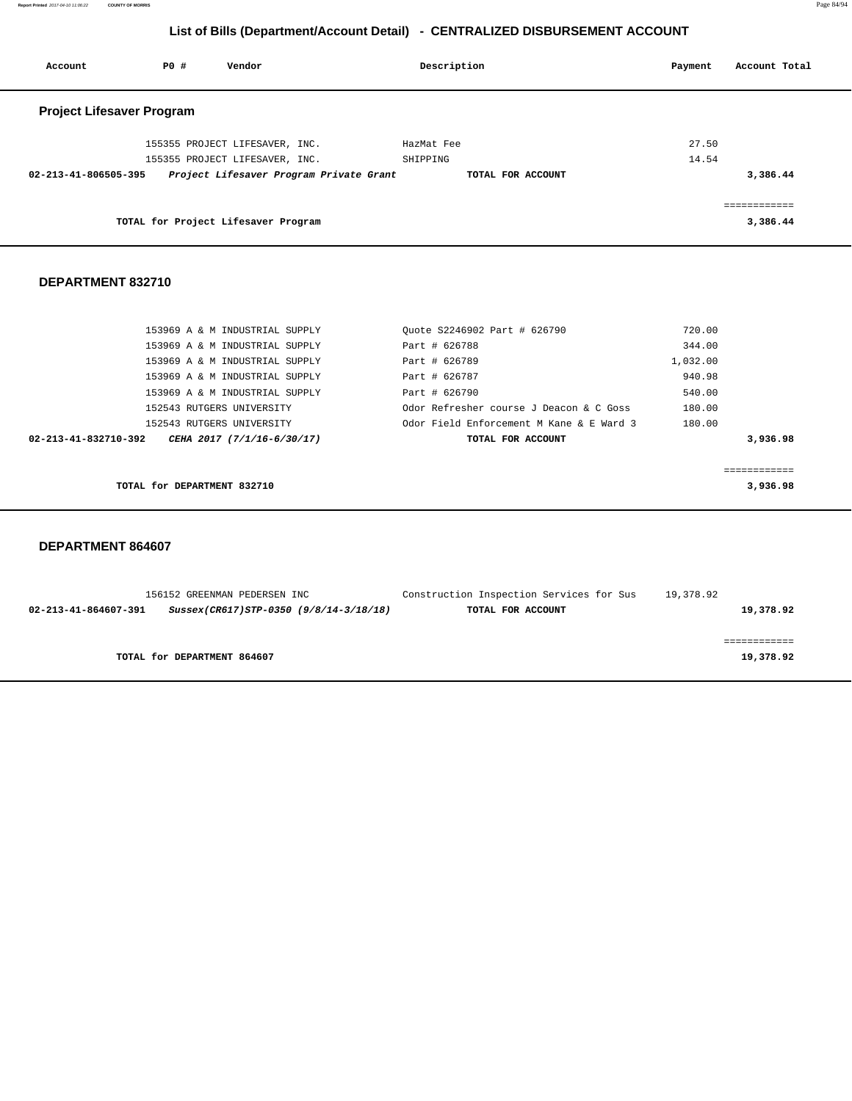**Report Printed** 2017-04-10 11:06:22 **COUNTY OF MORRIS** Page 84/94

# **List of Bills (Department/Account Detail) - CENTRALIZED DISBURSEMENT ACCOUNT**

| Account                          | PO# | Vendor                                  | Description       | Payment | Account Total |
|----------------------------------|-----|-----------------------------------------|-------------------|---------|---------------|
| <b>Project Lifesaver Program</b> |     |                                         |                   |         |               |
|                                  |     | 155355 PROJECT LIFESAVER, INC.          | HazMat Fee        | 27.50   |               |
|                                  |     | 155355 PROJECT LIFESAVER, INC.          | SHIPPING          | 14.54   |               |
| 02-213-41-806505-395             |     | Project Lifesaver Program Private Grant | TOTAL FOR ACCOUNT |         | 3,386.44      |
|                                  |     |                                         |                   |         | ============  |
|                                  |     | TOTAL for Project Lifesaver Program     |                   |         | 3,386.44      |

#### **DEPARTMENT 832710**

| TOTAL for DEPARTMENT 832710                        |                                          | 3,936.98 |
|----------------------------------------------------|------------------------------------------|----------|
|                                                    |                                          |          |
| 02-213-41-832710-392<br>CEHA 2017 (7/1/16-6/30/17) | TOTAL FOR ACCOUNT                        | 3,936.98 |
| 152543 RUTGERS UNIVERSITY                          | Odor Field Enforcement M Kane & E Ward 3 | 180.00   |
| 152543 RUTGERS UNIVERSITY                          | Odor Refresher course J Deacon & C Goss  | 180.00   |
| 153969 A & M INDUSTRIAL SUPPLY                     | Part # 626790                            | 540.00   |
| 153969 A & M INDUSTRIAL SUPPLY                     | Part # 626787                            | 940.98   |
| 153969 A & M INDUSTRIAL SUPPLY                     | Part # 626789                            | 1,032.00 |
| 153969 A & M INDUSTRIAL SUPPLY                     | Part # 626788                            | 344.00   |
| 153969 A & M INDUSTRIAL SUPPLY                     | Ouote S2246902 Part # 626790             | 720.00   |

|                      | 156152 GREENMAN PEDERSEN INC           | Construction Inspection Services for Sus | 19,378.92 |
|----------------------|----------------------------------------|------------------------------------------|-----------|
| 02-213-41-864607-391 | Sussex(CR617)STP-0350 (9/8/14-3/18/18) | TOTAL FOR ACCOUNT                        | 19,378.92 |
|                      |                                        |                                          |           |
|                      |                                        |                                          |           |
|                      | TOTAL for DEPARTMENT 864607            |                                          | 19,378.92 |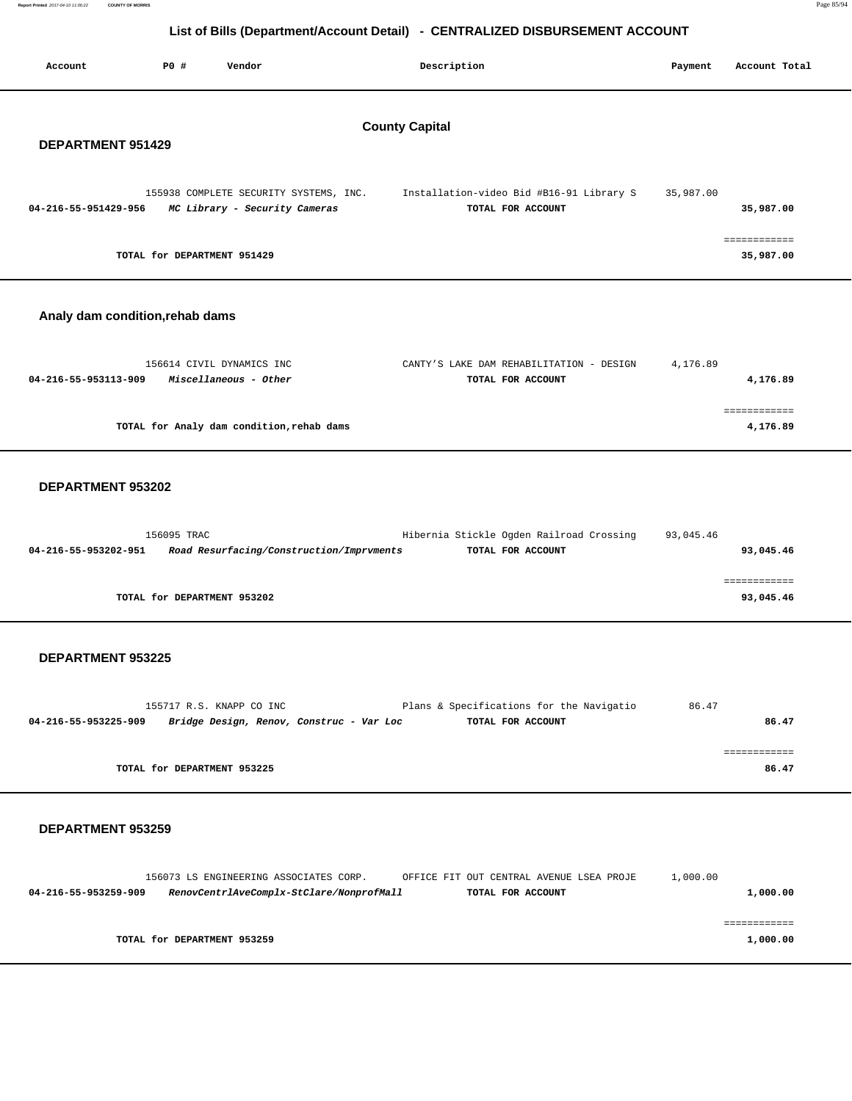|--|--|

| Account                         | P0 #                                       | Vendor                                                                  |  | Description                                                   | Payment   | Account Total             |  |  |
|---------------------------------|--------------------------------------------|-------------------------------------------------------------------------|--|---------------------------------------------------------------|-----------|---------------------------|--|--|
|                                 | <b>County Capital</b><br>DEPARTMENT 951429 |                                                                         |  |                                                               |           |                           |  |  |
| 04-216-55-951429-956            |                                            | 155938 COMPLETE SECURITY SYSTEMS, INC.<br>MC Library - Security Cameras |  | Installation-video Bid #B16-91 Library S<br>TOTAL FOR ACCOUNT | 35,987.00 | 35,987.00                 |  |  |
|                                 |                                            | TOTAL for DEPARTMENT 951429                                             |  |                                                               |           | ============<br>35,987.00 |  |  |
| Analy dam condition, rehab dams |                                            |                                                                         |  |                                                               |           |                           |  |  |
| 04-216-55-953113-909            |                                            | 156614 CIVIL DYNAMICS INC<br>Miscellaneous - Other                      |  | CANTY'S LAKE DAM REHABILITATION - DESIGN<br>TOTAL FOR ACCOUNT | 4,176.89  | 4,176.89                  |  |  |
|                                 |                                            | TOTAL for Analy dam condition, rehab dams                               |  |                                                               |           | ------------<br>4,176.89  |  |  |
| DEPARTMENT 953202               |                                            |                                                                         |  |                                                               |           |                           |  |  |
| 04-216-55-953202-951            | 156095 TRAC                                | Road Resurfacing/Construction/Imprvments                                |  | Hibernia Stickle Ogden Railroad Crossing<br>TOTAL FOR ACCOUNT | 93,045.46 | 93,045.46                 |  |  |
|                                 |                                            | TOTAL for DEPARTMENT 953202                                             |  |                                                               |           | ============<br>93,045.46 |  |  |
| DEPARTMENT 953225               |                                            |                                                                         |  |                                                               |           |                           |  |  |

| 155717 R.S. KNAPP CO INC                                         | Plans & Specifications for the Navigatio | 86.47 |
|------------------------------------------------------------------|------------------------------------------|-------|
| Bridge Design, Renov, Construc - Var Loc<br>04-216-55-953225-909 | TOTAL FOR ACCOUNT                        | 86.47 |
|                                                                  |                                          |       |
|                                                                  |                                          |       |
| TOTAL for DEPARTMENT 953225                                      |                                          | 86.47 |

#### **DEPARTMENT 953259**

**Report Printed** 2017-04-10 11:06:22 **COUNTY OF MORRIS** 

|                      | 156073 LS ENGINEERING ASSOCIATES CORP.   | OFFICE FIT OUT CENTRAL AVENUE LSEA PROJE | 1,000.00 |
|----------------------|------------------------------------------|------------------------------------------|----------|
| 04-216-55-953259-909 | RenovCentrlAveComplx-StClare/NonprofMall | TOTAL FOR ACCOUNT                        | 1,000.00 |
|                      |                                          |                                          |          |
|                      |                                          |                                          |          |
|                      | TOTAL for DEPARTMENT 953259              |                                          | 1,000.00 |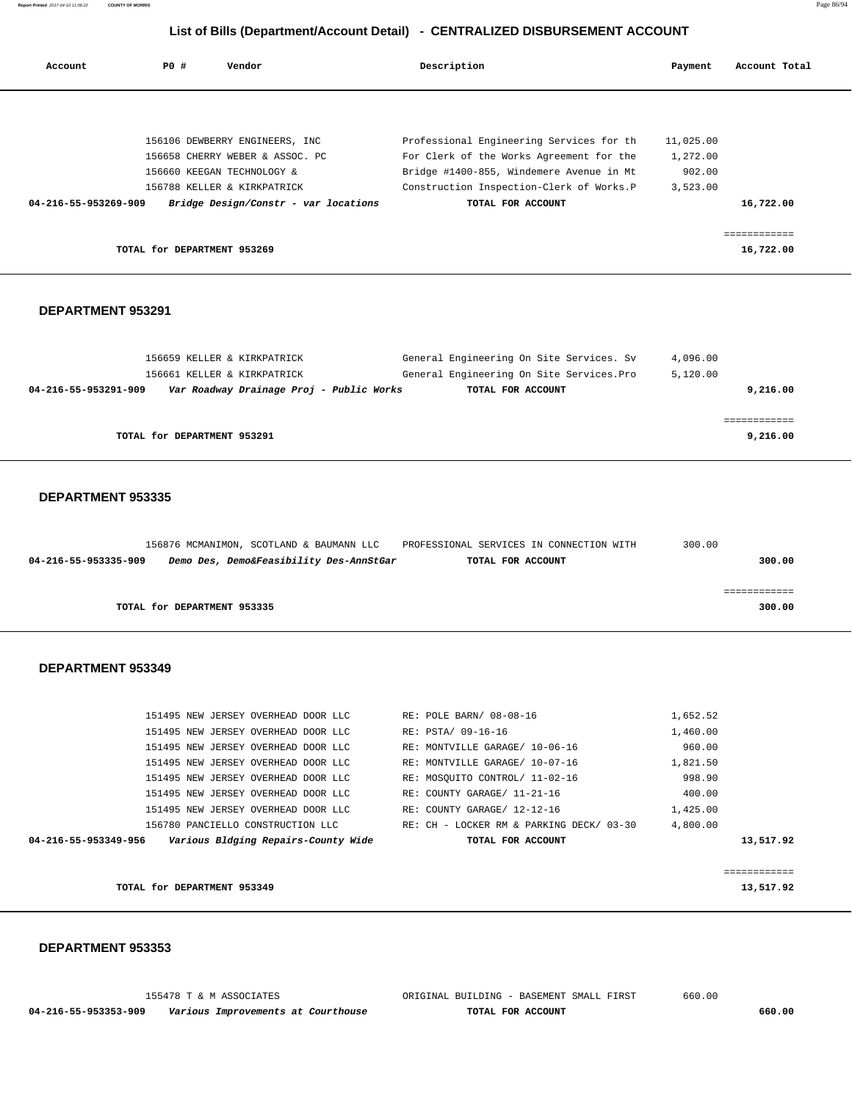| Account              | PO#                         | Vendor                               | Description                              | Payment   | Account Total |
|----------------------|-----------------------------|--------------------------------------|------------------------------------------|-----------|---------------|
|                      |                             |                                      |                                          |           |               |
|                      |                             | 156106 DEWBERRY ENGINEERS, INC       | Professional Engineering Services for th | 11,025.00 |               |
|                      |                             | 156658 CHERRY WEBER & ASSOC. PC      | For Clerk of the Works Agreement for the | 1,272.00  |               |
|                      |                             | 156660 KEEGAN TECHNOLOGY &           | Bridge #1400-855, Windemere Avenue in Mt | 902.00    |               |
|                      |                             | 156788 KELLER & KIRKPATRICK          | Construction Inspection-Clerk of Works.P | 3,523.00  |               |
| 04-216-55-953269-909 |                             | Bridge Design/Constr - var locations | TOTAL FOR ACCOUNT                        |           | 16,722.00     |
|                      |                             |                                      |                                          |           |               |
|                      |                             |                                      |                                          |           | ===========   |
|                      | TOTAL for DEPARTMENT 953269 |                                      |                                          |           | 16,722.00     |

#### **DEPARTMENT 953291**

| 156659 KELLER & KIRKPATRICK                                      | General Engineering On Site Services. Sv  | 4,096.00 |
|------------------------------------------------------------------|-------------------------------------------|----------|
| 156661 KELLER & KIRKPATRICK                                      | General Engineering On Site Services. Pro | 5.120.00 |
| Var Roadway Drainage Proj - Public Works<br>04-216-55-953291-909 | TOTAL FOR ACCOUNT                         | 9,216.00 |
|                                                                  |                                           |          |
|                                                                  |                                           |          |
| TOTAL for DEPARTMENT 953291                                      |                                           | 9,216.00 |

## **DEPARTMENT 953335**

|                      | 156876 MCMANIMON, SCOTLAND & BAUMANN LLC | PROFESSIONAL SERVICES IN CONNECTION WITH | 300.00 |
|----------------------|------------------------------------------|------------------------------------------|--------|
| 04-216-55-953335-909 | Demo Des, Demo&Feasibility Des-AnnStGar  | TOTAL FOR ACCOUNT                        | 300.00 |
|                      |                                          |                                          |        |
|                      |                                          |                                          |        |
|                      | TOTAL for DEPARTMENT 953335              |                                          | 300.00 |

#### **DEPARTMENT 953349**

| 04-216-55-953349-956 |                                     | Various Bldging Repairs-County Wide |                                | TOTAL FOR ACCOUNT                        |          | 13,517.92 |
|----------------------|-------------------------------------|-------------------------------------|--------------------------------|------------------------------------------|----------|-----------|
|                      | 156780 PANCIELLO CONSTRUCTION LLC   |                                     |                                | RE: CH - LOCKER RM & PARKING DECK/ 03-30 | 4,800.00 |           |
|                      | 151495 NEW JERSEY OVERHEAD DOOR LLC |                                     | RE: COUNTY GARAGE/ 12-12-16    |                                          | 1,425.00 |           |
|                      | 151495 NEW JERSEY OVERHEAD DOOR LLC |                                     | RE: COUNTY GARAGE/ 11-21-16    |                                          | 400.00   |           |
|                      | 151495 NEW JERSEY OVERHEAD DOOR LLC |                                     | RE: MOSQUITO CONTROL/ 11-02-16 |                                          | 998.90   |           |
|                      | 151495 NEW JERSEY OVERHEAD DOOR LLC |                                     | RE: MONTVILLE GARAGE/ 10-07-16 |                                          | 1,821.50 |           |
|                      | 151495 NEW JERSEY OVERHEAD DOOR LLC |                                     | RE: MONTVILLE GARAGE/ 10-06-16 |                                          | 960.00   |           |
|                      | 151495 NEW JERSEY OVERHEAD DOOR LLC |                                     | RE: PSTA/ 09-16-16             |                                          | 1,460.00 |           |
|                      | 151495 NEW JERSEY OVERHEAD DOOR LLC |                                     | RE: POLE BARN/ 08-08-16        |                                          | 1,652.52 |           |
|                      |                                     |                                     |                                |                                          |          |           |

|                             | -------------<br>____________ |
|-----------------------------|-------------------------------|
| TOTAL for DEPARTMENT 953349 | 13,517.92                     |

|                      | 155478 T & M ASSOCIATES            | ORIGINAL BUILDING - BASEMENT SMALL FIRST | 660.00 |
|----------------------|------------------------------------|------------------------------------------|--------|
| 04-216-55-953353-909 | Various Improvements at Courthouse | TOTAL FOR ACCOUNT                        | 660.00 |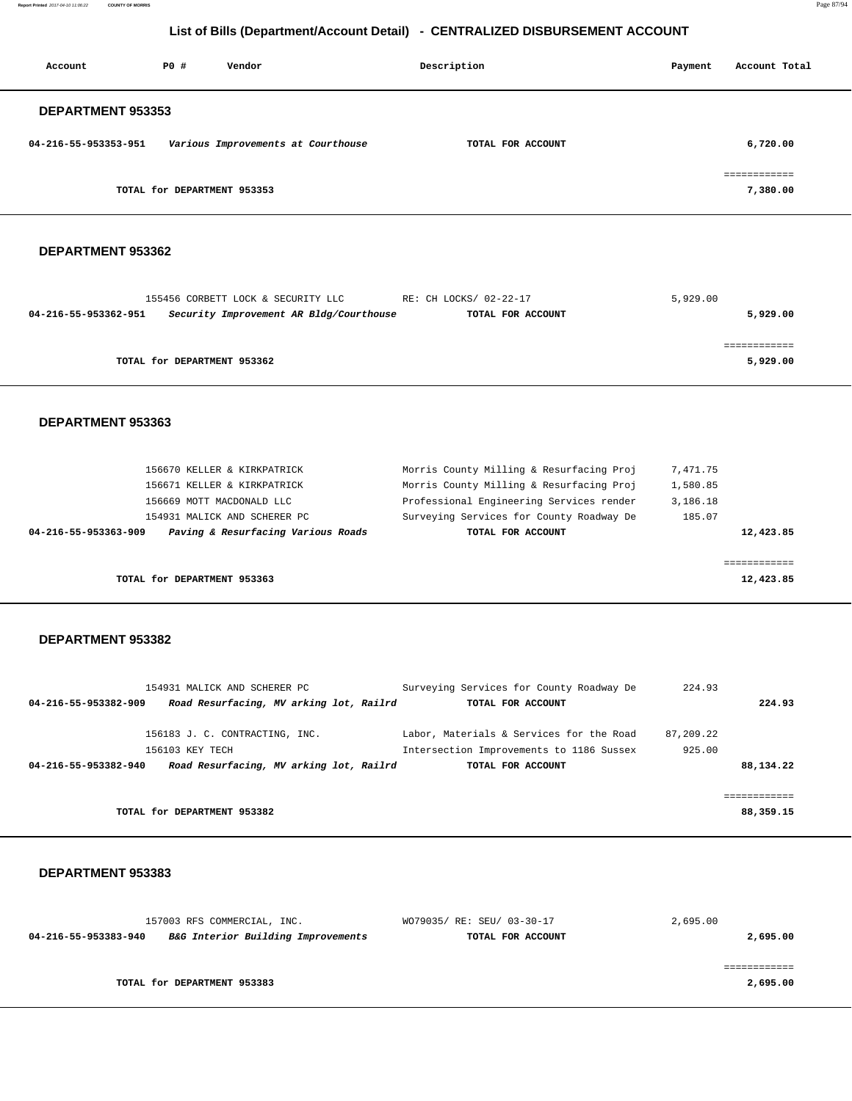**Report Printed** 2017-04-10 11:06:22 **COUNTY OF MORRIS** Page 87/94

# **List of Bills (Department/Account Detail) - CENTRALIZED DISBURSEMENT ACCOUNT**

| Account              | PO#                         | Vendor                             | Description       | Payment | Account Total            |
|----------------------|-----------------------------|------------------------------------|-------------------|---------|--------------------------|
| DEPARTMENT 953353    |                             |                                    |                   |         |                          |
| 04-216-55-953353-951 |                             | Various Improvements at Courthouse | TOTAL FOR ACCOUNT |         | 6,720.00                 |
|                      | TOTAL for DEPARTMENT 953353 |                                    |                   |         | ============<br>7,380.00 |

#### **DEPARTMENT 953362**

|                      | 155456 CORBETT LOCK & SECURITY LLC      | RE: CH LOCKS/ 02-22-17 | 5,929.00 |          |
|----------------------|-----------------------------------------|------------------------|----------|----------|
| 04-216-55-953362-951 | Security Improvement AR Bldg/Courthouse | TOTAL FOR ACCOUNT      |          | 5,929.00 |
|                      |                                         |                        |          |          |
|                      |                                         |                        |          |          |
|                      | TOTAL for DEPARTMENT 953362             |                        |          | 5,929.00 |
|                      |                                         |                        |          |          |

#### **DEPARTMENT 953363**

| 156670 KELLER & KIRKPATRICK                                | Morris County Milling & Resurfacing Proj | 7,471.75  |
|------------------------------------------------------------|------------------------------------------|-----------|
| 156671 KELLER & KIRKPATRICK                                | Morris County Milling & Resurfacing Proj | 1,580.85  |
| 156669 MOTT MACDONALD LLC                                  | Professional Engineering Services render | 3,186.18  |
| 154931 MALICK AND SCHERER PC                               | Surveying Services for County Roadway De | 185.07    |
| Paving & Resurfacing Various Roads<br>04-216-55-953363-909 | TOTAL FOR ACCOUNT                        | 12,423.85 |
|                                                            |                                          |           |
|                                                            |                                          |           |
| TOTAL for DEPARTMENT 953363                                |                                          | 12,423.85 |

#### **DEPARTMENT 953382**

|                      | 154931 MALICK AND SCHERER PC            |  | Surveying Services for County Roadway De | 224.93    |           |
|----------------------|-----------------------------------------|--|------------------------------------------|-----------|-----------|
| 04-216-55-953382-909 | Road Resurfacing, MV arking lot, Railrd |  | TOTAL FOR ACCOUNT                        |           | 224.93    |
|                      | 156183 J. C. CONTRACTING, INC.          |  | Labor, Materials & Services for the Road | 87,209.22 |           |
|                      | 156103 KEY TECH                         |  | Intersection Improvements to 1186 Sussex | 925.00    |           |
| 04-216-55-953382-940 | Road Resurfacing, MV arking lot, Railrd |  | TOTAL FOR ACCOUNT                        |           | 88,134.22 |
|                      |                                         |  |                                          |           |           |
|                      | TOTAL for DEPARTMENT 953382             |  |                                          |           | 88,359.15 |

|                      | 157003 RFS COMMERCIAL, INC.        | WO79035/ RE: SEU/ 03-30-17 | 2,695.00 |
|----------------------|------------------------------------|----------------------------|----------|
| 04-216-55-953383-940 | B&G Interior Building Improvements | TOTAL FOR ACCOUNT          | 2,695.00 |
|                      |                                    |                            |          |
|                      |                                    |                            |          |
|                      | TOTAL for DEPARTMENT 953383        |                            | 2,695.00 |
|                      |                                    |                            |          |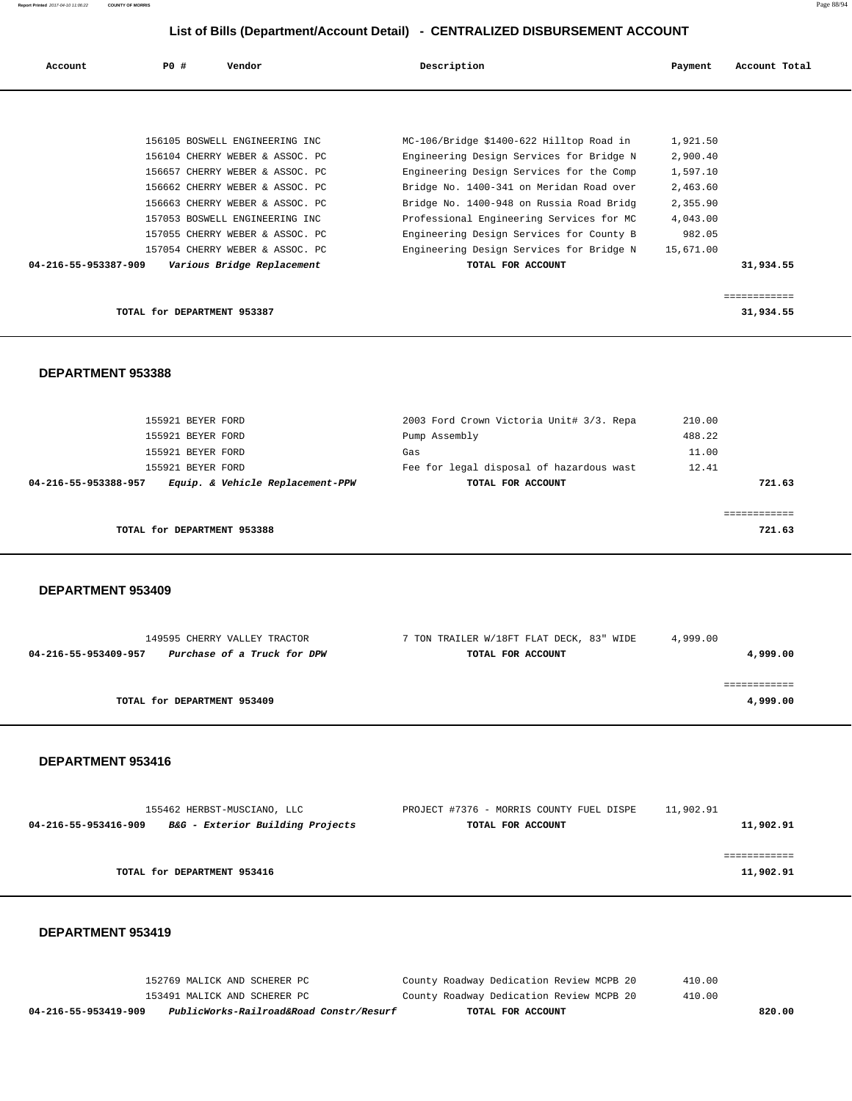| Account              | PO#<br>Vendor               |                                 | Description                              | Payment   | Account Total |
|----------------------|-----------------------------|---------------------------------|------------------------------------------|-----------|---------------|
|                      |                             |                                 |                                          |           |               |
|                      |                             | 156105 BOSWELL ENGINEERING INC  | MC-106/Bridge \$1400-622 Hilltop Road in | 1,921.50  |               |
|                      |                             | 156104 CHERRY WEBER & ASSOC. PC | Engineering Design Services for Bridge N | 2,900.40  |               |
|                      |                             | 156657 CHERRY WEBER & ASSOC. PC | Engineering Design Services for the Comp | 1,597.10  |               |
|                      |                             | 156662 CHERRY WEBER & ASSOC. PC | Bridge No. 1400-341 on Meridan Road over | 2,463.60  |               |
|                      |                             | 156663 CHERRY WEBER & ASSOC. PC | Bridge No. 1400-948 on Russia Road Bridg | 2,355.90  |               |
|                      |                             | 157053 BOSWELL ENGINEERING INC  | Professional Engineering Services for MC | 4,043.00  |               |
|                      |                             | 157055 CHERRY WEBER & ASSOC. PC | Engineering Design Services for County B | 982.05    |               |
|                      |                             | 157054 CHERRY WEBER & ASSOC. PC | Engineering Design Services for Bridge N | 15,671.00 |               |
| 04-216-55-953387-909 |                             | Various Bridge Replacement      | TOTAL FOR ACCOUNT                        |           | 31,934.55     |
|                      |                             |                                 |                                          |           |               |
|                      |                             |                                 |                                          |           | ============  |
|                      | TOTAL for DEPARTMENT 953387 |                                 |                                          |           | 31,934.55     |

 **DEPARTMENT 953388** 

 155921 BEYER FORD 2003 Ford Crown Victoria Unit# 3/3. Repa 210.00 155921 BEYER FORD Pump Assembly 488.22 155921 BEYER FORD Gas 11.00 155921 BEYER FORD Fee for legal disposal of hazardous wast 12.41  **04-216-55-953388-957 Equip. & Vehicle Replacement-PPW TOTAL FOR ACCOUNT 721.63** ============ **TOTAL for DEPARTMENT 953388 721.63**

 **DEPARTMENT 953409** 

|                      | 149595 CHERRY VALLEY TRACTOR | 7 TON TRAILER W/18FT FLAT DECK, 83" WIDE | 4,999.00 |
|----------------------|------------------------------|------------------------------------------|----------|
| 04-216-55-953409-957 | Purchase of a Truck for DPW  | TOTAL FOR ACCOUNT                        | 4,999.00 |
|                      | TOTAL for DEPARTMENT 953409  |                                          | 4,999.00 |

## **DEPARTMENT 953416**

| 155462 HERBST-MUSCIANO, LLC                              | PROJECT #7376 - MORRIS COUNTY FUEL DISPE | 11,902.91 |
|----------------------------------------------------------|------------------------------------------|-----------|
| B&G - Exterior Building Projects<br>04-216-55-953416-909 | TOTAL FOR ACCOUNT                        | 11,902.91 |
|                                                          |                                          |           |
|                                                          |                                          |           |
| TOTAL for DEPARTMENT 953416                              |                                          | 11,902.91 |

| 04-216-55-953419-909 | PublicWorks-Railroad&Road Constr/Resurf | TOTAL FOR ACCOUNT                        | 820.00 |
|----------------------|-----------------------------------------|------------------------------------------|--------|
|                      | 153491 MALICK AND SCHERER PC            | County Roadway Dedication Review MCPB 20 | 410.00 |
|                      | 152769 MALICK AND SCHERER PC            | County Roadway Dedication Review MCPB 20 | 410.00 |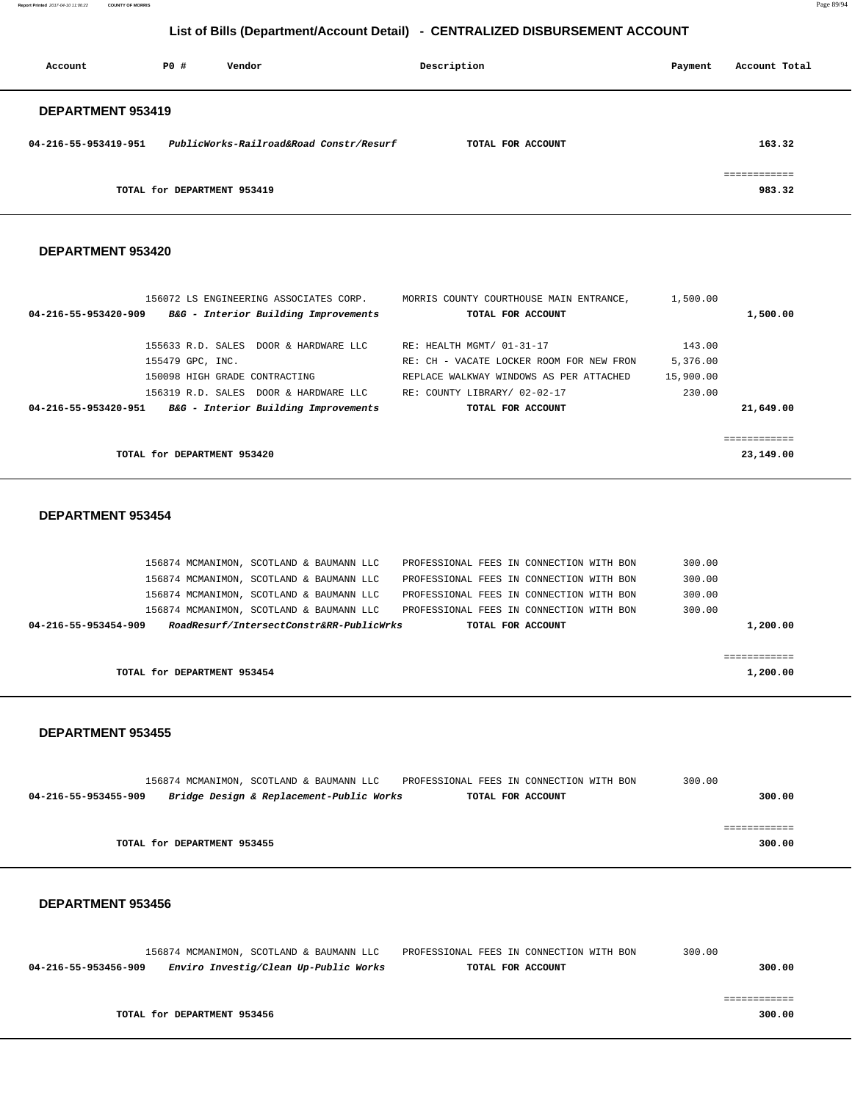**Report Printed** 2017-04-10 11:06:22 **COUNTY OF MORRIS** Page 89/94

# **List of Bills (Department/Account Detail) - CENTRALIZED DISBURSEMENT ACCOUNT**

| Account                  | PO#                         | Vendor                                  | Description       | Payment | Account Total          |
|--------------------------|-----------------------------|-----------------------------------------|-------------------|---------|------------------------|
| <b>DEPARTMENT 953419</b> |                             |                                         |                   |         |                        |
| 04-216-55-953419-951     |                             | PublicWorks-Railroad&Road Constr/Resurf | TOTAL FOR ACCOUNT |         | 163.32                 |
|                          | TOTAL for DEPARTMENT 953419 |                                         |                   |         | ------------<br>983.32 |

#### **DEPARTMENT 953420**

| 156072 LS ENGINEERING ASSOCIATES CORP.                       | MORRIS COUNTY COURTHOUSE MAIN ENTRANCE,  | 1,500.00  |           |
|--------------------------------------------------------------|------------------------------------------|-----------|-----------|
| B&G - Interior Building Improvements<br>04-216-55-953420-909 | TOTAL FOR ACCOUNT                        |           | 1,500.00  |
|                                                              |                                          |           |           |
| 155633 R.D. SALES DOOR & HARDWARE LLC                        | RE: HEALTH MGMT/ 01-31-17                | 143.00    |           |
| 155479 GPC, INC.                                             | RE: CH - VACATE LOCKER ROOM FOR NEW FRON | 5,376.00  |           |
| 150098 HIGH GRADE CONTRACTING                                | REPLACE WALKWAY WINDOWS AS PER ATTACHED  | 15,900.00 |           |
| 156319 R.D. SALES DOOR & HARDWARE LLC                        | RE: COUNTY LIBRARY/ 02-02-17             | 230.00    |           |
| B&G - Interior Building Improvements<br>04-216-55-953420-951 | TOTAL FOR ACCOUNT                        |           | 21,649.00 |
|                                                              |                                          |           |           |
|                                                              |                                          |           |           |
| TOTAL for DEPARTMENT 953420                                  |                                          |           | 23,149.00 |

## **DEPARTMENT 953454**

|                             | 156874 MCMANIMON, SCOTLAND & BAUMANN LLC |  |                                          | PROFESSIONAL FEES IN CONNECTION WITH BON |                   |  | 300.00 |          |
|-----------------------------|------------------------------------------|--|------------------------------------------|------------------------------------------|-------------------|--|--------|----------|
|                             | 156874 MCMANIMON, SCOTLAND & BAUMANN LLC |  |                                          | PROFESSIONAL FEES IN CONNECTION WITH BON |                   |  | 300.00 |          |
|                             | 156874 MCMANIMON, SCOTLAND & BAUMANN LLC |  |                                          | PROFESSIONAL FEES IN CONNECTION WITH BON |                   |  | 300.00 |          |
|                             | 156874 MCMANIMON, SCOTLAND & BAUMANN LLC |  |                                          | PROFESSIONAL FEES IN CONNECTION WITH BON |                   |  | 300.00 |          |
| 04-216-55-953454-909        |                                          |  | RoadResurf/IntersectConstr&RR-PublicWrks |                                          | TOTAL FOR ACCOUNT |  |        | 1,200.00 |
|                             |                                          |  |                                          |                                          |                   |  |        |          |
|                             |                                          |  |                                          |                                          |                   |  |        |          |
| TOTAL for DEPARTMENT 953454 |                                          |  |                                          |                                          | 1,200.00          |  |        |          |

## **DEPARTMENT 953455**

|                      |                             | 156874 MCMANIMON, SCOTLAND & BAUMANN LLC | PROFESSIONAL FEES IN CONNECTION WITH BON |                   | 300.00 |
|----------------------|-----------------------------|------------------------------------------|------------------------------------------|-------------------|--------|
| 04-216-55-953455-909 |                             | Bridge Design & Replacement-Public Works |                                          | TOTAL FOR ACCOUNT | 300.00 |
|                      |                             |                                          |                                          |                   |        |
|                      |                             |                                          |                                          |                   |        |
|                      | TOTAL for DEPARTMENT 953455 |                                          |                                          |                   | 300.00 |

|                      | 156874 MCMANIMON, SCOTLAND & BAUMANN LLC | PROFESSIONAL FEES IN CONNECTION WITH BON | 300.00 |
|----------------------|------------------------------------------|------------------------------------------|--------|
| 04-216-55-953456-909 | Enviro Investig/Clean Up-Public Works    | TOTAL FOR ACCOUNT                        | 300.00 |
|                      |                                          |                                          |        |
|                      |                                          |                                          |        |
|                      | TOTAL for DEPARTMENT 953456              |                                          | 300.00 |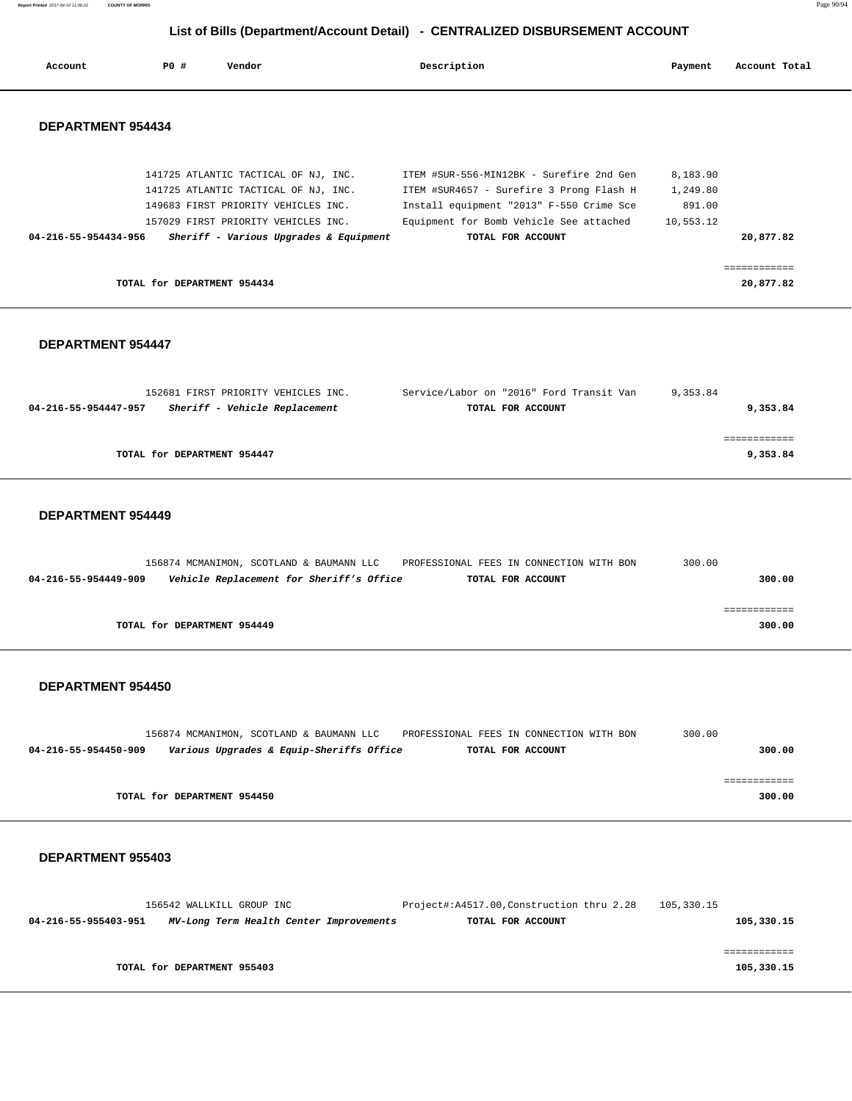**Report Printed** 2017-04-10 11:06:22 **COUNTY OF MORRIS** Page 90/94

# **List of Bills (Department/Account Detail) - CENTRALIZED DISBURSEMENT ACCOUNT**

| Account                  | PO#                         | Vendor                                 | Description                              | Payment   | Account Total |
|--------------------------|-----------------------------|----------------------------------------|------------------------------------------|-----------|---------------|
| <b>DEPARTMENT 954434</b> |                             |                                        |                                          |           |               |
|                          |                             | 141725 ATLANTIC TACTICAL OF NJ, INC.   | ITEM #SUR-556-MIN12BK - Surefire 2nd Gen | 8,183.90  |               |
|                          |                             | 141725 ATLANTIC TACTICAL OF NJ, INC.   | ITEM #SUR4657 - Surefire 3 Prong Flash H | 1,249.80  |               |
|                          |                             | 149683 FIRST PRIORITY VEHICLES INC.    | Install equipment "2013" F-550 Crime Sce | 891.00    |               |
|                          |                             | 157029 FIRST PRIORITY VEHICLES INC.    | Equipment for Bomb Vehicle See attached  | 10,553.12 |               |
| 04-216-55-954434-956     |                             | Sheriff - Various Upgrades & Equipment | TOTAL FOR ACCOUNT                        |           | 20,877.82     |
|                          |                             |                                        |                                          |           |               |
|                          |                             |                                        |                                          |           | ===========   |
|                          | TOTAL for DEPARTMENT 954434 |                                        |                                          |           | 20,877.82     |

## **DEPARTMENT 954447**

| 152681 FIRST PRIORITY VEHICLES INC.                   | Service/Labor on "2016" Ford Transit Van | 9,353.84 |
|-------------------------------------------------------|------------------------------------------|----------|
| Sheriff - Vehicle Replacement<br>04-216-55-954447-957 | TOTAL FOR ACCOUNT                        | 9,353.84 |
|                                                       |                                          |          |
|                                                       |                                          |          |
| TOTAL for DEPARTMENT 954447                           |                                          | 9,353.84 |
|                                                       |                                          |          |

## **DEPARTMENT 954449**

| 156874 MCMANIMON, SCOTLAND & BAUMANN LLC                         | PROFESSIONAL FEES IN CONNECTION WITH BON | 300.00 |
|------------------------------------------------------------------|------------------------------------------|--------|
| Vehicle Replacement for Sheriff's Office<br>04-216-55-954449-909 | TOTAL FOR ACCOUNT                        | 300.00 |
|                                                                  |                                          |        |
|                                                                  |                                          |        |
| TOTAL for DEPARTMENT 954449                                      |                                          | 300.00 |
|                                                                  |                                          |        |

## **DEPARTMENT 954450**

|                      |                             | 156874 MCMANIMON, SCOTLAND & BAUMANN LLC | PROFESSIONAL FEES IN CONNECTION WITH BON |                   | 300.00 |        |
|----------------------|-----------------------------|------------------------------------------|------------------------------------------|-------------------|--------|--------|
| 04-216-55-954450-909 |                             | Various Upgrades & Equip-Sheriffs Office |                                          | TOTAL FOR ACCOUNT |        | 300.00 |
|                      |                             |                                          |                                          |                   |        |        |
|                      |                             |                                          |                                          |                   |        |        |
|                      | TOTAL for DEPARTMENT 954450 |                                          |                                          |                   |        | 300.00 |

|                      | 156542 WALLKILL GROUP INC               | Project#:A4517.00, Construction thru 2.28 | 105,330.15 |
|----------------------|-----------------------------------------|-------------------------------------------|------------|
| 04-216-55-955403-951 | MV-Long Term Health Center Improvements | TOTAL FOR ACCOUNT                         | 105,330.15 |
|                      |                                         |                                           |            |
|                      |                                         |                                           |            |
|                      | TOTAL for DEPARTMENT 955403             |                                           | 105,330.15 |
|                      |                                         |                                           |            |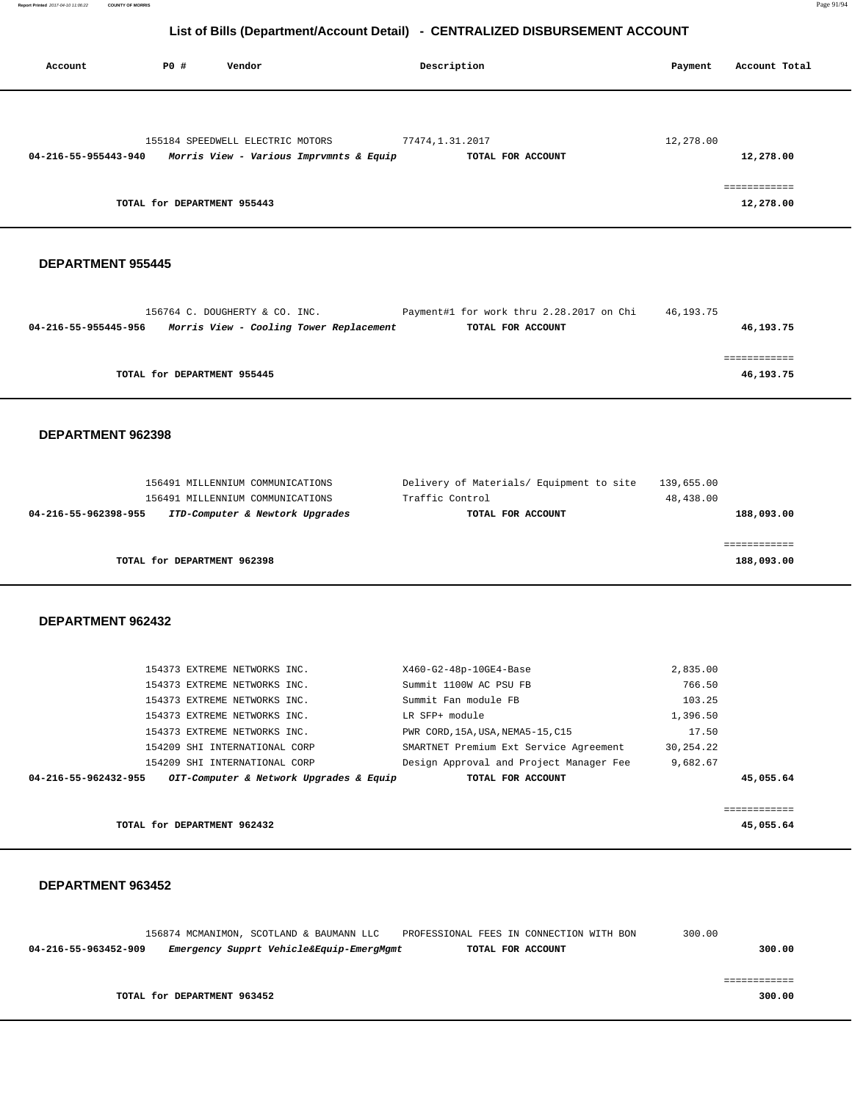**Report Printed** 2017-04-10 11:06:22 **COUNTY OF MORRIS** Page 91/94

# **List of Bills (Department/Account Detail) - CENTRALIZED DISBURSEMENT ACCOUNT**

| Account              | PO#                         | Vendor                                  | Description       | Payment   | Account Total             |
|----------------------|-----------------------------|-----------------------------------------|-------------------|-----------|---------------------------|
|                      |                             |                                         |                   |           |                           |
|                      |                             | 155184 SPEEDWELL ELECTRIC MOTORS        | 77474,1.31.2017   | 12,278.00 |                           |
| 04-216-55-955443-940 |                             | Morris View - Various Imprvmnts & Equip | TOTAL FOR ACCOUNT |           | 12,278.00                 |
|                      | TOTAL for DEPARTMENT 955443 |                                         |                   |           | ============<br>12,278.00 |

## **DEPARTMENT 955445**

|                             | 156764 C. DOUGHERTY & CO. INC.          | Payment#1 for work thru 2.28.2017 on Chi | 46,193.75 |
|-----------------------------|-----------------------------------------|------------------------------------------|-----------|
| 04-216-55-955445-956        | Morris View - Cooling Tower Replacement | TOTAL FOR ACCOUNT                        | 46,193.75 |
|                             |                                         |                                          |           |
|                             |                                         |                                          |           |
| TOTAL for DEPARTMENT 955445 |                                         |                                          | 46,193.75 |
|                             |                                         |                                          |           |

#### **DEPARTMENT 962398**

| 156491 MILLENNIUM COMMUNICATIONS                        | Delivery of Materials/ Equipment to site | 139,655.00 |
|---------------------------------------------------------|------------------------------------------|------------|
| 156491 MILLENNIUM COMMUNICATIONS                        | Traffic Control                          | 48,438.00  |
| ITD-Computer & Newtork Upgrades<br>04-216-55-962398-955 | TOTAL FOR ACCOUNT                        | 188,093.00 |
|                                                         |                                          |            |
|                                                         |                                          |            |
| TOTAL for DEPARTMENT 962398                             |                                          | 188,093.00 |
|                                                         |                                          |            |

#### **DEPARTMENT 962432**

| 04-216-55-962432-955 |                               | OIT-Computer & Network Upgrades & Equip | TOTAL FOR ACCOUNT                       |             | 45,055.64 |
|----------------------|-------------------------------|-----------------------------------------|-----------------------------------------|-------------|-----------|
|                      | 154209 SHI INTERNATIONAL CORP |                                         | Design Approval and Project Manager Fee | 9,682.67    |           |
|                      | 154209 SHI INTERNATIONAL CORP |                                         | SMARTNET Premium Ext Service Agreement  | 30, 254. 22 |           |
|                      | 154373 EXTREME NETWORKS INC.  |                                         | PWR CORD, 15A, USA, NEMA5-15, C15       | 17.50       |           |
|                      | 154373 EXTREME NETWORKS INC.  |                                         | LR SFP+ module                          | 1,396.50    |           |
|                      | 154373 EXTREME NETWORKS INC.  |                                         | Summit Fan module FB                    | 103.25      |           |
|                      | 154373 EXTREME NETWORKS INC.  |                                         | Summit 1100W AC PSU FB                  | 766.50      |           |
|                      | 154373 EXTREME NETWORKS INC.  |                                         | X460-G2-48p-10GE4-Base                  | 2,835.00    |           |
|                      |                               |                                         |                                         |             |           |

**TOTAL for DEPARTMENT 962432 45,055.64**

|                      |                             | 156874 MCMANIMON, SCOTLAND & BAUMANN LLC | PROFESSIONAL FEES IN CONNECTION WITH BON | 300.00 |
|----------------------|-----------------------------|------------------------------------------|------------------------------------------|--------|
| 04-216-55-963452-909 |                             | Emergency Supprt Vehicle&Equip-EmergMgmt | TOTAL FOR ACCOUNT                        | 300.00 |
|                      |                             |                                          |                                          |        |
|                      |                             |                                          |                                          |        |
|                      | TOTAL for DEPARTMENT 963452 |                                          |                                          | 300.00 |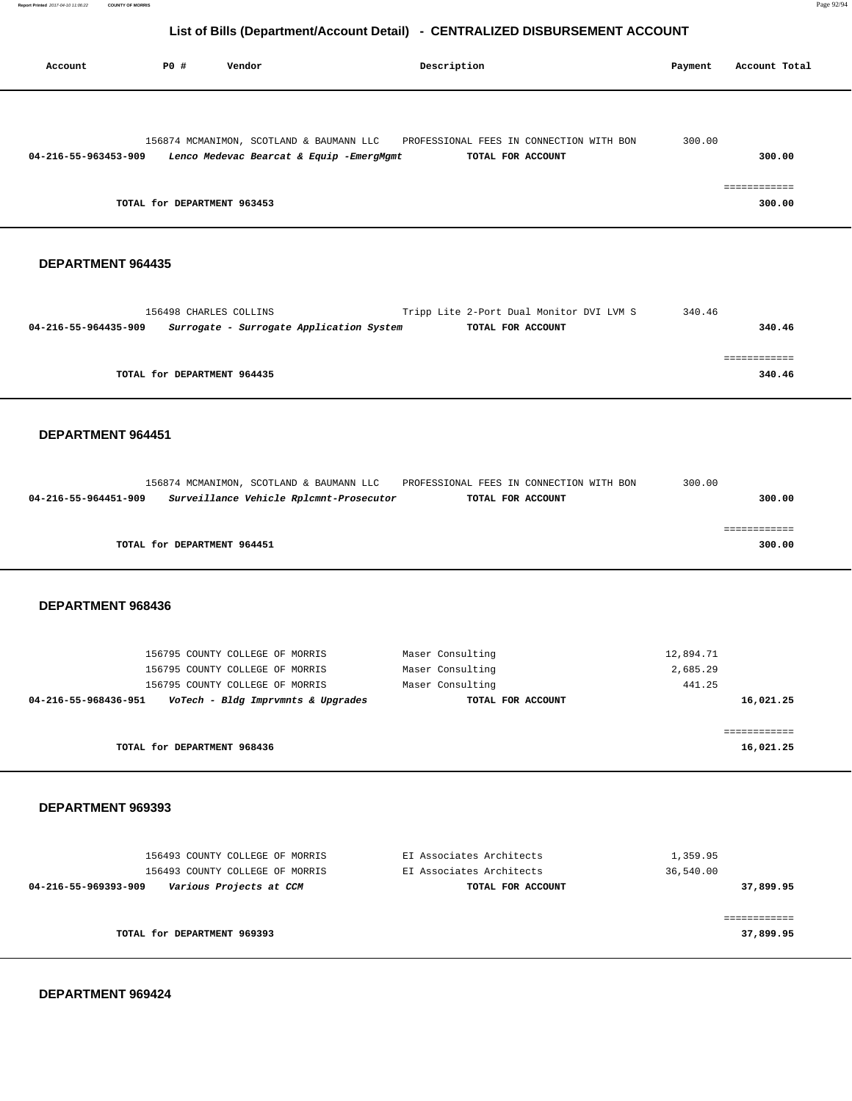| LISTOL DIIIS (DEPARTIMENTACCOUNT DETAIL) - CENTRALIZED DISBORSEMENT ACCOUNT |             |                                                                                                                                                                  |                                                                               |                                 |                                  |  |  |
|-----------------------------------------------------------------------------|-------------|------------------------------------------------------------------------------------------------------------------------------------------------------------------|-------------------------------------------------------------------------------|---------------------------------|----------------------------------|--|--|
| Account                                                                     | <b>PO #</b> | Vendor                                                                                                                                                           | Description                                                                   | Payment                         | Account Total                    |  |  |
| 04-216-55-963453-909                                                        |             | 156874 MCMANIMON, SCOTLAND & BAUMANN LLC<br>Lenco Medevac Bearcat & Equip -EmergMgmt<br>TOTAL for DEPARTMENT 963453                                              | PROFESSIONAL FEES IN CONNECTION WITH BON<br>TOTAL FOR ACCOUNT                 | 300.00                          | 300.00<br>============<br>300.00 |  |  |
| DEPARTMENT 964435                                                           |             |                                                                                                                                                                  |                                                                               |                                 |                                  |  |  |
| 04-216-55-964435-909                                                        |             | 156498 CHARLES COLLINS<br>Surrogate - Surrogate Application System                                                                                               | Tripp Lite 2-Port Dual Monitor DVI LVM S<br>TOTAL FOR ACCOUNT                 | 340.46                          | 340.46                           |  |  |
|                                                                             |             | TOTAL for DEPARTMENT 964435                                                                                                                                      |                                                                               |                                 | 340.46                           |  |  |
| DEPARTMENT 964451                                                           |             | 156874 MCMANIMON, SCOTLAND & BAUMANN LLC                                                                                                                         | PROFESSIONAL FEES IN CONNECTION WITH BON                                      | 300.00                          |                                  |  |  |
| 04-216-55-964451-909                                                        |             | Surveillance Vehicle Rplcmnt-Prosecutor<br>TOTAL for DEPARTMENT 964451                                                                                           | TOTAL FOR ACCOUNT                                                             |                                 | 300.00<br>============<br>300.00 |  |  |
| DEPARTMENT 968436                                                           |             |                                                                                                                                                                  |                                                                               |                                 |                                  |  |  |
|                                                                             |             | 156795 COUNTY COLLEGE OF MORRIS<br>156795 COUNTY COLLEGE OF MORRIS<br>156795 COUNTY COLLEGE OF MORRIS<br>04-216-55-968436-951 VoTech - Bldg Imprvmnts & Upgrades | Maser Consulting<br>Maser Consulting<br>Maser Consulting<br>TOTAL FOR ACCOUNT | 12,894.71<br>2,685.29<br>441.25 | 16,021.25                        |  |  |
|                                                                             |             | TOTAL for DEPARTMENT 968436                                                                                                                                      |                                                                               |                                 | ============<br>16,021.25        |  |  |
| DEPARTMENT 969393                                                           |             |                                                                                                                                                                  |                                                                               |                                 |                                  |  |  |
| 04-216-55-969393-909 Various Projects at CCM                                |             | 156493 COUNTY COLLEGE OF MORRIS<br>156493 COUNTY COLLEGE OF MORRIS                                                                                               | EI Associates Architects<br>EI Associates Architects<br>TOTAL FOR ACCOUNT     | 1,359.95<br>36,540.00           | 37,899.95                        |  |  |
|                                                                             |             | TOTAL for DEPARTMENT 969393                                                                                                                                      |                                                                               |                                 | 37,899.95                        |  |  |

 **DEPARTMENT 969424** 

Ξ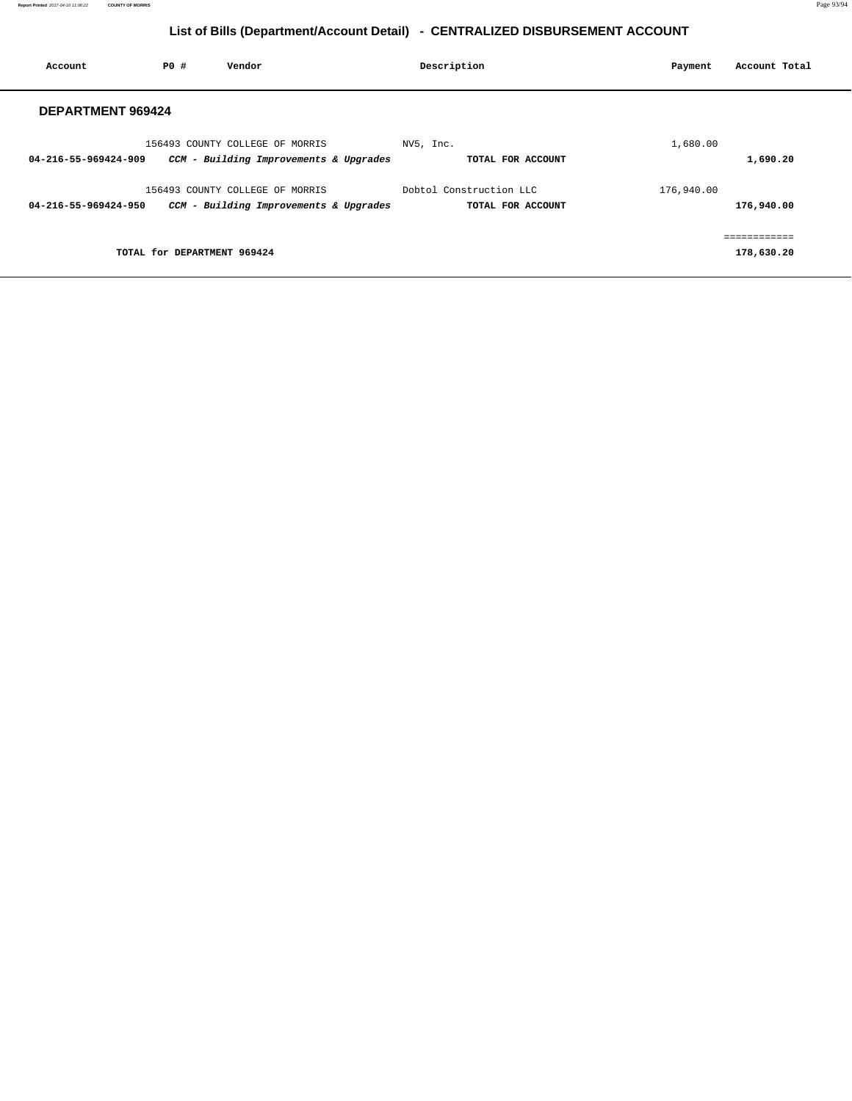| Account                  | PO#                         | Vendor                                 | Description             |                   | Payment    | Account Total |
|--------------------------|-----------------------------|----------------------------------------|-------------------------|-------------------|------------|---------------|
| <b>DEPARTMENT 969424</b> |                             |                                        |                         |                   |            |               |
|                          |                             | 156493 COUNTY COLLEGE OF MORRIS        | NV5, Inc.               |                   | 1,680.00   |               |
| 04-216-55-969424-909     |                             | CCM - Building Improvements & Upgrades |                         | TOTAL FOR ACCOUNT |            | 1,690.20      |
|                          |                             | 156493 COUNTY COLLEGE OF MORRIS        | Dobtol Construction LLC |                   | 176,940.00 |               |
| 04-216-55-969424-950     |                             | CCM - Building Improvements & Upgrades |                         | TOTAL FOR ACCOUNT |            | 176,940.00    |
|                          |                             |                                        |                         |                   |            |               |
|                          | TOTAL for DEPARTMENT 969424 |                                        |                         |                   |            | 178,630.20    |